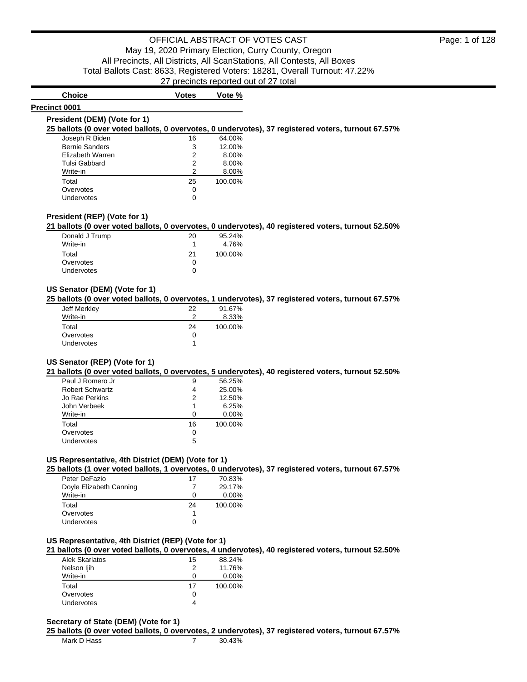**Precinct 0001**

# **Choice Votes Votes Vote** %

# **President (DEM) (Vote for 1)**

**25 ballots (0 over voted ballots, 0 overvotes, 0 undervotes), 37 registered voters, turnout 67.57%**

| Joseph R Biden        | 16 | 64.00%  |
|-----------------------|----|---------|
| <b>Bernie Sanders</b> | 3  | 12.00%  |
| Elizabeth Warren      | 2  | 8.00%   |
| Tulsi Gabbard         | 2  | 8.00%   |
| Write-in              | 2  | 8.00%   |
| Total                 | 25 | 100.00% |
| Overvotes             | 0  |         |
| Undervotes            |    |         |

### **President (REP) (Vote for 1)**

**21 ballots (0 over voted ballots, 0 overvotes, 0 undervotes), 40 registered voters, turnout 52.50%**

| Donald J Trump    | 20 | 95.24%  |
|-------------------|----|---------|
| Write-in          |    | 4.76%   |
| Total             | 21 | 100.00% |
| Overvotes         |    |         |
| <b>Undervotes</b> |    |         |

### **US Senator (DEM) (Vote for 1)**

**25 ballots (0 over voted ballots, 0 overvotes, 1 undervotes), 37 registered voters, turnout 67.57%**

| Jeff Merkley      | 22 | 91.67%  |
|-------------------|----|---------|
| Write-in          | າ  | 8.33%   |
| Total             | 24 | 100.00% |
| Overvotes         | Ω  |         |
| <b>Undervotes</b> |    |         |

### **US Senator (REP) (Vote for 1)**

**21 ballots (0 over voted ballots, 0 overvotes, 5 undervotes), 40 registered voters, turnout 52.50%**

| Paul J Romero Jr | 9  | 56.25%   |
|------------------|----|----------|
| Robert Schwartz  | 4  | 25.00%   |
| Jo Rae Perkins   | 2  | 12.50%   |
| John Verbeek     | 1  | 6.25%    |
| Write-in         | ი  | $0.00\%$ |
| Total            | 16 | 100.00%  |
| Overvotes        | 0  |          |
| Undervotes       | 5  |          |

### **US Representative, 4th District (DEM) (Vote for 1)**

**25 ballots (1 over voted ballots, 1 overvotes, 0 undervotes), 37 registered voters, turnout 67.57%**

| Peter DeFazio           | 17 | 70.83%   |
|-------------------------|----|----------|
| Doyle Elizabeth Canning |    | 29.17%   |
| Write-in                | 0  | $0.00\%$ |
| Total                   | 24 | 100.00%  |
| Overvotes               |    |          |
| Undervotes              | Ω  |          |

### **US Representative, 4th District (REP) (Vote for 1)**

**21 ballots (0 over voted ballots, 0 overvotes, 4 undervotes), 40 registered voters, turnout 52.50%**

| Alek Skarlatos    | 15 | 88.24%   |
|-------------------|----|----------|
| Nelson liih       | 2  | 11.76%   |
| Write-in          |    | $0.00\%$ |
| Total             | 17 | 100.00%  |
| Overvotes         | 0  |          |
| <b>Undervotes</b> |    |          |

### **Secretary of State (DEM) (Vote for 1)**

**25 ballots (0 over voted ballots, 0 overvotes, 2 undervotes), 37 registered voters, turnout 67.57%**

| Mark D Hass |  | 30.43% |
|-------------|--|--------|
|-------------|--|--------|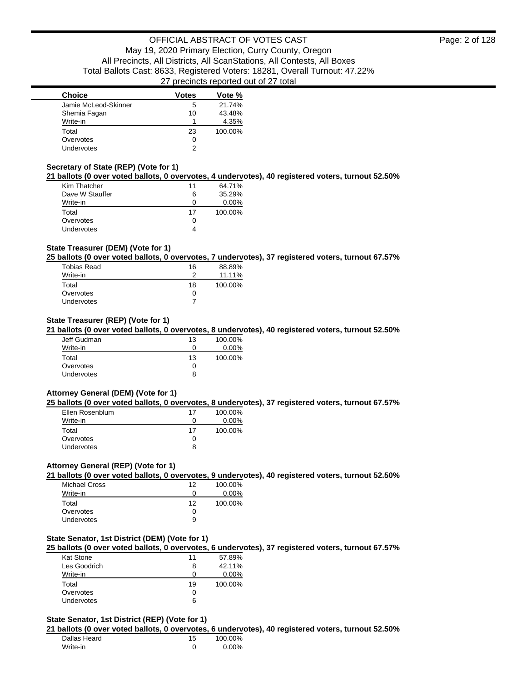| <b>Choice</b>        | Votes | Vote %  |
|----------------------|-------|---------|
| Jamie McLeod-Skinner | 5     | 21.74%  |
| Shemia Fagan         | 10    | 43.48%  |
| Write-in             |       | 4.35%   |
| Total                | 23    | 100.00% |
| Overvotes            | 0     |         |
| Undervotes           |       |         |

### **Secretary of State (REP) (Vote for 1)**

**21 ballots (0 over voted ballots, 0 overvotes, 4 undervotes), 40 registered voters, turnout 52.50%**

| Kim Thatcher    | 11 | 64.71%   |
|-----------------|----|----------|
| Dave W Stauffer | 6  | 35.29%   |
| Write-in        | 0  | $0.00\%$ |
|                 |    |          |
| Total           | 17 | 100.00%  |
| Overvotes       | 0  |          |

### **State Treasurer (DEM) (Vote for 1)**

**25 ballots (0 over voted ballots, 0 overvotes, 7 undervotes), 37 registered voters, turnout 67.57%**

| <b>Tobias Read</b> | 16 | 88.89%  |
|--------------------|----|---------|
| Write-in           |    | 11.11%  |
| Total              | 18 | 100.00% |
| Overvotes          | 0  |         |
| <b>Undervotes</b>  |    |         |

### **State Treasurer (REP) (Vote for 1)**

**21 ballots (0 over voted ballots, 0 overvotes, 8 undervotes), 40 registered voters, turnout 52.50%**

| Jeff Gudman       | 13           | 100.00%  |
|-------------------|--------------|----------|
| Write-in          | $\mathbf{0}$ | $0.00\%$ |
| Total             | 13           | 100.00%  |
| Overvotes         |              |          |
| <b>Undervotes</b> | 8            |          |

#### **Attorney General (DEM) (Vote for 1)**

**25 ballots (0 over voted ballots, 0 overvotes, 8 undervotes), 37 registered voters, turnout 67.57%**

| Ellen Rosenblum | 17 | 100.00%  |
|-----------------|----|----------|
| Write-in        |    | $0.00\%$ |
| Total           | 17 | 100.00%  |
| Overvotes       |    |          |
| Undervotes      | 8  |          |

#### **Attorney General (REP) (Vote for 1)**

**21 ballots (0 over voted ballots, 0 overvotes, 9 undervotes), 40 registered voters, turnout 52.50%**

| Michael Cross | 12 | 100.00%  |
|---------------|----|----------|
| Write-in      | 0  | $0.00\%$ |
| Total         | 12 | 100.00%  |
| Overvotes     | 0  |          |
| Undervotes    | 9  |          |

#### **State Senator, 1st District (DEM) (Vote for 1)**

**25 ballots (0 over voted ballots, 0 overvotes, 6 undervotes), 37 registered voters, turnout 67.57%**

| 11 | 57.89%   |
|----|----------|
| 8  | 42.11%   |
|    | $0.00\%$ |
| 19 | 100.00%  |
|    |          |
|    |          |
|    |          |

### **State Senator, 1st District (REP) (Vote for 1)**

### **21 ballots (0 over voted ballots, 0 overvotes, 6 undervotes), 40 registered voters, turnout 52.50%**

| Dallas Heard | 15 | 100.00%  |
|--------------|----|----------|
| Write-in     |    | $0.00\%$ |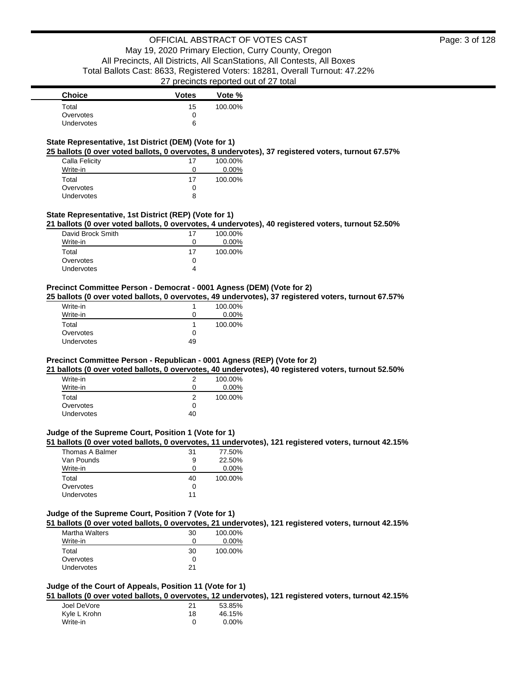| <b>Choice</b>     | <b>Votes</b> | Vote %  |
|-------------------|--------------|---------|
| Total             | 15           | 100.00% |
| Overvotes         |              |         |
| <b>Undervotes</b> | 6            |         |

### **State Representative, 1st District (DEM) (Vote for 1)**

**25 ballots (0 over voted ballots, 0 overvotes, 8 undervotes), 37 registered voters, turnout 67.57%**

| Calla Felicity | 17 | 100.00%  |
|----------------|----|----------|
| Write-in       | 0  | $0.00\%$ |
| Total          | 17 | 100.00%  |
| Overvotes      | 0  |          |
| Undervotes     | 8  |          |

### **State Representative, 1st District (REP) (Vote for 1)**

**21 ballots (0 over voted ballots, 0 overvotes, 4 undervotes), 40 registered voters, turnout 52.50%**

| David Brock Smith | 17 | 100.00% |
|-------------------|----|---------|
| Write-in          |    | 0.00%   |
| Total             | 17 | 100.00% |
| Overvotes         |    |         |
| Undervotes        |    |         |

### **Precinct Committee Person - Democrat - 0001 Agness (DEM) (Vote for 2)**

**25 ballots (0 over voted ballots, 0 overvotes, 49 undervotes), 37 registered voters, turnout 67.57%**

| Write-in   |              | 100.00%  |
|------------|--------------|----------|
| Write-in   | $\mathbf{0}$ | $0.00\%$ |
| Total      |              | 100.00%  |
| Overvotes  | Ω            |          |
| Undervotes | 49           |          |

#### **Precinct Committee Person - Republican - 0001 Agness (REP) (Vote for 2)**

**21 ballots (0 over voted ballots, 0 overvotes, 40 undervotes), 40 registered voters, turnout 52.50%**

| Write-in          | 2  | 100.00%  |
|-------------------|----|----------|
| Write-in          | 0  | $0.00\%$ |
| Total             | 2  | 100.00%  |
| Overvotes         | 0  |          |
| <b>Undervotes</b> | 40 |          |

### **Judge of the Supreme Court, Position 1 (Vote for 1)**

### **51 ballots (0 over voted ballots, 0 overvotes, 11 undervotes), 121 registered voters, turnout 42.15%**

| Thomas A Balmer | 31 | 77.50%   |
|-----------------|----|----------|
| Van Pounds      | 9  | 22.50%   |
| Write-in        |    | $0.00\%$ |
| Total           | 40 | 100.00%  |
| Overvotes       |    |          |
| Undervotes      | 11 |          |

### **Judge of the Supreme Court, Position 7 (Vote for 1)**

**51 ballots (0 over voted ballots, 0 overvotes, 21 undervotes), 121 registered voters, turnout 42.15%**

| 30 | 100.00%  |
|----|----------|
|    | $0.00\%$ |
| 30 | 100.00%  |
| 0  |          |
| 21 |          |
|    |          |

#### **Judge of the Court of Appeals, Position 11 (Vote for 1)**

**51 ballots (0 over voted ballots, 0 overvotes, 12 undervotes), 121 registered voters, turnout 42.15%**

| Joel DeVore  | 21 | 53.85%   |
|--------------|----|----------|
| Kyle L Krohn | 18 | 46.15%   |
| Write-in     | n  | $0.00\%$ |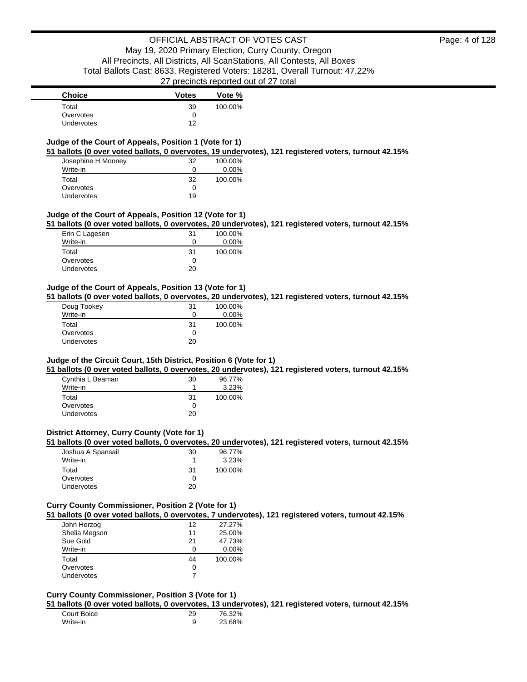| <b>Choice</b>     | <b>Votes</b> | Vote %  |
|-------------------|--------------|---------|
| Total             | 39           | 100.00% |
| Overvotes         |              |         |
| <b>Undervotes</b> | 12           |         |

### **Judge of the Court of Appeals, Position 1 (Vote for 1)**

**51 ballots (0 over voted ballots, 0 overvotes, 19 undervotes), 121 registered voters, turnout 42.15%**

| Josephine H Mooney | 32 | 100.00%  |
|--------------------|----|----------|
| Write-in           | 0  | $0.00\%$ |
| Total              | 32 | 100.00%  |
| Overvotes          | 0  |          |
| Undervotes         | 19 |          |

### **Judge of the Court of Appeals, Position 12 (Vote for 1)**

**51 ballots (0 over voted ballots, 0 overvotes, 20 undervotes), 121 registered voters, turnout 42.15%**

| Erin C Lagesen | 31  | 100.00% |
|----------------|-----|---------|
| Write-in       |     | 0.00%   |
| Total          | .31 | 100.00% |
| Overvotes      | 0   |         |
| Undervotes     | 20  |         |

#### **Judge of the Court of Appeals, Position 13 (Vote for 1)**

**51 ballots (0 over voted ballots, 0 overvotes, 20 undervotes), 121 registered voters, turnout 42.15%**

| Doug Tookey | 31 | 100.00%  |
|-------------|----|----------|
| Write-in    | 0  | $0.00\%$ |
| Total       | 31 | 100.00%  |
| Overvotes   | 0  |          |
| Undervotes  | 20 |          |

### **Judge of the Circuit Court, 15th District, Position 6 (Vote for 1)**

**51 ballots (0 over voted ballots, 0 overvotes, 20 undervotes), 121 registered voters, turnout 42.15%**

| Cynthia L Beaman  | 30  | 96.77%  |
|-------------------|-----|---------|
| Write-in          |     | 3.23%   |
| Total             | .31 | 100.00% |
| Overvotes         | O   |         |
| <b>Undervotes</b> | 20. |         |

### **District Attorney, Curry County (Vote for 1)**

#### **51 ballots (0 over voted ballots, 0 overvotes, 20 undervotes), 121 registered voters, turnout 42.15%**

| Joshua A Spansail | 30 | 96.77%  |
|-------------------|----|---------|
| Write-in          |    | 3.23%   |
| Total             | 31 | 100.00% |
| Overvotes         | 0  |         |
| <b>Undervotes</b> | 20 |         |

### **Curry County Commissioner, Position 2 (Vote for 1)**

**51 ballots (0 over voted ballots, 0 overvotes, 7 undervotes), 121 registered voters, turnout 42.15%**

| John Herzog   | 12 | 27.27%   |
|---------------|----|----------|
| Shelia Megson | 11 | 25.00%   |
| Sue Gold      | 21 | 47.73%   |
| Write-in      | ∩  | $0.00\%$ |
| Total         | 44 | 100.00%  |
| Overvotes     | 0  |          |
| Undervotes    |    |          |

#### **Curry County Commissioner, Position 3 (Vote for 1)**

**51 ballots (0 over voted ballots, 0 overvotes, 13 undervotes), 121 registered voters, turnout 42.15%**

| Court Boice | 29 | 76.32% |
|-------------|----|--------|
| Write-in    |    | 23.68% |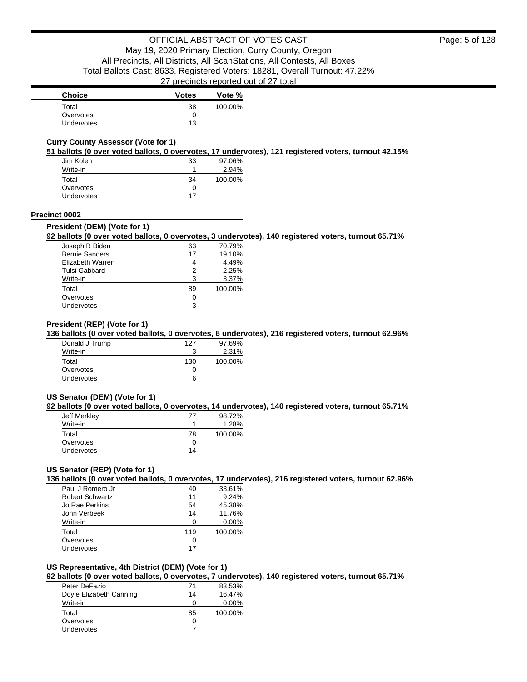| <b>Choice</b>     | <b>Votes</b> | Vote %  |
|-------------------|--------------|---------|
| Total             | 38           | 100.00% |
| Overvotes         |              |         |
| <b>Undervotes</b> | 13           |         |

### **Curry County Assessor (Vote for 1)**

**51 ballots (0 over voted ballots, 0 overvotes, 17 undervotes), 121 registered voters, turnout 42.15%**

| Jim Kolen  | 33 | 97.06%  |
|------------|----|---------|
| Write-in   |    | 2.94%   |
| Total      | 34 | 100.00% |
| Overvotes  | O  |         |
| Undervotes | 17 |         |

#### **Precinct 0002**

#### **President (DEM) (Vote for 1)**

#### **92 ballots (0 over voted ballots, 0 overvotes, 3 undervotes), 140 registered voters, turnout 65.71%**

| Joseph R Biden        | 63 | 70.79%  |
|-----------------------|----|---------|
| <b>Bernie Sanders</b> | 17 | 19.10%  |
| Elizabeth Warren      | 4  | 4.49%   |
| <b>Tulsi Gabbard</b>  | 2  | 2.25%   |
| Write-in              | з  | 3.37%   |
| Total                 | 89 | 100.00% |
| Overvotes             | 0  |         |
| Undervotes            | 3  |         |

#### **President (REP) (Vote for 1)**

#### **136 ballots (0 over voted ballots, 0 overvotes, 6 undervotes), 216 registered voters, turnout 62.96%**

| Donald J Trump | 127          | 97.69%  |
|----------------|--------------|---------|
| Write-in       |              | 2.31%   |
| Total          | 130          | 100.00% |
| Overvotes      | $\mathbf{I}$ |         |
| Undervotes     | 6            |         |

#### **US Senator (DEM) (Vote for 1)**

#### **92 ballots (0 over voted ballots, 0 overvotes, 14 undervotes), 140 registered voters, turnout 65.71%**

| Jeff Merkley | 77 | 98.72%  |
|--------------|----|---------|
| Write-in     |    | 1.28%   |
| Total        | 78 | 100.00% |
| Overvotes    | 0  |         |
| Undervotes   | 14 |         |

### **US Senator (REP) (Vote for 1)**

**136 ballots (0 over voted ballots, 0 overvotes, 17 undervotes), 216 registered voters, turnout 62.96%**

| Paul J Romero Jr       | 40  | 33.61%   |
|------------------------|-----|----------|
| <b>Robert Schwartz</b> | 11  | 9.24%    |
| Jo Rae Perkins         | 54  | 45.38%   |
| John Verbeek           | 14  | 11.76%   |
| Write-in               | O   | $0.00\%$ |
| Total                  | 119 | 100.00%  |
| Overvotes              | 0   |          |
| Undervotes             | 17  |          |

### **US Representative, 4th District (DEM) (Vote for 1)**

**92 ballots (0 over voted ballots, 0 overvotes, 7 undervotes), 140 registered voters, turnout 65.71%**

| Peter DeFazio           | 71 | 83.53%   |
|-------------------------|----|----------|
| Doyle Elizabeth Canning | 14 | 16.47%   |
| Write-in                | Ω  | $0.00\%$ |
| Total                   | 85 | 100.00%  |
| Overvotes               | O  |          |
| <b>Undervotes</b>       |    |          |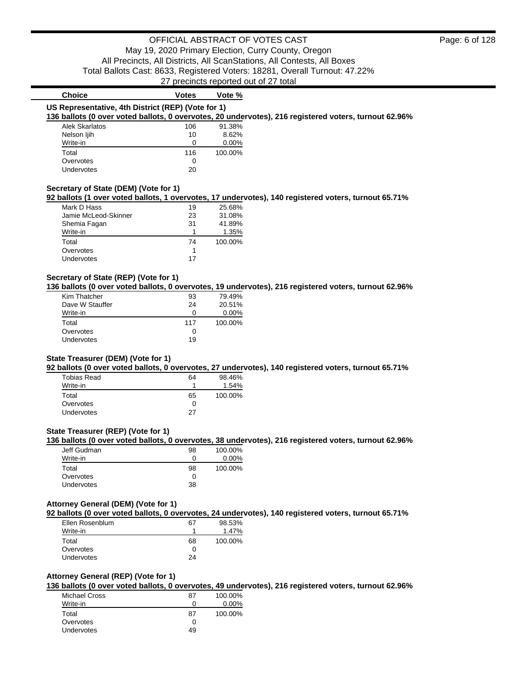27 precincts reported out of 27 total

### **Choice Votes Votes Vote % US Representative, 4th District (REP) (Vote for 1) 136 ballots (0 over voted ballots, 0 overvotes, 20 undervotes), 216 registered voters, turnout 62.96%** Alek Skarlatos 106 91.38% Nelson liih 10 8.62% Write-in 0 0.00% Total 116 100.00% Overvotes 0<br>
Undervotes 20 Undervotes **Secretary of State (DEM) (Vote for 1) 92 ballots (1 over voted ballots, 1 overvotes, 17 undervotes), 140 registered voters, turnout 65.71%** Mark D Hass 19 25.68% Jamie McLeod-Skinner 23 31.08% Shemia Fagan 31 41.89% Write-in 1.35% Total 74 100.00% Overvotes 1 Undervotes 17

### **Secretary of State (REP) (Vote for 1)**

**136 ballots (0 over voted ballots, 0 overvotes, 19 undervotes), 216 registered voters, turnout 62.96%**

| Kim Thatcher    | 93  | 79.49%   |
|-----------------|-----|----------|
| Dave W Stauffer | 24  | 20.51%   |
| Write-in        | O   | $0.00\%$ |
| Total           | 117 | 100.00%  |
| Overvotes       | 0   |          |
| Undervotes      | 19  |          |

### **State Treasurer (DEM) (Vote for 1)**

**92 ballots (0 over voted ballots, 0 overvotes, 27 undervotes), 140 registered voters, turnout 65.71%**

| <b>Tobias Read</b> | 64 | 98.46%  |
|--------------------|----|---------|
| Write-in           | 1  | 1.54%   |
| Total              | 65 | 100.00% |
| Overvotes          | 0  |         |
| <b>Undervotes</b>  | 27 |         |

### **State Treasurer (REP) (Vote for 1)**

**136 ballots (0 over voted ballots, 0 overvotes, 38 undervotes), 216 registered voters, turnout 62.96%**

| Jeff Gudman       | 98 | 100.00%  |
|-------------------|----|----------|
| Write-in          |    | $0.00\%$ |
| Total             | 98 | 100.00%  |
| Overvotes         |    |          |
| <b>Undervotes</b> | 38 |          |

#### **Attorney General (DEM) (Vote for 1)**

**92 ballots (0 over voted ballots, 0 overvotes, 24 undervotes), 140 registered voters, turnout 65.71%**

| Ellen Rosenblum   | 67 | 98.53%  |
|-------------------|----|---------|
| Write-in          |    | 1.47%   |
| Total             | 68 | 100.00% |
| Overvotes         | O  |         |
| <b>Undervotes</b> | 24 |         |

### **Attorney General (REP) (Vote for 1)**

**136 ballots (0 over voted ballots, 0 overvotes, 49 undervotes), 216 registered voters, turnout 62.96%**

| Michael Cross | 87 | 100.00%  |
|---------------|----|----------|
| Write-in      | Ω  | $0.00\%$ |
| Total         | 87 | 100.00%  |
| Overvotes     | O  |          |
| Undervotes    | 49 |          |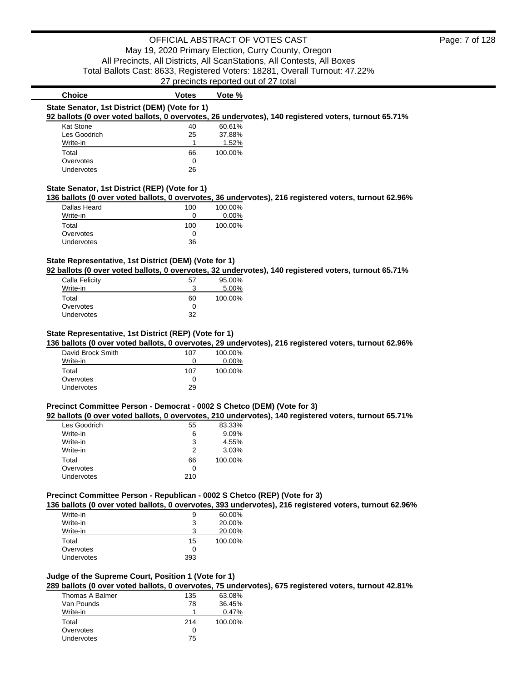| <b>Choice</b>                                  | <b>Votes</b> | Vote %   |                                                                                                       |
|------------------------------------------------|--------------|----------|-------------------------------------------------------------------------------------------------------|
| State Senator, 1st District (DEM) (Vote for 1) |              |          |                                                                                                       |
|                                                |              |          | 92 ballots (0 over voted ballots, 0 overvotes, 26 undervotes), 140 registered voters, turnout 65.71%  |
| Kat Stone                                      | 40           | 60.61%   |                                                                                                       |
| Les Goodrich                                   | 25           | 37.88%   |                                                                                                       |
| Write-in                                       |              | 1.52%    |                                                                                                       |
| Total                                          | 66           | 100.00%  |                                                                                                       |
| Overvotes                                      | 0            |          |                                                                                                       |
| Undervotes                                     | 26           |          |                                                                                                       |
| State Senator, 1st District (REP) (Vote for 1) |              |          |                                                                                                       |
|                                                |              |          |                                                                                                       |
|                                                |              |          |                                                                                                       |
| Dallas Heard                                   | 100          | 100.00%  | 136 ballots (0 over voted ballots, 0 overvotes, 36 undervotes), 216 registered voters, turnout 62.96% |
| Write-in                                       | 0            | $0.00\%$ |                                                                                                       |
| Total                                          | 100          | 100.00%  |                                                                                                       |
| Overvotes                                      | 0            |          |                                                                                                       |

### **State Representative, 1st District (DEM) (Vote for 1)**

**92 ballots (0 over voted ballots, 0 overvotes, 32 undervotes), 140 registered voters, turnout 65.71%**

| Calla Felicity    | 57 | 95.00%  |
|-------------------|----|---------|
| Write-in          |    | 5.00%   |
| Total             | 60 | 100.00% |
| Overvotes         |    |         |
| <b>Undervotes</b> | 32 |         |

#### **State Representative, 1st District (REP) (Vote for 1)**

**136 ballots (0 over voted ballots, 0 overvotes, 29 undervotes), 216 registered voters, turnout 62.96%**

| David Brock Smith | 107 | 100.00%  |
|-------------------|-----|----------|
| Write-in          | 0   | $0.00\%$ |
| Total             | 107 | 100.00%  |
| Overvotes         | 0   |          |
| Undervotes        | 29  |          |

#### **Precinct Committee Person - Democrat - 0002 S Chetco (DEM) (Vote for 3)**

**92 ballots (0 over voted ballots, 0 overvotes, 210 undervotes), 140 registered voters, turnout 65.71%**

| Les Goodrich | 55  | 83.33%  |
|--------------|-----|---------|
| Write-in     | 6   | 9.09%   |
| Write-in     | 3   | 4.55%   |
| Write-in     | っ   | 3.03%   |
| Total        | 66  | 100.00% |
| Overvotes    |     |         |
| Undervotes   | 210 |         |
|              |     |         |

#### **Precinct Committee Person - Republican - 0002 S Chetco (REP) (Vote for 3)**

**136 ballots (0 over voted ballots, 0 overvotes, 393 undervotes), 216 registered voters, turnout 62.96%**

| Write-in   | 9   | 60.00%  |
|------------|-----|---------|
| Write-in   | 3   | 20.00%  |
| Write-in   | ર   | 20.00%  |
| Total      | 15  | 100.00% |
| Overvotes  | 0   |         |
| Undervotes | 393 |         |

## **Judge of the Supreme Court, Position 1 (Vote for 1)**

**289 ballots (0 over voted ballots, 0 overvotes, 75 undervotes), 675 registered voters, turnout 42.81%**

| Thomas A Balmer   | 135 | 63.08%  |
|-------------------|-----|---------|
| Van Pounds        | 78  | 36.45%  |
| Write-in          |     | 0.47%   |
| Total             | 214 | 100.00% |
| Overvotes         | Ω   |         |
| <b>Undervotes</b> | 75  |         |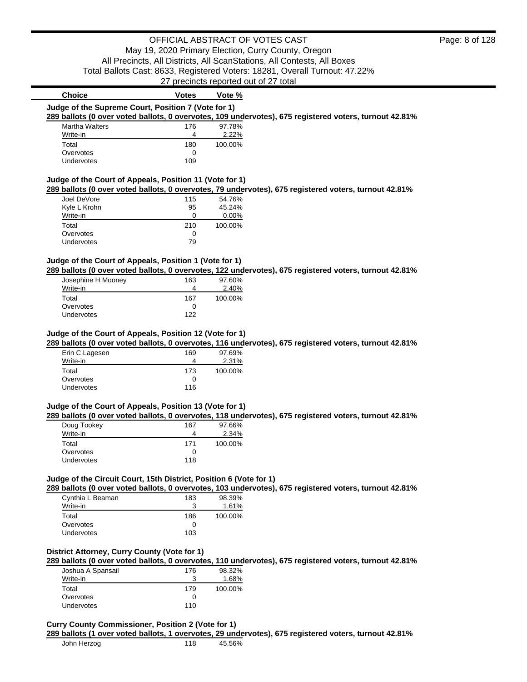|                                                                    |          | products reported out of 27 total                                                                      |  |
|--------------------------------------------------------------------|----------|--------------------------------------------------------------------------------------------------------|--|
| <b>Choice</b>                                                      | Votes    | Vote %                                                                                                 |  |
| Judge of the Supreme Court, Position 7 (Vote for 1)                |          |                                                                                                        |  |
|                                                                    |          | 289 ballots (0 over voted ballots, 0 overvotes, 109 undervotes), 675 registered voters, turnout 42.81% |  |
| <b>Martha Walters</b>                                              | 176      | 97.78%                                                                                                 |  |
| Write-in                                                           | 4        | 2.22%                                                                                                  |  |
| Total                                                              | 180      | 100.00%                                                                                                |  |
| Overvotes                                                          | 0        |                                                                                                        |  |
| Undervotes                                                         | 109      |                                                                                                        |  |
|                                                                    |          |                                                                                                        |  |
| Judge of the Court of Appeals, Position 11 (Vote for 1)            |          |                                                                                                        |  |
|                                                                    |          | 289 ballots (0 over voted ballots, 0 overvotes, 79 undervotes), 675 registered voters, turnout 42.81%  |  |
| Joel DeVore                                                        | 115      | 54.76%                                                                                                 |  |
| Kyle L Krohn                                                       | 95       | 45.24%                                                                                                 |  |
| Write-in                                                           | 0        | 0.00%                                                                                                  |  |
| Total                                                              | 210      | 100.00%                                                                                                |  |
| Overvotes<br>Undervotes                                            | 0<br>79  |                                                                                                        |  |
|                                                                    |          |                                                                                                        |  |
| Judge of the Court of Appeals, Position 1 (Vote for 1)             |          |                                                                                                        |  |
|                                                                    |          | 289 ballots (0 over voted ballots, 0 overvotes, 122 undervotes), 675 registered voters, turnout 42.81% |  |
| Josephine H Mooney                                                 | 163      | 97.60%                                                                                                 |  |
| Write-in                                                           | 4        | 2.40%                                                                                                  |  |
| Total                                                              | 167      | 100.00%                                                                                                |  |
| Overvotes                                                          | 0        |                                                                                                        |  |
| Undervotes                                                         | 122      |                                                                                                        |  |
|                                                                    |          |                                                                                                        |  |
| Judge of the Court of Appeals, Position 12 (Vote for 1)            |          |                                                                                                        |  |
|                                                                    |          | 289 ballots (0 over voted ballots, 0 overvotes, 116 undervotes), 675 registered voters, turnout 42.81% |  |
| Erin C Lagesen                                                     | 169      | 97.69%                                                                                                 |  |
| Write-in                                                           | 4        | 2.31%                                                                                                  |  |
| Total                                                              | 173      | 100.00%                                                                                                |  |
| Overvotes                                                          | 0        |                                                                                                        |  |
| Undervotes                                                         | 116      |                                                                                                        |  |
|                                                                    |          |                                                                                                        |  |
| Judge of the Court of Appeals, Position 13 (Vote for 1)            |          |                                                                                                        |  |
|                                                                    |          | 289 ballots (0 over voted ballots, 0 overvotes, 118 undervotes), 675 registered voters, turnout 42.81% |  |
| Doug Tookey                                                        | 167      | 97.66%                                                                                                 |  |
| Write-in                                                           | 4        | 2.34%                                                                                                  |  |
| Total                                                              | 171      | 100.00%                                                                                                |  |
| Overvotes                                                          | 0        |                                                                                                        |  |
| Undervotes                                                         | 118      |                                                                                                        |  |
|                                                                    |          |                                                                                                        |  |
| Judge of the Circuit Court, 15th District, Position 6 (Vote for 1) |          |                                                                                                        |  |
|                                                                    |          | 289 ballots (0 over voted ballots, 0 overvotes, 103 undervotes), 675 registered voters, turnout 42.81% |  |
| Cynthia L Beaman<br>Write-in                                       | 183<br>3 | 98.39%                                                                                                 |  |
| Total                                                              |          | 1.61%<br>100.00%                                                                                       |  |
| Overvotes                                                          | 186<br>0 |                                                                                                        |  |
| <b>Undervotes</b>                                                  | 103      |                                                                                                        |  |
|                                                                    |          |                                                                                                        |  |
| District Attorney, Curry County (Vote for 1)                       |          |                                                                                                        |  |
|                                                                    |          | 289 ballots (0 over voted ballots, 0 overvotes, 110 undervotes), 675 registered voters, turnout 42.81% |  |
| Joshua A Spansail                                                  | 176      | 98.32%                                                                                                 |  |
| Write-in                                                           | 3        | 1.68%                                                                                                  |  |
| Total                                                              | 179      | 100.00%                                                                                                |  |
| Overvotes                                                          | 0        |                                                                                                        |  |
| Undervotes                                                         | 110      |                                                                                                        |  |

### **Curry County Commissioner, Position 2 (Vote for 1)**

**289 ballots (1 over voted ballots, 1 overvotes, 29 undervotes), 675 registered voters, turnout 42.81%**

| John Herzog | 118 | 45.56% |
|-------------|-----|--------|
|             |     |        |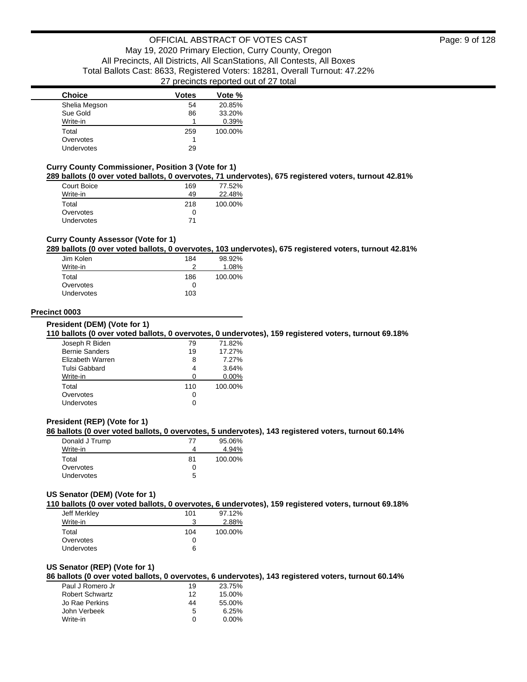| <b>Choice</b>     | <b>Votes</b> | Vote %  |
|-------------------|--------------|---------|
| Shelia Megson     | 54           | 20.85%  |
| Sue Gold          | 86           | 33.20%  |
| Write-in          |              | 0.39%   |
| Total             | 259          | 100.00% |
| Overvotes         |              |         |
| <b>Undervotes</b> | 29           |         |

#### **Curry County Commissioner, Position 3 (Vote for 1)**

**289 ballots (0 over voted ballots, 0 overvotes, 71 undervotes), 675 registered voters, turnout 42.81%**

| Court Boice       | 169 | 77.52%  |
|-------------------|-----|---------|
| Write-in          | 49  | 22.48%  |
| Total             | 218 | 100.00% |
| Overvotes         |     |         |
| <b>Undervotes</b> | 71  |         |

### **Curry County Assessor (Vote for 1)**

#### **289 ballots (0 over voted ballots, 0 overvotes, 103 undervotes), 675 registered voters, turnout 42.81%**

| Jim Kolen         | 184 | 98.92%  |
|-------------------|-----|---------|
| Write-in          | າ   | 1.08%   |
| Total             | 186 | 100.00% |
| Overvotes         | 0   |         |
| <b>Undervotes</b> | 103 |         |

#### **Precinct 0003**

**President (DEM) (Vote for 1)**

#### **110 ballots (0 over voted ballots, 0 overvotes, 0 undervotes), 159 registered voters, turnout 69.18%**

| Joseph R Biden        | 79  | 71.82%   |
|-----------------------|-----|----------|
| <b>Bernie Sanders</b> | 19  | 17.27%   |
| Elizabeth Warren      | 8   | 7.27%    |
| Tulsi Gabbard         | 4   | 3.64%    |
| Write-in              |     | $0.00\%$ |
| Total                 | 110 | 100.00%  |
| Overvotes             |     |          |
| Undervotes            |     |          |
|                       |     |          |

### **President (REP) (Vote for 1)**

#### **86 ballots (0 over voted ballots, 0 overvotes, 5 undervotes), 143 registered voters, turnout 60.14%**

| Donald J Trump    | 77           | 95.06%  |
|-------------------|--------------|---------|
| Write-in          |              | 4.94%   |
| Total             | 81           | 100.00% |
| Overvotes         | $\mathbf{I}$ |         |
| <b>Undervotes</b> | 5            |         |

#### **US Senator (DEM) (Vote for 1)**

**110 ballots (0 over voted ballots, 0 overvotes, 6 undervotes), 159 registered voters, turnout 69.18%**

| Jeff Merkley      | 101 | 97.12%  |
|-------------------|-----|---------|
| Write-in          | 3   | 2.88%   |
| Total             | 104 | 100.00% |
| Overvotes         | Ω   |         |
| <b>Undervotes</b> | 6   |         |

#### **US Senator (REP) (Vote for 1)**

**86 ballots (0 over voted ballots, 0 overvotes, 6 undervotes), 143 registered voters, turnout 60.14%**

| Paul J Romero Jr       | 19 | 23.75%   |
|------------------------|----|----------|
| <b>Robert Schwartz</b> | 12 | 15.00%   |
| Jo Rae Perkins         | 44 | 55.00%   |
| John Verbeek           | 5  | 6.25%    |
| Write-in               | O  | $0.00\%$ |
|                        |    |          |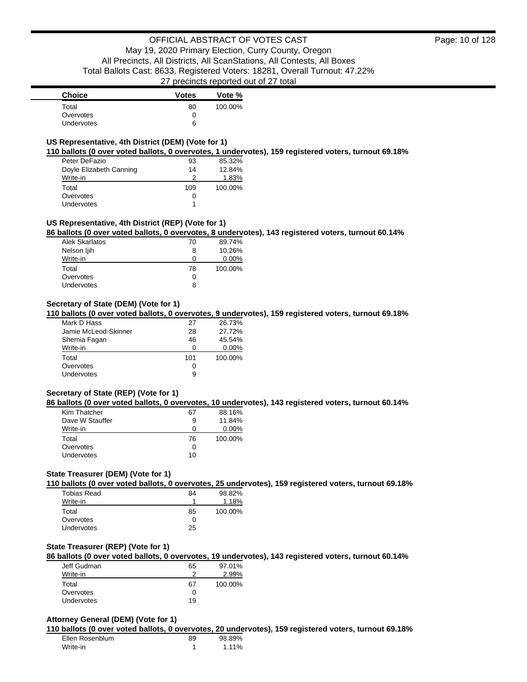### **US Representative, 4th District (DEM) (Vote for 1)**

**110 ballots (0 over voted ballots, 0 overvotes, 1 undervotes), 159 registered voters, turnout 69.18%**

| Peter DeFazio           | 93  | 85.32%  |
|-------------------------|-----|---------|
| Doyle Elizabeth Canning | 14  | 12.84%  |
| Write-in                | 2   | 1.83%   |
| Total                   | 109 | 100.00% |
| Overvotes               | 0   |         |
| Undervotes              |     |         |

#### **US Representative, 4th District (REP) (Vote for 1)**

**86 ballots (0 over voted ballots, 0 overvotes, 8 undervotes), 143 registered voters, turnout 60.14%**

| Alek Skarlatos    | 70 | 89.74%   |
|-------------------|----|----------|
| Nelson ljih       | 8  | 10.26%   |
| Write-in          | O  | $0.00\%$ |
| Total             | 78 | 100.00%  |
| Overvotes         | 0  |          |
| <b>Undervotes</b> | 8  |          |

### **Secretary of State (DEM) (Vote for 1)**

**110 ballots (0 over voted ballots, 0 overvotes, 9 undervotes), 159 registered voters, turnout 69.18%**

| Mark D Hass          | 27  | 26.73%   |
|----------------------|-----|----------|
| Jamie McLeod-Skinner | 28  | 27.72%   |
| Shemia Fagan         | 46  | 45.54%   |
| Write-in             | 0   | $0.00\%$ |
| Total                | 101 | 100.00%  |
| Overvotes            | 0   |          |
| Undervotes           | 9   |          |

#### **Secretary of State (REP) (Vote for 1)**

**86 ballots (0 over voted ballots, 0 overvotes, 10 undervotes), 143 registered voters, turnout 60.14%**

| Kim Thatcher    | 67 | 88.16%   |
|-----------------|----|----------|
| Dave W Stauffer | 9  | 11.84%   |
| Write-in        | 0  | $0.00\%$ |
| Total           | 76 | 100.00%  |
| Overvotes       | 0  |          |
| Undervotes      | 10 |          |

### **State Treasurer (DEM) (Vote for 1)**

**110 ballots (0 over voted ballots, 0 overvotes, 25 undervotes), 159 registered voters, turnout 69.18%**

| Tobias Read       | 84 | 98.82%  |
|-------------------|----|---------|
| Write-in          |    | 1.18%   |
| Total             | 85 | 100.00% |
| Overvotes         | 0  |         |
| <b>Undervotes</b> | 25 |         |

#### **State Treasurer (REP) (Vote for 1)**

**86 ballots (0 over voted ballots, 0 overvotes, 19 undervotes), 143 registered voters, turnout 60.14%**

| Jeff Gudman | 65 | 97.01%  |
|-------------|----|---------|
| Write-in    |    | 2.99%   |
| Total       | 67 | 100.00% |
| Overvotes   | 0  |         |
| Undervotes  | 19 |         |

#### **Attorney General (DEM) (Vote for 1)**

**110 ballots (0 over voted ballots, 0 overvotes, 20 undervotes), 159 registered voters, turnout 69.18%**

| Ellen Rosenblum | 89 | 98.89% |
|-----------------|----|--------|
| Write-in        |    | 1.11%  |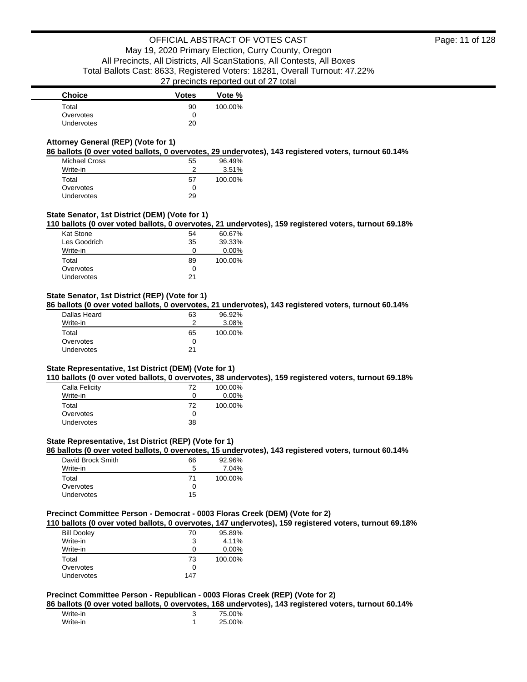| <b>Choice</b> | <b>Votes</b> | Vote %  |
|---------------|--------------|---------|
| Total         | 90           | 100.00% |
| Overvotes     | 0            |         |
| Undervotes    | 20           |         |

### **Attorney General (REP) (Vote for 1)**

**86 ballots (0 over voted ballots, 0 overvotes, 29 undervotes), 143 registered voters, turnout 60.14%**

| Michael Cross     | 55 | 96.49%  |
|-------------------|----|---------|
| Write-in          |    | 3.51%   |
| Total             | 57 | 100.00% |
| Overvotes         | Ω  |         |
| <b>Undervotes</b> | 29 |         |

### **State Senator, 1st District (DEM) (Vote for 1)**

**110 ballots (0 over voted ballots, 0 overvotes, 21 undervotes), 159 registered voters, turnout 69.18%**

| <b>Kat Stone</b> | 54 | 60.67%  |
|------------------|----|---------|
| Les Goodrich     | 35 | 39.33%  |
| Write-in         |    | 0.00%   |
| Total            | 89 | 100.00% |
| Overvotes        | O  |         |
| Undervotes       | 21 |         |
|                  |    |         |

### **State Senator, 1st District (REP) (Vote for 1)**

**86 ballots (0 over voted ballots, 0 overvotes, 21 undervotes), 143 registered voters, turnout 60.14%**

| Dallas Heard | 63 | 96.92%  |
|--------------|----|---------|
| Write-in     | ≘  | 3.08%   |
| Total        | 65 | 100.00% |
| Overvotes    |    |         |
| Undervotes   | 21 |         |
|              |    |         |

#### **State Representative, 1st District (DEM) (Vote for 1)**

**110 ballots (0 over voted ballots, 0 overvotes, 38 undervotes), 159 registered voters, turnout 69.18%**

| 72 | 100.00%  |
|----|----------|
| O  | $0.00\%$ |
| 72 | 100.00%  |
| O  |          |
| 38 |          |
|    |          |

### **State Representative, 1st District (REP) (Vote for 1)**

**86 ballots (0 over voted ballots, 0 overvotes, 15 undervotes), 143 registered voters, turnout 60.14%**

| David Brock Smith | 66 | 92.96%  |
|-------------------|----|---------|
| Write-in          | 5  | 7.04%   |
| Total             | 71 | 100.00% |
| Overvotes         | O  |         |
| Undervotes        | 15 |         |

### **Precinct Committee Person - Democrat - 0003 Floras Creek (DEM) (Vote for 2)**

**110 ballots (0 over voted ballots, 0 overvotes, 147 undervotes), 159 registered voters, turnout 69.18%**

| <b>Bill Dooley</b> | 70  | 95.89%  |
|--------------------|-----|---------|
| Write-in           | 3   | 4.11%   |
| Write-in           | Ω   | 0.00%   |
| Total              | 73  | 100.00% |
| Overvotes          | 0   |         |
| <b>Undervotes</b>  | 147 |         |

#### **Precinct Committee Person - Republican - 0003 Floras Creek (REP) (Vote for 2)**

**86 ballots (0 over voted ballots, 0 overvotes, 168 undervotes), 143 registered voters, turnout 60.14%**

| Write-in | 75.00% |
|----------|--------|
| Write-in | 25.00% |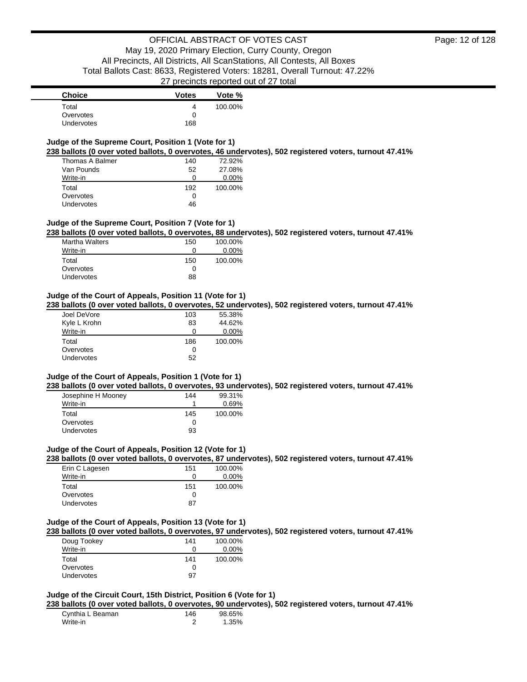| <b>Choice</b>                                                                                                                                                | <b>Votes</b> | Vote %  |
|--------------------------------------------------------------------------------------------------------------------------------------------------------------|--------------|---------|
| Total                                                                                                                                                        | 4            | 100.00% |
| Overvotes                                                                                                                                                    | 0            |         |
| Undervotes                                                                                                                                                   | 168          |         |
|                                                                                                                                                              |              |         |
| Judge of the Supreme Court, Position 1 (Vote for 1)<br>238 ballots (0 over voted ballots, 0 overvotes, 46 undervotes), 502 registered voters, turnout 47.41% |              |         |
| Thomas A Balmer                                                                                                                                              | 140          | 72.92%  |
| Van Pounds                                                                                                                                                   | 52           | 27.08%  |
| Write-in                                                                                                                                                     | 0            | 0.00%   |
| Total                                                                                                                                                        | 192          | 100.00% |
| Overvotes                                                                                                                                                    | 0            |         |
| Undervotes                                                                                                                                                   | 46           |         |
| Judge of the Supreme Court, Position 7 (Vote for 1)<br>238 ballots (0 over voted ballots, 0 overvotes, 88 undervotes), 502 registered voters, turnout 47.41% |              |         |
| <b>Martha Walters</b>                                                                                                                                        | 150          | 100.00% |
| Write-in                                                                                                                                                     | 0            | 0.00%   |
|                                                                                                                                                              |              |         |
| Total<br>Overvotes                                                                                                                                           | 150<br>0     | 100.00% |
| Undervotes                                                                                                                                                   | 88           |         |
|                                                                                                                                                              |              |         |
| Judge of the Court of Appeals, Position 11 (Vote for 1)                                                                                                      |              |         |
| 238 ballots (0 over voted ballots, 0 overvotes, 52 undervotes), 502 registered voters, turnout 47.41%                                                        |              |         |
| Joel DeVore                                                                                                                                                  | 103          | 55.38%  |
| Kyle L Krohn                                                                                                                                                 | 83           | 44.62%  |
|                                                                                                                                                              | 0            |         |
| Write-in                                                                                                                                                     |              | 0.00%   |
| Total                                                                                                                                                        | 186          | 100.00% |
| Overvotes                                                                                                                                                    | 0            |         |
| Undervotes                                                                                                                                                   | 52           |         |
| Judge of the Court of Appeals, Position 1 (Vote for 1)                                                                                                       |              |         |
| 238 ballots (0 over voted ballots, 0 overvotes, 93 undervotes), 502 registered voters, turnout 47.41%                                                        |              |         |
| Josephine H Mooney                                                                                                                                           | 144          | 99.31%  |
| Write-in                                                                                                                                                     | 1            | 0.69%   |
| Total                                                                                                                                                        | 145          | 100.00% |
| Overvotes                                                                                                                                                    | 0            |         |
| Undervotes                                                                                                                                                   | 93           |         |
|                                                                                                                                                              |              |         |
| Judge of the Court of Appeals, Position 12 (Vote for 1)                                                                                                      |              |         |
| 238 ballots (0 over voted ballots, 0 overvotes, 87 undervotes), 502 registered voters, turnout 47.41%                                                        |              |         |
| Erin C Lagesen                                                                                                                                               | 151          | 100.00% |
| Write-in                                                                                                                                                     | 0            | 0.00%   |
|                                                                                                                                                              |              |         |
| Total                                                                                                                                                        | 151          | 100.00% |
| Overvotes                                                                                                                                                    | 0<br>87      |         |
| <b>Undervotes</b>                                                                                                                                            |              |         |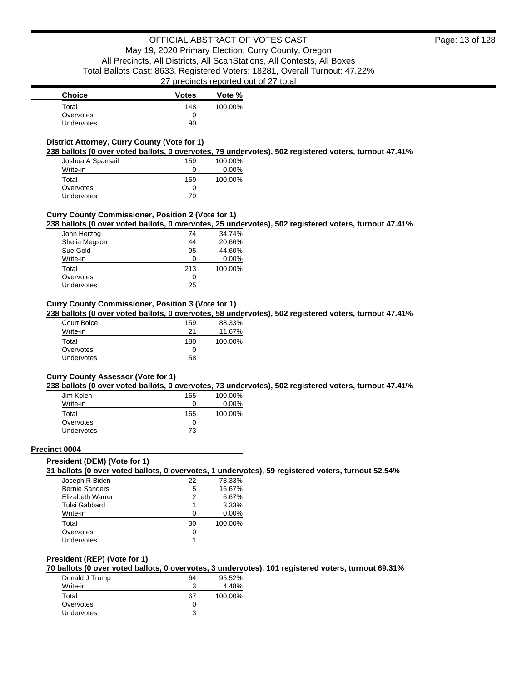### **District Attorney, Curry County (Vote for 1)**

**238 ballots (0 over voted ballots, 0 overvotes, 79 undervotes), 502 registered voters, turnout 47.41%**

| Joshua A Spansail | 159 | 100.00%  |
|-------------------|-----|----------|
| Write-in          | O   | $0.00\%$ |
| Total             | 159 | 100.00%  |
| Overvotes         | O   |          |
| Undervotes        | 79  |          |

### **Curry County Commissioner, Position 2 (Vote for 1)**

**238 ballots (0 over voted ballots, 0 overvotes, 25 undervotes), 502 registered voters, turnout 47.41%**

| John Herzog   | 74  | 34.74%   |
|---------------|-----|----------|
| Shelia Megson | 44  | 20.66%   |
| Sue Gold      | 95  | 44.60%   |
| Write-in      | ∩   | $0.00\%$ |
| Total         | 213 | 100.00%  |
| Overvotes     | 0   |          |
| Undervotes    | 25  |          |

### **Curry County Commissioner, Position 3 (Vote for 1)**

**238 ballots (0 over voted ballots, 0 overvotes, 58 undervotes), 502 registered voters, turnout 47.41%**

| Court Boice | 159 | 88.33%  |
|-------------|-----|---------|
| Write-in    | 21  | 11.67%  |
| Total       | 180 | 100.00% |
| Overvotes   | 0   |         |
| Undervotes  | 58  |         |

#### **Curry County Assessor (Vote for 1)**

**238 ballots (0 over voted ballots, 0 overvotes, 73 undervotes), 502 registered voters, turnout 47.41%**

| Jim Kolen         | 165 | 100.00%  |
|-------------------|-----|----------|
| Write-in          | 0   | $0.00\%$ |
| Total             | 165 | 100.00%  |
| Overvotes         | Ω   |          |
| <b>Undervotes</b> | 73  |          |

#### **Precinct 0004**

#### **President (DEM) (Vote for 1)**

**31 ballots (0 over voted ballots, 0 overvotes, 1 undervotes), 59 registered voters, turnout 52.54%**

| Joseph R Biden        | 22 | 73.33%   |
|-----------------------|----|----------|
| <b>Bernie Sanders</b> | 5  | 16.67%   |
| Elizabeth Warren      | 2  | 6.67%    |
| Tulsi Gabbard         | 1  | 3.33%    |
| Write-in              | n  | $0.00\%$ |
| Total                 | 30 | 100.00%  |
| Overvotes             | 0  |          |
| Undervotes            |    |          |
|                       |    |          |

#### **President (REP) (Vote for 1)**

**70 ballots (0 over voted ballots, 0 overvotes, 3 undervotes), 101 registered voters, turnout 69.31%**

| Donald J Trump    | 64 | 95.52%  |
|-------------------|----|---------|
| Write-in          |    | 4.48%   |
| Total             | 67 | 100.00% |
| Overvotes         |    |         |
| <b>Undervotes</b> | ર  |         |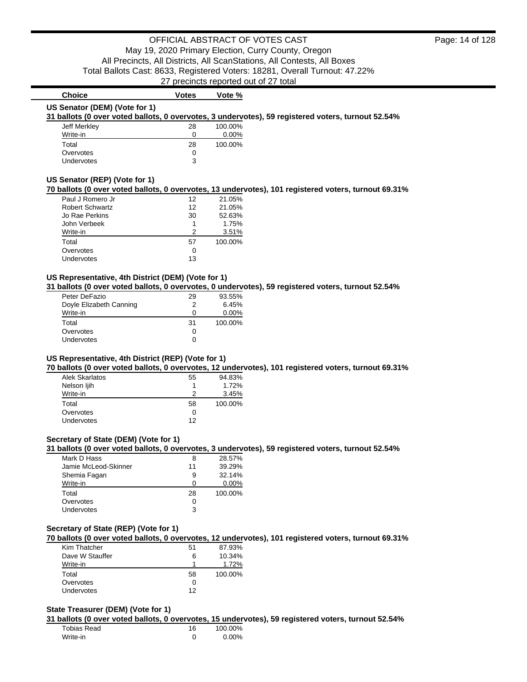### **Choice Votes Votes Vote** % **US Senator (DEM) (Vote for 1)**

**31 ballots (0 over voted ballots, 0 overvotes, 3 undervotes), 59 registered voters, turnout 52.54%**

| Jeff Merkley      | 28 | 100.00%  |
|-------------------|----|----------|
| Write-in          | 0  | $0.00\%$ |
| Total             | 28 | 100.00%  |
| Overvotes         | 0  |          |
| <b>Undervotes</b> | 3  |          |

#### **US Senator (REP) (Vote for 1)**

#### **70 ballots (0 over voted ballots, 0 overvotes, 13 undervotes), 101 registered voters, turnout 69.31%**

| Paul J Romero Jr       | 12 | 21.05%  |
|------------------------|----|---------|
| <b>Robert Schwartz</b> | 12 | 21.05%  |
| Jo Rae Perkins         | 30 | 52.63%  |
| John Verbeek           |    | 1.75%   |
| Write-in               | 2  | 3.51%   |
| Total                  | 57 | 100.00% |
| Overvotes              | Ω  |         |
| Undervotes             | 13 |         |

#### **US Representative, 4th District (DEM) (Vote for 1)**

#### **31 ballots (0 over voted ballots, 0 overvotes, 0 undervotes), 59 registered voters, turnout 52.54%**

| Peter DeFazio           | 29 | 93.55%   |
|-------------------------|----|----------|
| Doyle Elizabeth Canning | 2  | 6.45%    |
| Write-in                | 0  | $0.00\%$ |
| Total                   | 31 | 100.00%  |
| Overvotes               | 0  |          |
| Undervotes              | 0  |          |

### **US Representative, 4th District (REP) (Vote for 1)**

**70 ballots (0 over voted ballots, 0 overvotes, 12 undervotes), 101 registered voters, turnout 69.31%**

| <b>Alek Skarlatos</b> | 55 | 94.83%  |
|-----------------------|----|---------|
| Nelson ljih           |    | 1.72%   |
| Write-in              | 2  | 3.45%   |
| Total                 | 58 | 100.00% |
| Overvotes             | 0  |         |
| Undervotes            | 12 |         |

### **Secretary of State (DEM) (Vote for 1)**

#### **31 ballots (0 over voted ballots, 0 overvotes, 3 undervotes), 59 registered voters, turnout 52.54%**

| Mark D Hass          | 8  | 28.57%   |
|----------------------|----|----------|
| Jamie McLeod-Skinner | 11 | 39.29%   |
| Shemia Fagan         | 9  | 32.14%   |
| Write-in             | O  | $0.00\%$ |
| Total                | 28 | 100.00%  |
| Overvotes            | O  |          |
| Undervotes           | 3  |          |

#### **Secretary of State (REP) (Vote for 1)**

**70 ballots (0 over voted ballots, 0 overvotes, 12 undervotes), 101 registered voters, turnout 69.31%**

| Kim Thatcher    | 51 | 87.93%  |
|-----------------|----|---------|
| Dave W Stauffer | 6  | 10.34%  |
| Write-in        |    | 1.72%   |
| Total           | 58 | 100.00% |
| Overvotes       |    |         |
| Undervotes      | 12 |         |

#### **State Treasurer (DEM) (Vote for 1)**

**31 ballots (0 over voted ballots, 0 overvotes, 15 undervotes), 59 registered voters, turnout 52.54%**

| Tobias Read | 16 | 100.00% |
|-------------|----|---------|
| Write-in    |    | 0.00%   |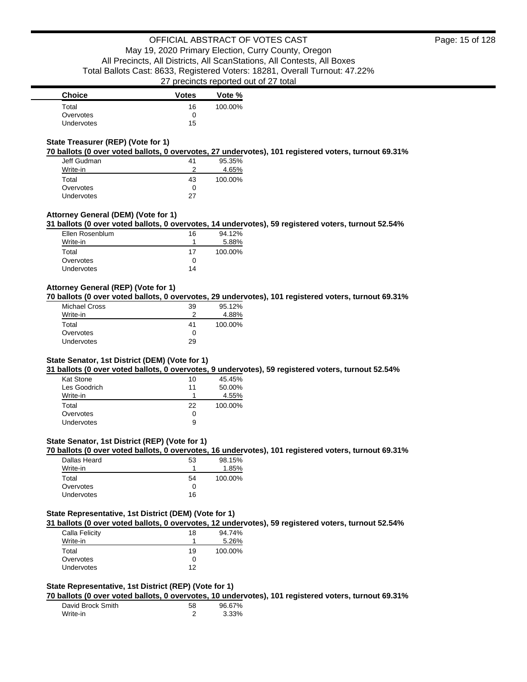### **State Treasurer (REP) (Vote for 1)**

**70 ballots (0 over voted ballots, 0 overvotes, 27 undervotes), 101 registered voters, turnout 69.31%**

| Jeff Gudman       | 41 | 95.35%  |
|-------------------|----|---------|
| Write-in          | っ  | 4.65%   |
| Total             | 43 | 100.00% |
| Overvotes         | 0  |         |
| <b>Undervotes</b> | 27 |         |

### **Attorney General (DEM) (Vote for 1)**

**31 ballots (0 over voted ballots, 0 overvotes, 14 undervotes), 59 registered voters, turnout 52.54%**

| Ellen Rosenblum   | 16         | 94.12%  |
|-------------------|------------|---------|
| Write-in          |            | 5.88%   |
| Total             | 17         | 100.00% |
| Overvotes         | $^{\circ}$ |         |
| <b>Undervotes</b> | 14         |         |

### **Attorney General (REP) (Vote for 1)**

**70 ballots (0 over voted ballots, 0 overvotes, 29 undervotes), 101 registered voters, turnout 69.31%**

| Michael Cross | 39 | 95.12%  |
|---------------|----|---------|
| Write-in      |    | 4.88%   |
| Total         | 41 | 100.00% |
| Overvotes     | 0  |         |
| Undervotes    | 29 |         |

#### **State Senator, 1st District (DEM) (Vote for 1)**

**31 ballots (0 over voted ballots, 0 overvotes, 9 undervotes), 59 registered voters, turnout 52.54%**

| Kat Stone    | 10 | 45.45%  |
|--------------|----|---------|
| Les Goodrich | 11 | 50.00%  |
| Write-in     |    | 4.55%   |
| Total        | 22 | 100.00% |
| Overvotes    | O  |         |
| Undervotes   | 9  |         |

### **State Senator, 1st District (REP) (Vote for 1)**

**70 ballots (0 over voted ballots, 0 overvotes, 16 undervotes), 101 registered voters, turnout 69.31%**

| Dallas Heard | 53 | 98.15%  |
|--------------|----|---------|
| Write-in     |    | 1.85%   |
| Total        | 54 | 100.00% |
| Overvotes    |    |         |
| Undervotes   | 16 |         |

### **State Representative, 1st District (DEM) (Vote for 1)**

**31 ballots (0 over voted ballots, 0 overvotes, 12 undervotes), 59 registered voters, turnout 52.54%**

| Calla Felicity    | 18 | 94.74%  |
|-------------------|----|---------|
| Write-in          |    | 5.26%   |
| Total             | 19 | 100.00% |
| Overvotes         |    |         |
| <b>Undervotes</b> | 12 |         |
|                   |    |         |

### **State Representative, 1st District (REP) (Vote for 1)**

**70 ballots (0 over voted ballots, 0 overvotes, 10 undervotes), 101 registered voters, turnout 69.31%**

| David Brock Smith | 58 | 96.67% |
|-------------------|----|--------|
| Write-in          |    | 3.33%  |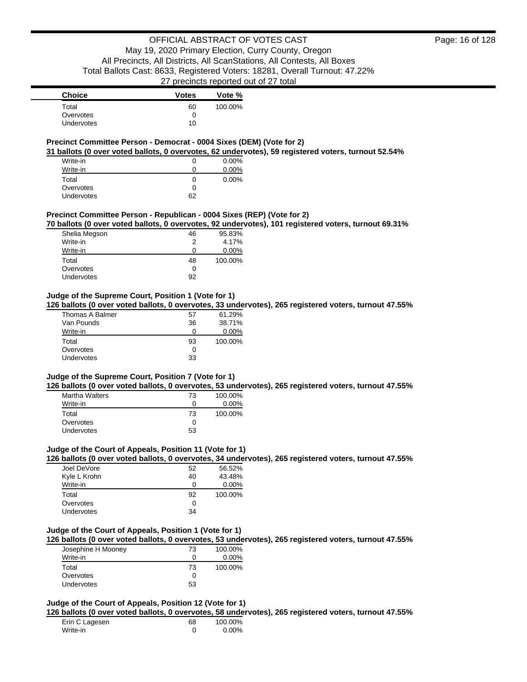### **Precinct Committee Person - Democrat - 0004 Sixes (DEM) (Vote for 2)**

**31 ballots (0 over voted ballots, 0 overvotes, 62 undervotes), 59 registered voters, turnout 52.54%**

| Write-in   |    | 0.00% |
|------------|----|-------|
| Write-in   |    | 0.00% |
| Total      | O  | 0.00% |
| Overvotes  | O  |       |
| Undervotes | 62 |       |

#### **Precinct Committee Person - Republican - 0004 Sixes (REP) (Vote for 2)**

**70 ballots (0 over voted ballots, 0 overvotes, 92 undervotes), 101 registered voters, turnout 69.31%**

| Shelia Megson | 46 | 95.83%   |
|---------------|----|----------|
| Write-in      | 2  | 4.17%    |
| Write-in      | Ω  | $0.00\%$ |
| Total         | 48 | 100.00%  |
| Overvotes     | 0  |          |
| Undervotes    | 92 |          |

### **Judge of the Supreme Court, Position 1 (Vote for 1)**

**126 ballots (0 over voted ballots, 0 overvotes, 33 undervotes), 265 registered voters, turnout 47.55%**

| Thomas A Balmer   | 57 | 61.29%   |
|-------------------|----|----------|
| Van Pounds        | 36 | 38.71%   |
| Write-in          | Ω  | $0.00\%$ |
| Total             | 93 | 100.00%  |
| Overvotes         | ∩  |          |
| <b>Undervotes</b> | 33 |          |

#### **Judge of the Supreme Court, Position 7 (Vote for 1)**

**126 ballots (0 over voted ballots, 0 overvotes, 53 undervotes), 265 registered voters, turnout 47.55%**

| <b>Martha Walters</b> | 73 | 100.00%  |
|-----------------------|----|----------|
| Write-in              | 0  | $0.00\%$ |
| Total                 | 73 | 100.00%  |
| Overvotes             | ŋ  |          |
| <b>Undervotes</b>     | 53 |          |

#### **Judge of the Court of Appeals, Position 11 (Vote for 1)**

**126 ballots (0 over voted ballots, 0 overvotes, 34 undervotes), 265 registered voters, turnout 47.55%**

| Joel DeVore  | 52 | 56.52%   |
|--------------|----|----------|
| Kyle L Krohn | 40 | 43.48%   |
| Write-in     | ი  | $0.00\%$ |
| Total        | 92 | 100.00%  |
| Overvotes    | 0  |          |
|              |    |          |

### **Judge of the Court of Appeals, Position 1 (Vote for 1)**

**126 ballots (0 over voted ballots, 0 overvotes, 53 undervotes), 265 registered voters, turnout 47.55%**

| Josephine H Mooney | 73 | 100.00%  |
|--------------------|----|----------|
| Write-in           |    | $0.00\%$ |
| Total              | 73 | 100.00%  |
| Overvotes          | 0  |          |
| <b>Undervotes</b>  | 53 |          |

### **Judge of the Court of Appeals, Position 12 (Vote for 1)**

**126 ballots (0 over voted ballots, 0 overvotes, 58 undervotes), 265 registered voters, turnout 47.55%**

| Erin C Lagesen | 68 | 100.00% |
|----------------|----|---------|
| Write-in       |    | 0.00%   |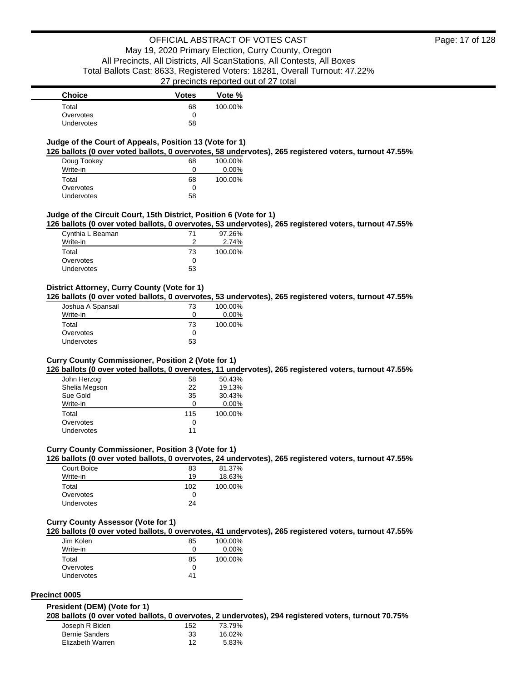### **Judge of the Court of Appeals, Position 13 (Vote for 1)**

**126 ballots (0 over voted ballots, 0 overvotes, 58 undervotes), 265 registered voters, turnout 47.55%**

| Doug Tookey | 68 | 100.00%  |
|-------------|----|----------|
| Write-in    | O  | $0.00\%$ |
| Total       | 68 | 100.00%  |
| Overvotes   | 0  |          |
| Undervotes  | 58 |          |

#### **Judge of the Circuit Court, 15th District, Position 6 (Vote for 1)**

**126 ballots (0 over voted ballots, 0 overvotes, 53 undervotes), 265 registered voters, turnout 47.55%**

| Cynthia L Beaman | 71 | 97.26%  |
|------------------|----|---------|
| Write-in         |    | 2.74%   |
| Total            | 73 | 100.00% |
| Overvotes        |    |         |
| Undervotes       | 53 |         |

### **District Attorney, Curry County (Vote for 1)**

**126 ballots (0 over voted ballots, 0 overvotes, 53 undervotes), 265 registered voters, turnout 47.55%**

| Joshua A Spansail | 73 | 100.00%  |
|-------------------|----|----------|
| Write-in          | Ω  | $0.00\%$ |
| Total             | 73 | 100.00%  |
| Overvotes         | 0  |          |
| Undervotes        | 53 |          |

#### **Curry County Commissioner, Position 2 (Vote for 1)**

**126 ballots (0 over voted ballots, 0 overvotes, 11 undervotes), 265 registered voters, turnout 47.55%**

| John Herzog   | 58  | 50.43%   |
|---------------|-----|----------|
| Shelia Megson | 22  | 19.13%   |
| Sue Gold      | 35  | 30.43%   |
| Write-in      | 0   | $0.00\%$ |
| Total         | 115 | 100.00%  |
| Overvotes     | 0   |          |
| Undervotes    | 11  |          |

### **Curry County Commissioner, Position 3 (Vote for 1)**

**126 ballots (0 over voted ballots, 0 overvotes, 24 undervotes), 265 registered voters, turnout 47.55%**

| Court Boice       | 83  | 81.37%  |
|-------------------|-----|---------|
| Write-in          | 19  | 18.63%  |
| Total             | 102 | 100.00% |
| Overvotes         | Ω   |         |
| <b>Undervotes</b> | 24  |         |

#### **Curry County Assessor (Vote for 1)**

**126 ballots (0 over voted ballots, 0 overvotes, 41 undervotes), 265 registered voters, turnout 47.55%**

| Jim Kolen         | 85 | 100.00%  |
|-------------------|----|----------|
| Write-in          | 0  | $0.00\%$ |
| Total             | 85 | 100.00%  |
| Overvotes         | 0  |          |
| <b>Undervotes</b> | 41 |          |

### **Precinct 0005**

#### **President (DEM) (Vote for 1)**

**208 ballots (0 over voted ballots, 0 overvotes, 2 undervotes), 294 registered voters, turnout 70.75%**

| Joseph R Biden        | 152 | 73.79% |
|-----------------------|-----|--------|
| <b>Bernie Sanders</b> | 33  | 16.02% |
| Elizabeth Warren      | 12  | 5.83%  |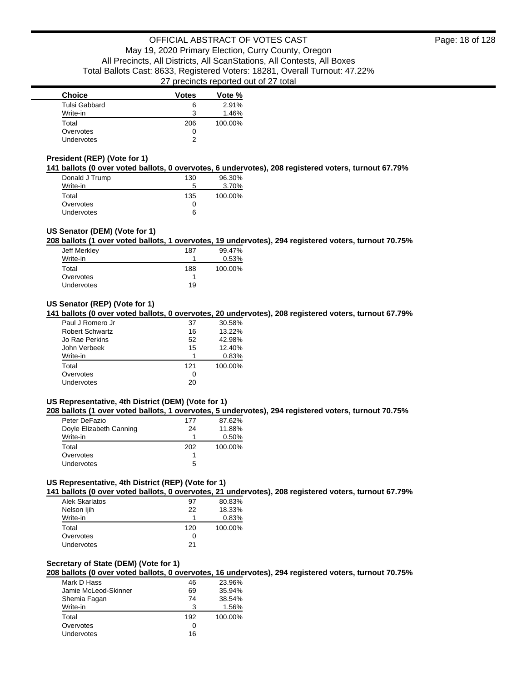| <b>Choice</b>     | <b>Votes</b> | Vote %  |
|-------------------|--------------|---------|
| Tulsi Gabbard     | 6            | 2.91%   |
| Write-in          | 3            | 1.46%   |
| Total             | 206          | 100.00% |
| Overvotes         | 0            |         |
| <b>Undervotes</b> | າ            |         |

### **President (REP) (Vote for 1)**

**141 ballots (0 over voted ballots, 0 overvotes, 6 undervotes), 208 registered voters, turnout 67.79%**

| Donald J Trump    | 130 | 96.30%  |
|-------------------|-----|---------|
| Write-in          | 5   | 3.70%   |
| Total             | 135 | 100.00% |
| Overvotes         | 0   |         |
| <b>Undervotes</b> | 6   |         |

### **US Senator (DEM) (Vote for 1)**

**208 ballots (1 over voted ballots, 1 overvotes, 19 undervotes), 294 registered voters, turnout 70.75%**

| Jeff Merkley | 187 | 99.47%  |
|--------------|-----|---------|
| Write-in     |     | 0.53%   |
| Total        | 188 | 100.00% |
| Overvotes    |     |         |
| Undervotes   | 19  |         |

### **US Senator (REP) (Vote for 1)**

**141 ballots (0 over voted ballots, 0 overvotes, 20 undervotes), 208 registered voters, turnout 67.79%**

| Paul J Romero Jr       | 37  | 30.58%  |
|------------------------|-----|---------|
| <b>Robert Schwartz</b> | 16  | 13.22%  |
| Jo Rae Perkins         | 52  | 42.98%  |
| John Verbeek           | 15  | 12.40%  |
| Write-in               | 1   | 0.83%   |
| Total                  | 121 | 100.00% |
| Overvotes              | 0   |         |
| Undervotes             | 20  |         |

### **US Representative, 4th District (DEM) (Vote for 1)**

**208 ballots (1 over voted ballots, 1 overvotes, 5 undervotes), 294 registered voters, turnout 70.75%**

| Peter DeFazio           | 177 | 87.62%  |
|-------------------------|-----|---------|
| Doyle Elizabeth Canning | 24  | 11.88%  |
| Write-in                | 1   | 0.50%   |
| Total                   | 202 | 100.00% |
| Overvotes               |     |         |
| <b>Undervotes</b>       | 5   |         |

### **US Representative, 4th District (REP) (Vote for 1)**

**141 ballots (0 over voted ballots, 0 overvotes, 21 undervotes), 208 registered voters, turnout 67.79%**

| Alek Skarlatos    | 97  | 80.83%  |
|-------------------|-----|---------|
| Nelson ljih       | 22  | 18.33%  |
| Write-in          | 1   | 0.83%   |
| Total             | 120 | 100.00% |
| Overvotes         | 0   |         |
| <b>Undervotes</b> | 21  |         |

#### **Secretary of State (DEM) (Vote for 1)**

**208 ballots (0 over voted ballots, 0 overvotes, 16 undervotes), 294 registered voters, turnout 70.75%**

| 23.96%  |
|---------|
| 35.94%  |
| 38.54%  |
| 1.56%   |
| 100.00% |
|         |
|         |
|         |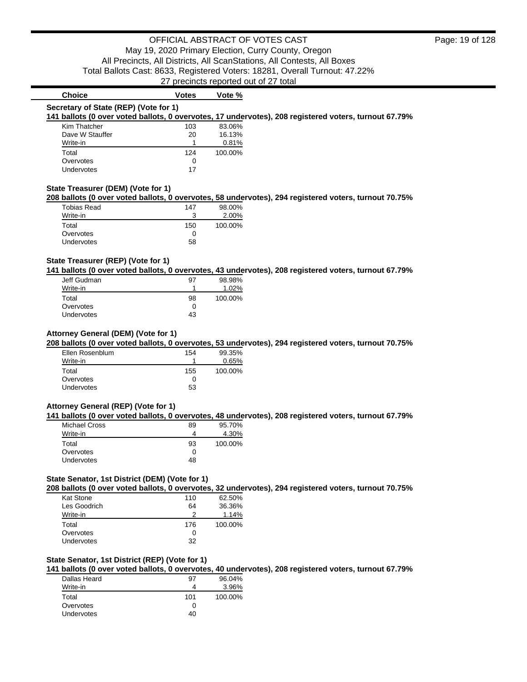| Kim Thatcher                       | 103 | 83.06%  |                                                                                                       |
|------------------------------------|-----|---------|-------------------------------------------------------------------------------------------------------|
| Dave W Stauffer                    | 20  | 16.13%  |                                                                                                       |
| Write-in                           |     | 0.81%   |                                                                                                       |
| Total                              | 124 | 100.00% |                                                                                                       |
| Overvotes                          | 0   |         |                                                                                                       |
| Undervotes                         | 17  |         |                                                                                                       |
| State Treasurer (DEM) (Vote for 1) |     |         |                                                                                                       |
|                                    |     |         |                                                                                                       |
|                                    |     |         | 208 ballots (0 over voted ballots, 0 overvotes, 58 undervotes), 294 registered voters, turnout 70.75% |
| <b>Tobias Read</b>                 | 147 | 98.00%  |                                                                                                       |
| Write-in                           | 3   | 2.00%   |                                                                                                       |
| Total                              | 150 | 100.00% |                                                                                                       |

### **State Treasurer (REP) (Vote for 1)**

Undervotes 58

**141 ballots (0 over voted ballots, 0 overvotes, 43 undervotes), 208 registered voters, turnout 67.79%**

| Jeff Gudman       | 97 | 98.98%  |
|-------------------|----|---------|
| Write-in          |    | 1.02%   |
| Total             | 98 | 100.00% |
| Overvotes         |    |         |
| <b>Undervotes</b> | 43 |         |

**Choice Votes Votes Vote %** 

### **Attorney General (DEM) (Vote for 1)**

**208 ballots (0 over voted ballots, 0 overvotes, 53 undervotes), 294 registered voters, turnout 70.75%**

| Ellen Rosenblum | 154 | 99.35%  |
|-----------------|-----|---------|
| Write-in        |     | 0.65%   |
| Total           | 155 | 100.00% |
| Overvotes       | 0   |         |
| Undervotes      | 53  |         |

#### **Attorney General (REP) (Vote for 1)**

**141 ballots (0 over voted ballots, 0 overvotes, 48 undervotes), 208 registered voters, turnout 67.79%**

| <b>Michael Cross</b> | 89 | 95.70%  |
|----------------------|----|---------|
| Write-in             | 4  | 4.30%   |
| Total                | 93 | 100.00% |
| Overvotes            | 0  |         |
| <b>Undervotes</b>    | 48 |         |

#### **State Senator, 1st District (DEM) (Vote for 1)**

**208 ballots (0 over voted ballots, 0 overvotes, 32 undervotes), 294 registered voters, turnout 70.75%**

| Kat Stone    | 110 | 62.50%  |
|--------------|-----|---------|
| Les Goodrich | 64  | 36.36%  |
| Write-in     | 2   | 1.14%   |
| Total        | 176 | 100.00% |
| Overvotes    | 0   |         |
| Undervotes   | 32  |         |

### **State Senator, 1st District (REP) (Vote for 1)**

**141 ballots (0 over voted ballots, 0 overvotes, 40 undervotes), 208 registered voters, turnout 67.79%**

| Dallas Heard      | 97  | 96.04%  |
|-------------------|-----|---------|
| Write-in          | 4   | 3.96%   |
| Total             | 101 | 100.00% |
| Overvotes         | Ω   |         |
| <b>Undervotes</b> | 40  |         |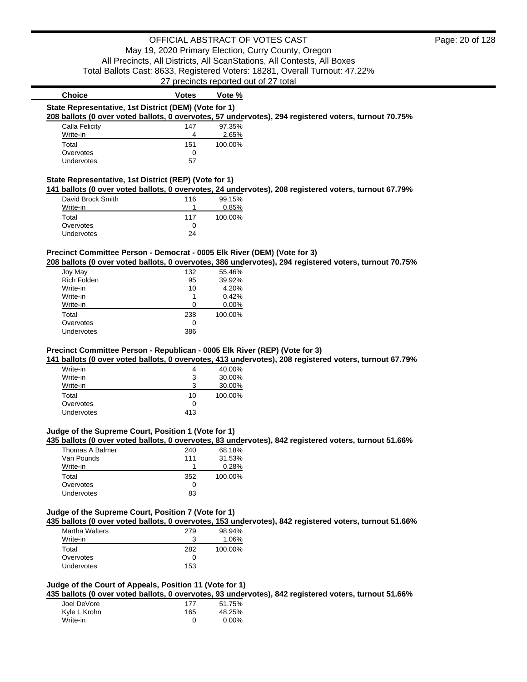| State Representative, 1st District (DEM) (Vote for 1)<br>208 ballots (0 over voted ballots, 0 overvotes, 57 undervotes), 294 registered voters, turnout 70.75%                                                                                          |                           | Vote %                                      |  |  |
|---------------------------------------------------------------------------------------------------------------------------------------------------------------------------------------------------------------------------------------------------------|---------------------------|---------------------------------------------|--|--|
|                                                                                                                                                                                                                                                         |                           |                                             |  |  |
|                                                                                                                                                                                                                                                         |                           |                                             |  |  |
| Calla Felicity                                                                                                                                                                                                                                          | 147                       | 97.35%                                      |  |  |
| Write-in                                                                                                                                                                                                                                                | 4                         | 2.65%                                       |  |  |
| Total                                                                                                                                                                                                                                                   | 151                       | 100.00%                                     |  |  |
| Overvotes                                                                                                                                                                                                                                               | 0                         |                                             |  |  |
| <b>Undervotes</b>                                                                                                                                                                                                                                       | 57                        |                                             |  |  |
| State Representative, 1st District (REP) (Vote for 1)                                                                                                                                                                                                   |                           |                                             |  |  |
| 141 ballots (0 over voted ballots, 0 overvotes, 24 undervotes), 208 registered voters, turnout 67.79%                                                                                                                                                   |                           |                                             |  |  |
| David Brock Smith                                                                                                                                                                                                                                       | 116                       | 99.15%                                      |  |  |
| Write-in                                                                                                                                                                                                                                                | 1                         | 0.85%                                       |  |  |
|                                                                                                                                                                                                                                                         |                           |                                             |  |  |
| Total                                                                                                                                                                                                                                                   | 117                       | 100.00%                                     |  |  |
| Overvotes                                                                                                                                                                                                                                               | 0                         |                                             |  |  |
| Undervotes                                                                                                                                                                                                                                              | 24                        |                                             |  |  |
| Precinct Committee Person - Democrat - 0005 Elk River (DEM) (Vote for 3)<br>208 ballots (0 over voted ballots, 0 overvotes, 386 undervotes), 294 registered voters, turnout 70.75%<br>Joy May<br><b>Rich Folden</b><br>Write-in<br>Write-in<br>Write-in | 132<br>95<br>10<br>1<br>0 | 55.46%<br>39.92%<br>4.20%<br>0.42%<br>0.00% |  |  |
| Total                                                                                                                                                                                                                                                   | 238                       | 100.00%                                     |  |  |
| Overvotes                                                                                                                                                                                                                                               | 0                         |                                             |  |  |

| <u>vville-in</u>  |              | <b>JU.UU%</b> |
|-------------------|--------------|---------------|
| Write-in          |              | 30.00%        |
| Total             | 10           | 100.00%       |
| Overvotes         | $\mathbf{I}$ |               |
| <b>Undervotes</b> | 413          |               |
|                   |              |               |

## **Judge of the Supreme Court, Position 1 (Vote for 1)**

### **435 ballots (0 over voted ballots, 0 overvotes, 83 undervotes), 842 registered voters, turnout 51.66%**

| Thomas A Balmer | 240          | 68.18%  |
|-----------------|--------------|---------|
| Van Pounds      | 111          | 31.53%  |
| Write-in        |              | 0.28%   |
| Total           | 352          | 100.00% |
| Overvotes       | $\mathbf{0}$ |         |
| Undervotes      | 83           |         |

### **Judge of the Supreme Court, Position 7 (Vote for 1)**

**435 ballots (0 over voted ballots, 0 overvotes, 153 undervotes), 842 registered voters, turnout 51.66%**

| <b>Martha Walters</b> | 279 | 98.94%  |
|-----------------------|-----|---------|
| Write-in              |     | 1.06%   |
| Total                 | 282 | 100.00% |
| Overvotes             |     |         |
| <b>Undervotes</b>     | 153 |         |

### **Judge of the Court of Appeals, Position 11 (Vote for 1)**

**435 ballots (0 over voted ballots, 0 overvotes, 93 undervotes), 842 registered voters, turnout 51.66%**

| Joel DeVore  | 177 | 51.75%   |
|--------------|-----|----------|
| Kyle L Krohn | 165 | 48.25%   |
| Write-in     |     | $0.00\%$ |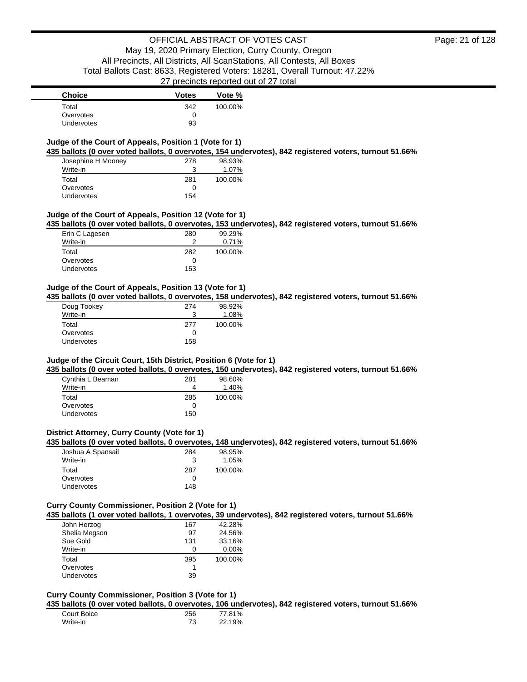| <b>Choice</b>     | <b>Votes</b> | Vote %  |
|-------------------|--------------|---------|
| Total             | 342          | 100.00% |
| Overvotes         |              |         |
| <b>Undervotes</b> | 93           |         |

### **Judge of the Court of Appeals, Position 1 (Vote for 1)**

**435 ballots (0 over voted ballots, 0 overvotes, 154 undervotes), 842 registered voters, turnout 51.66%**

| Josephine H Mooney | 278 | 98.93%  |
|--------------------|-----|---------|
| Write-in           | 3   | 1.07%   |
| Total              | 281 | 100.00% |
| Overvotes          | 0   |         |
| Undervotes         | 154 |         |

#### **Judge of the Court of Appeals, Position 12 (Vote for 1)**

**435 ballots (0 over voted ballots, 0 overvotes, 153 undervotes), 842 registered voters, turnout 51.66%**

| Erin C Lagesen    | 280 | 99.29%  |
|-------------------|-----|---------|
| Write-in          |     | 0.71%   |
| Total             | 282 | 100.00% |
| Overvotes         | 0   |         |
| <b>Undervotes</b> | 153 |         |

### **Judge of the Court of Appeals, Position 13 (Vote for 1)**

**435 ballots (0 over voted ballots, 0 overvotes, 158 undervotes), 842 registered voters, turnout 51.66%**

| Doug Tookey | 274 | 98.92%  |
|-------------|-----|---------|
| Write-in    | 3   | 1.08%   |
| Total       | 277 | 100.00% |
| Overvotes   | Ω   |         |
| Undervotes  | 158 |         |

#### **Judge of the Circuit Court, 15th District, Position 6 (Vote for 1)**

**435 ballots (0 over voted ballots, 0 overvotes, 150 undervotes), 842 registered voters, turnout 51.66%**

| Cynthia L Beaman  | 281 | 98.60%  |
|-------------------|-----|---------|
| Write-in          |     | 1.40%   |
| Total             | 285 | 100.00% |
| Overvotes         | 0   |         |
| <b>Undervotes</b> | 150 |         |

### **District Attorney, Curry County (Vote for 1)**

**435 ballots (0 over voted ballots, 0 overvotes, 148 undervotes), 842 registered voters, turnout 51.66%**

| Joshua A Spansail | 284 | 98.95%   |
|-------------------|-----|----------|
| Write-in          |     | $1.05\%$ |
| Total             | 287 | 100.00%  |
| Overvotes         |     |          |
| <b>Undervotes</b> | 148 |          |

### **Curry County Commissioner, Position 2 (Vote for 1)**

**435 ballots (1 over voted ballots, 1 overvotes, 39 undervotes), 842 registered voters, turnout 51.66%**

| John Herzog       | 167 | 42.28%   |
|-------------------|-----|----------|
| Shelia Megson     | 97  | 24.56%   |
| Sue Gold          | 131 | 33.16%   |
| Write-in          | Ω   | $0.00\%$ |
| Total             | 395 | 100.00%  |
| Overvotes         |     |          |
| <b>Undervotes</b> | 39  |          |
|                   |     |          |

#### **Curry County Commissioner, Position 3 (Vote for 1)**

**435 ballots (0 over voted ballots, 0 overvotes, 106 undervotes), 842 registered voters, turnout 51.66%**

| Court Boice | 256 | 77.81% |
|-------------|-----|--------|
| Write-in    |     | 22.19% |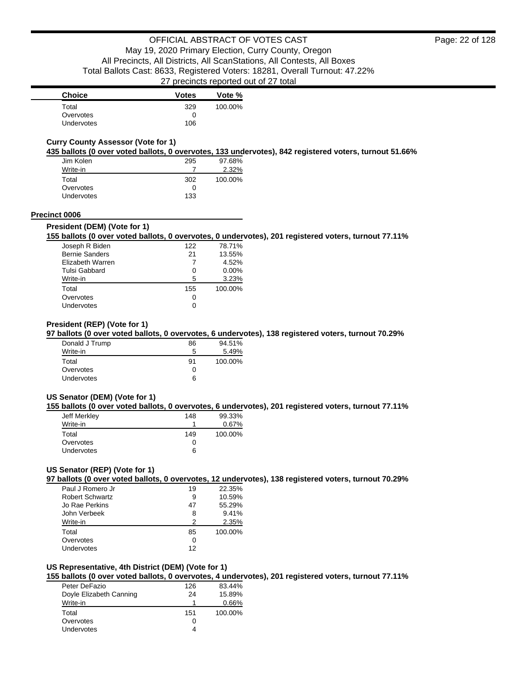| <b>Choice</b>     | <b>Votes</b> | Vote %  |
|-------------------|--------------|---------|
| Total             | 329          | 100.00% |
| Overvotes         | O            |         |
| <b>Undervotes</b> | 106          |         |

### **Curry County Assessor (Vote for 1)**

**435 ballots (0 over voted ballots, 0 overvotes, 133 undervotes), 842 registered voters, turnout 51.66%**

| Jim Kolen  | 295 | 97.68%  |
|------------|-----|---------|
| Write-in   |     | 2.32%   |
| Total      | 302 | 100.00% |
| Overvotes  | 0   |         |
| Undervotes | 133 |         |

#### **Precinct 0006**

#### **President (DEM) (Vote for 1)**

#### **155 ballots (0 over voted ballots, 0 overvotes, 0 undervotes), 201 registered voters, turnout 77.11%**

| Joseph R Biden        | 122 | 78.71%   |
|-----------------------|-----|----------|
| <b>Bernie Sanders</b> | 21  | 13.55%   |
| Elizabeth Warren      |     | 4.52%    |
| Tulsi Gabbard         | 0   | $0.00\%$ |
| Write-in              | 5   | 3.23%    |
| Total                 | 155 | 100.00%  |
| Overvotes             | 0   |          |
| Undervotes            |     |          |

#### **President (REP) (Vote for 1)**

#### **97 ballots (0 over voted ballots, 0 overvotes, 6 undervotes), 138 registered voters, turnout 70.29%**

| Donald J Trump    | 86           | 94.51%  |
|-------------------|--------------|---------|
| Write-in          | 5            | 5.49%   |
| Total             | .91          | 100.00% |
| Overvotes         | $\mathbf{I}$ |         |
| <b>Undervotes</b> | 6            |         |

### **US Senator (DEM) (Vote for 1)**

#### **155 ballots (0 over voted ballots, 0 overvotes, 6 undervotes), 201 registered voters, turnout 77.11%**

| Jeff Merkley | 148 | 99.33%  |
|--------------|-----|---------|
| Write-in     | 1   | 0.67%   |
| Total        | 149 | 100.00% |
| Overvotes    | 0   |         |
| Undervotes   | 6   |         |

### **US Senator (REP) (Vote for 1)**

**97 ballots (0 over voted ballots, 0 overvotes, 12 undervotes), 138 registered voters, turnout 70.29%**

| Paul J Romero Jr | 19 | 22.35%  |
|------------------|----|---------|
| Robert Schwartz  | 9  | 10.59%  |
| Jo Rae Perkins   | 47 | 55.29%  |
| John Verbeek     | 8  | 9.41%   |
| Write-in         | າ  | 2.35%   |
| Total            | 85 | 100.00% |
| Overvotes        | 0  |         |
| Undervotes       | 12 |         |

### **US Representative, 4th District (DEM) (Vote for 1)**

**155 ballots (0 over voted ballots, 0 overvotes, 4 undervotes), 201 registered voters, turnout 77.11%**

| Peter DeFazio           | 126 | 83.44%  |
|-------------------------|-----|---------|
| Doyle Elizabeth Canning | 24  | 15.89%  |
| Write-in                |     | 0.66%   |
| Total                   | 151 | 100.00% |
| Overvotes               | 0   |         |
| Undervotes              | 4   |         |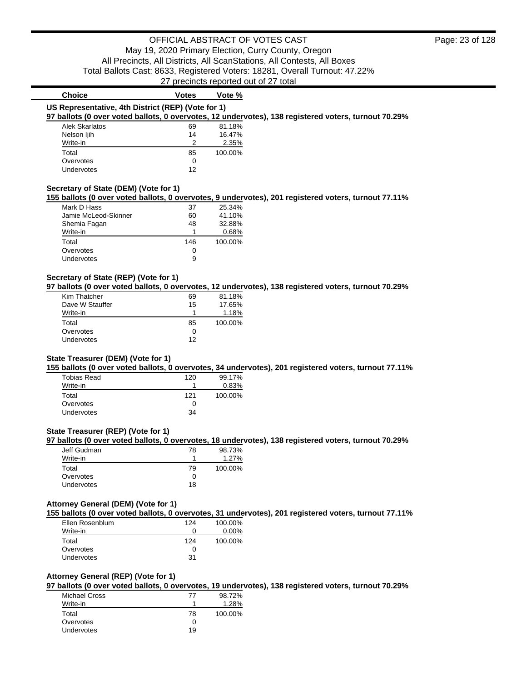27 precincts reported out of 27 total

| <b>Choice</b>                                      | <b>Votes</b> | Vote %  |                                                                                                      |
|----------------------------------------------------|--------------|---------|------------------------------------------------------------------------------------------------------|
| US Representative, 4th District (REP) (Vote for 1) |              |         |                                                                                                      |
|                                                    |              |         | 97 ballots (0 over voted ballots, 0 overvotes, 12 undervotes), 138 registered voters, turnout 70.29% |
| <b>Alek Skarlatos</b>                              | 69           | 81.18%  |                                                                                                      |
| Nelson ljih                                        | 14           | 16.47%  |                                                                                                      |
| Write-in                                           | 2            | 2.35%   |                                                                                                      |
| Total                                              | 85           | 100.00% |                                                                                                      |
| Overvotes                                          | 0            |         |                                                                                                      |
| Undervotes                                         | 12           |         |                                                                                                      |
|                                                    |              |         |                                                                                                      |
| Secretary of State (DEM) (Vote for 1)              |              |         |                                                                                                      |
|                                                    |              |         | 155 ballots (0 over voted ballots, 0 overvotes, 9 undervotes), 201 registered voters, turnout 77.11% |
| Mark D Hass                                        | 37           | 25.34%  |                                                                                                      |

| Mark D Hass          | 37  | 25.34%  |
|----------------------|-----|---------|
| Jamie McLeod-Skinner | 60  | 41.10%  |
| Shemia Fagan         | 48  | 32.88%  |
| Write-in             |     | 0.68%   |
| Total                | 146 | 100.00% |
| Overvotes            | 0   |         |
| Undervotes           | 9   |         |

### **Secretary of State (REP) (Vote for 1)**

**97 ballots (0 over voted ballots, 0 overvotes, 12 undervotes), 138 registered voters, turnout 70.29%**

| Kim Thatcher      | 69 | 81.18%  |
|-------------------|----|---------|
| Dave W Stauffer   | 15 | 17.65%  |
| Write-in          |    | 1.18%   |
| Total             | 85 | 100.00% |
| Overvotes         | 0  |         |
| <b>Undervotes</b> | 12 |         |

#### **State Treasurer (DEM) (Vote for 1)**

**155 ballots (0 over voted ballots, 0 overvotes, 34 undervotes), 201 registered voters, turnout 77.11%**

| <b>Tobias Read</b> | 120 | 99.17%  |
|--------------------|-----|---------|
| Write-in           |     | 0.83%   |
| Total              | 121 | 100.00% |
| Overvotes          |     |         |
| <b>Undervotes</b>  | 34  |         |

### **State Treasurer (REP) (Vote for 1)**

**97 ballots (0 over voted ballots, 0 overvotes, 18 undervotes), 138 registered voters, turnout 70.29%**

| Jeff Gudman       | 78 | 98.73%  |
|-------------------|----|---------|
| Write-in          |    | 1.27%   |
| Total             | 79 | 100.00% |
| Overvotes         |    |         |
| <b>Undervotes</b> | 18 |         |

### **Attorney General (DEM) (Vote for 1)**

**155 ballots (0 over voted ballots, 0 overvotes, 31 undervotes), 201 registered voters, turnout 77.11%**

| Ellen Rosenblum   | 124 | 100.00%  |
|-------------------|-----|----------|
| Write-in          |     | $0.00\%$ |
| Total             | 124 | 100.00%  |
| Overvotes         |     |          |
| <b>Undervotes</b> | 31  |          |

### **Attorney General (REP) (Vote for 1)**

**97 ballots (0 over voted ballots, 0 overvotes, 19 undervotes), 138 registered voters, turnout 70.29%**

| <b>Michael Cross</b> | 77 | 98.72%  |
|----------------------|----|---------|
| Write-in             |    | 1.28%   |
| Total                | 78 | 100.00% |
| Overvotes            |    |         |
| Undervotes           | 19 |         |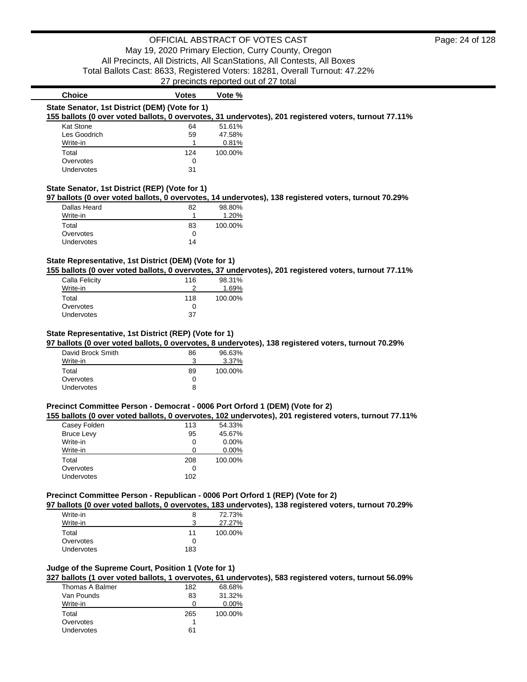| <b>Choice</b>                                             | <b>Votes</b> | Vote % |  |
|-----------------------------------------------------------|--------------|--------|--|
| State Senator, 1st District (DEM) (Vote for 1)            |              |        |  |
| 155 hallots (0 over voted ballots, 0 overvotes, 21 undery |              |        |  |

**155 ballots (0 over voted ballots, 0 overvotes, 31 undervotes), 201 registered voters, turnout 77.11%**

| Kat Stone    | 64  | 51.61%  |
|--------------|-----|---------|
| Les Goodrich | 59  | 47.58%  |
| Write-in     |     | 0.81%   |
|              |     |         |
| Total        | 124 | 100.00% |
| Overvotes    | Ω   |         |

### **State Senator, 1st District (REP) (Vote for 1)**

**97 ballots (0 over voted ballots, 0 overvotes, 14 undervotes), 138 registered voters, turnout 70.29%**

| Dallas Heard      | 82 | 98.80%  |
|-------------------|----|---------|
| Write-in          | 1  | 1.20%   |
| Total             | 83 | 100.00% |
| Overvotes         | 0  |         |
| <b>Undervotes</b> | 14 |         |

### **State Representative, 1st District (DEM) (Vote for 1)**

**155 ballots (0 over voted ballots, 0 overvotes, 37 undervotes), 201 registered voters, turnout 77.11%**

| Calla Felicity    | 116 | 98.31%  |
|-------------------|-----|---------|
| Write-in          |     | 1.69%   |
| Total             | 118 | 100.00% |
| Overvotes         | O   |         |
| <b>Undervotes</b> | 37  |         |

### **State Representative, 1st District (REP) (Vote for 1)**

**97 ballots (0 over voted ballots, 0 overvotes, 8 undervotes), 138 registered voters, turnout 70.29%**

| David Brock Smith | 86 | 96.63%  |
|-------------------|----|---------|
| Write-in          | ว  | 3.37%   |
| Total             | 89 | 100.00% |
| Overvotes         | O  |         |
| <b>Undervotes</b> | 8  |         |

#### **Precinct Committee Person - Democrat - 0006 Port Orford 1 (DEM) (Vote for 2)**

**155 ballots (0 over voted ballots, 0 overvotes, 102 undervotes), 201 registered voters, turnout 77.11%**

| Casey Folden      | 113 | 54.33%  |
|-------------------|-----|---------|
| <b>Bruce Levy</b> | 95  | 45.67%  |
| Write-in          | Ω   | 0.00%   |
| Write-in          | n   | 0.00%   |
| Total             | 208 | 100.00% |
| Overvotes         | Ω   |         |
| Undervotes        | 102 |         |
|                   |     |         |

#### **Precinct Committee Person - Republican - 0006 Port Orford 1 (REP) (Vote for 2)**

**97 ballots (0 over voted ballots, 0 overvotes, 183 undervotes), 138 registered voters, turnout 70.29%**

| Write-in          | 8   | 72.73%  |
|-------------------|-----|---------|
| Write-in          | ?   | 27.27%  |
| Total             | 11  | 100.00% |
| Overvotes         |     |         |
| <b>Undervotes</b> | 183 |         |

### **Judge of the Supreme Court, Position 1 (Vote for 1)**

**327 ballots (1 over voted ballots, 1 overvotes, 61 undervotes), 583 registered voters, turnout 56.09%**

| Thomas A Balmer | 182 | 68.68%   |
|-----------------|-----|----------|
| Van Pounds      | 83  | 31.32%   |
| Write-in        |     | $0.00\%$ |
| Total           | 265 | 100.00%  |
| Overvotes       |     |          |
| Undervotes      | 61  |          |
|                 |     |          |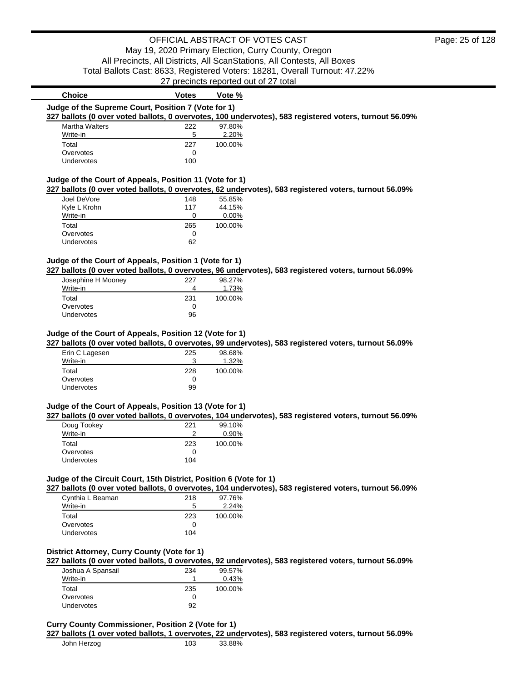|                                                                                                        |              | proditions reported out of ET total |  |
|--------------------------------------------------------------------------------------------------------|--------------|-------------------------------------|--|
| <b>Choice</b>                                                                                          | <b>Votes</b> | Vote %                              |  |
| Judge of the Supreme Court, Position 7 (Vote for 1)                                                    |              |                                     |  |
| 327 ballots (0 over voted ballots, 0 overvotes, 100 undervotes), 583 registered voters, turnout 56.09% |              |                                     |  |
| <b>Martha Walters</b>                                                                                  | 222          | 97.80%                              |  |
| Write-in                                                                                               | 5            | 2.20%                               |  |
| Total                                                                                                  | 227          | 100.00%                             |  |
| Overvotes                                                                                              | 0            |                                     |  |
| Undervotes                                                                                             | 100          |                                     |  |
|                                                                                                        |              |                                     |  |
| Judge of the Court of Appeals, Position 11 (Vote for 1)                                                |              |                                     |  |
| 327 ballots (0 over voted ballots, 0 overvotes, 62 undervotes), 583 registered voters, turnout 56.09%  |              |                                     |  |
| Joel DeVore                                                                                            | 148          | 55.85%                              |  |
| Kyle L Krohn                                                                                           | 117          | 44.15%                              |  |
| Write-in                                                                                               | 0            | 0.00%                               |  |
| Total                                                                                                  | 265          | 100.00%                             |  |
| Overvotes                                                                                              | 0            |                                     |  |
| Undervotes                                                                                             | 62           |                                     |  |
|                                                                                                        |              |                                     |  |
| Judge of the Court of Appeals, Position 1 (Vote for 1)                                                 |              |                                     |  |
| 327 ballots (0 over voted ballots, 0 overvotes, 96 undervotes), 583 registered voters, turnout 56.09%  |              |                                     |  |
| Josephine H Mooney                                                                                     | 227          | 98.27%                              |  |
| Write-in                                                                                               | 4            | 1.73%                               |  |
| Total                                                                                                  | 231          | 100.00%                             |  |
| Overvotes                                                                                              | $\Omega$     |                                     |  |
| Undervotes                                                                                             | 96           |                                     |  |
|                                                                                                        |              |                                     |  |
| Judge of the Court of Appeals, Position 12 (Vote for 1)                                                |              |                                     |  |
| 327 ballots (0 over voted ballots, 0 overvotes, 99 undervotes), 583 registered voters, turnout 56.09%  |              |                                     |  |
| Erin C Lagesen                                                                                         | 225          | 98.68%                              |  |
| Write-in                                                                                               | 3            | 1.32%                               |  |
| Total                                                                                                  | 228          | 100.00%                             |  |
| Overvotes                                                                                              | 0            |                                     |  |
| Undervotes                                                                                             | 99           |                                     |  |
|                                                                                                        |              |                                     |  |
| Judge of the Court of Appeals, Position 13 (Vote for 1)                                                |              |                                     |  |
| 327 ballots (0 over voted ballots, 0 overvotes, 104 undervotes), 583 registered voters, turnout 56.09% |              |                                     |  |
| Doug Tookey                                                                                            | 221          | 99.10%                              |  |
| $M = 10$                                                                                               | $\sim$       | 0.000                               |  |

| Doug Tookey | 221 | 99.10%  |
|-------------|-----|---------|
| Write-in    |     | 0.90%   |
| Total       | 223 | 100.00% |
| Overvotes   |     |         |
| Undervotes  | 104 |         |
|             |     |         |

### **Judge of the Circuit Court, 15th District, Position 6 (Vote for 1)**

**327 ballots (0 over voted ballots, 0 overvotes, 104 undervotes), 583 registered voters, turnout 56.09%**

| Cynthia L Beaman  | 218 | 97.76%  |
|-------------------|-----|---------|
| Write-in          | 5   | 2.24%   |
| Total             | 223 | 100.00% |
| Overvotes         | 0   |         |
| <b>Undervotes</b> | 104 |         |

### **District Attorney, Curry County (Vote for 1)**

**327 ballots (0 over voted ballots, 0 overvotes, 92 undervotes), 583 registered voters, turnout 56.09%**

| Joshua A Spansail | 234 | 99.57%  |
|-------------------|-----|---------|
| Write-in          |     | 0.43%   |
| Total             | 235 | 100.00% |
| Overvotes         |     |         |
| <b>Undervotes</b> | 92  |         |

#### **Curry County Commissioner, Position 2 (Vote for 1)**

**327 ballots (1 over voted ballots, 1 overvotes, 22 undervotes), 583 registered voters, turnout 56.09%**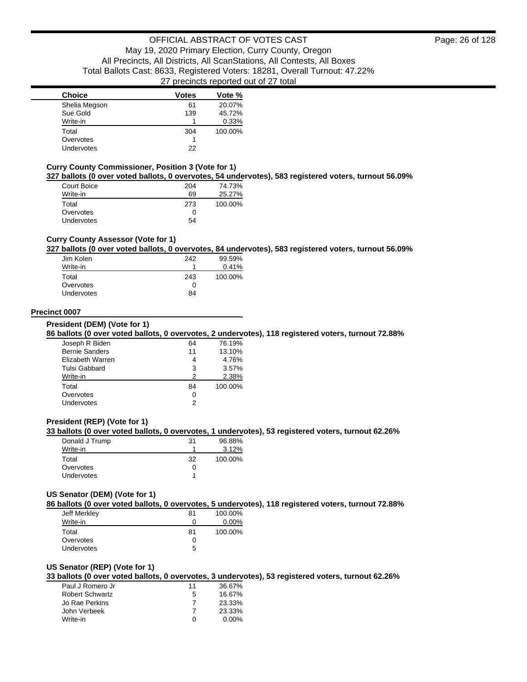| <b>Choice</b> | <b>Votes</b> | Vote %  |
|---------------|--------------|---------|
| Shelia Megson | 61           | 20.07%  |
| Sue Gold      | 139          | 45.72%  |
| Write-in      |              | 0.33%   |
| Total         | 304          | 100.00% |
| Overvotes     |              |         |
| Undervotes    | 22           |         |

#### **Curry County Commissioner, Position 3 (Vote for 1)**

**327 ballots (0 over voted ballots, 0 overvotes, 54 undervotes), 583 registered voters, turnout 56.09%**

| Court Boice       | 204 | 74.73%  |
|-------------------|-----|---------|
| Write-in          | 69  | 25.27%  |
| Total             | 273 | 100.00% |
| Overvotes         | Ω   |         |
| <b>Undervotes</b> | 54  |         |

### **Curry County Assessor (Vote for 1)**

**327 ballots (0 over voted ballots, 0 overvotes, 84 undervotes), 583 registered voters, turnout 56.09%**

| Jim Kolen         | 242 | 99.59%  |
|-------------------|-----|---------|
| Write-in          | 1   | 0.41%   |
| Total             | 243 | 100.00% |
| Overvotes         | 0   |         |
| <b>Undervotes</b> | 84  |         |

#### **Precinct 0007**

**President (DEM) (Vote for 1)**

**86 ballots (0 over voted ballots, 0 overvotes, 2 undervotes), 118 registered voters, turnout 72.88%**

| Joseph R Biden        | 64 | 76.19%  |
|-----------------------|----|---------|
| <b>Bernie Sanders</b> | 11 | 13.10%  |
| Elizabeth Warren      |    | 4.76%   |
| Tulsi Gabbard         | 3  | 3.57%   |
| Write-in              | 2  | 2.38%   |
| Total                 | 84 | 100.00% |
| Overvotes             | Ω  |         |
| Undervotes            |    |         |
|                       |    |         |

#### **President (REP) (Vote for 1)**

#### **33 ballots (0 over voted ballots, 0 overvotes, 1 undervotes), 53 registered voters, turnout 62.26%**

| Donald J Trump    | 31 | 96.88%  |
|-------------------|----|---------|
| Write-in          |    | 3.12%   |
| Total             | 32 | 100.00% |
| Overvotes         |    |         |
| <b>Undervotes</b> |    |         |

#### **US Senator (DEM) (Vote for 1)**

**86 ballots (0 over voted ballots, 0 overvotes, 5 undervotes), 118 registered voters, turnout 72.88%**

| Jeff Merkley      | 81 | 100.00%  |
|-------------------|----|----------|
| Write-in          | 0  | $0.00\%$ |
| Total             | 81 | 100.00%  |
| Overvotes         | 0  |          |
| <b>Undervotes</b> | 5  |          |

#### **US Senator (REP) (Vote for 1)**

**33 ballots (0 over voted ballots, 0 overvotes, 3 undervotes), 53 registered voters, turnout 62.26%**

| Paul J Romero Jr       | 11         | 36.67%   |
|------------------------|------------|----------|
| <b>Robert Schwartz</b> | 5          | 16.67%   |
| Jo Rae Perkins         |            | 23.33%   |
| John Verbeek           |            | 23.33%   |
| Write-in               | $^{\circ}$ | $0.00\%$ |
|                        |            |          |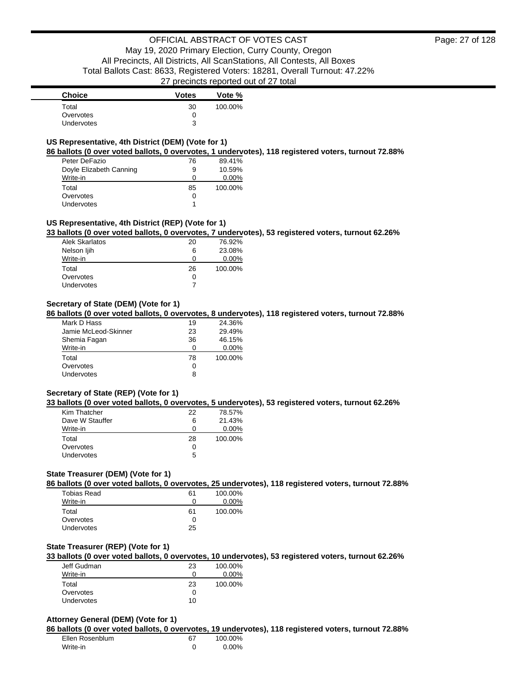| <b>Choice</b>     | <b>Votes</b> | Vote %  |
|-------------------|--------------|---------|
| Total             | 30           | 100.00% |
| Overvotes         |              |         |
| <b>Undervotes</b> | ว            |         |

### **US Representative, 4th District (DEM) (Vote for 1)**

**86 ballots (0 over voted ballots, 0 overvotes, 1 undervotes), 118 registered voters, turnout 72.88%**

| Peter DeFazio           | 76 | 89.41%   |
|-------------------------|----|----------|
| Doyle Elizabeth Canning | 9  | 10.59%   |
| Write-in                | Ω  | $0.00\%$ |
| Total                   | 85 | 100.00%  |
| Overvotes               | 0  |          |
| <b>Undervotes</b>       | 1  |          |

### **US Representative, 4th District (REP) (Vote for 1)**

**33 ballots (0 over voted ballots, 0 overvotes, 7 undervotes), 53 registered voters, turnout 62.26%**

| Alek Skarlatos    | 20 | 76.92%   |
|-------------------|----|----------|
| Nelson ljih       | 6  | 23.08%   |
| Write-in          | 0  | $0.00\%$ |
| Total             | 26 | 100.00%  |
| Overvotes         | 0  |          |
| <b>Undervotes</b> |    |          |

### **Secretary of State (DEM) (Vote for 1)**

**86 ballots (0 over voted ballots, 0 overvotes, 8 undervotes), 118 registered voters, turnout 72.88%**

| Mark D Hass          | 19 | 24.36%   |
|----------------------|----|----------|
| Jamie McLeod-Skinner | 23 | 29.49%   |
| Shemia Fagan         | 36 | 46.15%   |
| Write-in             | 0  | $0.00\%$ |
| Total                | 78 | 100.00%  |
| Overvotes            | 0  |          |
| <b>Undervotes</b>    | 8  |          |

#### **Secretary of State (REP) (Vote for 1)**

**33 ballots (0 over voted ballots, 0 overvotes, 5 undervotes), 53 registered voters, turnout 62.26%**

| Kim Thatcher    | 22 | 78.57%   |
|-----------------|----|----------|
| Dave W Stauffer | 6  | 21.43%   |
| Write-in        | n  | $0.00\%$ |
| Total           | 28 | 100.00%  |
| Overvotes       |    |          |
| Undervotes      | 5  |          |

### **State Treasurer (DEM) (Vote for 1)**

**86 ballots (0 over voted ballots, 0 overvotes, 25 undervotes), 118 registered voters, turnout 72.88%**

| Tobias Read       | 61 | 100.00%  |
|-------------------|----|----------|
| Write-in          | 0  | $0.00\%$ |
| Total             | 61 | 100.00%  |
| Overvotes         | 0  |          |
| <b>Undervotes</b> | 25 |          |

#### **State Treasurer (REP) (Vote for 1)**

**33 ballots (0 over voted ballots, 0 overvotes, 10 undervotes), 53 registered voters, turnout 62.26%**

| Jeff Gudman       | 23 | 100.00% |
|-------------------|----|---------|
| Write-in          |    | 0.00%   |
| Total             | 23 | 100.00% |
| Overvotes         |    |         |
| <b>Undervotes</b> | 10 |         |

#### **Attorney General (DEM) (Vote for 1)**

**86 ballots (0 over voted ballots, 0 overvotes, 19 undervotes), 118 registered voters, turnout 72.88%**

| Ellen Rosenblum | 67 | 100.00% |
|-----------------|----|---------|
| Write-in        |    | 0.00%   |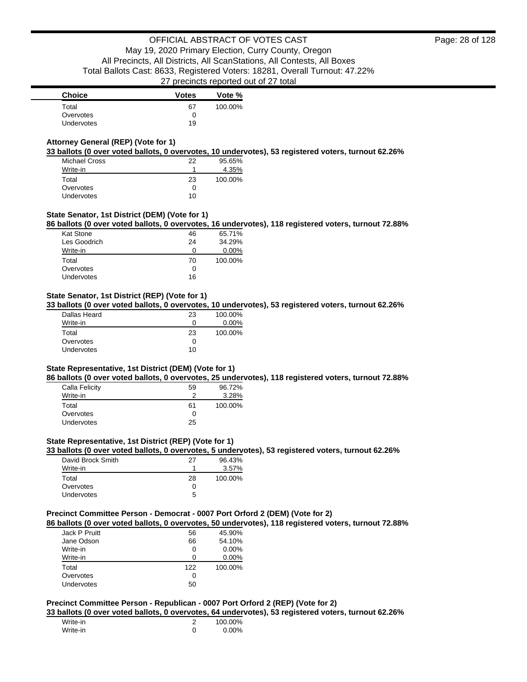| <b>Choice</b> | <b>Votes</b> | Vote %  |
|---------------|--------------|---------|
| Total         | 67           | 100.00% |
| Overvotes     |              |         |
| Undervotes    | 19           |         |

### **Attorney General (REP) (Vote for 1)**

**33 ballots (0 over voted ballots, 0 overvotes, 10 undervotes), 53 registered voters, turnout 62.26%**

| <b>Michael Cross</b> | 22 | 95.65%  |
|----------------------|----|---------|
| Write-in             |    | 4.35%   |
| Total                | 23 | 100.00% |
| Overvotes            | 0  |         |
| <b>Undervotes</b>    | 10 |         |

### **State Senator, 1st District (DEM) (Vote for 1)**

**86 ballots (0 over voted ballots, 0 overvotes, 16 undervotes), 118 registered voters, turnout 72.88%**

| <b>Kat Stone</b> | 46 | 65.71%  |
|------------------|----|---------|
| Les Goodrich     | 24 | 34.29%  |
| Write-in         |    | 0.00%   |
| Total            | 70 | 100.00% |
| Overvotes        | O  |         |
| Undervotes       | 16 |         |
|                  |    |         |

### **State Senator, 1st District (REP) (Vote for 1)**

**33 ballots (0 over voted ballots, 0 overvotes, 10 undervotes), 53 registered voters, turnout 62.26%**

| Dallas Heard | 23 | 100.00%  |
|--------------|----|----------|
| Write-in     | 0  | $0.00\%$ |
| Total        | 23 | 100.00%  |
| Overvotes    |    |          |
| Undervotes   | 10 |          |
|              |    |          |

#### **State Representative, 1st District (DEM) (Vote for 1)**

**86 ballots (0 over voted ballots, 0 overvotes, 25 undervotes), 118 registered voters, turnout 72.88%**

| Calla Felicity    | 59 | 96.72%  |
|-------------------|----|---------|
| Write-in          |    | 3.28%   |
| Total             | 61 | 100.00% |
| Overvotes         | 0  |         |
| <b>Undervotes</b> | 25 |         |
|                   |    |         |

### **State Representative, 1st District (REP) (Vote for 1)**

**33 ballots (0 over voted ballots, 0 overvotes, 5 undervotes), 53 registered voters, turnout 62.26%**

| David Brock Smith | 27 | 96.43%  |
|-------------------|----|---------|
| Write-in          |    | 3.57%   |
| Total             | 28 | 100.00% |
| Overvotes         | Ω  |         |
| <b>Undervotes</b> | 5  |         |

## **Precinct Committee Person - Democrat - 0007 Port Orford 2 (DEM) (Vote for 2)**

**86 ballots (0 over voted ballots, 0 overvotes, 50 undervotes), 118 registered voters, turnout 72.88%**

| Jack P Pruitt     | 56  | 45.90%   |
|-------------------|-----|----------|
| Jane Odson        | 66  | 54.10%   |
| Write-in          | 0   | $0.00\%$ |
| Write-in          | n   | $0.00\%$ |
| Total             | 122 | 100.00%  |
| Overvotes         | Ω   |          |
| <b>Undervotes</b> | 50  |          |

### **Precinct Committee Person - Republican - 0007 Port Orford 2 (REP) (Vote for 2)**

**33 ballots (0 over voted ballots, 0 overvotes, 64 undervotes), 53 registered voters, turnout 62.26%**

| Write-in | 100.00%  |
|----------|----------|
| Write-in | $0.00\%$ |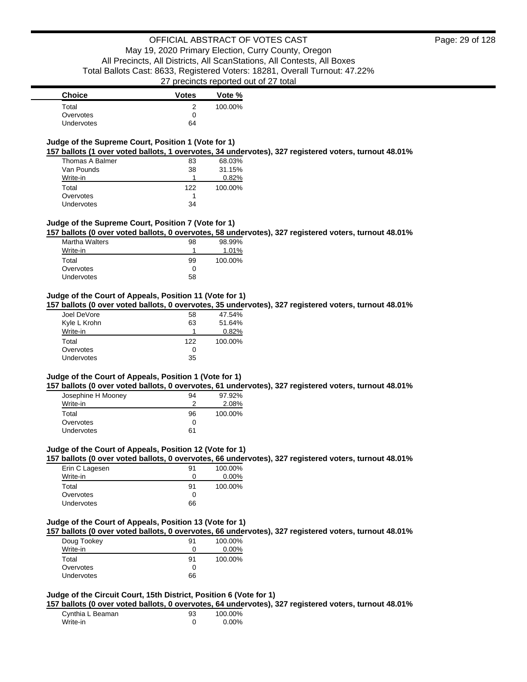| <b>Choice</b>     | <b>Votes</b> | Vote %  |
|-------------------|--------------|---------|
| Total             |              | 100.00% |
| Overvotes         |              |         |
| <b>Undervotes</b> | 64           |         |

### **Judge of the Supreme Court, Position 1 (Vote for 1)**

**157 ballots (1 over voted ballots, 1 overvotes, 34 undervotes), 327 registered voters, turnout 48.01%**

| Thomas A Balmer | 83  | 68.03%  |
|-----------------|-----|---------|
| Van Pounds      | 38  | 31.15%  |
| Write-in        | 1   | 0.82%   |
| Total           | 122 | 100.00% |
| Overvotes       |     |         |
| Undervotes      | 34  |         |

#### **Judge of the Supreme Court, Position 7 (Vote for 1)**

**157 ballots (0 over voted ballots, 0 overvotes, 58 undervotes), 327 registered voters, turnout 48.01%**

| <b>Martha Walters</b> | 98 | 98.99%  |
|-----------------------|----|---------|
| Write-in              |    | 1.01%   |
| Total                 | 99 | 100.00% |
| Overvotes             | 0  |         |
| Undervotes            | 58 |         |

#### **Judge of the Court of Appeals, Position 11 (Vote for 1)**

**157 ballots (0 over voted ballots, 0 overvotes, 35 undervotes), 327 registered voters, turnout 48.01%**

| Joel DeVore       | 58  | 47.54%  |
|-------------------|-----|---------|
| Kyle L Krohn      | 63  | 51.64%  |
| Write-in          |     | 0.82%   |
| Total             | 122 | 100.00% |
| Overvotes         | 0   |         |
| <b>Undervotes</b> | 35  |         |

#### **Judge of the Court of Appeals, Position 1 (Vote for 1)**

**157 ballots (0 over voted ballots, 0 overvotes, 61 undervotes), 327 registered voters, turnout 48.01%**

| Josephine H Mooney | 94 | 97.92%  |
|--------------------|----|---------|
| Write-in           | ≘  | 2.08%   |
| Total              | 96 | 100.00% |
| Overvotes          | O  |         |
| <b>Undervotes</b>  | 61 |         |

#### **Judge of the Court of Appeals, Position 12 (Vote for 1)**

**157 ballots (0 over voted ballots, 0 overvotes, 66 undervotes), 327 registered voters, turnout 48.01%**

| Erin C Lagesen    | 91  | 100.00%  |
|-------------------|-----|----------|
| Write-in          | 0   | $0.00\%$ |
| Total             | .91 | 100.00%  |
| Overvotes         | 0   |          |
| <b>Undervotes</b> | 66  |          |

#### **Judge of the Court of Appeals, Position 13 (Vote for 1)**

**157 ballots (0 over voted ballots, 0 overvotes, 66 undervotes), 327 registered voters, turnout 48.01%**

| Doug Tookey       | 91 | 100.00%  |
|-------------------|----|----------|
| Write-in          | 0  | $0.00\%$ |
| Total             | 91 | 100.00%  |
| Overvotes         |    |          |
| <b>Undervotes</b> | 66 |          |

### **Judge of the Circuit Court, 15th District, Position 6 (Vote for 1)**

**157 ballots (0 over voted ballots, 0 overvotes, 64 undervotes), 327 registered voters, turnout 48.01%**

| Cynthia L Beaman | 93 | 100.00% |
|------------------|----|---------|
| Write-in         |    | 0.00%   |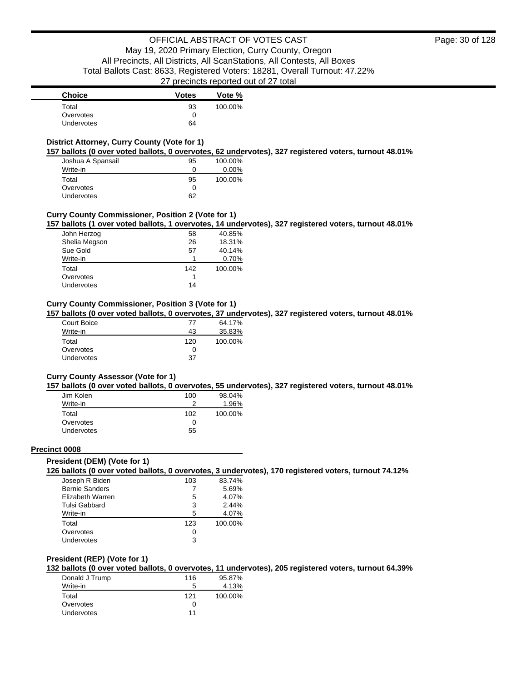| <b>Choice</b>     | <b>Votes</b> | Vote %  |
|-------------------|--------------|---------|
| Total             | 93           | 100.00% |
| Overvotes         |              |         |
| <b>Undervotes</b> | 64           |         |

### **District Attorney, Curry County (Vote for 1)**

**157 ballots (0 over voted ballots, 0 overvotes, 62 undervotes), 327 registered voters, turnout 48.01%**

| Joshua A Spansail | 95 | 100.00%  |
|-------------------|----|----------|
| Write-in          | O  | $0.00\%$ |
| Total             | 95 | 100.00%  |
| Overvotes         | O  |          |
| <b>Undervotes</b> | 62 |          |

### **Curry County Commissioner, Position 2 (Vote for 1)**

**157 ballots (1 over voted ballots, 1 overvotes, 14 undervotes), 327 registered voters, turnout 48.01%**

| John Herzog   | 58  | 40.85%  |
|---------------|-----|---------|
| Shelia Megson | 26  | 18.31%  |
| Sue Gold      | 57  | 40.14%  |
| Write-in      |     | 0.70%   |
| Total         | 142 | 100.00% |
| Overvotes     |     |         |
| Undervotes    | 14  |         |

### **Curry County Commissioner, Position 3 (Vote for 1)**

**157 ballots (0 over voted ballots, 0 overvotes, 37 undervotes), 327 registered voters, turnout 48.01%**

| Court Boice       | 77  | 64.17%  |
|-------------------|-----|---------|
| Write-in          | 43  | 35.83%  |
| Total             | 120 | 100.00% |
| Overvotes         | 0   |         |
| <b>Undervotes</b> | 37  |         |

#### **Curry County Assessor (Vote for 1)**

**157 ballots (0 over voted ballots, 0 overvotes, 55 undervotes), 327 registered voters, turnout 48.01%**

| Jim Kolen  | 100 | 98.04%  |
|------------|-----|---------|
| Write-in   | າ   | 1.96%   |
| Total      | 102 | 100.00% |
| Overvotes  | 0   |         |
| Undervotes | 55  |         |

#### **Precinct 0008**

#### **President (DEM) (Vote for 1)**

**126 ballots (0 over voted ballots, 0 overvotes, 3 undervotes), 170 registered voters, turnout 74.12%**

| Joseph R Biden        | 103 | 83.74%  |
|-----------------------|-----|---------|
| <b>Bernie Sanders</b> |     | 5.69%   |
| Elizabeth Warren      | 5   | 4.07%   |
| Tulsi Gabbard         | 3   | 2.44%   |
| Write-in              | 5   | 4.07%   |
| Total                 | 123 | 100.00% |
| Overvotes             | 0   |         |
| Undervotes            | 3   |         |

#### **President (REP) (Vote for 1)**

**132 ballots (0 over voted ballots, 0 overvotes, 11 undervotes), 205 registered voters, turnout 64.39%**

| Donald J Trump    | 116 | 95.87%  |
|-------------------|-----|---------|
| Write-in          | 5   | 4.13%   |
| Total             | 121 | 100.00% |
| Overvotes         |     |         |
| <b>Undervotes</b> | 11  |         |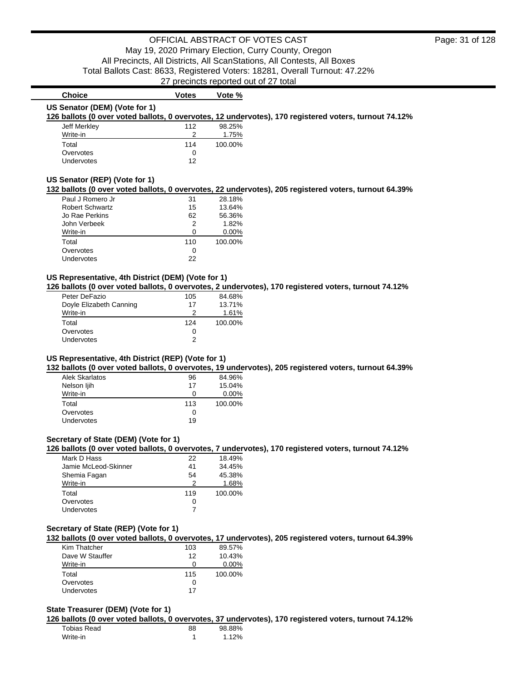# **US Senator (DEM) (Vote for 1)**

**126 ballots (0 over voted ballots, 0 overvotes, 12 undervotes), 170 registered voters, turnout 74.12%**

| Jeff Merkley      | 112 | 98.25%  |
|-------------------|-----|---------|
| Write-in          | ≘   | 1.75%   |
| Total             | 114 | 100.00% |
| Overvotes         | Ω   |         |
| <b>Undervotes</b> | 12  |         |

**Choice Votes Votes Vote %** 

#### **US Senator (REP) (Vote for 1)**

#### **132 ballots (0 over voted ballots, 0 overvotes, 22 undervotes), 205 registered voters, turnout 64.39%**

| Paul J Romero Jr       | 31  | 28.18%   |
|------------------------|-----|----------|
| <b>Robert Schwartz</b> | 15  | 13.64%   |
| Jo Rae Perkins         | 62  | 56.36%   |
| John Verbeek           | 2   | 1.82%    |
| Write-in               | O   | $0.00\%$ |
| Total                  | 110 | 100.00%  |
| Overvotes              | Ω   |          |
| Undervotes             | 22  |          |

### **US Representative, 4th District (DEM) (Vote for 1)**

**126 ballots (0 over voted ballots, 0 overvotes, 2 undervotes), 170 registered voters, turnout 74.12%**

| Peter DeFazio           | 105 | 84.68%  |
|-------------------------|-----|---------|
| Doyle Elizabeth Canning | 17  | 13.71%  |
| Write-in                | 2   | 1.61%   |
| Total                   | 124 | 100.00% |
| Overvotes               | 0   |         |
| Undervotes              | 2   |         |

#### **US Representative, 4th District (REP) (Vote for 1)**

**132 ballots (0 over voted ballots, 0 overvotes, 19 undervotes), 205 registered voters, turnout 64.39%**

| <b>Alek Skarlatos</b> | 96  | 84.96%   |
|-----------------------|-----|----------|
| Nelson ljih           | 17  | 15.04%   |
| Write-in              | 0   | $0.00\%$ |
| Total                 | 113 | 100.00%  |
| Overvotes             | 0   |          |
| Undervotes            | 19  |          |

### **Secretary of State (DEM) (Vote for 1)**

**126 ballots (0 over voted ballots, 0 overvotes, 7 undervotes), 170 registered voters, turnout 74.12%**

| Mark D Hass          | 22  | 18.49%  |
|----------------------|-----|---------|
| Jamie McLeod-Skinner | 41  | 34.45%  |
| Shemia Fagan         | 54  | 45.38%  |
| Write-in             | っ   | 1.68%   |
| Total                | 119 | 100.00% |
| Overvotes            | 0   |         |
| Undervotes           |     |         |

#### **Secretary of State (REP) (Vote for 1)**

**132 ballots (0 over voted ballots, 0 overvotes, 17 undervotes), 205 registered voters, turnout 64.39%**

| Kim Thatcher      | 103 | 89.57%   |
|-------------------|-----|----------|
| Dave W Stauffer   | 12  | 10.43%   |
| Write-in          |     | $0.00\%$ |
| Total             | 115 | 100.00%  |
| Overvotes         |     |          |
| <b>Undervotes</b> | 17  |          |

#### **State Treasurer (DEM) (Vote for 1)**

**126 ballots (0 over voted ballots, 0 overvotes, 37 undervotes), 170 registered voters, turnout 74.12%**

| Tobias Read | 88 | 98.88% |
|-------------|----|--------|
| Write-in    |    | 1.12%  |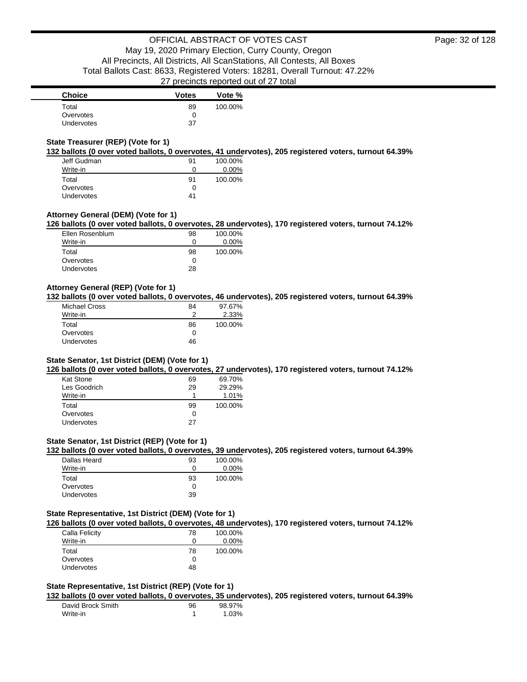| <b>Choice</b>     | <b>Votes</b> | Vote %  |
|-------------------|--------------|---------|
| Total             | 89           | 100.00% |
| Overvotes         |              |         |
| <b>Undervotes</b> | 37           |         |

### **State Treasurer (REP) (Vote for 1)**

**132 ballots (0 over voted ballots, 0 overvotes, 41 undervotes), 205 registered voters, turnout 64.39%**

| Jeff Gudman       | 91 | 100.00%  |
|-------------------|----|----------|
| Write-in          | Ω  | $0.00\%$ |
| Total             | 91 | 100.00%  |
| Overvotes         | O  |          |
| <b>Undervotes</b> | 41 |          |

### **Attorney General (DEM) (Vote for 1)**

### **126 ballots (0 over voted ballots, 0 overvotes, 28 undervotes), 170 registered voters, turnout 74.12%**

| Ellen Rosenblum   | 98           | 100.00% |
|-------------------|--------------|---------|
| Write-in          | $\mathbf{0}$ | 0.00%   |
| Total             | 98           | 100.00% |
| Overvotes         | $\mathbf{I}$ |         |
| <b>Undervotes</b> | 28           |         |

### **Attorney General (REP) (Vote for 1)**

**132 ballots (0 over voted ballots, 0 overvotes, 46 undervotes), 205 registered voters, turnout 64.39%**

| Michael Cross | 84 | 97.67%  |
|---------------|----|---------|
| Write-in      | າ  | 2.33%   |
| Total         | 86 | 100.00% |
| Overvotes     | 0  |         |
| Undervotes    | 46 |         |

#### **State Senator, 1st District (DEM) (Vote for 1)**

**126 ballots (0 over voted ballots, 0 overvotes, 27 undervotes), 170 registered voters, turnout 74.12%**

| Kat Stone    | 69 | 69.70%  |
|--------------|----|---------|
| Les Goodrich | 29 | 29.29%  |
| Write-in     |    | 1.01%   |
| Total        | 99 | 100.00% |
| Overvotes    | 0  |         |
| Undervotes   | 27 |         |

### **State Senator, 1st District (REP) (Vote for 1)**

**132 ballots (0 over voted ballots, 0 overvotes, 39 undervotes), 205 registered voters, turnout 64.39%**

| Dallas Heard | 93 | 100.00% |
|--------------|----|---------|
| Write-in     |    | 0.00%   |
| Total        | 93 | 100.00% |
| Overvotes    |    |         |
| Undervotes   | 39 |         |

### **State Representative, 1st District (DEM) (Vote for 1)**

**126 ballots (0 over voted ballots, 0 overvotes, 48 undervotes), 170 registered voters, turnout 74.12%**

| Calla Felicity | 78           | 100.00%  |
|----------------|--------------|----------|
| Write-in       | $\mathbf{I}$ | $0.00\%$ |
| Total          | 78           | 100.00%  |
| Overvotes      | $\mathbf{I}$ |          |
| Undervotes     | 48           |          |
|                |              |          |

### **State Representative, 1st District (REP) (Vote for 1)**

**132 ballots (0 over voted ballots, 0 overvotes, 35 undervotes), 205 registered voters, turnout 64.39%**

| David Brock Smith | 96 | 98.97% |
|-------------------|----|--------|
| Write-in          |    | 1.03%  |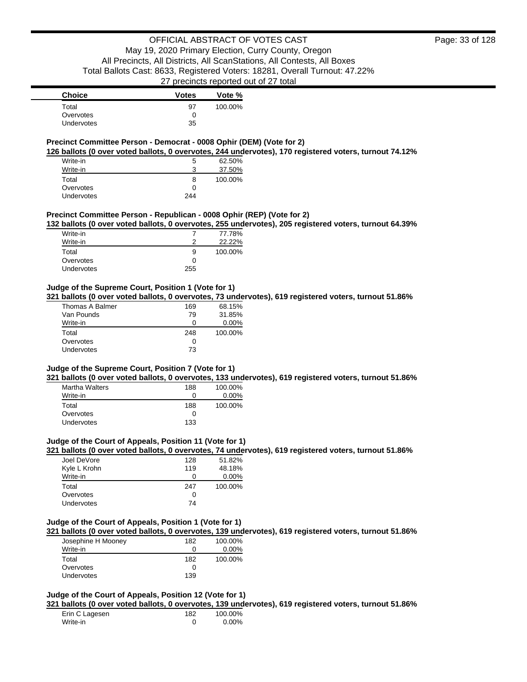### **Precinct Committee Person - Democrat - 0008 Ophir (DEM) (Vote for 2)**

**126 ballots (0 over voted ballots, 0 overvotes, 244 undervotes), 170 registered voters, turnout 74.12%**

| Write-in          | 5   | 62.50%  |
|-------------------|-----|---------|
| Write-in          | ີ   | 37.50%  |
| Total             | 8   | 100.00% |
| Overvotes         | 0   |         |
| <b>Undervotes</b> | 244 |         |

### **Precinct Committee Person - Republican - 0008 Ophir (REP) (Vote for 2)**

**132 ballots (0 over voted ballots, 0 overvotes, 255 undervotes), 205 registered voters, turnout 64.39%**

| Write-in   |              | 77.78%  |
|------------|--------------|---------|
| Write-in   |              | 22.22%  |
| Total      | 9            | 100.00% |
| Overvotes  | $\mathbf{I}$ |         |
| Undervotes | 255          |         |

### **Judge of the Supreme Court, Position 1 (Vote for 1)**

**321 ballots (0 over voted ballots, 0 overvotes, 73 undervotes), 619 registered voters, turnout 51.86%**

| 169          | 68.15%   |
|--------------|----------|
| 79           | 31.85%   |
|              | $0.00\%$ |
| 248          | 100.00%  |
| $\mathbf{U}$ |          |
| 73           |          |
|              |          |

#### **Judge of the Supreme Court, Position 7 (Vote for 1)**

**321 ballots (0 over voted ballots, 0 overvotes, 133 undervotes), 619 registered voters, turnout 51.86%**

| <b>Martha Walters</b> | 188 | 100.00%  |
|-----------------------|-----|----------|
| Write-in              | O   | $0.00\%$ |
| Total                 | 188 | 100.00%  |
| Overvotes             | 0   |          |
| Undervotes            | 133 |          |

#### **Judge of the Court of Appeals, Position 11 (Vote for 1)**

**321 ballots (0 over voted ballots, 0 overvotes, 74 undervotes), 619 registered voters, turnout 51.86%**

| Joel DeVore       | 128 | 51.82%   |
|-------------------|-----|----------|
| Kyle L Krohn      | 119 | 48.18%   |
| Write-in          | 0   | $0.00\%$ |
| Total             | 247 | 100.00%  |
| Overvotes         | 0   |          |
| <b>Undervotes</b> | 74  |          |

#### **Judge of the Court of Appeals, Position 1 (Vote for 1)**

**321 ballots (0 over voted ballots, 0 overvotes, 139 undervotes), 619 registered voters, turnout 51.86%**

| Josephine H Mooney | 182 | 100.00%  |
|--------------------|-----|----------|
| Write-in           |     | $0.00\%$ |
| Total              | 182 | 100.00%  |
| Overvotes          |     |          |
| Undervotes         | 139 |          |

### **Judge of the Court of Appeals, Position 12 (Vote for 1)**

**321 ballots (0 over voted ballots, 0 overvotes, 139 undervotes), 619 registered voters, turnout 51.86%**

| Erin C Lagesen | 182 | 100.00%  |
|----------------|-----|----------|
| Write-in       |     | $0.00\%$ |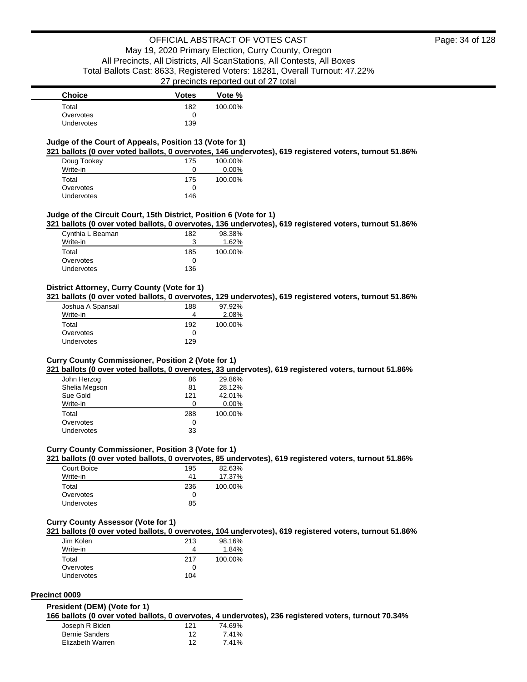### **Judge of the Court of Appeals, Position 13 (Vote for 1)**

**321 ballots (0 over voted ballots, 0 overvotes, 146 undervotes), 619 registered voters, turnout 51.86%**

| Doug Tookey       | 175 | 100.00%  |
|-------------------|-----|----------|
| Write-in          | 0   | $0.00\%$ |
| Total             | 175 | 100.00%  |
| Overvotes         | 0   |          |
| <b>Undervotes</b> | 146 |          |

#### **Judge of the Circuit Court, 15th District, Position 6 (Vote for 1)**

**321 ballots (0 over voted ballots, 0 overvotes, 136 undervotes), 619 registered voters, turnout 51.86%**

| Cynthia L Beaman  | 182 | 98.38%  |
|-------------------|-----|---------|
| Write-in          |     | 1.62%   |
| Total             | 185 | 100.00% |
| Overvotes         |     |         |
| <b>Undervotes</b> | 136 |         |

### **District Attorney, Curry County (Vote for 1)**

**321 ballots (0 over voted ballots, 0 overvotes, 129 undervotes), 619 registered voters, turnout 51.86%**

| Joshua A Spansail | 188 | 97.92%  |
|-------------------|-----|---------|
| Write-in          |     | 2.08%   |
| Total             | 192 | 100.00% |
| Overvotes         | O   |         |
| Undervotes        | 129 |         |

#### **Curry County Commissioner, Position 2 (Vote for 1)**

**321 ballots (0 over voted ballots, 0 overvotes, 33 undervotes), 619 registered voters, turnout 51.86%**

| John Herzog       | 86  | 29.86%   |
|-------------------|-----|----------|
| Shelia Megson     | 81  | 28.12%   |
| Sue Gold          | 121 | 42.01%   |
| Write-in          | 0   | $0.00\%$ |
| Total             | 288 | 100.00%  |
| Overvotes         | 0   |          |
| <b>Undervotes</b> | 33  |          |

#### **Curry County Commissioner, Position 3 (Vote for 1)**

**321 ballots (0 over voted ballots, 0 overvotes, 85 undervotes), 619 registered voters, turnout 51.86%**

| Court Boice       | 195 | 82.63%  |
|-------------------|-----|---------|
| Write-in          | 41  | 17.37%  |
| Total             | 236 | 100.00% |
| Overvotes         | 0   |         |
| <b>Undervotes</b> | 85  |         |

#### **Curry County Assessor (Vote for 1)**

**321 ballots (0 over voted ballots, 0 overvotes, 104 undervotes), 619 registered voters, turnout 51.86%**

| Jim Kolen         | 213 | 98.16%  |
|-------------------|-----|---------|
| Write-in          | 4   | 1.84%   |
| Total             | 217 | 100.00% |
| Overvotes         | 0   |         |
| <b>Undervotes</b> | 104 |         |

#### **Precinct 0009**

#### **President (DEM) (Vote for 1)**

**166 ballots (0 over voted ballots, 0 overvotes, 4 undervotes), 236 registered voters, turnout 70.34%**

| Joseph R Biden        | 121 | 74.69% |
|-----------------------|-----|--------|
| <b>Bernie Sanders</b> | 12  | 7.41%  |
| Elizabeth Warren      | 12  | 7.41%  |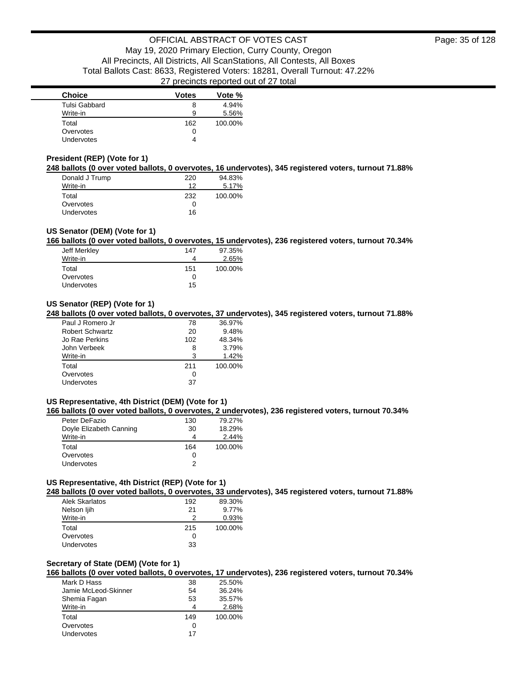| <b>Choice</b>     | <b>Votes</b> | Vote %  |
|-------------------|--------------|---------|
| Tulsi Gabbard     | 8            | 4.94%   |
| Write-in          | 9            | 5.56%   |
| Total             | 162          | 100.00% |
| Overvotes         | 0            |         |
| <b>Undervotes</b> |              |         |

### **President (REP) (Vote for 1)**

**248 ballots (0 over voted ballots, 0 overvotes, 16 undervotes), 345 registered voters, turnout 71.88%**

| Donald J Trump    | 220 | 94.83%  |
|-------------------|-----|---------|
| Write-in          | 12  | 5.17%   |
| Total             | 232 | 100.00% |
| Overvotes         | 0   |         |
| <b>Undervotes</b> | 16  |         |

### **US Senator (DEM) (Vote for 1)**

**166 ballots (0 over voted ballots, 0 overvotes, 15 undervotes), 236 registered voters, turnout 70.34%**

| Jeff Merkley | 147 | 97.35%  |
|--------------|-----|---------|
| Write-in     | 4   | 2.65%   |
| Total        | 151 | 100.00% |
| Overvotes    | O   |         |
| Undervotes   | 15  |         |
|              |     |         |

### **US Senator (REP) (Vote for 1)**

**248 ballots (0 over voted ballots, 0 overvotes, 37 undervotes), 345 registered voters, turnout 71.88%**

| Paul J Romero Jr       | 78  | 36.97%  |
|------------------------|-----|---------|
| <b>Robert Schwartz</b> | 20  | 9.48%   |
| Jo Rae Perkins         | 102 | 48.34%  |
| John Verbeek           | 8   | 3.79%   |
| Write-in               | 3   | 1.42%   |
| Total                  | 211 | 100.00% |
| Overvotes              | 0   |         |
| Undervotes             | 37  |         |

### **US Representative, 4th District (DEM) (Vote for 1)**

**166 ballots (0 over voted ballots, 0 overvotes, 2 undervotes), 236 registered voters, turnout 70.34%**

| Peter DeFazio           | 130 | 79.27%  |
|-------------------------|-----|---------|
| Doyle Elizabeth Canning | 30  | 18.29%  |
| Write-in                | 4   | 2.44%   |
| Total                   | 164 | 100.00% |
| Overvotes               | Ω   |         |
| <b>Undervotes</b>       | 2   |         |

### **US Representative, 4th District (REP) (Vote for 1)**

**248 ballots (0 over voted ballots, 0 overvotes, 33 undervotes), 345 registered voters, turnout 71.88%**

| Alek Skarlatos | 192 | 89.30%  |
|----------------|-----|---------|
| Nelson ljih    | 21  | 9.77%   |
| Write-in       |     | 0.93%   |
| Total          | 215 | 100.00% |
| Overvotes      | 0   |         |
| Undervotes     | 33  |         |

#### **Secretary of State (DEM) (Vote for 1)**

**166 ballots (0 over voted ballots, 0 overvotes, 17 undervotes), 236 registered voters, turnout 70.34%**

| 38  | 25.50%  |
|-----|---------|
| 54  | 36.24%  |
| 53  | 35.57%  |
|     | 2.68%   |
| 149 | 100.00% |
| Ω   |         |
| 17  |         |
|     |         |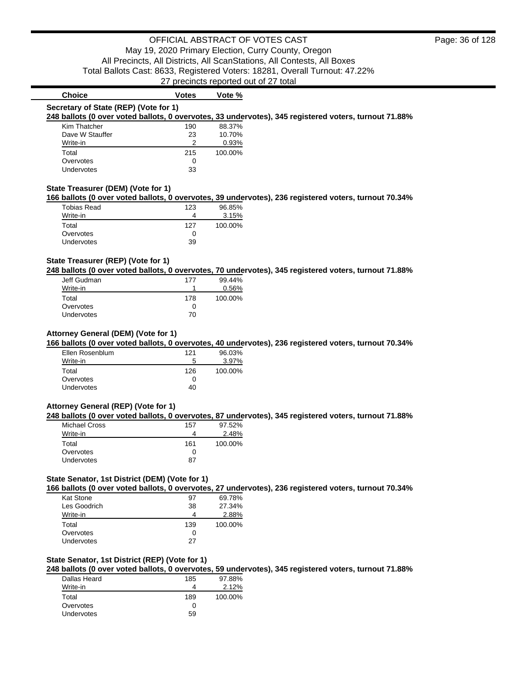| <b>Choice</b>                         | <b>Votes</b> | Vote %  |                                                                                                       |
|---------------------------------------|--------------|---------|-------------------------------------------------------------------------------------------------------|
| Secretary of State (REP) (Vote for 1) |              |         |                                                                                                       |
|                                       |              |         | 248 ballots (0 over voted ballots, 0 overvotes, 33 undervotes), 345 registered voters, turnout 71.88% |
| Kim Thatcher                          | 190          | 88.37%  |                                                                                                       |
| Dave W Stauffer                       | 23           | 10.70%  |                                                                                                       |
| Write-in                              | 2            | 0.93%   |                                                                                                       |
| Total                                 | 215          | 100.00% |                                                                                                       |
| Overvotes                             | 0            |         |                                                                                                       |
| Undervotes                            | 33           |         |                                                                                                       |
|                                       |              |         |                                                                                                       |
| State Treasurer (DEM) (Vote for 1)    |              |         |                                                                                                       |
|                                       |              |         | 166 ballots (0 over voted ballots, 0 overvotes, 39 undervotes), 236 registered voters, turnout 70.34% |
| Tobias Read                           | 123          | 96.85%  |                                                                                                       |
| Write-in                              | 4            | 3.15%   |                                                                                                       |
| Total                                 | 127          | 100.00% |                                                                                                       |
| Overvotes                             | 0            |         |                                                                                                       |

### **State Treasurer (REP) (Vote for 1)**

Undervotes 39

**248 ballots (0 over voted ballots, 0 overvotes, 70 undervotes), 345 registered voters, turnout 71.88%**

| Jeff Gudman       | 177 | 99.44%   |
|-------------------|-----|----------|
| Write-in          |     | $0.56\%$ |
| Total             | 178 | 100.00%  |
| Overvotes         |     |          |
| <b>Undervotes</b> | 70  |          |

### **Attorney General (DEM) (Vote for 1)**

**166 ballots (0 over voted ballots, 0 overvotes, 40 undervotes), 236 registered voters, turnout 70.34%**

| Ellen Rosenblum   | 121 | 96.03%  |
|-------------------|-----|---------|
| Write-in          | 5   | 3.97%   |
| Total             | 126 | 100.00% |
| Overvotes         | 0   |         |
| <b>Undervotes</b> | 40  |         |

#### **Attorney General (REP) (Vote for 1)**

**248 ballots (0 over voted ballots, 0 overvotes, 87 undervotes), 345 registered voters, turnout 71.88%**

| Michael Cross | 157 | 97.52%  |
|---------------|-----|---------|
| Write-in      |     | 2.48%   |
| Total         | 161 | 100.00% |
| Overvotes     |     |         |
| Undervotes    | 87  |         |
|               |     |         |

#### **State Senator, 1st District (DEM) (Vote for 1)**

**166 ballots (0 over voted ballots, 0 overvotes, 27 undervotes), 236 registered voters, turnout 70.34%**

| Kat Stone    | 97           | 69.78%  |
|--------------|--------------|---------|
| Les Goodrich | 38           | 27.34%  |
| Write-in     | Δ            | 2.88%   |
|              |              |         |
| Total        | 139          | 100.00% |
| Overvotes    | $\mathbf{0}$ |         |

#### **State Senator, 1st District (REP) (Vote for 1)**

**248 ballots (0 over voted ballots, 0 overvotes, 59 undervotes), 345 registered voters, turnout 71.88%**

| Dallas Heard | 185 | 97.88%  |
|--------------|-----|---------|
| Write-in     |     | 2.12%   |
| Total        | 189 | 100.00% |
| Overvotes    | 0   |         |
| Undervotes   | 59  |         |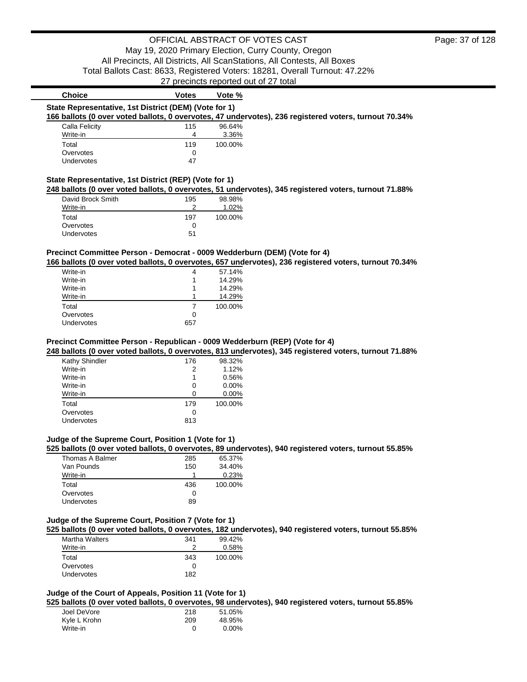| <b>Choice</b>                                                                                                                                                                             | Votes          | Vote %   |                                                                                                        |
|-------------------------------------------------------------------------------------------------------------------------------------------------------------------------------------------|----------------|----------|--------------------------------------------------------------------------------------------------------|
| State Representative, 1st District (DEM) (Vote for 1)                                                                                                                                     |                |          |                                                                                                        |
|                                                                                                                                                                                           |                |          | 166 ballots (0 over voted ballots, 0 overvotes, 47 undervotes), 236 registered voters, turnout 70.34%  |
| Calla Felicity                                                                                                                                                                            | 115            | 96.64%   |                                                                                                        |
| Write-in                                                                                                                                                                                  | 4              | 3.36%    |                                                                                                        |
| Total                                                                                                                                                                                     | 119            | 100.00%  |                                                                                                        |
| Overvotes                                                                                                                                                                                 | 0              |          |                                                                                                        |
| Undervotes                                                                                                                                                                                | 47             |          |                                                                                                        |
| State Representative, 1st District (REP) (Vote for 1)                                                                                                                                     |                |          |                                                                                                        |
|                                                                                                                                                                                           |                |          | 248 ballots (0 over voted ballots, 0 overvotes, 51 undervotes), 345 registered voters, turnout 71.88%  |
| David Brock Smith                                                                                                                                                                         | 195            | 98.98%   |                                                                                                        |
| Write-in                                                                                                                                                                                  | 2              | 1.02%    |                                                                                                        |
| Total                                                                                                                                                                                     | 197            | 100.00%  |                                                                                                        |
| Overvotes                                                                                                                                                                                 | 0              |          |                                                                                                        |
| Undervotes                                                                                                                                                                                | 51             |          |                                                                                                        |
|                                                                                                                                                                                           |                |          |                                                                                                        |
| Precinct Committee Person - Democrat - 0009 Wedderburn (DEM) (Vote for 4)                                                                                                                 |                |          | 166 ballots (0 over voted ballots, 0 overvotes, 657 undervotes), 236 registered voters, turnout 70.34% |
| Write-in                                                                                                                                                                                  | 4              | 57.14%   |                                                                                                        |
| Write-in                                                                                                                                                                                  | 1              | 14.29%   |                                                                                                        |
| Write-in                                                                                                                                                                                  | 1              | 14.29%   |                                                                                                        |
| Write-in                                                                                                                                                                                  | 1              | 14.29%   |                                                                                                        |
| Total                                                                                                                                                                                     | $\overline{7}$ | 100.00%  |                                                                                                        |
|                                                                                                                                                                                           |                |          |                                                                                                        |
|                                                                                                                                                                                           |                |          |                                                                                                        |
| Overvotes<br>Undervotes                                                                                                                                                                   | 0<br>657       |          |                                                                                                        |
| Kathy Shindler                                                                                                                                                                            | 176            | 98.32%   | 248 ballots (0 over voted ballots, 0 overvotes, 813 undervotes), 345 registered voters, turnout 71.88% |
| Write-in                                                                                                                                                                                  | 2              | 1.12%    |                                                                                                        |
| Write-in                                                                                                                                                                                  | 1              | 0.56%    |                                                                                                        |
| Write-in                                                                                                                                                                                  | 0              | $0.00\%$ |                                                                                                        |
| Write-in                                                                                                                                                                                  | 0              | 0.00%    |                                                                                                        |
| Total                                                                                                                                                                                     | 179            | 100.00%  |                                                                                                        |
| Overvotes<br>Undervotes                                                                                                                                                                   | 0<br>813       |          |                                                                                                        |
|                                                                                                                                                                                           |                |          |                                                                                                        |
|                                                                                                                                                                                           |                |          |                                                                                                        |
|                                                                                                                                                                                           |                |          | 525 ballots (0 over voted ballots, 0 overvotes, 89 undervotes), 940 registered voters, turnout 55.85%  |
| Thomas A Balmer                                                                                                                                                                           | 285            | 65.37%   |                                                                                                        |
| Van Pounds                                                                                                                                                                                | 150            | 34.40%   |                                                                                                        |
| Write-in                                                                                                                                                                                  | 1              | 0.23%    |                                                                                                        |
| Total                                                                                                                                                                                     | 436            | 100.00%  |                                                                                                        |
| Overvotes                                                                                                                                                                                 | 0              |          |                                                                                                        |
| Undervotes                                                                                                                                                                                | 89             |          |                                                                                                        |
| Precinct Committee Person - Republican - 0009 Wedderburn (REP) (Vote for 4)<br>Judge of the Supreme Court, Position 1 (Vote for 1)<br>Judge of the Supreme Court, Position 7 (Vote for 1) |                |          |                                                                                                        |
|                                                                                                                                                                                           |                |          | 525 ballots (0 over voted ballots, 0 overvotes, 182 undervotes), 940 registered voters, turnout 55.85% |
| Martha Walters                                                                                                                                                                            | 341<br>2       | 99.42%   |                                                                                                        |
| Write-in                                                                                                                                                                                  |                | 0.58%    |                                                                                                        |
| Total<br>Overvotes                                                                                                                                                                        | 343<br>0       | 100.00%  |                                                                                                        |

# **Judge of the Court of Appeals, Position 11 (Vote for 1)**

**525 ballots (0 over voted ballots, 0 overvotes, 98 undervotes), 940 registered voters, turnout 55.85%**

| Joel DeVore  | 218 | 51.05% |
|--------------|-----|--------|
| Kyle L Krohn | 209 | 48.95% |
| Write-in     | O   | 0.00%  |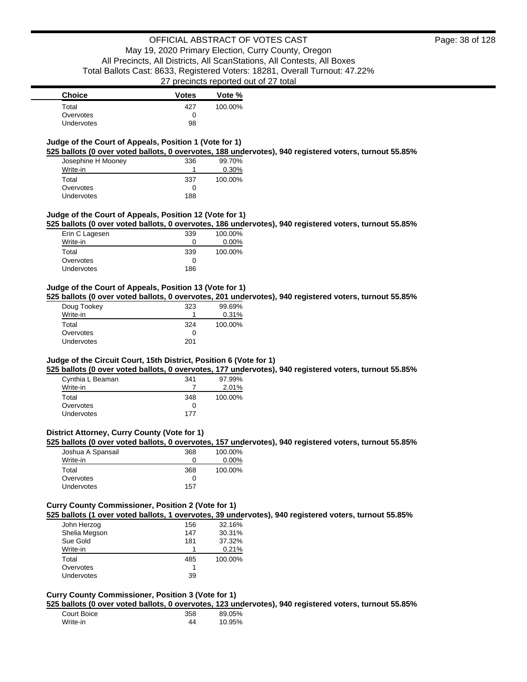# **Judge of the Court of Appeals, Position 1 (Vote for 1)**

**525 ballots (0 over voted ballots, 0 overvotes, 188 undervotes), 940 registered voters, turnout 55.85%**

| Josephine H Mooney | 336 | 99.70%  |
|--------------------|-----|---------|
| Write-in           |     | 0.30%   |
| Total              | 337 | 100.00% |
| Overvotes          | 0   |         |
| Undervotes         | 188 |         |

### **Judge of the Court of Appeals, Position 12 (Vote for 1)**

**525 ballots (0 over voted ballots, 0 overvotes, 186 undervotes), 940 registered voters, turnout 55.85%**

| Erin C Lagesen    | 339          | 100.00% |
|-------------------|--------------|---------|
| Write-in          |              | 0.00%   |
| Total             | 339          | 100.00% |
| Overvotes         | $\mathbf{I}$ |         |
| <b>Undervotes</b> | 186          |         |

#### **Judge of the Court of Appeals, Position 13 (Vote for 1)**

**525 ballots (0 over voted ballots, 0 overvotes, 201 undervotes), 940 registered voters, turnout 55.85%**

| Doug Tookey       | 323 | 99.69%  |
|-------------------|-----|---------|
| Write-in          |     | 0.31%   |
| Total             | 324 | 100.00% |
| Overvotes         | Ω   |         |
| <b>Undervotes</b> | 201 |         |

### **Judge of the Circuit Court, 15th District, Position 6 (Vote for 1)**

**525 ballots (0 over voted ballots, 0 overvotes, 177 undervotes), 940 registered voters, turnout 55.85%**

| Cynthia L Beaman  | 341 | 97.99%  |
|-------------------|-----|---------|
| Write-in          |     | 2.01%   |
| Total             | 348 | 100.00% |
| Overvotes         | 0   |         |
| <b>Undervotes</b> | 177 |         |

### **District Attorney, Curry County (Vote for 1)**

**525 ballots (0 over voted ballots, 0 overvotes, 157 undervotes), 940 registered voters, turnout 55.85%**

| Joshua A Spansail | 368 | 100.00%  |
|-------------------|-----|----------|
| Write-in          |     | $0.00\%$ |
| Total             | 368 | 100.00%  |
| Overvotes         |     |          |
| <b>Undervotes</b> | 157 |          |

# **Curry County Commissioner, Position 2 (Vote for 1)**

**525 ballots (1 over voted ballots, 1 overvotes, 39 undervotes), 940 registered voters, turnout 55.85%**

| John Herzog       | 156 | 32.16%  |
|-------------------|-----|---------|
| Shelia Megson     | 147 | 30.31%  |
| Sue Gold          | 181 | 37.32%  |
| Write-in          |     | 0.21%   |
| Total             | 485 | 100.00% |
| Overvotes         |     |         |
| <b>Undervotes</b> | 39  |         |

#### **Curry County Commissioner, Position 3 (Vote for 1)**

**525 ballots (0 over voted ballots, 0 overvotes, 123 undervotes), 940 registered voters, turnout 55.85%**

| Court Boice | 358 | 89.05% |
|-------------|-----|--------|
| Write-in    | 44  | 10.95% |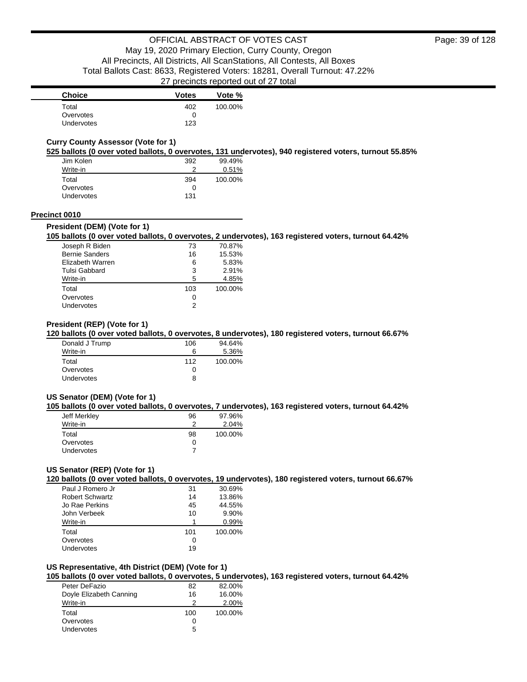| <b>Choice</b>     | <b>Votes</b> | Vote %  |
|-------------------|--------------|---------|
| Total             | 402          | 100.00% |
| Overvotes         |              |         |
| <b>Undervotes</b> | 123          |         |

# **Curry County Assessor (Vote for 1)**

**525 ballots (0 over voted ballots, 0 overvotes, 131 undervotes), 940 registered voters, turnout 55.85%**

| Jim Kolen  | 392 | 99.49%  |
|------------|-----|---------|
| Write-in   | າ   | 0.51%   |
| Total      | 394 | 100.00% |
| Overvotes  | O   |         |
| Undervotes | 131 |         |

#### **Precinct 0010**

#### **President (DEM) (Vote for 1)**

### **105 ballots (0 over voted ballots, 0 overvotes, 2 undervotes), 163 registered voters, turnout 64.42%**

| Joseph R Biden        | 73  | 70.87%  |
|-----------------------|-----|---------|
| <b>Bernie Sanders</b> | 16  | 15.53%  |
| Elizabeth Warren      | 6   | 5.83%   |
| Tulsi Gabbard         | 3   | 2.91%   |
| Write-in              | 5   | 4.85%   |
| Total                 | 103 | 100.00% |
| Overvotes             | 0   |         |
| Undervotes            |     |         |

### **President (REP) (Vote for 1)**

#### **120 ballots (0 over voted ballots, 0 overvotes, 8 undervotes), 180 registered voters, turnout 66.67%**

| Donald J Trump | 106 | 94.64%  |
|----------------|-----|---------|
| Write-in       | 6   | 5.36%   |
| Total          | 112 | 100.00% |
| Overvotes      | 0   |         |
| Undervotes     | 8   |         |

### **US Senator (DEM) (Vote for 1)**

#### **105 ballots (0 over voted ballots, 0 overvotes, 7 undervotes), 163 registered voters, turnout 64.42%**

| Jeff Merkley      | 96 | 97.96%  |
|-------------------|----|---------|
| Write-in          | っ  | 2.04%   |
| Total             | 98 | 100.00% |
| Overvotes         | 0  |         |
| <b>Undervotes</b> |    |         |

# **US Senator (REP) (Vote for 1)**

**120 ballots (0 over voted ballots, 0 overvotes, 19 undervotes), 180 registered voters, turnout 66.67%**

| Paul J Romero Jr       | 31  | 30.69%  |
|------------------------|-----|---------|
| <b>Robert Schwartz</b> | 14  | 13.86%  |
| Jo Rae Perkins         | 45  | 44.55%  |
| John Verbeek           | 10  | 9.90%   |
| Write-in               |     | 0.99%   |
| Total                  | 101 | 100.00% |
| Overvotes              | ი   |         |
| Undervotes             | 19  |         |

#### **US Representative, 4th District (DEM) (Vote for 1)**

**105 ballots (0 over voted ballots, 0 overvotes, 5 undervotes), 163 registered voters, turnout 64.42%**

| Peter DeFazio           | 82  | 82.00%  |
|-------------------------|-----|---------|
| Doyle Elizabeth Canning | 16  | 16.00%  |
| Write-in                | っ   | 2.00%   |
| Total                   | 100 | 100.00% |
| Overvotes               | 0   |         |
| Undervotes              | 5   |         |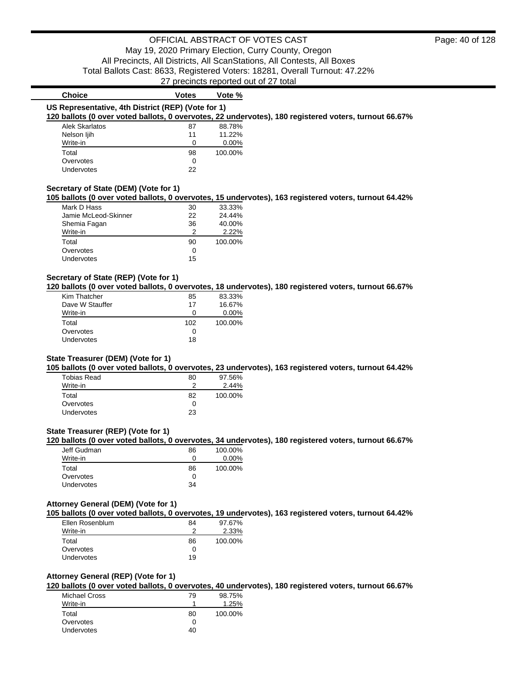# 27 precincts reported out of 27 total

| <b>Choice</b>                                      | <b>Votes</b> | Vote %                                                                                                |  |
|----------------------------------------------------|--------------|-------------------------------------------------------------------------------------------------------|--|
| US Representative, 4th District (REP) (Vote for 1) |              |                                                                                                       |  |
|                                                    |              | 120 ballots (0 over voted ballots, 0 overvotes, 22 undervotes), 180 registered voters, turnout 66.67% |  |
| Alek Skarlatos                                     | 87           | 88.78%                                                                                                |  |
| Nelson ljih                                        | 11           | 11.22%                                                                                                |  |
| Write-in                                           | $\Omega$     | $0.00\%$                                                                                              |  |
| Total                                              | 98           | 100.00%                                                                                               |  |
| Overvotes                                          | 0            |                                                                                                       |  |
| <b>Undervotes</b>                                  | 22           |                                                                                                       |  |
|                                                    |              |                                                                                                       |  |
| Secretary of State (DEM) (Vote for 1)              |              | 105 ballots (0 over voted ballots, 0 overvotes, 15 undervotes), 163 registered voters, turnout 64.42% |  |
| Mark D Hass                                        | 30           | 33.33%                                                                                                |  |
| Jamie McLeod-Skinner                               | 22           | 24.44%                                                                                                |  |
| Shemia Fagan                                       | 36           | 40.00%                                                                                                |  |
| Write-in                                           | 2            | 2.22%                                                                                                 |  |
| Total                                              | 90           | 100.00%                                                                                               |  |
| Overvotes                                          | 0            |                                                                                                       |  |

### **Secretary of State (REP) (Vote for 1)**

Undervotes 15

**120 ballots (0 over voted ballots, 0 overvotes, 18 undervotes), 180 registered voters, turnout 66.67%**

| Kim Thatcher    | 85  | 83.33%   |
|-----------------|-----|----------|
| Dave W Stauffer | 17  | 16.67%   |
| Write-in        | 0   | $0.00\%$ |
| Total           | 102 | 100.00%  |
| Overvotes       | 0   |          |
| Undervotes      | 18  |          |

### **State Treasurer (DEM) (Vote for 1)**

**105 ballots (0 over voted ballots, 0 overvotes, 23 undervotes), 163 registered voters, turnout 64.42%**

| Tobias Read       | 80  | 97.56%  |
|-------------------|-----|---------|
| Write-in          | ≏   | 2.44%   |
| Total             | 82  | 100.00% |
| Overvotes         | Ω   |         |
| <b>Undervotes</b> | 23. |         |

### **State Treasurer (REP) (Vote for 1)**

**120 ballots (0 over voted ballots, 0 overvotes, 34 undervotes), 180 registered voters, turnout 66.67%**

| Jeff Gudman       | 86 | 100.00%  |
|-------------------|----|----------|
| Write-in          |    | $0.00\%$ |
| Total             | 86 | 100.00%  |
| Overvotes         |    |          |
| <b>Undervotes</b> | 34 |          |

#### **Attorney General (DEM) (Vote for 1)**

**105 ballots (0 over voted ballots, 0 overvotes, 19 undervotes), 163 registered voters, turnout 64.42%**

| Ellen Rosenblum   | 84 | 97.67%  |
|-------------------|----|---------|
| Write-in          |    | 2.33%   |
| Total             | 86 | 100.00% |
| Overvotes         |    |         |
| <b>Undervotes</b> | 19 |         |

### **Attorney General (REP) (Vote for 1)**

**120 ballots (0 over voted ballots, 0 overvotes, 40 undervotes), 180 registered voters, turnout 66.67%**

| Michael Cross | 79 | 98.75%  |
|---------------|----|---------|
| Write-in      |    | 1.25%   |
| Total         | 80 | 100.00% |
| Overvotes     | 0  |         |
| Undervotes    | 40 |         |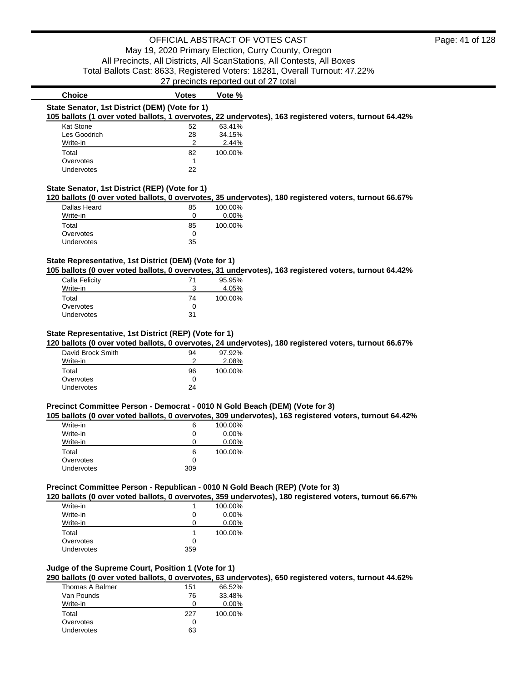| <b>Choice</b>                                  | <b>Votes</b> | Vote %   |                                                                                                       |  |
|------------------------------------------------|--------------|----------|-------------------------------------------------------------------------------------------------------|--|
| State Senator, 1st District (DEM) (Vote for 1) |              |          |                                                                                                       |  |
|                                                |              |          | 105 ballots (1 over voted ballots, 1 overvotes, 22 undervotes), 163 registered voters, turnout 64.42% |  |
| Kat Stone                                      | 52           | 63.41%   |                                                                                                       |  |
| Les Goodrich                                   | 28           | 34.15%   |                                                                                                       |  |
| Write-in                                       | 2            | 2.44%    |                                                                                                       |  |
| Total                                          | 82           | 100.00%  |                                                                                                       |  |
| Overvotes                                      |              |          |                                                                                                       |  |
| Undervotes                                     | 22           |          |                                                                                                       |  |
|                                                |              |          |                                                                                                       |  |
| State Senator, 1st District (REP) (Vote for 1) |              |          | 120 ballots (0 over voted ballots, 0 overvotes, 35 undervotes), 180 registered voters, turnout 66.67% |  |
| Dallas Heard                                   | 85           | 100.00%  |                                                                                                       |  |
| Write-in                                       | 0            | $0.00\%$ |                                                                                                       |  |
| Total                                          | 85           | 100.00%  |                                                                                                       |  |

### **State Representative, 1st District (DEM) (Vote for 1)**

Overvotes 0 Undervotes 35

**105 ballots (0 over voted ballots, 0 overvotes, 31 undervotes), 163 registered voters, turnout 64.42%**

| Calla Felicity    | 71 | 95.95%  |
|-------------------|----|---------|
| Write-in          |    | 4.05%   |
| Total             | 74 | 100.00% |
| Overvotes         |    |         |
| <b>Undervotes</b> | 31 |         |

#### **State Representative, 1st District (REP) (Vote for 1)**

**120 ballots (0 over voted ballots, 0 overvotes, 24 undervotes), 180 registered voters, turnout 66.67%**

| David Brock Smith | 94 | 97.92%  |
|-------------------|----|---------|
| Write-in          |    | 2.08%   |
| Total             | 96 | 100.00% |
| Overvotes         | 0  |         |
| Undervotes        | 24 |         |

#### **Precinct Committee Person - Democrat - 0010 N Gold Beach (DEM) (Vote for 3)**

**105 ballots (0 over voted ballots, 0 overvotes, 309 undervotes), 163 registered voters, turnout 64.42%**

| Write-in   | 6            | 100.00% |
|------------|--------------|---------|
| Write-in   | $\mathbf{0}$ | 0.00%   |
| Write-in   | $\mathbf{I}$ | 0.00%   |
| Total      | 6            | 100.00% |
| Overvotes  | $\mathbf{I}$ |         |
| Undervotes | 309          |         |

# **Precinct Committee Person - Republican - 0010 N Gold Beach (REP) (Vote for 3)**

**120 ballots (0 over voted ballots, 0 overvotes, 359 undervotes), 180 registered voters, turnout 66.67%**

| Write-in   |     | 100.00%  |
|------------|-----|----------|
| Write-in   | 0   | $0.00\%$ |
| Write-in   | 0   | $0.00\%$ |
| Total      |     | 100.00%  |
| Overvotes  | Ω   |          |
| Undervotes | 359 |          |
|            |     |          |

# **Judge of the Supreme Court, Position 1 (Vote for 1)**

**290 ballots (0 over voted ballots, 0 overvotes, 63 undervotes), 650 registered voters, turnout 44.62%**

| Thomas A Balmer | 151 | 66.52%  |
|-----------------|-----|---------|
| Van Pounds      | 76  | 33.48%  |
| Write-in        |     | 0.00%   |
| Total           | 227 | 100.00% |
| Overvotes       | 0   |         |
| Undervotes      | 63  |         |
|                 |     |         |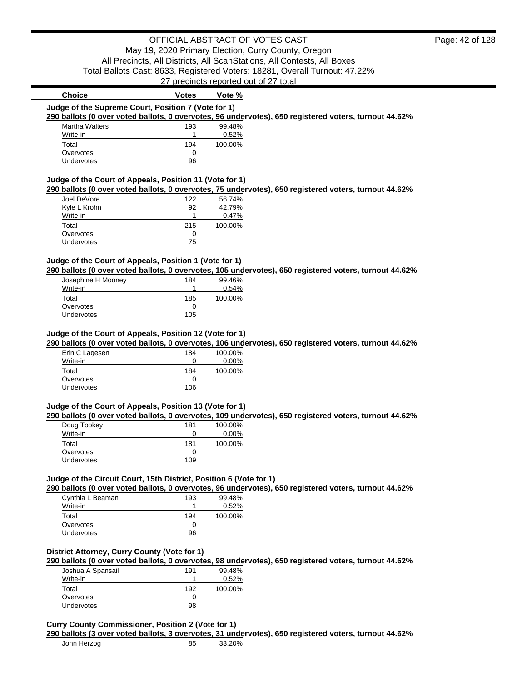| <b>Choice</b>                                           | <b>Votes</b> | Vote %  |                                                                                                       |
|---------------------------------------------------------|--------------|---------|-------------------------------------------------------------------------------------------------------|
| Judge of the Supreme Court, Position 7 (Vote for 1)     |              |         |                                                                                                       |
|                                                         |              |         | 290 ballots (0 over voted ballots, 0 overvotes, 96 undervotes), 650 registered voters, turnout 44.62% |
| <b>Martha Walters</b>                                   | 193          | 99.48%  |                                                                                                       |
| Write-in                                                |              | 0.52%   |                                                                                                       |
| Total                                                   | 194          | 100.00% |                                                                                                       |
| Overvotes                                               | 0            |         |                                                                                                       |
| <b>Undervotes</b>                                       | 96           |         |                                                                                                       |
| Judge of the Court of Appeals, Position 11 (Vote for 1) |              |         |                                                                                                       |
|                                                         |              |         | 290 ballots (0 over voted ballots, 0 overvotes, 75 undervotes), 650 registered voters, turnout 44.62% |
| Joel DeVore                                             | 122          | 56.74%  |                                                                                                       |

| Joel DeVore       | 122 | 56.74%  |
|-------------------|-----|---------|
| Kyle L Krohn      | 92  | 42.79%  |
| Write-in          |     | 0.47%   |
| Total             | 215 | 100.00% |
| Overvotes         |     |         |
| <b>Undervotes</b> | 75  |         |

# **Judge of the Court of Appeals, Position 1 (Vote for 1)**

**290 ballots (0 over voted ballots, 0 overvotes, 105 undervotes), 650 registered voters, turnout 44.62%**

| Josephine H Mooney | 184 | 99.46%  |
|--------------------|-----|---------|
| Write-in           |     | 0.54%   |
| Total              | 185 | 100.00% |
| Overvotes          |     |         |
| <b>Undervotes</b>  | 105 |         |

### **Judge of the Court of Appeals, Position 12 (Vote for 1)**

**290 ballots (0 over voted ballots, 0 overvotes, 106 undervotes), 650 registered voters, turnout 44.62%**

| Erin C Lagesen    | 184 | 100.00%  |
|-------------------|-----|----------|
| Write-in          | O   | $0.00\%$ |
| Total             | 184 | 100.00%  |
| Overvotes         | O   |          |
| <b>Undervotes</b> | 106 |          |

### **Judge of the Court of Appeals, Position 13 (Vote for 1)**

**290 ballots (0 over voted ballots, 0 overvotes, 109 undervotes), 650 registered voters, turnout 44.62%**

| Doug Tookey | 181 | 100.00%  |
|-------------|-----|----------|
| Write-in    | O   | $0.00\%$ |
| Total       | 181 | 100.00%  |
| Overvotes   |     |          |
| Undervotes  | 109 |          |

# **Judge of the Circuit Court, 15th District, Position 6 (Vote for 1)**

**290 ballots (0 over voted ballots, 0 overvotes, 96 undervotes), 650 registered voters, turnout 44.62%**

| Cynthia L Beaman  | 193 | 99.48%  |
|-------------------|-----|---------|
| Write-in          |     | 0.52%   |
| Total             | 194 | 100.00% |
| Overvotes         | 0   |         |
| <b>Undervotes</b> | 96  |         |

### **District Attorney, Curry County (Vote for 1)**

**290 ballots (0 over voted ballots, 0 overvotes, 98 undervotes), 650 registered voters, turnout 44.62%**

| Joshua A Spansail | 191 | 99.48%  |
|-------------------|-----|---------|
| Write-in          |     | 0.52%   |
| Total             | 192 | 100.00% |
| Overvotes         | 0   |         |
| <b>Undervotes</b> | 98  |         |

#### **Curry County Commissioner, Position 2 (Vote for 1)**

**290 ballots (3 over voted ballots, 3 overvotes, 31 undervotes), 650 registered voters, turnout 44.62%**

| John Herzog | 85 | 33.20% |
|-------------|----|--------|
|-------------|----|--------|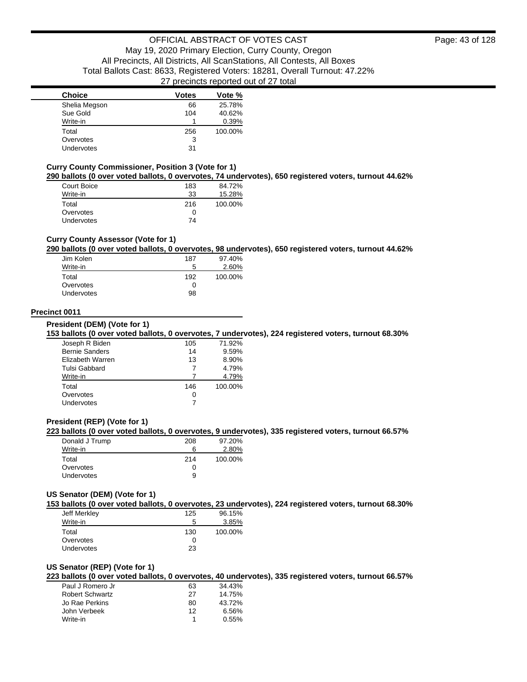| <b>Choice</b> | <b>Votes</b> | Vote %  |
|---------------|--------------|---------|
| Shelia Megson | 66           | 25.78%  |
| Sue Gold      | 104          | 40.62%  |
| Write-in      |              | 0.39%   |
| Total         | 256          | 100.00% |
| Overvotes     | 3            |         |
| Undervotes    | 31           |         |

#### **Curry County Commissioner, Position 3 (Vote for 1)**

**290 ballots (0 over voted ballots, 0 overvotes, 74 undervotes), 650 registered voters, turnout 44.62%**

| Court Boice       | 183 | 84.72%  |
|-------------------|-----|---------|
| Write-in          | 33  | 15.28%  |
| Total             | 216 | 100.00% |
| Overvotes         | 0   |         |
| <b>Undervotes</b> | 74  |         |

### **Curry County Assessor (Vote for 1)**

#### **290 ballots (0 over voted ballots, 0 overvotes, 98 undervotes), 650 registered voters, turnout 44.62%**

| Jim Kolen         | 187 | 97.40%  |
|-------------------|-----|---------|
| Write-in          | 5   | 2.60%   |
| Total             | 192 | 100.00% |
| Overvotes         | 0   |         |
| <b>Undervotes</b> | 98  |         |

### **Precinct 0011**

**President (DEM) (Vote for 1)**

### **153 ballots (0 over voted ballots, 0 overvotes, 7 undervotes), 224 registered voters, turnout 68.30%**

| Joseph R Biden        | 105 | 71.92%  |
|-----------------------|-----|---------|
| <b>Bernie Sanders</b> | 14  | 9.59%   |
| Elizabeth Warren      | 13  | 8.90%   |
| <b>Tulsi Gabbard</b>  |     | 4.79%   |
| Write-in              |     | 4.79%   |
| Total                 | 146 | 100.00% |
| Overvotes             | Ω   |         |
| Undervotes            |     |         |

### **President (REP) (Vote for 1)**

### **223 ballots (0 over voted ballots, 0 overvotes, 9 undervotes), 335 registered voters, turnout 66.57%**

| Donald J Trump    | 208          | 97.20%  |
|-------------------|--------------|---------|
| Write-in          | ჩ            | 2.80%   |
| Total             | 214          | 100.00% |
| Overvotes         | $\mathbf{I}$ |         |
| <b>Undervotes</b> | 9            |         |

### **US Senator (DEM) (Vote for 1)**

**153 ballots (0 over voted ballots, 0 overvotes, 23 undervotes), 224 registered voters, turnout 68.30%**

| Jeff Merkley      | 125 | 96.15%  |
|-------------------|-----|---------|
| Write-in          | 5   | 3.85%   |
| Total             | 130 | 100.00% |
| Overvotes         | 0   |         |
| <b>Undervotes</b> | 23  |         |

#### **US Senator (REP) (Vote for 1)**

**223 ballots (0 over voted ballots, 0 overvotes, 40 undervotes), 335 registered voters, turnout 66.57%**

| Paul J Romero Jr       | 63 | 34.43% |
|------------------------|----|--------|
| <b>Robert Schwartz</b> | 27 | 14.75% |
| Jo Rae Perkins         | 80 | 43.72% |
| John Verbeek           | 12 | 6.56%  |
| Write-in               |    | 0.55%  |
|                        |    |        |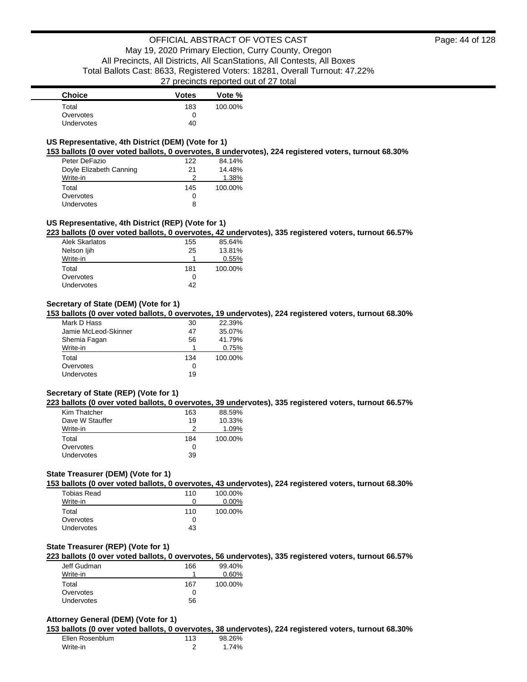Page: 44 of 128

| <b>Choice</b>     | <b>Votes</b> | Vote %  |
|-------------------|--------------|---------|
| Total             | 183          | 100.00% |
| Overvotes         |              |         |
| <b>Undervotes</b> | 40           |         |

## **US Representative, 4th District (DEM) (Vote for 1)**

**153 ballots (0 over voted ballots, 0 overvotes, 8 undervotes), 224 registered voters, turnout 68.30%**

| Peter DeFazio           | 122 | 84.14%  |
|-------------------------|-----|---------|
| Doyle Elizabeth Canning | 21  | 14.48%  |
| Write-in                | 2   | 1.38%   |
| Total                   | 145 | 100.00% |
| Overvotes               | 0   |         |
| Undervotes              | 8   |         |

### **US Representative, 4th District (REP) (Vote for 1)**

**223 ballots (0 over voted ballots, 0 overvotes, 42 undervotes), 335 registered voters, turnout 66.57%**

| Alek Skarlatos | 155 | 85.64%  |
|----------------|-----|---------|
| Nelson liih    | 25  | 13.81%  |
| Write-in       |     | 0.55%   |
| Total          | 181 | 100.00% |
| Overvotes      | O   |         |
| Undervotes     | 42  |         |

# **Secretary of State (DEM) (Vote for 1)**

**153 ballots (0 over voted ballots, 0 overvotes, 19 undervotes), 224 registered voters, turnout 68.30%**

| Mark D Hass          | 30  | 22.39%  |
|----------------------|-----|---------|
| Jamie McLeod-Skinner | 47  | 35.07%  |
| Shemia Fagan         | 56  | 41.79%  |
| Write-in             | 1   | 0.75%   |
| Total                | 134 | 100.00% |
| Overvotes            | 0   |         |
| <b>Undervotes</b>    | 19  |         |

### **Secretary of State (REP) (Vote for 1)**

**223 ballots (0 over voted ballots, 0 overvotes, 39 undervotes), 335 registered voters, turnout 66.57%**

| Kim Thatcher    | 163 | 88.59%  |
|-----------------|-----|---------|
| Dave W Stauffer | 19  | 10.33%  |
| Write-in        | っ   | 1.09%   |
| Total           | 184 | 100.00% |
| Overvotes       | 0   |         |
| Undervotes      | 39  |         |

# **State Treasurer (DEM) (Vote for 1)**

**153 ballots (0 over voted ballots, 0 overvotes, 43 undervotes), 224 registered voters, turnout 68.30%**

| Tobias Read       | 110 | 100.00%  |
|-------------------|-----|----------|
| Write-in          | O   | $0.00\%$ |
| Total             | 110 | 100.00%  |
| Overvotes         | 0   |          |
| <b>Undervotes</b> | 43  |          |

### **State Treasurer (REP) (Vote for 1)**

**223 ballots (0 over voted ballots, 0 overvotes, 56 undervotes), 335 registered voters, turnout 66.57%**

| Jeff Gudman | 166 | 99.40%  |
|-------------|-----|---------|
| Write-in    |     | 0.60%   |
| Total       | 167 | 100.00% |
| Overvotes   |     |         |
| Undervotes  | 56  |         |

#### **Attorney General (DEM) (Vote for 1)**

**153 ballots (0 over voted ballots, 0 overvotes, 38 undervotes), 224 registered voters, turnout 68.30%**

| Ellen Rosenblum | 113 | 98.26% |
|-----------------|-----|--------|
| Write-in        |     | 1.74%  |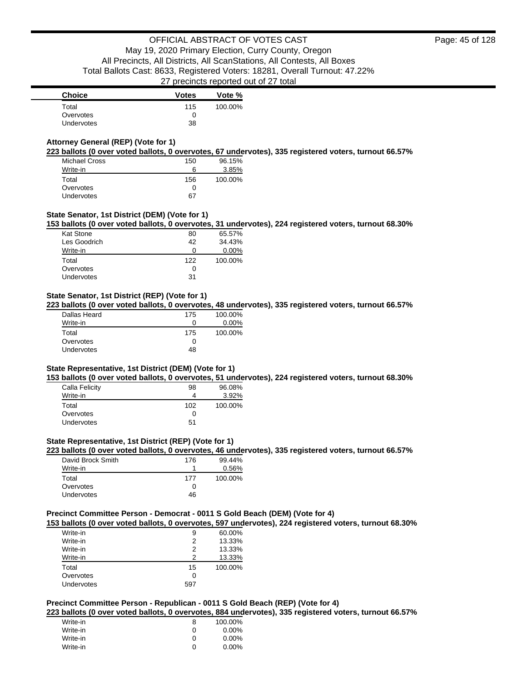# **Attorney General (REP) (Vote for 1)**

**223 ballots (0 over voted ballots, 0 overvotes, 67 undervotes), 335 registered voters, turnout 66.57%**

| <b>Michael Cross</b> | 150 | 96.15%  |
|----------------------|-----|---------|
| Write-in             | 6   | 3.85%   |
| Total                | 156 | 100.00% |
| Overvotes            | 0   |         |
| Undervotes           | 67  |         |

### **State Senator, 1st District (DEM) (Vote for 1)**

**153 ballots (0 over voted ballots, 0 overvotes, 31 undervotes), 224 registered voters, turnout 68.30%**

| <b>Kat Stone</b> | 80  | 65.57%  |
|------------------|-----|---------|
| Les Goodrich     | 42  | 34.43%  |
| Write-in         | Ω   | 0.00%   |
| Total            | 122 | 100.00% |
| Overvotes        | O   |         |
| Undervotes       | 31  |         |
|                  |     |         |

### **State Senator, 1st District (REP) (Vote for 1)**

**223 ballots (0 over voted ballots, 0 overvotes, 48 undervotes), 335 registered voters, turnout 66.57%**

| Dallas Heard | 175      | 100.00%  |
|--------------|----------|----------|
| Write-in     | $\Omega$ | $0.00\%$ |
| Total        | 175      | 100.00%  |
| Overvotes    | 0        |          |
| Undervotes   | 48       |          |
|              |          |          |

#### **State Representative, 1st District (DEM) (Vote for 1)**

**153 ballots (0 over voted ballots, 0 overvotes, 51 undervotes), 224 registered voters, turnout 68.30%**

| Calla Felicity | 98  | 96.08%  |
|----------------|-----|---------|
| Write-in       | 4   | 3.92%   |
| Total          | 102 | 100.00% |
| Overvotes      | 0   |         |
| Undervotes     | 51  |         |

## **State Representative, 1st District (REP) (Vote for 1)**

**223 ballots (0 over voted ballots, 0 overvotes, 46 undervotes), 335 registered voters, turnout 66.57%**

| David Brock Smith | 176 | 99.44%  |
|-------------------|-----|---------|
| Write-in          |     | 0.56%   |
| Total             | 177 | 100.00% |
| Overvotes         | O   |         |
| Undervotes        | 46  |         |

#### **Precinct Committee Person - Democrat - 0011 S Gold Beach (DEM) (Vote for 4)**

**153 ballots (0 over voted ballots, 0 overvotes, 597 undervotes), 224 registered voters, turnout 68.30%**

| Write-in   | 9   | 60.00%  |
|------------|-----|---------|
| Write-in   | 2   | 13.33%  |
| Write-in   | 2   | 13.33%  |
| Write-in   | 2   | 13.33%  |
| Total      | 15  | 100.00% |
| Overvotes  | Ω   |         |
| Undervotes | 59. |         |

## **Precinct Committee Person - Republican - 0011 S Gold Beach (REP) (Vote for 4)**

**223 ballots (0 over voted ballots, 0 overvotes, 884 undervotes), 335 registered voters, turnout 66.57%**

| Write-in | 8 | 100.00%  |
|----------|---|----------|
| Write-in | O | $0.00\%$ |
| Write-in | O | $0.00\%$ |
| Write-in | O | $0.00\%$ |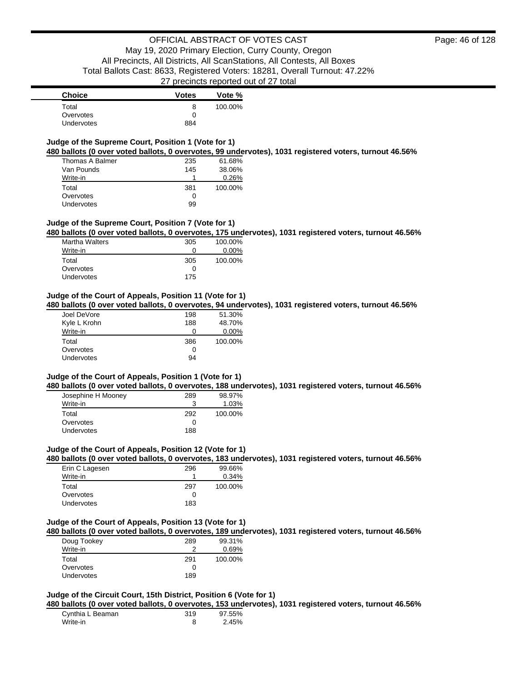| <b>Choice</b>     | <b>Votes</b> | Vote %  |
|-------------------|--------------|---------|
| Total             | 8            | 100.00% |
| Overvotes         |              |         |
| <b>Undervotes</b> | 884          |         |

# **Judge of the Supreme Court, Position 1 (Vote for 1)**

**480 ballots (0 over voted ballots, 0 overvotes, 99 undervotes), 1031 registered voters, turnout 46.56%**

| Thomas A Balmer | 235 | 61.68%  |
|-----------------|-----|---------|
| Van Pounds      | 145 | 38.06%  |
| Write-in        |     | 0.26%   |
| Total           | 381 | 100.00% |
| Overvotes       | 0   |         |
| Undervotes      | 99  |         |

### **Judge of the Supreme Court, Position 7 (Vote for 1)**

**480 ballots (0 over voted ballots, 0 overvotes, 175 undervotes), 1031 registered voters, turnout 46.56%**

| <b>Martha Walters</b> | 305 | 100.00%  |
|-----------------------|-----|----------|
| Write-in              | 0   | $0.00\%$ |
| Total                 | 305 | 100.00%  |
| Overvotes             | O   |          |
| <b>Undervotes</b>     | 175 |          |

#### **Judge of the Court of Appeals, Position 11 (Vote for 1)**

**480 ballots (0 over voted ballots, 0 overvotes, 94 undervotes), 1031 registered voters, turnout 46.56%**

| Joel DeVore  | 198 | 51.30%   |
|--------------|-----|----------|
| Kyle L Krohn | 188 | 48.70%   |
| Write-in     | Ω   | $0.00\%$ |
| Total        | 386 | 100.00%  |
| Overvotes    | 0   |          |
| Undervotes   | 94  |          |

#### **Judge of the Court of Appeals, Position 1 (Vote for 1)**

**480 ballots (0 over voted ballots, 0 overvotes, 188 undervotes), 1031 registered voters, turnout 46.56%**

| Josephine H Mooney | 289 | 98.97%  |
|--------------------|-----|---------|
| Write-in           | ว   | 1.03%   |
| Total              | 292 | 100.00% |
| Overvotes          | O   |         |
| <b>Undervotes</b>  | 188 |         |

#### **Judge of the Court of Appeals, Position 12 (Vote for 1)**

**480 ballots (0 over voted ballots, 0 overvotes, 183 undervotes), 1031 registered voters, turnout 46.56%**

| Erin C Lagesen    | 296 | 99.66%  |
|-------------------|-----|---------|
| Write-in          |     | 0.34%   |
| Total             | 297 | 100.00% |
| Overvotes         | O   |         |
| <b>Undervotes</b> | 183 |         |

#### **Judge of the Court of Appeals, Position 13 (Vote for 1)**

**480 ballots (0 over voted ballots, 0 overvotes, 189 undervotes), 1031 registered voters, turnout 46.56%**

| Doug Tookey       | 289 | 99.31%  |
|-------------------|-----|---------|
| Write-in          | າ   | 0.69%   |
| Total             | 291 | 100.00% |
| Overvotes         | Ω   |         |
| <b>Undervotes</b> | 189 |         |

# **Judge of the Circuit Court, 15th District, Position 6 (Vote for 1)**

**480 ballots (0 over voted ballots, 0 overvotes, 153 undervotes), 1031 registered voters, turnout 46.56%**

| Cynthia L Beaman | 319 | 97.55% |
|------------------|-----|--------|
| Write-in         |     | 2.45%  |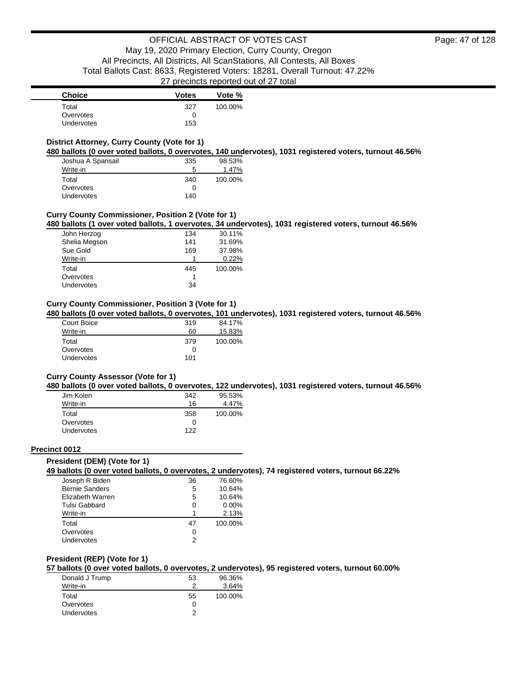| <b>Choice</b>     | <b>Votes</b> | Vote %  |
|-------------------|--------------|---------|
| Total             | 327          | 100.00% |
| Overvotes         |              |         |
| <b>Undervotes</b> | 153          |         |

## **District Attorney, Curry County (Vote for 1)**

**480 ballots (0 over voted ballots, 0 overvotes, 140 undervotes), 1031 registered voters, turnout 46.56%**

| Joshua A Spansail | 335 | 98.53%  |
|-------------------|-----|---------|
| Write-in          | 5   | 1.47%   |
| Total             | 340 | 100.00% |
| Overvotes         | Ω   |         |
| Undervotes        | 140 |         |

# **Curry County Commissioner, Position 2 (Vote for 1)**

**480 ballots (1 over voted ballots, 1 overvotes, 34 undervotes), 1031 registered voters, turnout 46.56%**

| John Herzog   | 134 | 30.11%  |
|---------------|-----|---------|
| Shelia Megson | 141 | 31.69%  |
| Sue Gold      | 169 | 37.98%  |
| Write-in      |     | 0.22%   |
| Total         | 445 | 100.00% |
| Overvotes     | 1   |         |
| Undervotes    | 34  |         |

# **Curry County Commissioner, Position 3 (Vote for 1)**

**480 ballots (0 over voted ballots, 0 overvotes, 101 undervotes), 1031 registered voters, turnout 46.56%**

| Court Boice       | 319 | 84.17%  |
|-------------------|-----|---------|
| Write-in          | 60  | 15.83%  |
| Total             | 379 | 100.00% |
| Overvotes         | 0   |         |
| <b>Undervotes</b> | 101 |         |

#### **Curry County Assessor (Vote for 1)**

**480 ballots (0 over voted ballots, 0 overvotes, 122 undervotes), 1031 registered voters, turnout 46.56%**

| Jim Kolen  | 342 | 95.53%  |
|------------|-----|---------|
| Write-in   | 16  | 4.47%   |
| Total      | 358 | 100.00% |
| Overvotes  | Ω   |         |
| Undervotes | 122 |         |

#### **Precinct 0012**

### **President (DEM) (Vote for 1)**

**49 ballots (0 over voted ballots, 0 overvotes, 2 undervotes), 74 registered voters, turnout 66.22%**

| 36 | 76.60%   |
|----|----------|
| 5  | 10.64%   |
| 5  | 10.64%   |
| 0  | $0.00\%$ |
| 1  | 2.13%    |
| 47 | 100.00%  |
| 0  |          |
| 2  |          |
|    |          |

### **President (REP) (Vote for 1)**

**57 ballots (0 over voted ballots, 0 overvotes, 2 undervotes), 95 registered voters, turnout 60.00%**

| Donald J Trump    | 53 | 96.36%  |
|-------------------|----|---------|
| Write-in          |    | 3.64%   |
| Total             | 55 | 100.00% |
| Overvotes         |    |         |
| <b>Undervotes</b> |    |         |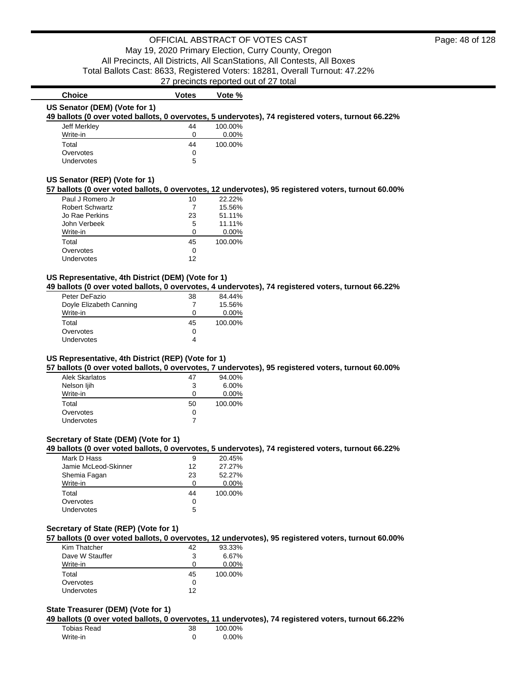# **Choice Votes Votes Vote** % **US Senator (DEM) (Vote for 1)**

**49 ballots (0 over voted ballots, 0 overvotes, 5 undervotes), 74 registered voters, turnout 66.22%**

| Jeff Merkley      | 44 | 100.00%  |
|-------------------|----|----------|
| Write-in          | 0  | $0.00\%$ |
| Total             | 44 | 100.00%  |
| Overvotes         | 0  |          |
| <b>Undervotes</b> | 5  |          |

#### **US Senator (REP) (Vote for 1)**

**57 ballots (0 over voted ballots, 0 overvotes, 12 undervotes), 95 registered voters, turnout 60.00%**

| Paul J Romero Jr       | 10 | 22.22%   |
|------------------------|----|----------|
| <b>Robert Schwartz</b> |    | 15.56%   |
| Jo Rae Perkins         | 23 | 51.11%   |
| John Verbeek           | 5  | 11.11%   |
| Write-in               | ∩  | $0.00\%$ |
| Total                  | 45 | 100.00%  |
| Overvotes              | 0  |          |
| Undervotes             | 12 |          |

### **US Representative, 4th District (DEM) (Vote for 1)**

**49 ballots (0 over voted ballots, 0 overvotes, 4 undervotes), 74 registered voters, turnout 66.22%**

| Peter DeFazio           | 38 | 84.44%   |
|-------------------------|----|----------|
| Doyle Elizabeth Canning |    | 15.56%   |
| Write-in                | 0  | $0.00\%$ |
| Total                   | 45 | 100.00%  |
| Overvotes               | 0  |          |
| Undervotes              | 4  |          |

#### **US Representative, 4th District (REP) (Vote for 1)**

**57 ballots (0 over voted ballots, 0 overvotes, 7 undervotes), 95 registered voters, turnout 60.00%**

| Alek Skarlatos | 47 | 94.00%   |
|----------------|----|----------|
| Nelson ljih    | 3  | $6.00\%$ |
| Write-in       | Ω  | $0.00\%$ |
| Total          | 50 | 100.00%  |
| Overvotes      | 0  |          |
|                |    |          |

### **Secretary of State (DEM) (Vote for 1)**

**49 ballots (0 over voted ballots, 0 overvotes, 5 undervotes), 74 registered voters, turnout 66.22%**

| Mark D Hass          | 9  | 20.45%   |
|----------------------|----|----------|
| Jamie McLeod-Skinner | 12 | 27.27%   |
| Shemia Fagan         | 23 | 52.27%   |
| Write-in             | 0  | $0.00\%$ |
| Total                | 44 | 100.00%  |
| Overvotes            | 0  |          |
| Undervotes           | 5  |          |

### **Secretary of State (REP) (Vote for 1)**

**57 ballots (0 over voted ballots, 0 overvotes, 12 undervotes), 95 registered voters, turnout 60.00%**

| Kim Thatcher    | 42 | 93.33%   |
|-----------------|----|----------|
| Dave W Stauffer | 3  | 6.67%    |
| Write-in        | 0  | $0.00\%$ |
| Total           | 45 | 100.00%  |
| Overvotes       | Ω  |          |
| Undervotes      | 12 |          |

#### **State Treasurer (DEM) (Vote for 1)**

**49 ballots (0 over voted ballots, 0 overvotes, 11 undervotes), 74 registered voters, turnout 66.22%**

| Tobias Read | 38 | 100.00% |
|-------------|----|---------|
| Write-in    |    | 0.00%   |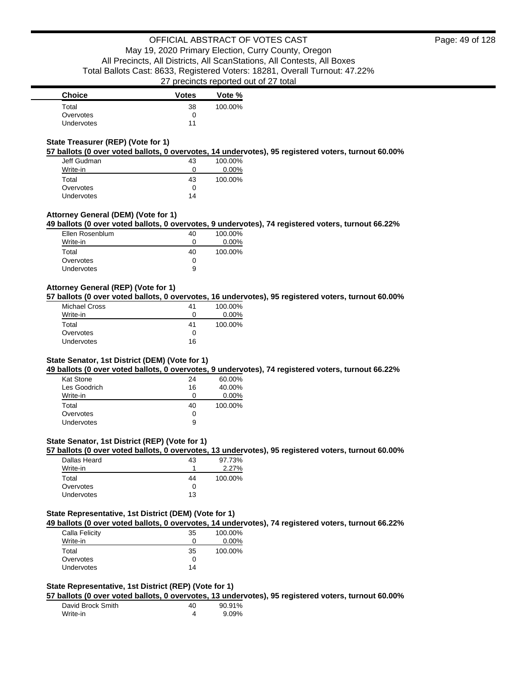| <b>Choice</b>     | <b>Votes</b> | Vote %  |
|-------------------|--------------|---------|
| Total             | 38           | 100.00% |
| Overvotes         |              |         |
| <b>Undervotes</b> | 11           |         |

### **State Treasurer (REP) (Vote for 1)**

**57 ballots (0 over voted ballots, 0 overvotes, 14 undervotes), 95 registered voters, turnout 60.00%**

| Jeff Gudman       | 43 | 100.00%  |
|-------------------|----|----------|
| Write-in          | 0  | $0.00\%$ |
| Total             | 43 | 100.00%  |
| Overvotes         | ∩  |          |
| <b>Undervotes</b> | 14 |          |

# **Attorney General (DEM) (Vote for 1)**

**49 ballots (0 over voted ballots, 0 overvotes, 9 undervotes), 74 registered voters, turnout 66.22%**

| Ellen Rosenblum   | 40           | 100.00% |
|-------------------|--------------|---------|
| Write-in          | $\mathbf{0}$ | 0.00%   |
| Total             | 40           | 100.00% |
| Overvotes         | $\mathbf{I}$ |         |
| <b>Undervotes</b> | 9            |         |

# **Attorney General (REP) (Vote for 1)**

**57 ballots (0 over voted ballots, 0 overvotes, 16 undervotes), 95 registered voters, turnout 60.00%**

| <b>Michael Cross</b> | 41 | 100.00%  |
|----------------------|----|----------|
| Write-in             | 0  | $0.00\%$ |
| Total                | 41 | 100.00%  |
| Overvotes            | Ω  |          |
| Undervotes           | 16 |          |

#### **State Senator, 1st District (DEM) (Vote for 1)**

**49 ballots (0 over voted ballots, 0 overvotes, 9 undervotes), 74 registered voters, turnout 66.22%**

| Kat Stone    | 24 | 60.00%   |
|--------------|----|----------|
| Les Goodrich | 16 | 40.00%   |
| Write-in     | 0  | $0.00\%$ |
| Total        | 40 | 100.00%  |
| Overvotes    | 0  |          |
| Undervotes   | 9  |          |

# **State Senator, 1st District (REP) (Vote for 1)**

**57 ballots (0 over voted ballots, 0 overvotes, 13 undervotes), 95 registered voters, turnout 60.00%**

| Dallas Heard | 43 | 97.73%  |
|--------------|----|---------|
| Write-in     |    | 2.27%   |
| Total        | 44 | 100.00% |
| Overvotes    |    |         |
| Undervotes   | 13 |         |

### **State Representative, 1st District (DEM) (Vote for 1)**

**49 ballots (0 over voted ballots, 0 overvotes, 14 undervotes), 74 registered voters, turnout 66.22%**

| 100.00%  |
|----------|
| $0.00\%$ |
| 100.00%  |
|          |
|          |
|          |

### **State Representative, 1st District (REP) (Vote for 1)**

**57 ballots (0 over voted ballots, 0 overvotes, 13 undervotes), 95 registered voters, turnout 60.00%**

| David Brock Smith | 40 | 90.91%   |
|-------------------|----|----------|
| Write-in          |    | $9.09\%$ |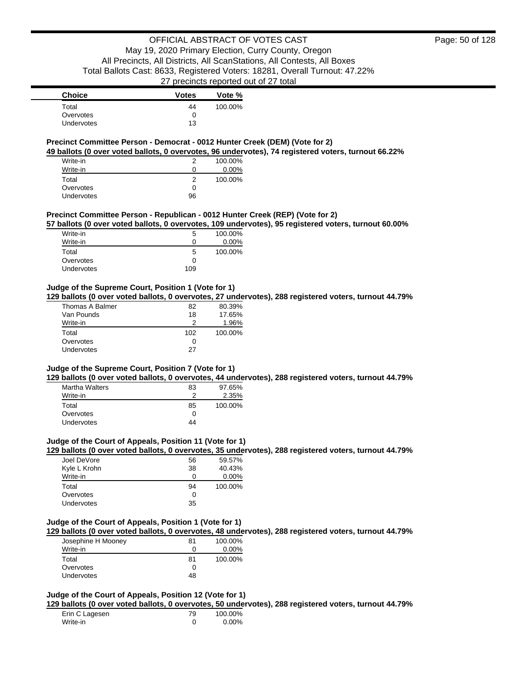| <b>Choice</b>     | <b>Votes</b> | Vote %  |
|-------------------|--------------|---------|
| Total             | 44           | 100.00% |
| Overvotes         |              |         |
| <b>Undervotes</b> | 13           |         |

### **Precinct Committee Person - Democrat - 0012 Hunter Creek (DEM) (Vote for 2)**

**49 ballots (0 over voted ballots, 0 overvotes, 96 undervotes), 74 registered voters, turnout 66.22%**

| Write-in   |    | 100.00%  |
|------------|----|----------|
| Write-in   | O  | $0.00\%$ |
| Total      | 2  | 100.00%  |
| Overvotes  | ∩  |          |
| Undervotes | 96 |          |

### **Precinct Committee Person - Republican - 0012 Hunter Creek (REP) (Vote for 2)**

**57 ballots (0 over voted ballots, 0 overvotes, 109 undervotes), 95 registered voters, turnout 60.00%**

| Write-in   | 5   | 100.00% |
|------------|-----|---------|
| Write-in   | O   | 0.00%   |
| Total      | 5   | 100.00% |
| Overvotes  | 0   |         |
| Undervotes | 109 |         |

# **Judge of the Supreme Court, Position 1 (Vote for 1)**

**129 ballots (0 over voted ballots, 0 overvotes, 27 undervotes), 288 registered voters, turnout 44.79%**

| 82  | 80.39%  |
|-----|---------|
| 18  | 17.65%  |
|     | 1.96%   |
| 102 | 100.00% |
| 0   |         |
| 27  |         |
|     |         |

### **Judge of the Supreme Court, Position 7 (Vote for 1)**

**129 ballots (0 over voted ballots, 0 overvotes, 44 undervotes), 288 registered voters, turnout 44.79%**

| <b>Martha Walters</b> | 83 | 97.65%  |
|-----------------------|----|---------|
| Write-in              | າ  | 2.35%   |
| Total                 | 85 | 100.00% |
| Overvotes             | O  |         |
| Undervotes            | 44 |         |

### **Judge of the Court of Appeals, Position 11 (Vote for 1)**

**129 ballots (0 over voted ballots, 0 overvotes, 35 undervotes), 288 registered voters, turnout 44.79%**

| Joel DeVore       | 56 | 59.57%   |
|-------------------|----|----------|
| Kyle L Krohn      | 38 | 40.43%   |
| Write-in          | 0  | $0.00\%$ |
| Total             | 94 | 100.00%  |
| Overvotes         | 0  |          |
| <b>Undervotes</b> | 35 |          |

#### **Judge of the Court of Appeals, Position 1 (Vote for 1)**

**129 ballots (0 over voted ballots, 0 overvotes, 48 undervotes), 288 registered voters, turnout 44.79%**

| Josephine H Mooney | 81 | 100.00%  |
|--------------------|----|----------|
| Write-in           | 0  | $0.00\%$ |
| Total              | 81 | 100.00%  |
| Overvotes          |    |          |
| <b>Undervotes</b>  | 48 |          |

# **Judge of the Court of Appeals, Position 12 (Vote for 1)**

**129 ballots (0 over voted ballots, 0 overvotes, 50 undervotes), 288 registered voters, turnout 44.79%**

| Erin C Lagesen | 79 | 100.00%  |
|----------------|----|----------|
| Write-in       |    | $0.00\%$ |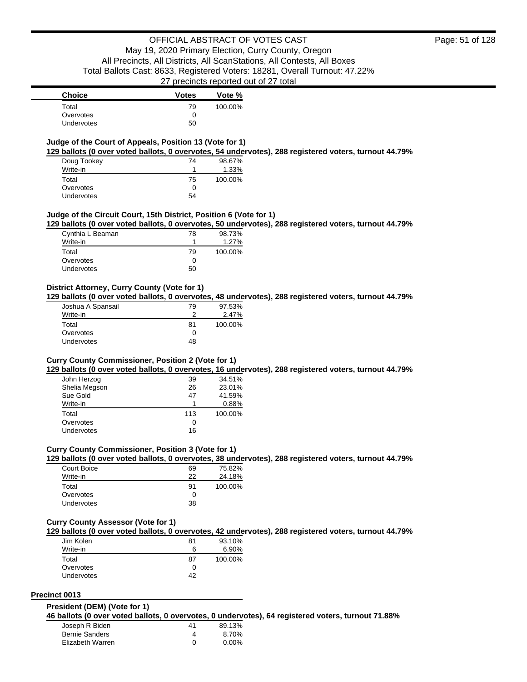# **Judge of the Court of Appeals, Position 13 (Vote for 1)**

**129 ballots (0 over voted ballots, 0 overvotes, 54 undervotes), 288 registered voters, turnout 44.79%**

| Doug Tookey       | 74 | 98.67%  |
|-------------------|----|---------|
| Write-in          |    | 1.33%   |
| Total             | 75 | 100.00% |
| Overvotes         | 0  |         |
| <b>Undervotes</b> | 54 |         |

### **Judge of the Circuit Court, 15th District, Position 6 (Vote for 1)**

**129 ballots (0 over voted ballots, 0 overvotes, 50 undervotes), 288 registered voters, turnout 44.79%**

| Cynthia L Beaman  | 78           | 98.73%  |
|-------------------|--------------|---------|
| Write-in          |              | 1.27%   |
| Total             | 79           | 100.00% |
| Overvotes         | $\mathbf{I}$ |         |
| <b>Undervotes</b> | 50           |         |

### **District Attorney, Curry County (Vote for 1)**

**129 ballots (0 over voted ballots, 0 overvotes, 48 undervotes), 288 registered voters, turnout 44.79%**

| Joshua A Spansail | 79 | 97.53%  |
|-------------------|----|---------|
| Write-in          |    | 2.47%   |
| Total             | 81 | 100.00% |
| Overvotes         | O  |         |
| Undervotes        | 48 |         |

### **Curry County Commissioner, Position 2 (Vote for 1)**

**129 ballots (0 over voted ballots, 0 overvotes, 16 undervotes), 288 registered voters, turnout 44.79%**

| John Herzog   | 39  | 34.51%  |
|---------------|-----|---------|
| Shelia Megson | 26  | 23.01%  |
| Sue Gold      | 47  | 41.59%  |
| Write-in      | 1   | 0.88%   |
| Total         | 113 | 100.00% |
| Overvotes     | 0   |         |
| Undervotes    | 16  |         |

### **Curry County Commissioner, Position 3 (Vote for 1)**

**129 ballots (0 over voted ballots, 0 overvotes, 38 undervotes), 288 registered voters, turnout 44.79%**

| Court Boice | 69  | 75.82%  |
|-------------|-----|---------|
| Write-in    | 22  | 24.18%  |
| Total       | .91 | 100.00% |
| Overvotes   | 0   |         |
| Undervotes  | 38  |         |

#### **Curry County Assessor (Vote for 1)**

**129 ballots (0 over voted ballots, 0 overvotes, 42 undervotes), 288 registered voters, turnout 44.79%**

| Jim Kolen  | 81 | 93.10%  |
|------------|----|---------|
| Write-in   | 6  | 6.90%   |
| Total      | 87 | 100.00% |
| Overvotes  | 0  |         |
| Undervotes | 42 |         |

### **Precinct 0013**

#### **President (DEM) (Vote for 1)**

**46 ballots (0 over voted ballots, 0 overvotes, 0 undervotes), 64 registered voters, turnout 71.88%**

| Joseph R Biden        | 41 | 89.13%   |
|-----------------------|----|----------|
| <b>Bernie Sanders</b> | 4  | 8.70%    |
| Elizabeth Warren      |    | $0.00\%$ |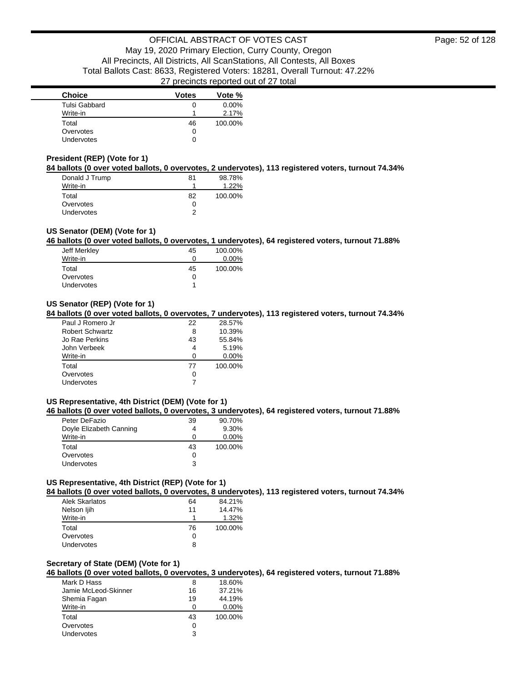| <b>Choice</b>     | <b>Votes</b> | Vote %   |
|-------------------|--------------|----------|
| Tulsi Gabbard     | 0            | $0.00\%$ |
| Write-in          |              | 2.17%    |
| Total             | 46           | 100.00%  |
| Overvotes         | 0            |          |
| <b>Undervotes</b> | 0            |          |

# **President (REP) (Vote for 1)**

**84 ballots (0 over voted ballots, 0 overvotes, 2 undervotes), 113 registered voters, turnout 74.34%**

| Donald J Trump | 81 | 98.78%  |
|----------------|----|---------|
| Write-in       |    | 1.22%   |
| Total          | 82 | 100.00% |
| Overvotes      | 0  |         |
| Undervotes     | ົ  |         |

### **US Senator (DEM) (Vote for 1)**

**46 ballots (0 over voted ballots, 0 overvotes, 1 undervotes), 64 registered voters, turnout 71.88%**

| Jeff Merkley | 45 | 100.00%  |
|--------------|----|----------|
| Write-in     | 0  | $0.00\%$ |
| Total        | 45 | 100.00%  |
| Overvotes    | 0  |          |
| Undervotes   | 1  |          |

## **US Senator (REP) (Vote for 1)**

**84 ballots (0 over voted ballots, 0 overvotes, 7 undervotes), 113 registered voters, turnout 74.34%**

| Paul J Romero Jr | 22 | 28.57%   |
|------------------|----|----------|
| Robert Schwartz  | 8  | 10.39%   |
| Jo Rae Perkins   | 43 | 55.84%   |
| John Verbeek     | 4  | 5.19%    |
| Write-in         | ∩  | $0.00\%$ |
| Total            | 77 | 100.00%  |
| Overvotes        | 0  |          |
| Undervotes       |    |          |

# **US Representative, 4th District (DEM) (Vote for 1)**

**46 ballots (0 over voted ballots, 0 overvotes, 3 undervotes), 64 registered voters, turnout 71.88%**

| Peter DeFazio           | 39 | 90.70%   |
|-------------------------|----|----------|
| Doyle Elizabeth Canning |    | $9.30\%$ |
| Write-in                | 0  | $0.00\%$ |
| Total                   | 43 | 100.00%  |
| Overvotes               | 0  |          |
| <b>Undervotes</b>       | 3  |          |

# **US Representative, 4th District (REP) (Vote for 1)**

**84 ballots (0 over voted ballots, 0 overvotes, 8 undervotes), 113 registered voters, turnout 74.34%**

| Alek Skarlatos | 64 | 84.21%  |
|----------------|----|---------|
| Nelson ljih    | 11 | 14.47%  |
| Write-in       | 1  | 1.32%   |
| Total          | 76 | 100.00% |
| Overvotes      | 0  |         |
| Undervotes     | 8  |         |

#### **Secretary of State (DEM) (Vote for 1)**

**46 ballots (0 over voted ballots, 0 overvotes, 3 undervotes), 64 registered voters, turnout 71.88%**

| 8  | 18.60%  |
|----|---------|
| 16 | 37.21%  |
| 19 | 44.19%  |
| O  | 0.00%   |
| 43 | 100.00% |
| Ω  |         |
| 3  |         |
|    |         |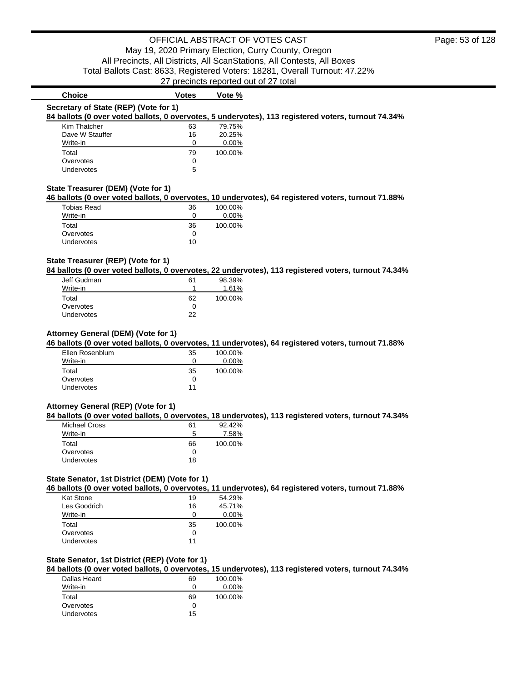| <b>Choice</b>                                                                                                                                                                     | <b>Votes</b> | Vote %  |  |  |
|-----------------------------------------------------------------------------------------------------------------------------------------------------------------------------------|--------------|---------|--|--|
| Secretary of State (REP) (Vote for 1)                                                                                                                                             |              |         |  |  |
| 84 ballots (0 over voted ballots, 0 overvotes, 5 undervotes), 113 registered voters, turnout 74.34%                                                                               |              |         |  |  |
| Kim Thatcher                                                                                                                                                                      | 63           | 79.75%  |  |  |
| Dave W Stauffer                                                                                                                                                                   | 16           | 20.25%  |  |  |
| Write-in                                                                                                                                                                          | 0            | 0.00%   |  |  |
| Total                                                                                                                                                                             | 79           | 100.00% |  |  |
| Overvotes                                                                                                                                                                         | 0            |         |  |  |
| Undervotes                                                                                                                                                                        | 5            |         |  |  |
| State Treasurer (DEM) (Vote for 1)                                                                                                                                                |              |         |  |  |
| 46 ballots (0 over voted ballots, 0 overvotes, 10 undervotes), 64 registered voters, turnout 71.88%                                                                               |              |         |  |  |
| <b>Tobias Read</b>                                                                                                                                                                | 36           | 100.00% |  |  |
| Write-in                                                                                                                                                                          | $\mathbf 0$  | 0.00%   |  |  |
|                                                                                                                                                                                   |              |         |  |  |
| Total                                                                                                                                                                             | 36           | 100.00% |  |  |
| Overvotes                                                                                                                                                                         | 0            |         |  |  |
| Undervotes                                                                                                                                                                        | 10           |         |  |  |
| Jeff Gudman                                                                                                                                                                       | 61           | 98.39%  |  |  |
| Write-in                                                                                                                                                                          | 1            | 1.61%   |  |  |
| Total                                                                                                                                                                             | 62           | 100.00% |  |  |
| Overvotes                                                                                                                                                                         | $\mathbf 0$  |         |  |  |
| Undervotes                                                                                                                                                                        | 22           |         |  |  |
| State Treasurer (REP) (Vote for 1)<br>84 ballots (0 over voted ballots, 0 overvotes, 22 undervotes), 113 registered voters, turnout 74.34%<br>Attorney General (DEM) (Vote for 1) |              |         |  |  |
|                                                                                                                                                                                   |              |         |  |  |
| Ellen Rosenblum                                                                                                                                                                   | 35           | 100.00% |  |  |
| Write-in                                                                                                                                                                          | 0            | 0.00%   |  |  |
| Total                                                                                                                                                                             | 35           | 100.00% |  |  |
| 46 ballots (0 over voted ballots, 0 overvotes, 11 undervotes), 64 registered voters, turnout 71.88%<br>Overvotes                                                                  | $\Omega$     |         |  |  |

# **84 ballots (0 over voted ballots, 0 overvotes, 18 undervotes), 113 registered voters, turnout 74.34%**

| 61 | $92.42\%$ |
|----|-----------|
| 5  | 7.58%     |
| 66 | 100.00%   |
| 0  |           |
| 18 |           |
|    |           |

# **State Senator, 1st District (DEM) (Vote for 1)**

**46 ballots (0 over voted ballots, 0 overvotes, 11 undervotes), 64 registered voters, turnout 71.88%**

| Kat Stone    | 19 | 54.29%   |
|--------------|----|----------|
| Les Goodrich | 16 | 45.71%   |
| Write-in     |    | $0.00\%$ |
|              |    |          |
| Total        | 35 | 100.00%  |
| Overvotes    | 0  |          |

# **State Senator, 1st District (REP) (Vote for 1)**

**84 ballots (0 over voted ballots, 0 overvotes, 15 undervotes), 113 registered voters, turnout 74.34%**

| Dallas Heard | 69 | 100.00%  |
|--------------|----|----------|
| Write-in     | 0  | $0.00\%$ |
| Total        | 69 | 100.00%  |
| Overvotes    | Ω  |          |
| Undervotes   | 15 |          |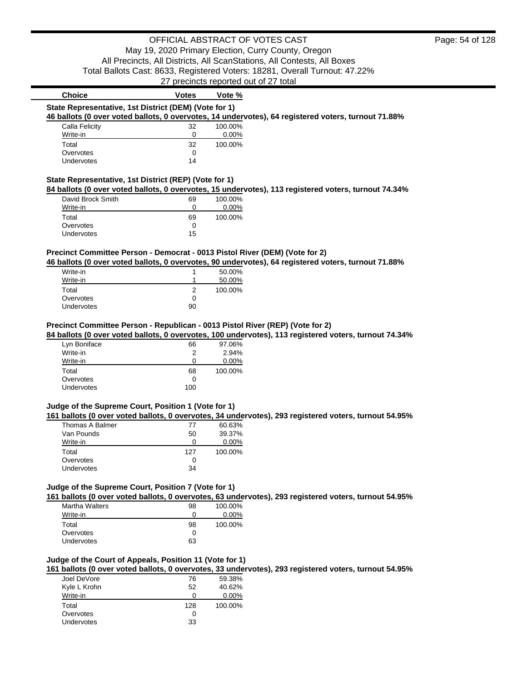| <b>Choice</b>                                                                 | <b>Votes</b>   | Vote %  |                                                                                                      |
|-------------------------------------------------------------------------------|----------------|---------|------------------------------------------------------------------------------------------------------|
| State Representative, 1st District (DEM) (Vote for 1)                         |                |         |                                                                                                      |
|                                                                               |                |         | 46 ballots (0 over voted ballots, 0 overvotes, 14 undervotes), 64 registered voters, turnout 71.88%  |
| Calla Felicity                                                                | 32             | 100.00% |                                                                                                      |
| Write-in                                                                      | 0              | 0.00%   |                                                                                                      |
| Total                                                                         | 32             | 100.00% |                                                                                                      |
| Overvotes                                                                     | $\Omega$       |         |                                                                                                      |
| Undervotes                                                                    | 14             |         |                                                                                                      |
|                                                                               |                |         |                                                                                                      |
| State Representative, 1st District (REP) (Vote for 1)                         |                |         |                                                                                                      |
|                                                                               |                |         | 84 ballots (0 over voted ballots, 0 overvotes, 15 undervotes), 113 registered voters, turnout 74.34% |
| David Brock Smith                                                             | 69             | 100.00% |                                                                                                      |
| Write-in                                                                      | 0              | 0.00%   |                                                                                                      |
|                                                                               |                |         |                                                                                                      |
| Total<br>Overvotes                                                            | 69<br>$\Omega$ | 100.00% |                                                                                                      |
| Undervotes                                                                    | 15             |         |                                                                                                      |
|                                                                               |                |         |                                                                                                      |
|                                                                               |                |         |                                                                                                      |
| Precinct Committee Person - Democrat - 0013 Pistol River (DEM) (Vote for 2)   |                |         |                                                                                                      |
|                                                                               |                |         | 46 ballots (0 over voted ballots, 0 overvotes, 90 undervotes), 64 registered voters, turnout 71.88%  |
| Write-in                                                                      |                | 50.00%  |                                                                                                      |
| Write-in                                                                      | 1              | 50.00%  |                                                                                                      |
| Total                                                                         | 2              | 100.00% |                                                                                                      |
| Overvotes                                                                     | $\Omega$       |         |                                                                                                      |
| Undervotes                                                                    | 90             |         |                                                                                                      |
|                                                                               |                |         |                                                                                                      |
|                                                                               |                |         |                                                                                                      |
| Precinct Committee Person - Republican - 0013 Pistol River (REP) (Vote for 2) |                |         |                                                                                                      |

| Lyn Boniface      | 66           | 97.06%  |
|-------------------|--------------|---------|
| Write-in          | 2            | 2.94%   |
| Write-in          | 0            | 0.00%   |
| Total             | 68           | 100.00% |
| Overvotes         | $\mathbf{0}$ |         |
| <b>Undervotes</b> | 100          |         |

# **Judge of the Supreme Court, Position 1 (Vote for 1)**

**161 ballots (0 over voted ballots, 0 overvotes, 34 undervotes), 293 registered voters, turnout 54.95%**

| Thomas A Balmer | 77  | 60.63%   |
|-----------------|-----|----------|
| Van Pounds      | 50  | 39.37%   |
| Write-in        |     | $0.00\%$ |
| Total           | 127 | 100.00%  |
| Overvotes       | 0   |          |
| Undervotes      | 34  |          |
|                 |     |          |

# **Judge of the Supreme Court, Position 7 (Vote for 1)**

**161 ballots (0 over voted ballots, 0 overvotes, 63 undervotes), 293 registered voters, turnout 54.95%**

| <b>Martha Walters</b> | 98 | 100.00%  |
|-----------------------|----|----------|
| Write-in              | 0  | $0.00\%$ |
| Total                 | 98 | 100.00%  |
| Overvotes             | 0  |          |
| Undervotes            | 63 |          |

# **Judge of the Court of Appeals, Position 11 (Vote for 1)**

**161 ballots (0 over voted ballots, 0 overvotes, 33 undervotes), 293 registered voters, turnout 54.95%**

| Joel DeVore       | 76  | 59.38%   |
|-------------------|-----|----------|
| Kyle L Krohn      | 52  | 40.62%   |
| Write-in          | ŋ   | $0.00\%$ |
| Total             | 128 | 100.00%  |
| Overvotes         | 0   |          |
| <b>Undervotes</b> | 33  |          |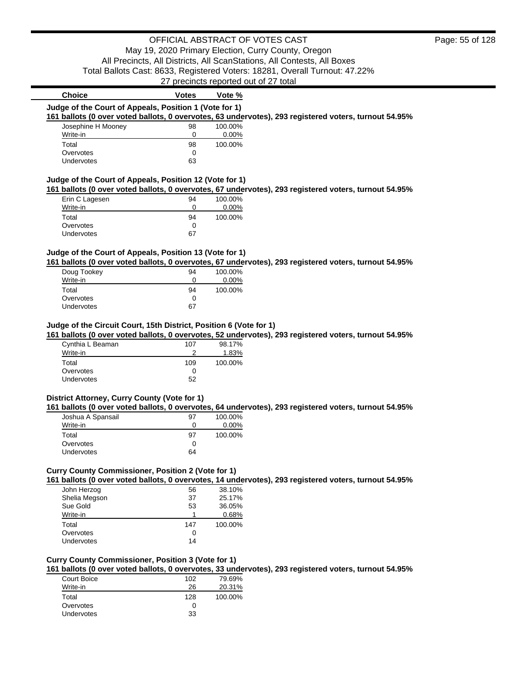# OFFICIAL ABSTRACT OF VOTES CAST

May 19, 2020 Primary Election, Curry County, Oregon All Precincts, All Districts, All ScanStations, All Contests, All Boxes Total Ballots Cast: 8633, Registered Voters: 18281, Overall Turnout: 47.22%

27 precincts reported out of 27 total

| Judge of the Court of Appeals, Position 1 (Vote for 1)<br>100.00%<br>Josephine H Mooney<br>98<br>Write-in<br>0<br>$0.00\%$<br>Total<br>98<br>100.00%<br>Overvotes<br>0<br>63<br>Undervotes<br>Judge of the Court of Appeals, Position 12 (Vote for 1)<br>Erin C Lagesen<br>100.00%<br>94<br>0<br>0.00%<br>Write-in<br>Total<br>94<br>100.00%<br>Overvotes<br>0<br>67<br>Undervotes<br>Judge of the Court of Appeals, Position 13 (Vote for 1)<br>Doug Tookey<br>94<br>100.00%<br>Write-in<br>0<br>0.00%<br>Total<br>94<br>100.00%<br>Overvotes<br>0<br>67<br>Undervotes<br>Judge of the Circuit Court, 15th District, Position 6 (Vote for 1)<br>98.17%<br>Cynthia L Beaman<br>107<br>2<br>Write-in<br>1.83%<br>Total<br>109<br>100.00%<br>Overvotes<br>0<br>52<br>Undervotes<br>District Attorney, Curry County (Vote for 1)<br>Joshua A Spansail<br>97<br>100.00%<br>0.00%<br>Write-in<br>0<br>Total<br>97<br>100.00%<br>Overvotes<br>0<br>64<br>Undervotes<br>Curry County Commissioner, Position 2 (Vote for 1)<br>38.10%<br>John Herzog<br>56<br>Shelia Megson<br>37<br>25.17%<br>Sue Gold<br>53<br>36.05%<br>Write-in<br>1<br>0.68%<br>Total<br>147<br>100.00%<br>Overvotes<br>0<br>Undervotes<br>14<br><b>Curry County Commissioner, Position 3 (Vote for 1)</b> | 161 ballots (0 over voted ballots, 0 overvotes, 63 undervotes), 293 registered voters, turnout 54.95%<br>161 ballots (0 over voted ballots, 0 overvotes, 67 undervotes), 293 registered voters, turnout 54.95%<br>161 ballots (0 over voted ballots, 0 overvotes, 67 undervotes), 293 registered voters, turnout 54.95%<br>161 ballots (0 over voted ballots, 0 overvotes, 52 undervotes), 293 registered voters, turnout 54.95%<br>161 ballots (0 over voted ballots, 0 overvotes, 64 undervotes), 293 registered voters, turnout 54.95%<br>161 ballots (0 over voted ballots, 0 overvotes, 14 undervotes), 293 registered voters, turnout 54.95%<br>161 ballots (0 over voted ballots, 0 overvotes, 33 undervotes), 293 registered voters, turnout 54.95%<br><b>70 60%</b><br>102<br>Court Roico | <b>Choice</b> | <b>Votes</b> | Vote % |  |
|-------------------------------------------------------------------------------------------------------------------------------------------------------------------------------------------------------------------------------------------------------------------------------------------------------------------------------------------------------------------------------------------------------------------------------------------------------------------------------------------------------------------------------------------------------------------------------------------------------------------------------------------------------------------------------------------------------------------------------------------------------------------------------------------------------------------------------------------------------------------------------------------------------------------------------------------------------------------------------------------------------------------------------------------------------------------------------------------------------------------------------------------------------------------------------------------------------------------------------------------------------------------------|----------------------------------------------------------------------------------------------------------------------------------------------------------------------------------------------------------------------------------------------------------------------------------------------------------------------------------------------------------------------------------------------------------------------------------------------------------------------------------------------------------------------------------------------------------------------------------------------------------------------------------------------------------------------------------------------------------------------------------------------------------------------------------------------------|---------------|--------------|--------|--|
|                                                                                                                                                                                                                                                                                                                                                                                                                                                                                                                                                                                                                                                                                                                                                                                                                                                                                                                                                                                                                                                                                                                                                                                                                                                                         |                                                                                                                                                                                                                                                                                                                                                                                                                                                                                                                                                                                                                                                                                                                                                                                                    |               |              |        |  |
|                                                                                                                                                                                                                                                                                                                                                                                                                                                                                                                                                                                                                                                                                                                                                                                                                                                                                                                                                                                                                                                                                                                                                                                                                                                                         |                                                                                                                                                                                                                                                                                                                                                                                                                                                                                                                                                                                                                                                                                                                                                                                                    |               |              |        |  |
|                                                                                                                                                                                                                                                                                                                                                                                                                                                                                                                                                                                                                                                                                                                                                                                                                                                                                                                                                                                                                                                                                                                                                                                                                                                                         |                                                                                                                                                                                                                                                                                                                                                                                                                                                                                                                                                                                                                                                                                                                                                                                                    |               |              |        |  |
|                                                                                                                                                                                                                                                                                                                                                                                                                                                                                                                                                                                                                                                                                                                                                                                                                                                                                                                                                                                                                                                                                                                                                                                                                                                                         |                                                                                                                                                                                                                                                                                                                                                                                                                                                                                                                                                                                                                                                                                                                                                                                                    |               |              |        |  |
|                                                                                                                                                                                                                                                                                                                                                                                                                                                                                                                                                                                                                                                                                                                                                                                                                                                                                                                                                                                                                                                                                                                                                                                                                                                                         |                                                                                                                                                                                                                                                                                                                                                                                                                                                                                                                                                                                                                                                                                                                                                                                                    |               |              |        |  |
|                                                                                                                                                                                                                                                                                                                                                                                                                                                                                                                                                                                                                                                                                                                                                                                                                                                                                                                                                                                                                                                                                                                                                                                                                                                                         |                                                                                                                                                                                                                                                                                                                                                                                                                                                                                                                                                                                                                                                                                                                                                                                                    |               |              |        |  |
|                                                                                                                                                                                                                                                                                                                                                                                                                                                                                                                                                                                                                                                                                                                                                                                                                                                                                                                                                                                                                                                                                                                                                                                                                                                                         |                                                                                                                                                                                                                                                                                                                                                                                                                                                                                                                                                                                                                                                                                                                                                                                                    |               |              |        |  |
|                                                                                                                                                                                                                                                                                                                                                                                                                                                                                                                                                                                                                                                                                                                                                                                                                                                                                                                                                                                                                                                                                                                                                                                                                                                                         |                                                                                                                                                                                                                                                                                                                                                                                                                                                                                                                                                                                                                                                                                                                                                                                                    |               |              |        |  |
|                                                                                                                                                                                                                                                                                                                                                                                                                                                                                                                                                                                                                                                                                                                                                                                                                                                                                                                                                                                                                                                                                                                                                                                                                                                                         |                                                                                                                                                                                                                                                                                                                                                                                                                                                                                                                                                                                                                                                                                                                                                                                                    |               |              |        |  |
|                                                                                                                                                                                                                                                                                                                                                                                                                                                                                                                                                                                                                                                                                                                                                                                                                                                                                                                                                                                                                                                                                                                                                                                                                                                                         |                                                                                                                                                                                                                                                                                                                                                                                                                                                                                                                                                                                                                                                                                                                                                                                                    |               |              |        |  |
|                                                                                                                                                                                                                                                                                                                                                                                                                                                                                                                                                                                                                                                                                                                                                                                                                                                                                                                                                                                                                                                                                                                                                                                                                                                                         |                                                                                                                                                                                                                                                                                                                                                                                                                                                                                                                                                                                                                                                                                                                                                                                                    |               |              |        |  |
|                                                                                                                                                                                                                                                                                                                                                                                                                                                                                                                                                                                                                                                                                                                                                                                                                                                                                                                                                                                                                                                                                                                                                                                                                                                                         |                                                                                                                                                                                                                                                                                                                                                                                                                                                                                                                                                                                                                                                                                                                                                                                                    |               |              |        |  |
|                                                                                                                                                                                                                                                                                                                                                                                                                                                                                                                                                                                                                                                                                                                                                                                                                                                                                                                                                                                                                                                                                                                                                                                                                                                                         |                                                                                                                                                                                                                                                                                                                                                                                                                                                                                                                                                                                                                                                                                                                                                                                                    |               |              |        |  |
|                                                                                                                                                                                                                                                                                                                                                                                                                                                                                                                                                                                                                                                                                                                                                                                                                                                                                                                                                                                                                                                                                                                                                                                                                                                                         |                                                                                                                                                                                                                                                                                                                                                                                                                                                                                                                                                                                                                                                                                                                                                                                                    |               |              |        |  |
|                                                                                                                                                                                                                                                                                                                                                                                                                                                                                                                                                                                                                                                                                                                                                                                                                                                                                                                                                                                                                                                                                                                                                                                                                                                                         |                                                                                                                                                                                                                                                                                                                                                                                                                                                                                                                                                                                                                                                                                                                                                                                                    |               |              |        |  |
|                                                                                                                                                                                                                                                                                                                                                                                                                                                                                                                                                                                                                                                                                                                                                                                                                                                                                                                                                                                                                                                                                                                                                                                                                                                                         |                                                                                                                                                                                                                                                                                                                                                                                                                                                                                                                                                                                                                                                                                                                                                                                                    |               |              |        |  |
|                                                                                                                                                                                                                                                                                                                                                                                                                                                                                                                                                                                                                                                                                                                                                                                                                                                                                                                                                                                                                                                                                                                                                                                                                                                                         |                                                                                                                                                                                                                                                                                                                                                                                                                                                                                                                                                                                                                                                                                                                                                                                                    |               |              |        |  |
|                                                                                                                                                                                                                                                                                                                                                                                                                                                                                                                                                                                                                                                                                                                                                                                                                                                                                                                                                                                                                                                                                                                                                                                                                                                                         |                                                                                                                                                                                                                                                                                                                                                                                                                                                                                                                                                                                                                                                                                                                                                                                                    |               |              |        |  |
|                                                                                                                                                                                                                                                                                                                                                                                                                                                                                                                                                                                                                                                                                                                                                                                                                                                                                                                                                                                                                                                                                                                                                                                                                                                                         |                                                                                                                                                                                                                                                                                                                                                                                                                                                                                                                                                                                                                                                                                                                                                                                                    |               |              |        |  |
|                                                                                                                                                                                                                                                                                                                                                                                                                                                                                                                                                                                                                                                                                                                                                                                                                                                                                                                                                                                                                                                                                                                                                                                                                                                                         |                                                                                                                                                                                                                                                                                                                                                                                                                                                                                                                                                                                                                                                                                                                                                                                                    |               |              |        |  |
|                                                                                                                                                                                                                                                                                                                                                                                                                                                                                                                                                                                                                                                                                                                                                                                                                                                                                                                                                                                                                                                                                                                                                                                                                                                                         |                                                                                                                                                                                                                                                                                                                                                                                                                                                                                                                                                                                                                                                                                                                                                                                                    |               |              |        |  |
|                                                                                                                                                                                                                                                                                                                                                                                                                                                                                                                                                                                                                                                                                                                                                                                                                                                                                                                                                                                                                                                                                                                                                                                                                                                                         |                                                                                                                                                                                                                                                                                                                                                                                                                                                                                                                                                                                                                                                                                                                                                                                                    |               |              |        |  |
|                                                                                                                                                                                                                                                                                                                                                                                                                                                                                                                                                                                                                                                                                                                                                                                                                                                                                                                                                                                                                                                                                                                                                                                                                                                                         |                                                                                                                                                                                                                                                                                                                                                                                                                                                                                                                                                                                                                                                                                                                                                                                                    |               |              |        |  |
|                                                                                                                                                                                                                                                                                                                                                                                                                                                                                                                                                                                                                                                                                                                                                                                                                                                                                                                                                                                                                                                                                                                                                                                                                                                                         |                                                                                                                                                                                                                                                                                                                                                                                                                                                                                                                                                                                                                                                                                                                                                                                                    |               |              |        |  |
|                                                                                                                                                                                                                                                                                                                                                                                                                                                                                                                                                                                                                                                                                                                                                                                                                                                                                                                                                                                                                                                                                                                                                                                                                                                                         |                                                                                                                                                                                                                                                                                                                                                                                                                                                                                                                                                                                                                                                                                                                                                                                                    |               |              |        |  |
|                                                                                                                                                                                                                                                                                                                                                                                                                                                                                                                                                                                                                                                                                                                                                                                                                                                                                                                                                                                                                                                                                                                                                                                                                                                                         |                                                                                                                                                                                                                                                                                                                                                                                                                                                                                                                                                                                                                                                                                                                                                                                                    |               |              |        |  |
|                                                                                                                                                                                                                                                                                                                                                                                                                                                                                                                                                                                                                                                                                                                                                                                                                                                                                                                                                                                                                                                                                                                                                                                                                                                                         |                                                                                                                                                                                                                                                                                                                                                                                                                                                                                                                                                                                                                                                                                                                                                                                                    |               |              |        |  |
|                                                                                                                                                                                                                                                                                                                                                                                                                                                                                                                                                                                                                                                                                                                                                                                                                                                                                                                                                                                                                                                                                                                                                                                                                                                                         |                                                                                                                                                                                                                                                                                                                                                                                                                                                                                                                                                                                                                                                                                                                                                                                                    |               |              |        |  |
|                                                                                                                                                                                                                                                                                                                                                                                                                                                                                                                                                                                                                                                                                                                                                                                                                                                                                                                                                                                                                                                                                                                                                                                                                                                                         |                                                                                                                                                                                                                                                                                                                                                                                                                                                                                                                                                                                                                                                                                                                                                                                                    |               |              |        |  |
|                                                                                                                                                                                                                                                                                                                                                                                                                                                                                                                                                                                                                                                                                                                                                                                                                                                                                                                                                                                                                                                                                                                                                                                                                                                                         |                                                                                                                                                                                                                                                                                                                                                                                                                                                                                                                                                                                                                                                                                                                                                                                                    |               |              |        |  |
|                                                                                                                                                                                                                                                                                                                                                                                                                                                                                                                                                                                                                                                                                                                                                                                                                                                                                                                                                                                                                                                                                                                                                                                                                                                                         |                                                                                                                                                                                                                                                                                                                                                                                                                                                                                                                                                                                                                                                                                                                                                                                                    |               |              |        |  |
|                                                                                                                                                                                                                                                                                                                                                                                                                                                                                                                                                                                                                                                                                                                                                                                                                                                                                                                                                                                                                                                                                                                                                                                                                                                                         |                                                                                                                                                                                                                                                                                                                                                                                                                                                                                                                                                                                                                                                                                                                                                                                                    |               |              |        |  |
|                                                                                                                                                                                                                                                                                                                                                                                                                                                                                                                                                                                                                                                                                                                                                                                                                                                                                                                                                                                                                                                                                                                                                                                                                                                                         |                                                                                                                                                                                                                                                                                                                                                                                                                                                                                                                                                                                                                                                                                                                                                                                                    |               |              |        |  |
|                                                                                                                                                                                                                                                                                                                                                                                                                                                                                                                                                                                                                                                                                                                                                                                                                                                                                                                                                                                                                                                                                                                                                                                                                                                                         |                                                                                                                                                                                                                                                                                                                                                                                                                                                                                                                                                                                                                                                                                                                                                                                                    |               |              |        |  |
|                                                                                                                                                                                                                                                                                                                                                                                                                                                                                                                                                                                                                                                                                                                                                                                                                                                                                                                                                                                                                                                                                                                                                                                                                                                                         |                                                                                                                                                                                                                                                                                                                                                                                                                                                                                                                                                                                                                                                                                                                                                                                                    |               |              |        |  |
|                                                                                                                                                                                                                                                                                                                                                                                                                                                                                                                                                                                                                                                                                                                                                                                                                                                                                                                                                                                                                                                                                                                                                                                                                                                                         |                                                                                                                                                                                                                                                                                                                                                                                                                                                                                                                                                                                                                                                                                                                                                                                                    |               |              |        |  |
|                                                                                                                                                                                                                                                                                                                                                                                                                                                                                                                                                                                                                                                                                                                                                                                                                                                                                                                                                                                                                                                                                                                                                                                                                                                                         |                                                                                                                                                                                                                                                                                                                                                                                                                                                                                                                                                                                                                                                                                                                                                                                                    |               |              |        |  |
|                                                                                                                                                                                                                                                                                                                                                                                                                                                                                                                                                                                                                                                                                                                                                                                                                                                                                                                                                                                                                                                                                                                                                                                                                                                                         |                                                                                                                                                                                                                                                                                                                                                                                                                                                                                                                                                                                                                                                                                                                                                                                                    |               |              |        |  |
|                                                                                                                                                                                                                                                                                                                                                                                                                                                                                                                                                                                                                                                                                                                                                                                                                                                                                                                                                                                                                                                                                                                                                                                                                                                                         |                                                                                                                                                                                                                                                                                                                                                                                                                                                                                                                                                                                                                                                                                                                                                                                                    |               |              |        |  |
|                                                                                                                                                                                                                                                                                                                                                                                                                                                                                                                                                                                                                                                                                                                                                                                                                                                                                                                                                                                                                                                                                                                                                                                                                                                                         |                                                                                                                                                                                                                                                                                                                                                                                                                                                                                                                                                                                                                                                                                                                                                                                                    |               |              |        |  |
|                                                                                                                                                                                                                                                                                                                                                                                                                                                                                                                                                                                                                                                                                                                                                                                                                                                                                                                                                                                                                                                                                                                                                                                                                                                                         |                                                                                                                                                                                                                                                                                                                                                                                                                                                                                                                                                                                                                                                                                                                                                                                                    |               |              |        |  |
|                                                                                                                                                                                                                                                                                                                                                                                                                                                                                                                                                                                                                                                                                                                                                                                                                                                                                                                                                                                                                                                                                                                                                                                                                                                                         |                                                                                                                                                                                                                                                                                                                                                                                                                                                                                                                                                                                                                                                                                                                                                                                                    |               |              |        |  |
|                                                                                                                                                                                                                                                                                                                                                                                                                                                                                                                                                                                                                                                                                                                                                                                                                                                                                                                                                                                                                                                                                                                                                                                                                                                                         |                                                                                                                                                                                                                                                                                                                                                                                                                                                                                                                                                                                                                                                                                                                                                                                                    |               |              |        |  |
|                                                                                                                                                                                                                                                                                                                                                                                                                                                                                                                                                                                                                                                                                                                                                                                                                                                                                                                                                                                                                                                                                                                                                                                                                                                                         |                                                                                                                                                                                                                                                                                                                                                                                                                                                                                                                                                                                                                                                                                                                                                                                                    |               |              |        |  |
|                                                                                                                                                                                                                                                                                                                                                                                                                                                                                                                                                                                                                                                                                                                                                                                                                                                                                                                                                                                                                                                                                                                                                                                                                                                                         |                                                                                                                                                                                                                                                                                                                                                                                                                                                                                                                                                                                                                                                                                                                                                                                                    |               |              |        |  |

| Court Boice       | 102 | 79.69%  |
|-------------------|-----|---------|
| Write-in          | 26  | 20.31%  |
| Total             | 128 | 100.00% |
| Overvotes         | Ω   |         |
| <b>Undervotes</b> | 33  |         |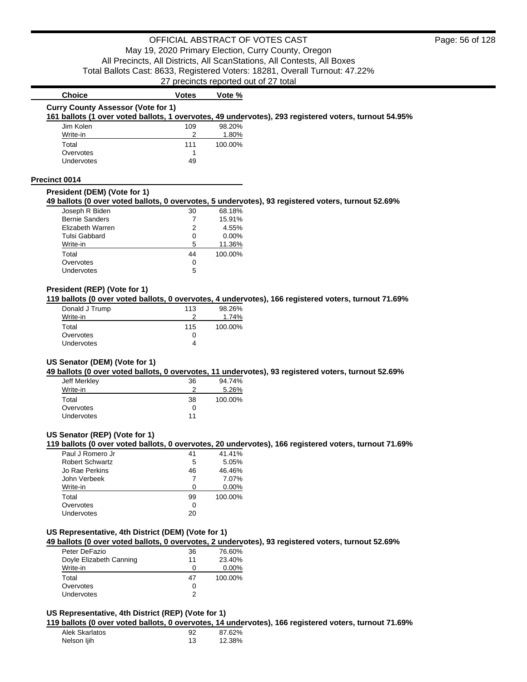| <b>Choice</b>                                                                                         | <b>Votes</b> | Vote %   |  |  |
|-------------------------------------------------------------------------------------------------------|--------------|----------|--|--|
| <b>Curry County Assessor (Vote for 1)</b>                                                             |              |          |  |  |
| 161 ballots (1 over voted ballots, 1 overvotes, 49 undervotes), 293 registered voters, turnout 54.95% |              |          |  |  |
| Jim Kolen                                                                                             | 109          | 98.20%   |  |  |
| Write-in                                                                                              | 2            | 1.80%    |  |  |
| Total                                                                                                 | 111          | 100.00%  |  |  |
| Overvotes                                                                                             |              |          |  |  |
| <b>Undervotes</b>                                                                                     | 49           |          |  |  |
| Precinct 0014                                                                                         |              |          |  |  |
| President (DEM) (Vote for 1)                                                                          |              |          |  |  |
| 49 ballots (0 over voted ballots, 0 overvotes, 5 undervotes), 93 registered voters, turnout 52.69%    |              |          |  |  |
| Joseph R Biden                                                                                        | 30           | 68.18%   |  |  |
| <b>Bernie Sanders</b>                                                                                 |              | 15.91%   |  |  |
| Elizabeth Warren                                                                                      | 2            | 4.55%    |  |  |
| Tulsi Gabbard                                                                                         | $\Omega$     | $0.00\%$ |  |  |
|                                                                                                       |              |          |  |  |

| Write-in   | 5  | 11.36%  |
|------------|----|---------|
| Total      | 44 | 100.00% |
| Overvotes  | 0  |         |
| Undervotes | 5  |         |
|            |    |         |

# **President (REP) (Vote for 1)**

**119 ballots (0 over voted ballots, 0 overvotes, 4 undervotes), 166 registered voters, turnout 71.69%**

| Donald J Trump    | 113 | 98.26%  |
|-------------------|-----|---------|
| Write-in          |     | 1.74%   |
| Total             | 115 | 100.00% |
| Overvotes         |     |         |
| <b>Undervotes</b> |     |         |
|                   |     |         |

### **US Senator (DEM) (Vote for 1)**

**49 ballots (0 over voted ballots, 0 overvotes, 11 undervotes), 93 registered voters, turnout 52.69%**

| Jeff Merkley      | 36 | 94.74%  |
|-------------------|----|---------|
| Write-in          | っ  | 5.26%   |
| Total             | 38 | 100.00% |
| Overvotes         | 0  |         |
| <b>Undervotes</b> | 11 |         |

# **US Senator (REP) (Vote for 1)**

**119 ballots (0 over voted ballots, 0 overvotes, 20 undervotes), 166 registered voters, turnout 71.69%**

| Paul J Romero Jr       | 41 | 41.41%   |
|------------------------|----|----------|
| <b>Robert Schwartz</b> | 5  | 5.05%    |
| Jo Rae Perkins         | 46 | 46.46%   |
| John Verbeek           | 7  | 7.07%    |
| Write-in               | n  | $0.00\%$ |
| Total                  | 99 | 100.00%  |
| Overvotes              | 0  |          |
| Undervotes             | 20 |          |

# **US Representative, 4th District (DEM) (Vote for 1)**

**49 ballots (0 over voted ballots, 0 overvotes, 2 undervotes), 93 registered voters, turnout 52.69%**

| Peter DeFazio           | 36 | 76.60%   |
|-------------------------|----|----------|
| Doyle Elizabeth Canning | 11 | 23.40%   |
| Write-in                | Ω  | $0.00\%$ |
| Total                   | 47 | 100.00%  |
| Overvotes               | 0  |          |
|                         |    |          |

## **US Representative, 4th District (REP) (Vote for 1)**

**119 ballots (0 over voted ballots, 0 overvotes, 14 undervotes), 166 registered voters, turnout 71.69%**

| Alek Skarlatos | 92 | 87.62% |
|----------------|----|--------|
| Nelson ljih    |    | 12.38% |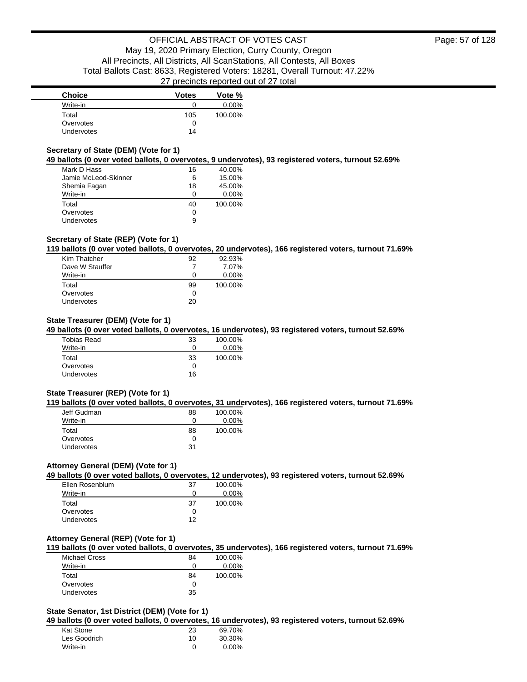| <b>Choice</b>     | <b>Votes</b> | Vote %   |
|-------------------|--------------|----------|
| Write-in          |              | $0.00\%$ |
| Total             | 105          | 100.00%  |
| Overvotes         |              |          |
| <b>Undervotes</b> | 14           |          |

### **Secretary of State (DEM) (Vote for 1)**

**49 ballots (0 over voted ballots, 0 overvotes, 9 undervotes), 93 registered voters, turnout 52.69%**

| Mark D Hass          | 16 | 40.00%   |
|----------------------|----|----------|
| Jamie McLeod-Skinner | 6  | 15.00%   |
| Shemia Fagan         | 18 | 45.00%   |
| Write-in             | 0  | $0.00\%$ |
| Total                | 40 | 100.00%  |
| Overvotes            | 0  |          |
| <b>Undervotes</b>    | 9  |          |

### **Secretary of State (REP) (Vote for 1)**

**119 ballots (0 over voted ballots, 0 overvotes, 20 undervotes), 166 registered voters, turnout 71.69%**

| Kim Thatcher    | 92 | 92.93%   |
|-----------------|----|----------|
| Dave W Stauffer |    | 7.07%    |
| Write-in        | 0  | $0.00\%$ |
| Total           | 99 | 100.00%  |
| Overvotes       | 0  |          |
| Undervotes      | 20 |          |

### **State Treasurer (DEM) (Vote for 1)**

**49 ballots (0 over voted ballots, 0 overvotes, 16 undervotes), 93 registered voters, turnout 52.69%**

| <b>Tobias Read</b> | 33 | 100.00%  |
|--------------------|----|----------|
| Write-in           | 0  | $0.00\%$ |
| Total              | 33 | 100.00%  |
| Overvotes          |    |          |
| <b>Undervotes</b>  | 16 |          |

### **State Treasurer (REP) (Vote for 1)**

**119 ballots (0 over voted ballots, 0 overvotes, 31 undervotes), 166 registered voters, turnout 71.69%**

| Jeff Gudman       | 88 | 100.00%  |
|-------------------|----|----------|
| Write-in          | O  | $0.00\%$ |
| Total             | 88 | 100.00%  |
| Overvotes         |    |          |
| <b>Undervotes</b> | 31 |          |

### **Attorney General (DEM) (Vote for 1)**

**49 ballots (0 over voted ballots, 0 overvotes, 12 undervotes), 93 registered voters, turnout 52.69%**

| Ellen Rosenblum | 37 | 100.00%  |
|-----------------|----|----------|
| Write-in        | 0  | $0.00\%$ |
| Total           | 37 | 100.00%  |
| Overvotes       | 0  |          |
| Undervotes      | 12 |          |

## **Attorney General (REP) (Vote for 1)**

**119 ballots (0 over voted ballots, 0 overvotes, 35 undervotes), 166 registered voters, turnout 71.69%**

| <b>Michael Cross</b> | 84                | 100.00%  |
|----------------------|-------------------|----------|
| Write-in             | $\mathbf{\Omega}$ | $0.00\%$ |
| Total                | 84                | 100.00%  |
| Overvotes            | $\mathbf{\Omega}$ |          |
| <b>Undervotes</b>    | 35                |          |

## **State Senator, 1st District (DEM) (Vote for 1)**

**49 ballots (0 over voted ballots, 0 overvotes, 16 undervotes), 93 registered voters, turnout 52.69%**

| Kat Stone    | 23 | 69.70%   |
|--------------|----|----------|
| Les Goodrich | 10 | 30.30%   |
| Write-in     |    | $0.00\%$ |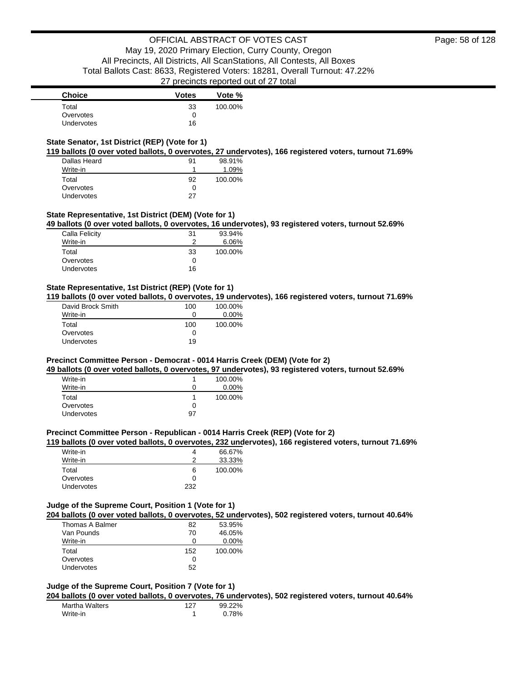## **State Senator, 1st District (REP) (Vote for 1)**

**119 ballots (0 over voted ballots, 0 overvotes, 27 undervotes), 166 registered voters, turnout 71.69%**

| Dallas Heard | 91 | 98.91%   |
|--------------|----|----------|
| Write-in     |    | $1.09\%$ |
| Total        | 92 | 100.00%  |
| Overvotes    | 0  |          |
| Undervotes   | 27 |          |

### **State Representative, 1st District (DEM) (Vote for 1)**

**49 ballots (0 over voted ballots, 0 overvotes, 16 undervotes), 93 registered voters, turnout 52.69%**

| Calla Felicity    | 31           | 93.94%  |
|-------------------|--------------|---------|
| Write-in          |              | 6.06%   |
| Total             | 33           | 100.00% |
| Overvotes         | $\mathbf{0}$ |         |
| <b>Undervotes</b> | 16           |         |

### **State Representative, 1st District (REP) (Vote for 1)**

**119 ballots (0 over voted ballots, 0 overvotes, 19 undervotes), 166 registered voters, turnout 71.69%**

| David Brock Smith | 100 | 100.00%  |
|-------------------|-----|----------|
| Write-in          |     | $0.00\%$ |
| Total             | 100 | 100.00%  |
| Overvotes         |     |          |
| Undervotes        | 19  |          |

### **Precinct Committee Person - Democrat - 0014 Harris Creek (DEM) (Vote for 2)**

**49 ballots (0 over voted ballots, 0 overvotes, 97 undervotes), 93 registered voters, turnout 52.69%**

| Write-in          |    | 100.00%  |
|-------------------|----|----------|
| Write-in          | 0  | $0.00\%$ |
| Total             |    | 100.00%  |
| Overvotes         | 0  |          |
| <b>Undervotes</b> | 97 |          |

#### **Precinct Committee Person - Republican - 0014 Harris Creek (REP) (Vote for 2)**

**119 ballots (0 over voted ballots, 0 overvotes, 232 undervotes), 166 registered voters, turnout 71.69%**

| Write-in          |     | 66.67%  |
|-------------------|-----|---------|
| Write-in          | ≏   | 33.33%  |
| Total             | 6   | 100.00% |
| Overvotes         | O   |         |
| <b>Undervotes</b> | つつつ |         |

### **Judge of the Supreme Court, Position 1 (Vote for 1)**

**204 ballots (0 over voted ballots, 0 overvotes, 52 undervotes), 502 registered voters, turnout 40.64%**

| 82  | 53.95%   |
|-----|----------|
| 70  | 46.05%   |
|     | $0.00\%$ |
| 152 | 100.00%  |
| Ω   |          |
| 52  |          |
|     |          |

### **Judge of the Supreme Court, Position 7 (Vote for 1)**

**204 ballots (0 over voted ballots, 0 overvotes, 76 undervotes), 502 registered voters, turnout 40.64%**

| Martha Walters | 127 | 99.22% |
|----------------|-----|--------|
| Write-in       |     | 0.78%  |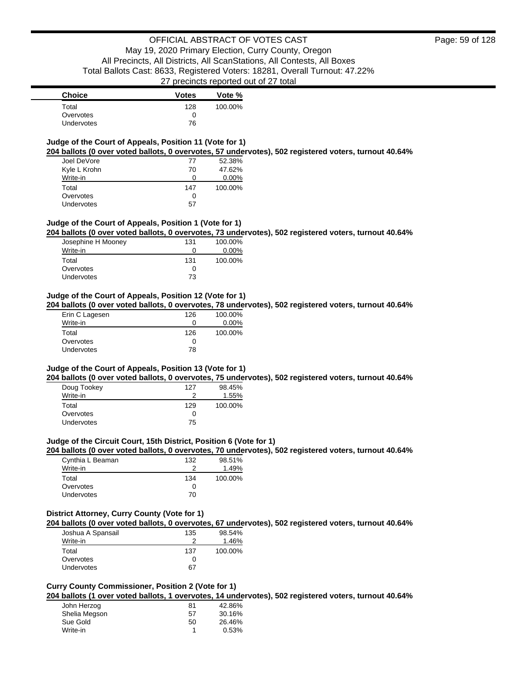| <b>Choice</b>     | <b>Votes</b> | Vote %  |
|-------------------|--------------|---------|
| Total             | 128          | 100.00% |
| Overvotes         |              |         |
| <b>Undervotes</b> | 76           |         |

# **Judge of the Court of Appeals, Position 11 (Vote for 1)**

**204 ballots (0 over voted ballots, 0 overvotes, 57 undervotes), 502 registered voters, turnout 40.64%**

| Joel DeVore  | 77  | 52.38%   |
|--------------|-----|----------|
| Kyle L Krohn | 70  | 47.62%   |
| Write-in     | 0   | $0.00\%$ |
| Total        | 147 | 100.00%  |
| Overvotes    | 0   |          |
| Undervotes   | 57  |          |

### **Judge of the Court of Appeals, Position 1 (Vote for 1)**

**204 ballots (0 over voted ballots, 0 overvotes, 73 undervotes), 502 registered voters, turnout 40.64%**

| Josephine H Mooney | 131 | 100.00%  |
|--------------------|-----|----------|
| Write-in           | Ω   | $0.00\%$ |
| Total              | 131 | 100.00%  |
| Overvotes          | Ω   |          |
| Undervotes         | 73  |          |

#### **Judge of the Court of Appeals, Position 12 (Vote for 1)**

**204 ballots (0 over voted ballots, 0 overvotes, 78 undervotes), 502 registered voters, turnout 40.64%**

| 126 | 100.00%  |
|-----|----------|
| 0   | $0.00\%$ |
| 126 | 100.00%  |
| 0   |          |
| 78  |          |
|     |          |

### **Judge of the Court of Appeals, Position 13 (Vote for 1)**

**204 ballots (0 over voted ballots, 0 overvotes, 75 undervotes), 502 registered voters, turnout 40.64%**

| Doug Tookey       | 127 | 98.45%  |
|-------------------|-----|---------|
| Write-in          |     | 1.55%   |
| Total             | 129 | 100.00% |
| Overvotes         | O   |         |
| <b>Undervotes</b> | 75  |         |

#### **Judge of the Circuit Court, 15th District, Position 6 (Vote for 1)**

**204 ballots (0 over voted ballots, 0 overvotes, 70 undervotes), 502 registered voters, turnout 40.64%**

| Cynthia L Beaman | 132 | 98.51%  |
|------------------|-----|---------|
| Write-in         | າ   | 1.49%   |
| Total            | 134 | 100.00% |
| Overvotes        | O   |         |
| Undervotes       | 70  |         |

### **District Attorney, Curry County (Vote for 1)**

**204 ballots (0 over voted ballots, 0 overvotes, 67 undervotes), 502 registered voters, turnout 40.64%**

| Joshua A Spansail | 135 | 98.54%  |
|-------------------|-----|---------|
| Write-in          |     | 1.46%   |
| Total             | 137 | 100.00% |
| Overvotes         |     |         |
| Undervotes        | 67  |         |

# **Curry County Commissioner, Position 2 (Vote for 1)**

**204 ballots (1 over voted ballots, 1 overvotes, 14 undervotes), 502 registered voters, turnout 40.64%**

| 81 | 42.86% |
|----|--------|
| 57 | 30.16% |
| 50 | 26.46% |
|    | 0.53%  |
|    |        |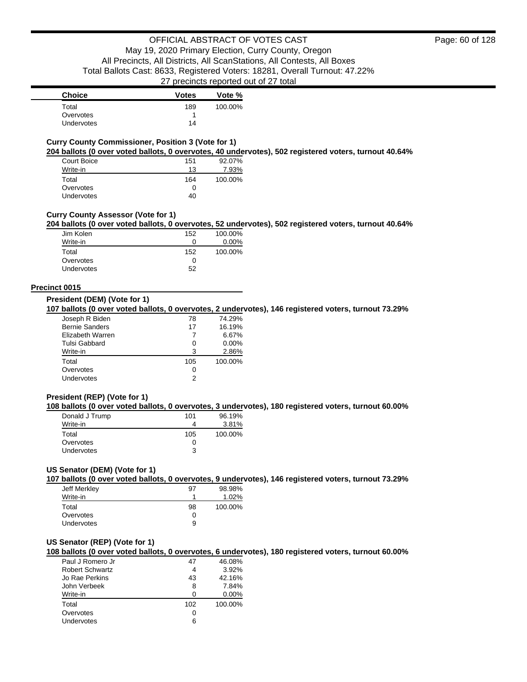| <b>Choice</b>     | <b>Votes</b> | Vote %  |
|-------------------|--------------|---------|
| Total             | 189          | 100.00% |
| Overvotes         |              |         |
| <b>Undervotes</b> | 14           |         |

# **Curry County Commissioner, Position 3 (Vote for 1)**

**204 ballots (0 over voted ballots, 0 overvotes, 40 undervotes), 502 registered voters, turnout 40.64%**

| Court Boice | 151 | 92.07%  |
|-------------|-----|---------|
| Write-in    | 13  | 7.93%   |
| Total       | 164 | 100.00% |
| Overvotes   | 0   |         |
| Undervotes  | 40  |         |

### **Curry County Assessor (Vote for 1)**

### **204 ballots (0 over voted ballots, 0 overvotes, 52 undervotes), 502 registered voters, turnout 40.64%**

| Jim Kolen  | 152 | 100.00% |
|------------|-----|---------|
| Write-in   |     | 0.00%   |
| Total      | 152 | 100.00% |
| Overvotes  |     |         |
| Undervotes | 52  |         |

#### **Precinct 0015**

#### **President (DEM) (Vote for 1)**

**107 ballots (0 over voted ballots, 0 overvotes, 2 undervotes), 146 registered voters, turnout 73.29%**

| Joseph R Biden        | 78  | 74.29%  |
|-----------------------|-----|---------|
| <b>Bernie Sanders</b> | 17  | 16.19%  |
| Elizabeth Warren      |     | 6.67%   |
| Tulsi Gabbard         | 0   | 0.00%   |
| Write-in              | З   | 2.86%   |
| Total                 | 105 | 100.00% |
| Overvotes             | 0   |         |
| Undervotes            |     |         |

### **President (REP) (Vote for 1)**

**108 ballots (0 over voted ballots, 0 overvotes, 3 undervotes), 180 registered voters, turnout 60.00%**

| Donald J Trump | 101 | 96.19%  |
|----------------|-----|---------|
| Write-in       | 4   | 3.81%   |
| Total          | 105 | 100.00% |
| Overvotes      | 0   |         |
| Undervotes     | 3   |         |

# **US Senator (DEM) (Vote for 1)**

**107 ballots (0 over voted ballots, 0 overvotes, 9 undervotes), 146 registered voters, turnout 73.29%**

| Jeff Merkley      | 97 | 98.98%  |
|-------------------|----|---------|
| Write-in          |    | 1.02%   |
| Total             | 98 | 100.00% |
| Overvotes         | Ω  |         |
| <b>Undervotes</b> | 9  |         |

# **US Senator (REP) (Vote for 1)**

**108 ballots (0 over voted ballots, 0 overvotes, 6 undervotes), 180 registered voters, turnout 60.00%**

| Paul J Romero Jr       | 47  | 46.08%   |
|------------------------|-----|----------|
| <b>Robert Schwartz</b> | 4   | 3.92%    |
| Jo Rae Perkins         | 43  | 42.16%   |
| John Verbeek           | 8   | 7.84%    |
| Write-in               | n   | $0.00\%$ |
| Total                  | 102 | 100.00%  |
| Overvotes              |     |          |
| Undervotes             | ิค  |          |
|                        |     |          |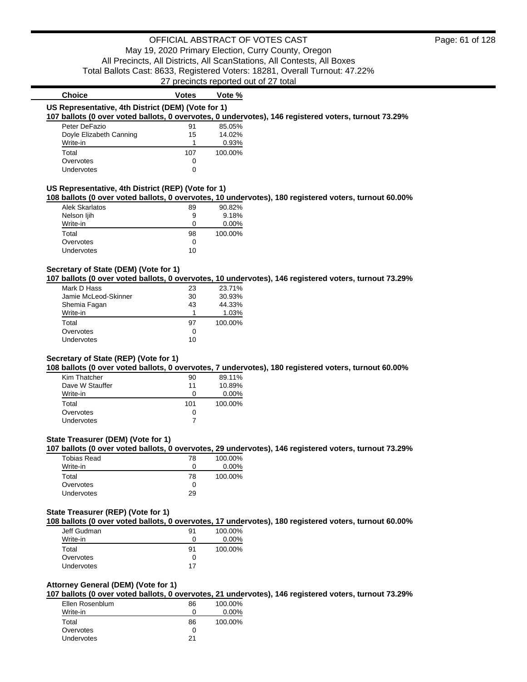| <b>Choice</b>                                      | <b>Votes</b> | Vote %  |                                                                                                       |
|----------------------------------------------------|--------------|---------|-------------------------------------------------------------------------------------------------------|
| US Representative, 4th District (DEM) (Vote for 1) |              |         |                                                                                                       |
|                                                    |              |         | 107 ballots (0 over voted ballots, 0 overvotes, 0 undervotes), 146 registered voters, turnout 73.29%  |
| Peter DeFazio                                      | 91           | 85.05%  |                                                                                                       |
| Doyle Elizabeth Canning                            | 15           | 14.02%  |                                                                                                       |
| Write-in                                           | $\mathbf{1}$ | 0.93%   |                                                                                                       |
| Total                                              | 107          | 100.00% |                                                                                                       |
| Overvotes                                          | $\Omega$     |         |                                                                                                       |
| Undervotes                                         | 0            |         |                                                                                                       |
| US Representative, 4th District (REP) (Vote for 1) |              |         |                                                                                                       |
|                                                    |              |         | 108 ballots (0 over voted ballots, 0 overvotes, 10 undervotes), 180 registered voters, turnout 60.00% |
| Alek Skarlatos                                     | 89           | 90.82%  |                                                                                                       |
| Nelson ljih                                        | 9            | 9.18%   |                                                                                                       |
| Write-in                                           | 0            | 0.00%   |                                                                                                       |
| Total                                              | 98           | 100.00% |                                                                                                       |
| Overvotes                                          | 0            |         |                                                                                                       |
| Undervotes                                         | 10           |         |                                                                                                       |
|                                                    |              |         |                                                                                                       |
| Secretary of State (DEM) (Vote for 1)              |              |         |                                                                                                       |
|                                                    |              |         | 107 ballots (0 over voted ballots, 0 overvotes, 10 undervotes), 146 registered voters, turnout 73.29% |
| Mark D Hass                                        | 23           | 23.71%  |                                                                                                       |
| Jamie McLeod-Skinner                               | 30           | 30.93%  |                                                                                                       |
| Shemia Fagan                                       | 43           | 44.33%  |                                                                                                       |
| Write-in                                           | 1            | 1.03%   |                                                                                                       |
| Total                                              | 97           | 100.00% |                                                                                                       |
| Overvotes                                          | 0            |         |                                                                                                       |
| Undervotes                                         | 10           |         |                                                                                                       |
| Secretary of State (REP) (Vote for 1)              |              |         |                                                                                                       |
|                                                    |              |         | 108 ballots (0 over voted ballots, 0 overvotes, 7 undervotes), 180 registered voters, turnout 60.00%  |
| Kim Thatcher                                       | 90           | 89.11%  |                                                                                                       |
| Dave W Stauffer                                    | 11           | 10.89%  |                                                                                                       |
| Write-in                                           | $\mathbf 0$  | 0.00%   |                                                                                                       |
| Total                                              | 101          | 100.00% |                                                                                                       |
| Overvotes                                          | 0            |         |                                                                                                       |
| Undervotes                                         | 7            |         |                                                                                                       |
|                                                    |              |         |                                                                                                       |
| State Treasurer (DEM) (Vote for 1)                 |              |         |                                                                                                       |
|                                                    |              |         | 107 ballots (0 over voted ballots, 0 overvotes, 29 undervotes), 146 registered voters, turnout 73.29% |
| <b>Tobias Read</b>                                 | 78           | 100.00% |                                                                                                       |
| Write-in                                           | 0            | 0.00%   |                                                                                                       |
| Total                                              | 78           | 100.00% |                                                                                                       |
| Overvotes                                          | 0            |         |                                                                                                       |
| Undervotes                                         | 29           |         |                                                                                                       |
| ÷.<br>$ID$ $P$ $N$ $I$ $I$ $I$                     |              |         |                                                                                                       |

#### **State Treasurer (REP) (Vote for 1) 108 ballots (0 over voted ballots, 0 overvotes, 17 undervotes), 180 registered voters, turnout 60.00%**

| Jeff Gudman       | 91 | 100.00%  |
|-------------------|----|----------|
| Write-in          | 0  | $0.00\%$ |
| Total             | 91 | 100.00%  |
| Overvotes         |    |          |
| <b>Undervotes</b> | 17 |          |
|                   |    |          |

# **Attorney General (DEM) (Vote for 1)**

**107 ballots (0 over voted ballots, 0 overvotes, 21 undervotes), 146 registered voters, turnout 73.29%**

| Ellen Rosenblum | 86 | 100.00%  |
|-----------------|----|----------|
| Write-in        | 0  | $0.00\%$ |
| Total           | 86 | 100.00%  |
| Overvotes       |    |          |
| Undervotes      | 21 |          |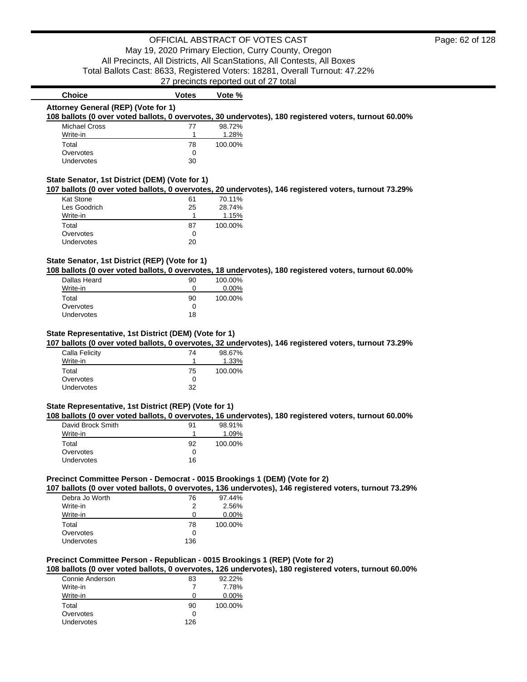| <b>Choice</b>                                                              | <b>Votes</b> | Vote %                                                                                                 |  |
|----------------------------------------------------------------------------|--------------|--------------------------------------------------------------------------------------------------------|--|
| Attorney General (REP) (Vote for 1)                                        |              |                                                                                                        |  |
|                                                                            |              | 108 ballots (0 over voted ballots, 0 overvotes, 30 undervotes), 180 registered voters, turnout 60.00%  |  |
| <b>Michael Cross</b>                                                       | 77           | 98.72%                                                                                                 |  |
| Write-in                                                                   | 1            | 1.28%                                                                                                  |  |
| Total                                                                      | 78           | 100.00%                                                                                                |  |
| Overvotes                                                                  | 0            |                                                                                                        |  |
| Undervotes                                                                 | 30           |                                                                                                        |  |
| State Senator, 1st District (DEM) (Vote for 1)                             |              |                                                                                                        |  |
|                                                                            |              | 107 ballots (0 over voted ballots, 0 overvotes, 20 undervotes), 146 registered voters, turnout 73.29%  |  |
| Kat Stone                                                                  | 61           | 70.11%                                                                                                 |  |
| Les Goodrich                                                               | 25           | 28.74%                                                                                                 |  |
| Write-in                                                                   | 1            | 1.15%                                                                                                  |  |
| Total                                                                      | 87           | 100.00%                                                                                                |  |
| Overvotes                                                                  | 0            |                                                                                                        |  |
| Undervotes                                                                 | 20           |                                                                                                        |  |
|                                                                            |              |                                                                                                        |  |
| State Senator, 1st District (REP) (Vote for 1)                             |              | 108 ballots (0 over voted ballots, 0 overvotes, 18 undervotes), 180 registered voters, turnout 60.00%  |  |
| <b>Dallas Heard</b>                                                        | 90           | 100.00%                                                                                                |  |
| Write-in                                                                   | 0            | 0.00%                                                                                                  |  |
| Total                                                                      | 90           | 100.00%                                                                                                |  |
| Overvotes                                                                  | 0            |                                                                                                        |  |
| Undervotes                                                                 | 18           |                                                                                                        |  |
|                                                                            |              |                                                                                                        |  |
| State Representative, 1st District (DEM) (Vote for 1)                      |              |                                                                                                        |  |
|                                                                            |              | 107 ballots (0 over voted ballots, 0 overvotes, 32 undervotes), 146 registered voters, turnout 73.29%  |  |
| Calla Felicity                                                             | 74           | 98.67%                                                                                                 |  |
| Write-in                                                                   | 1            | 1.33%                                                                                                  |  |
| Total                                                                      | 75           | 100.00%                                                                                                |  |
| Overvotes                                                                  | 0            |                                                                                                        |  |
| Undervotes                                                                 | 32           |                                                                                                        |  |
| State Representative, 1st District (REP) (Vote for 1)                      |              |                                                                                                        |  |
|                                                                            |              | 108 ballots (0 over voted ballots, 0 overvotes, 16 undervotes), 180 registered voters, turnout 60.00%  |  |
| David Brock Smith                                                          | 91           | 98.91%                                                                                                 |  |
| Write-in                                                                   | 1            | 1.09%                                                                                                  |  |
| Total                                                                      | 92           | 100.00%                                                                                                |  |
| Overvotes                                                                  | 0            |                                                                                                        |  |
| Undervotes                                                                 | 16           |                                                                                                        |  |
|                                                                            |              |                                                                                                        |  |
| Precinct Committee Person - Democrat - 0015 Brookings 1 (DEM) (Vote for 2) |              |                                                                                                        |  |
|                                                                            |              | 107 ballots (0 over voted ballots, 0 overvotes, 136 undervotes), 146 registered voters, turnout 73.29% |  |
| Debra Jo Worth                                                             | 76           | 97.44%                                                                                                 |  |

| Debra Jo Worth | 76  | 97.44%   |
|----------------|-----|----------|
| Write-in       | 2   | 2.56%    |
| Write-in       | 0   | $0.00\%$ |
| Total          | 78  | 100.00%  |
| Overvotes      | 0   |          |
| Undervotes     | 136 |          |

# **Precinct Committee Person - Republican - 0015 Brookings 1 (REP) (Vote for 2)**

**108 ballots (0 over voted ballots, 0 overvotes, 126 undervotes), 180 registered voters, turnout 60.00%**

| 83  | 92.22%  |
|-----|---------|
|     | 7.78%   |
| 0   | 0.00%   |
| 90  | 100.00% |
| 0   |         |
| 126 |         |
|     |         |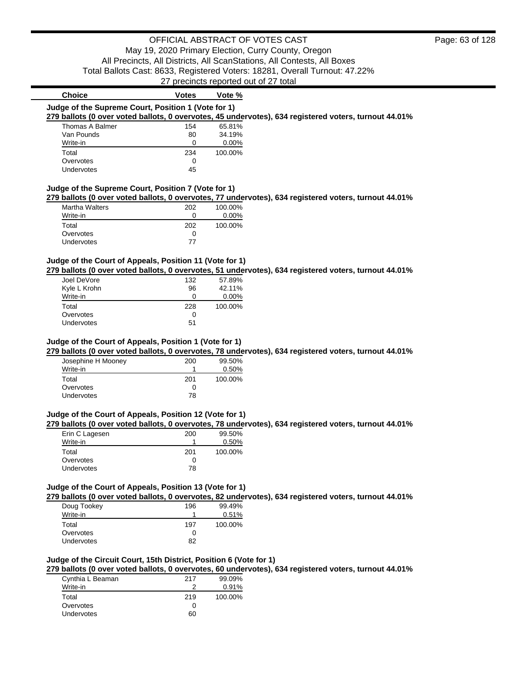|                                                     |               | 27 precincts reported out of 27 total |                                                                                                       |
|-----------------------------------------------------|---------------|---------------------------------------|-------------------------------------------------------------------------------------------------------|
| Choice                                              | Votes         | Vote %                                |                                                                                                       |
| Judge of the Supreme Court, Position 1 (Vote for 1) |               |                                       |                                                                                                       |
|                                                     |               |                                       | 279 ballots (0 over voted ballots, 0 overvotes, 45 undervotes), 634 registered voters, turnout 44.01% |
| Thomas A Balmer                                     | 154           | 65.81%                                |                                                                                                       |
|                                                     | $\sim$ $\sim$ | ------                                |                                                                                                       |

| Van Pounds | 80  | 34.19%  |
|------------|-----|---------|
| Write-in   |     | 0.00%   |
| Total      | 234 | 100.00% |
| Overvotes  |     |         |
| Undervotes | 45  |         |

### **Judge of the Supreme Court, Position 7 (Vote for 1)**

**279 ballots (0 over voted ballots, 0 overvotes, 77 undervotes), 634 registered voters, turnout 44.01%**

| <b>Martha Walters</b> | 202 | 100.00%  |
|-----------------------|-----|----------|
| Write-in              | Ω   | $0.00\%$ |
| Total                 | 202 | 100.00%  |
| Overvotes             | O   |          |
| <b>Undervotes</b>     | 77  |          |

## **Judge of the Court of Appeals, Position 11 (Vote for 1)**

**279 ballots (0 over voted ballots, 0 overvotes, 51 undervotes), 634 registered voters, turnout 44.01%**

| Joel DeVore       | 132 | 57.89%   |
|-------------------|-----|----------|
| Kyle L Krohn      | 96  | 42.11%   |
| Write-in          | 0   | $0.00\%$ |
| Total             | 228 | 100.00%  |
| Overvotes         | 0   |          |
| <b>Undervotes</b> | 51  |          |

### **Judge of the Court of Appeals, Position 1 (Vote for 1)**

**279 ballots (0 over voted ballots, 0 overvotes, 78 undervotes), 634 registered voters, turnout 44.01%**

| Josephine H Mooney | 200 | 99.50%   |
|--------------------|-----|----------|
| Write-in           |     | $0.50\%$ |
| Total              | 201 | 100.00%  |
| Overvotes          | Ω   |          |
| Undervotes         | 78  |          |
|                    |     |          |

### **Judge of the Court of Appeals, Position 12 (Vote for 1)**

**279 ballots (0 over voted ballots, 0 overvotes, 78 undervotes), 634 registered voters, turnout 44.01%**

| Erin C Lagesen    | 200 | 99.50%  |
|-------------------|-----|---------|
| Write-in          |     | 0.50%   |
| Total             | 201 | 100.00% |
| Overvotes         |     |         |
| <b>Undervotes</b> | 78  |         |

### **Judge of the Court of Appeals, Position 13 (Vote for 1)**

**279 ballots (0 over voted ballots, 0 overvotes, 82 undervotes), 634 registered voters, turnout 44.01%**

| Doug Tookey | 196 | 99.49%  |
|-------------|-----|---------|
| Write-in    |     | 0.51%   |
| Total       | 197 | 100.00% |
| Overvotes   | Ω   |         |
| Undervotes  | 82  |         |

### **Judge of the Circuit Court, 15th District, Position 6 (Vote for 1)**

**279 ballots (0 over voted ballots, 0 overvotes, 60 undervotes), 634 registered voters, turnout 44.01%**

| Cynthia L Beaman  | 217 | 99.09%  |
|-------------------|-----|---------|
| Write-in          |     | 0.91%   |
| Total             | 219 | 100.00% |
| Overvotes         | 0   |         |
| <b>Undervotes</b> | 60  |         |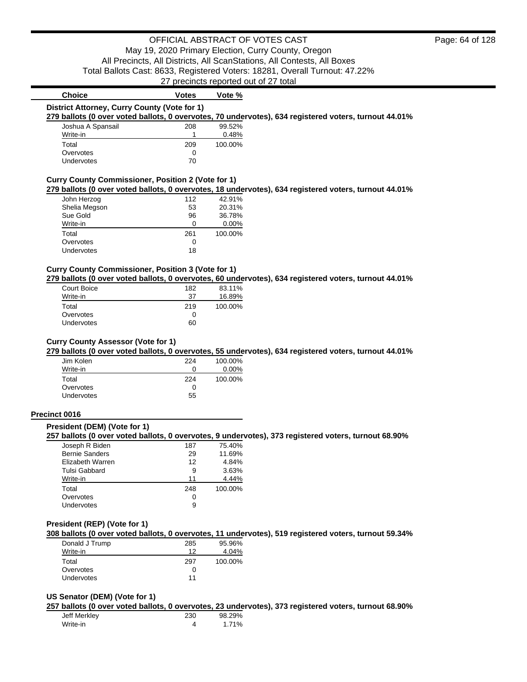# **Choice Votes Votes Vote** % **District Attorney, Curry County (Vote for 1)**

**279 ballots (0 over voted ballots, 0 overvotes, 70 undervotes), 634 registered voters, turnout 44.01%**

| Joshua A Spansail | 208 | 99.52%  |
|-------------------|-----|---------|
| Write-in          |     | 0.48%   |
| Total             | 209 | 100.00% |
| Overvotes         |     |         |
| <b>Undervotes</b> | 70  |         |

### **Curry County Commissioner, Position 2 (Vote for 1)**

**279 ballots (0 over voted ballots, 0 overvotes, 18 undervotes), 634 registered voters, turnout 44.01%**

| John Herzog   | 112 | 42.91%   |
|---------------|-----|----------|
| Shelia Megson | 53  | 20.31%   |
| Sue Gold      | 96  | 36.78%   |
| Write-in      | Ω   | $0.00\%$ |
| Total         | 261 | 100.00%  |
| Overvotes     | 0   |          |
| Undervotes    | 18  |          |
|               |     |          |

#### **Curry County Commissioner, Position 3 (Vote for 1)**

**279 ballots (0 over voted ballots, 0 overvotes, 60 undervotes), 634 registered voters, turnout 44.01%**

| Court Boice       | 182 | 83.11%  |
|-------------------|-----|---------|
| Write-in          | 37  | 16.89%  |
| Total             | 219 | 100.00% |
| Overvotes         | 0   |         |
| <b>Undervotes</b> | 60  |         |

### **Curry County Assessor (Vote for 1)**

**279 ballots (0 over voted ballots, 0 overvotes, 55 undervotes), 634 registered voters, turnout 44.01%**

| Jim Kolen  | 224 | 100.00%  |
|------------|-----|----------|
| Write-in   | Ω   | $0.00\%$ |
| Total      | 224 | 100.00%  |
| Overvotes  | Ω   |          |
| Undervotes | 55  |          |
|            |     |          |

#### **Precinct 0016**

# **President (DEM) (Vote for 1)**

**257 ballots (0 over voted ballots, 0 overvotes, 9 undervotes), 373 registered voters, turnout 68.90%**

| Joseph R Biden        | 187 | 75.40%  |
|-----------------------|-----|---------|
| <b>Bernie Sanders</b> | 29  | 11.69%  |
| Elizabeth Warren      | 12  | 4.84%   |
| Tulsi Gabbard         | 9   | 3.63%   |
| Write-in              | 11  | 4.44%   |
| Total                 | 248 | 100.00% |
| Overvotes             | Ω   |         |
| <b>Undervotes</b>     | 9   |         |
|                       |     |         |

#### **President (REP) (Vote for 1)**

**308 ballots (0 over voted ballots, 0 overvotes, 11 undervotes), 519 registered voters, turnout 59.34%**

| Donald J Trump    | 285 | 95.96%  |
|-------------------|-----|---------|
| Write-in          | 12  | 4.04%   |
| Total             | 297 | 100.00% |
| Overvotes         | O   |         |
| <b>Undervotes</b> | 11  |         |

### **US Senator (DEM) (Vote for 1)**

**257 ballots (0 over voted ballots, 0 overvotes, 23 undervotes), 373 registered voters, turnout 68.90%**

| Jeff Merkley | 230 | 98.29% |
|--------------|-----|--------|
| Write-in     |     | 1.71%  |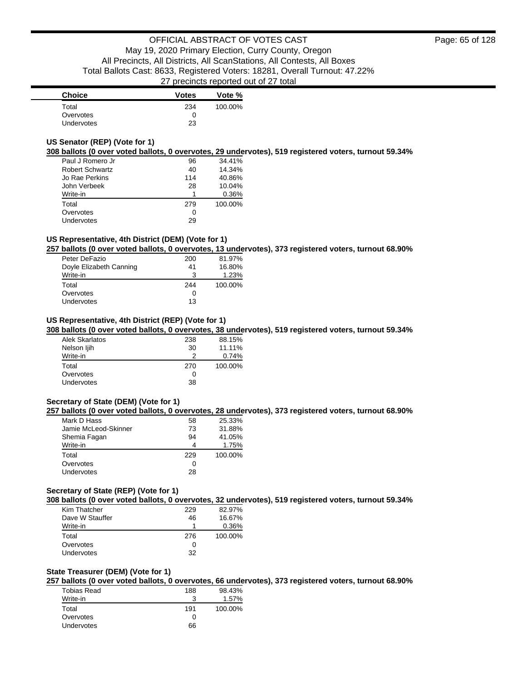| <b>Choice</b>     | <b>Votes</b> | Vote %  |
|-------------------|--------------|---------|
| Total             | 234          | 100.00% |
| Overvotes         | O            |         |
| <b>Undervotes</b> | 23           |         |

# **US Senator (REP) (Vote for 1)**

**308 ballots (0 over voted ballots, 0 overvotes, 29 undervotes), 519 registered voters, turnout 59.34%**

| Paul J Romero Jr | 96  | 34.41%  |
|------------------|-----|---------|
| Robert Schwartz  | 40  | 14.34%  |
| Jo Rae Perkins   | 114 | 40.86%  |
| John Verbeek     | 28  | 10.04%  |
| Write-in         | 1   | 0.36%   |
| Total            | 279 | 100.00% |
| Overvotes        | 0   |         |
| Undervotes       | 29  |         |

### **US Representative, 4th District (DEM) (Vote for 1)**

**257 ballots (0 over voted ballots, 0 overvotes, 13 undervotes), 373 registered voters, turnout 68.90%**

| Peter DeFazio           | 200 | 81.97%  |
|-------------------------|-----|---------|
| Doyle Elizabeth Canning | 41  | 16.80%  |
| Write-in                | 3   | 1.23%   |
| Total                   | 244 | 100.00% |
| Overvotes               | 0   |         |
| <b>Undervotes</b>       | 13  |         |

# **US Representative, 4th District (REP) (Vote for 1)**

**308 ballots (0 over voted ballots, 0 overvotes, 38 undervotes), 519 registered voters, turnout 59.34%**

| Alek Skarlatos | 238 | 88.15%  |
|----------------|-----|---------|
| Nelson ljih    | 30  | 11.11%  |
| Write-in       |     | 0.74%   |
| Total          | 270 | 100.00% |
| Overvotes      |     |         |
| Undervotes     | 38  |         |

# **Secretary of State (DEM) (Vote for 1)**

**257 ballots (0 over voted ballots, 0 overvotes, 28 undervotes), 373 registered voters, turnout 68.90%**

| Mark D Hass          | 58  | 25.33%  |
|----------------------|-----|---------|
| Jamie McLeod-Skinner | 73  | 31.88%  |
| Shemia Fagan         | 94  | 41.05%  |
| Write-in             | 4   | 1.75%   |
| Total                | 229 | 100.00% |
| Overvotes            | Ω   |         |
| Undervotes           | 28  |         |

#### **Secretary of State (REP) (Vote for 1)**

**308 ballots (0 over voted ballots, 0 overvotes, 32 undervotes), 519 registered voters, turnout 59.34%**

| Kim Thatcher    | 229 | 82.97%  |
|-----------------|-----|---------|
| Dave W Stauffer | 46  | 16.67%  |
| Write-in        |     | 0.36%   |
| Total           | 276 | 100.00% |
| Overvotes       | O   |         |
| Undervotes      | 32  |         |

### **State Treasurer (DEM) (Vote for 1)**

**257 ballots (0 over voted ballots, 0 overvotes, 66 undervotes), 373 registered voters, turnout 68.90%**

| Tobias Read | 188          | 98.43%  |
|-------------|--------------|---------|
| Write-in    | 3            | 1.57%   |
| Total       | 191          | 100.00% |
| Overvotes   | $\mathbf{I}$ |         |
| Undervotes  | 66           |         |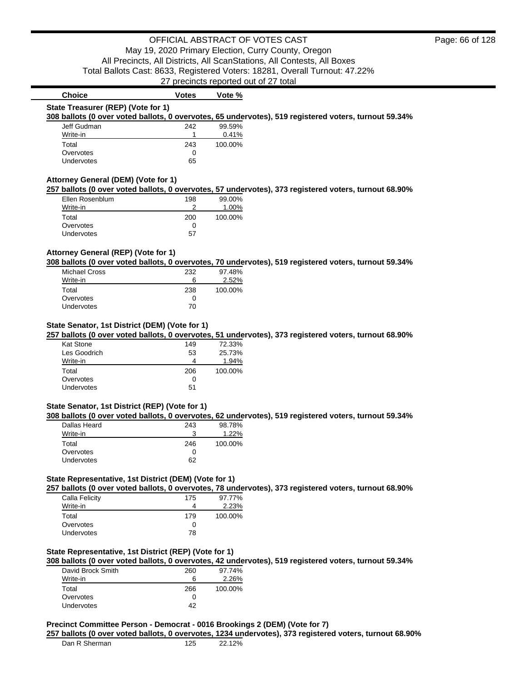| <b>Choice</b>                                  | <b>Votes</b>  | Vote %               |                                                                                                       |  |
|------------------------------------------------|---------------|----------------------|-------------------------------------------------------------------------------------------------------|--|
| State Treasurer (REP) (Vote for 1)             |               |                      |                                                                                                       |  |
|                                                |               |                      | 308 ballots (0 over voted ballots, 0 overvotes, 65 undervotes), 519 registered voters, turnout 59.34% |  |
| Jeff Gudman                                    | 242           | 99.59%               |                                                                                                       |  |
| Write-in                                       | 1             | 0.41%                |                                                                                                       |  |
| Total                                          | 243           | 100.00%              |                                                                                                       |  |
| Overvotes                                      | 0             |                      |                                                                                                       |  |
| Undervotes                                     | 65            |                      |                                                                                                       |  |
| Attorney General (DEM) (Vote for 1)            |               |                      |                                                                                                       |  |
|                                                |               |                      | 257 ballots (0 over voted ballots, 0 overvotes, 57 undervotes), 373 registered voters, turnout 68.90% |  |
| Ellen Rosenblum                                | 198           | 99.00%               |                                                                                                       |  |
| Write-in                                       | 2             | 1.00%                |                                                                                                       |  |
| Total                                          | 200           | 100.00%              |                                                                                                       |  |
| Overvotes                                      | 0             |                      |                                                                                                       |  |
| Undervotes                                     | 57            |                      |                                                                                                       |  |
| Total                                          | 238           | 100.00%              |                                                                                                       |  |
| <b>Michael Cross</b><br>Write-in               | 232<br>6      | 97.48%<br>2.52%      |                                                                                                       |  |
|                                                |               |                      |                                                                                                       |  |
| Overvotes<br>Undervotes                        | 0<br>70       |                      |                                                                                                       |  |
| State Senator, 1st District (DEM) (Vote for 1) |               |                      |                                                                                                       |  |
|                                                |               |                      | 257 ballots (0 over voted ballots, 0 overvotes, 51 undervotes), 373 registered voters, turnout 68.90% |  |
| <b>Kat Stone</b>                               | 149           | 72.33%               |                                                                                                       |  |
| Les Goodrich                                   | 53            | 25.73%               |                                                                                                       |  |
| Write-in                                       | 4             | 1.94%                |                                                                                                       |  |
| Total                                          | 206           | 100.00%              |                                                                                                       |  |
| Overvotes                                      | 0             |                      |                                                                                                       |  |
| Undervotes                                     | 51            |                      |                                                                                                       |  |
| State Senator, 1st District (REP) (Vote for 1) |               |                      |                                                                                                       |  |
|                                                |               |                      | 308 ballots (0 over voted ballots, 0 overvotes, 62 undervotes), 519 registered voters, turnout 59.34% |  |
| <b>Dallas Heard</b>                            | 243           | 98.78%               |                                                                                                       |  |
| Write-in                                       | 3             | 1.22%                |                                                                                                       |  |
| .                                              | $\sim$ $\sim$ | $\sim$ $\sim$ $\sim$ |                                                                                                       |  |

| Dalias Healu      | 24J | 90.1070 |
|-------------------|-----|---------|
| Write-in          |     | 1.22%   |
| Total             | 246 | 100.00% |
| Overvotes         |     |         |
| <b>Undervotes</b> | 62  |         |
|                   |     |         |

### **State Representative, 1st District (DEM) (Vote for 1)**

**257 ballots (0 over voted ballots, 0 overvotes, 78 undervotes), 373 registered voters, turnout 68.90%**

| Calla Felicity    | 175 | 97.77%  |
|-------------------|-----|---------|
| Write-in          | 4   | 2.23%   |
| Total             | 179 | 100.00% |
| Overvotes         | 0   |         |
| <b>Undervotes</b> | 78  |         |

# **State Representative, 1st District (REP) (Vote for 1)**

**308 ballots (0 over voted ballots, 0 overvotes, 42 undervotes), 519 registered voters, turnout 59.34%**

| David Brock Smith | 260 | 97.74%  |
|-------------------|-----|---------|
| Write-in          | 6   | 2.26%   |
| Total             | 266 | 100.00% |
| Overvotes         |     |         |
| <b>Undervotes</b> | 42  |         |

### **Precinct Committee Person - Democrat - 0016 Brookings 2 (DEM) (Vote for 7)**

**257 ballots (0 over voted ballots, 0 overvotes, 1234 undervotes), 373 registered voters, turnout 68.90%**

| Dan R Sherman | 125 | 22.12% |
|---------------|-----|--------|
|               |     |        |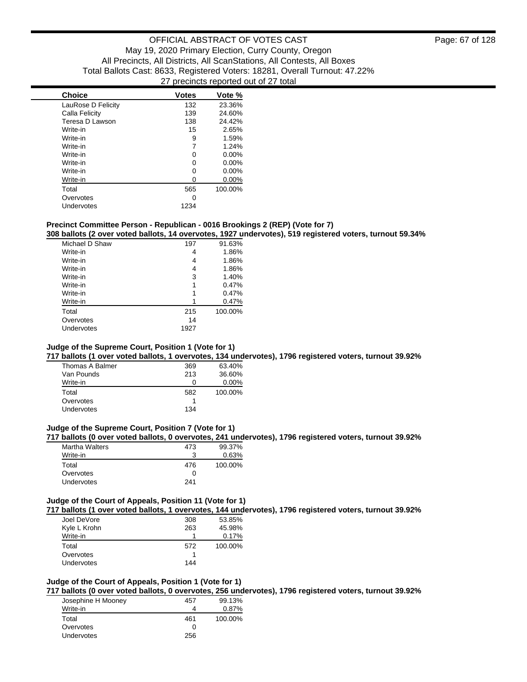| <b>Choice</b>      | <b>Votes</b> | Vote %   |
|--------------------|--------------|----------|
| LauRose D Felicity | 132          | 23.36%   |
| Calla Felicity     | 139          | 24.60%   |
| Teresa D Lawson    | 138          | 24.42%   |
| Write-in           | 15           | 2.65%    |
| Write-in           | 9            | 1.59%    |
| Write-in           | 7            | 1.24%    |
| Write-in           | 0            | $0.00\%$ |
| Write-in           | 0            | $0.00\%$ |
| Write-in           | 0            | $0.00\%$ |
| Write-in           | 0            | $0.00\%$ |
| Total              | 565          | 100.00%  |
| Overvotes          | ŋ            |          |
| Undervotes         | 1234         |          |

### **Precinct Committee Person - Republican - 0016 Brookings 2 (REP) (Vote for 7)**

**308 ballots (2 over voted ballots, 14 overvotes, 1927 undervotes), 519 registered voters, turnout 59.34%**

| Michael D Shaw | 197  | 91.63%  |
|----------------|------|---------|
| Write-in       | 4    | 1.86%   |
| Write-in       | 4    | 1.86%   |
| Write-in       | 4    | 1.86%   |
| Write-in       | 3    | 1.40%   |
| Write-in       | 1    | 0.47%   |
| Write-in       | 1    | 0.47%   |
| Write-in       |      | 0.47%   |
| Total          | 215  | 100.00% |
| Overvotes      | 14   |         |
| Undervotes     | 1927 |         |

## **Judge of the Supreme Court, Position 1 (Vote for 1)**

**717 ballots (1 over voted ballots, 1 overvotes, 134 undervotes), 1796 registered voters, turnout 39.92%**

| Thomas A Balmer | 369 | 63.40%   |
|-----------------|-----|----------|
| Van Pounds      | 213 | 36.60%   |
| Write-in        | O   | $0.00\%$ |
| Total           | 582 | 100.00%  |
| Overvotes       |     |          |
| Undervotes      | 134 |          |

#### **Judge of the Supreme Court, Position 7 (Vote for 1)**

**717 ballots (0 over voted ballots, 0 overvotes, 241 undervotes), 1796 registered voters, turnout 39.92%**

| <b>Martha Walters</b> | 473 | 99.37%  |
|-----------------------|-----|---------|
| Write-in              |     | 0.63%   |
| Total                 | 476 | 100.00% |
| Overvotes             |     |         |
| Undervotes            | 241 |         |

### **Judge of the Court of Appeals, Position 11 (Vote for 1)**

**717 ballots (1 over voted ballots, 1 overvotes, 144 undervotes), 1796 registered voters, turnout 39.92%**

| Joel DeVore  | 308 | 53.85%  |
|--------------|-----|---------|
| Kyle L Krohn | 263 | 45.98%  |
| Write-in     |     | 0.17%   |
| Total        | 572 | 100.00% |
|              |     |         |
| Overvotes    |     |         |

# **Judge of the Court of Appeals, Position 1 (Vote for 1)**

**717 ballots (0 over voted ballots, 0 overvotes, 256 undervotes), 1796 registered voters, turnout 39.92%**

| Josephine H Mooney | 457 | 99.13%   |
|--------------------|-----|----------|
| Write-in           |     | $0.87\%$ |
| Total              | 461 | 100.00%  |
| Overvotes          |     |          |
| <b>Undervotes</b>  | 256 |          |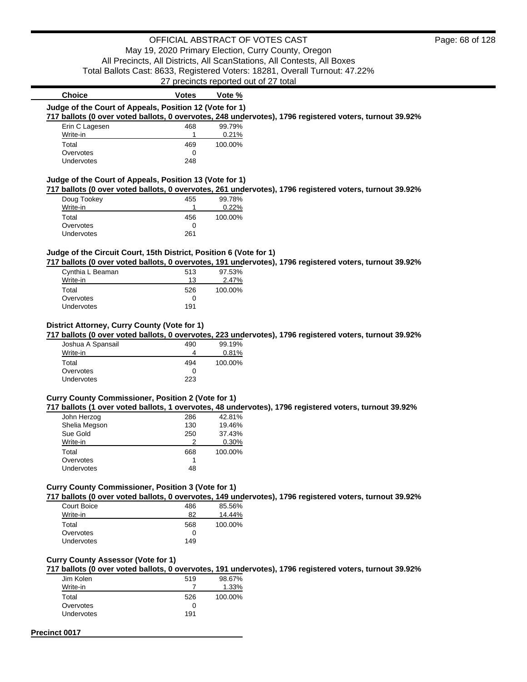# OFFICIAL ABSTRACT OF VOTES CAST

May 19, 2020 Primary Election, Curry County, Oregon All Precincts, All Districts, All ScanStations, All Contests, All Boxes

Total Ballots Cast: 8633, Registered Voters: 18281, Overall Turnout: 47.22%

27 precincts reported out of 27 total

| <b>Choice</b>                                                      | <b>Votes</b> | Vote %                                                                                                  |  |
|--------------------------------------------------------------------|--------------|---------------------------------------------------------------------------------------------------------|--|
| Judge of the Court of Appeals, Position 12 (Vote for 1)            |              |                                                                                                         |  |
|                                                                    |              | 717 ballots (0 over voted ballots, 0 overvotes, 248 undervotes), 1796 registered voters, turnout 39.92% |  |
| Erin C Lagesen                                                     | 468          | 99.79%                                                                                                  |  |
| Write-in                                                           | 1            | 0.21%                                                                                                   |  |
| Total                                                              | 469          | 100.00%                                                                                                 |  |
| Overvotes                                                          | 0            |                                                                                                         |  |
| Undervotes                                                         | 248          |                                                                                                         |  |
|                                                                    |              |                                                                                                         |  |
| Judge of the Court of Appeals, Position 13 (Vote for 1)            |              |                                                                                                         |  |
|                                                                    |              | 717 ballots (0 over voted ballots, 0 overvotes, 261 undervotes), 1796 registered voters, turnout 39.92% |  |
| Doug Tookey                                                        | 455          | 99.78%                                                                                                  |  |
| Write-in                                                           | 1            | 0.22%                                                                                                   |  |
| Total                                                              | 456          | 100.00%                                                                                                 |  |
| Overvotes                                                          | 0            |                                                                                                         |  |
| Undervotes                                                         | 261          |                                                                                                         |  |
|                                                                    |              |                                                                                                         |  |
| Judge of the Circuit Court, 15th District, Position 6 (Vote for 1) |              |                                                                                                         |  |
|                                                                    |              | 717 ballots (0 over voted ballots, 0 overvotes, 191 undervotes), 1796 registered voters, turnout 39.92% |  |
| Cynthia L Beaman                                                   | 513          | 97.53%                                                                                                  |  |
| Write-in                                                           | 13           | 2.47%                                                                                                   |  |
| Total                                                              | 526          | 100.00%                                                                                                 |  |
| Overvotes                                                          | 0            |                                                                                                         |  |
| Undervotes                                                         | 191          |                                                                                                         |  |
|                                                                    |              |                                                                                                         |  |
|                                                                    |              |                                                                                                         |  |
| District Attorney, Curry County (Vote for 1)                       |              |                                                                                                         |  |
|                                                                    |              | 717 ballots (0 over voted ballots, 0 overvotes, 223 undervotes), 1796 registered voters, turnout 39.92% |  |
| Joshua A Spansail                                                  | 490          | 99.19%                                                                                                  |  |
| Write-in                                                           | 4            | 0.81%                                                                                                   |  |
| Total                                                              | 494          | 100.00%                                                                                                 |  |
| Overvotes                                                          | 0            |                                                                                                         |  |
| Undervotes                                                         | 223          |                                                                                                         |  |
|                                                                    |              |                                                                                                         |  |
| <b>Curry County Commissioner, Position 2 (Vote for 1)</b>          |              |                                                                                                         |  |
|                                                                    |              | 717 ballots (1 over voted ballots, 1 overvotes, 48 undervotes), 1796 registered voters, turnout 39.92%  |  |
| John Herzog                                                        | 286          | 42.81%                                                                                                  |  |
| Shelia Megson                                                      | 130          | 19.46%                                                                                                  |  |
| Sue Gold                                                           | 250          | 37.43%                                                                                                  |  |
| Write-in                                                           | 2            | 0.30%                                                                                                   |  |
| Total                                                              | 668          | 100.00%                                                                                                 |  |
| Overvotes                                                          | 1            |                                                                                                         |  |
| Undervotes                                                         | 48           |                                                                                                         |  |
|                                                                    |              |                                                                                                         |  |
| <b>Curry County Commissioner, Position 3 (Vote for 1)</b>          |              |                                                                                                         |  |
|                                                                    |              | 717 ballots (0 over voted ballots, 0 overvotes, 149 undervotes), 1796 registered voters, turnout 39.92% |  |
| Court Boice                                                        | 486          | 85.56%                                                                                                  |  |
| Write-in                                                           | 82           | 14.44%                                                                                                  |  |
| Total                                                              | 568          | 100.00%                                                                                                 |  |
| Overvotes                                                          | 0            |                                                                                                         |  |
| Undervotes                                                         | 149          |                                                                                                         |  |
|                                                                    |              |                                                                                                         |  |
| <b>Curry County Assessor (Vote for 1)</b>                          |              |                                                                                                         |  |
|                                                                    |              | 717 ballots (0 over voted ballots, 0 overvotes, 191 undervotes), 1796 registered voters, turnout 39.92% |  |
|                                                                    |              |                                                                                                         |  |
| Jim Kolen                                                          | 519          | 98.67%                                                                                                  |  |

| Total             | 526 | 100.00% |
|-------------------|-----|---------|
| Overvotes         | 0   |         |
| <b>Undervotes</b> | 191 |         |
|                   |     |         |

## **Precinct 0017**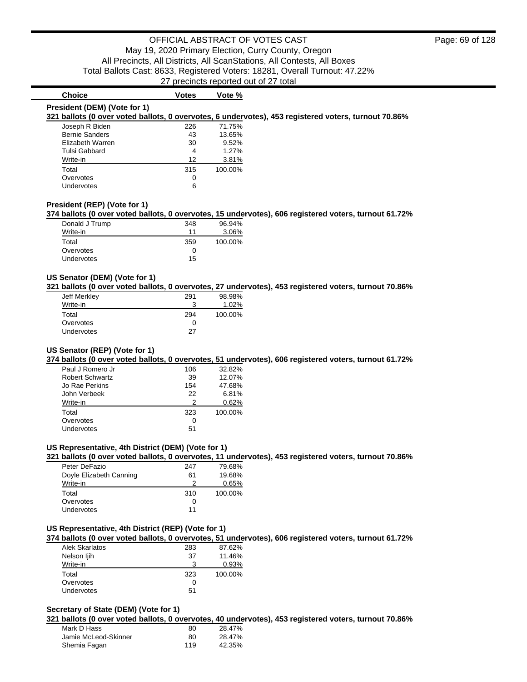# **President (DEM) (Vote for 1)**

### **Choice Votes Votes Vote** %

### **321 ballots (0 over voted ballots, 0 overvotes, 6 undervotes), 453 registered voters, turnout 70.86%**

| Joseph R Biden        | 226 | 71.75%  |
|-----------------------|-----|---------|
| <b>Bernie Sanders</b> | 43  | 13.65%  |
| Elizabeth Warren      | 30  | 9.52%   |
| <b>Tulsi Gabbard</b>  | 4   | 1.27%   |
| Write-in              | 12  | 3.81%   |
| Total                 | 315 | 100.00% |
| Overvotes             | 0   |         |
| Undervotes            | 6   |         |

#### **President (REP) (Vote for 1)**

#### **374 ballots (0 over voted ballots, 0 overvotes, 15 undervotes), 606 registered voters, turnout 61.72%**

| Donald J Trump | 348 | 96.94%  |
|----------------|-----|---------|
| Write-in       | 11  | 3.06%   |
| Total          | 359 | 100.00% |
| Overvotes      | Ω   |         |
| Undervotes     | 15  |         |

#### **US Senator (DEM) (Vote for 1)**

**321 ballots (0 over voted ballots, 0 overvotes, 27 undervotes), 453 registered voters, turnout 70.86%**

| Jeff Merkley      | 291 | 98.98%  |
|-------------------|-----|---------|
| Write-in          |     | 1.02%   |
| Total             | 294 | 100.00% |
| Overvotes         | 0   |         |
| <b>Undervotes</b> | 27  |         |

#### **US Senator (REP) (Vote for 1)**

**374 ballots (0 over voted ballots, 0 overvotes, 51 undervotes), 606 registered voters, turnout 61.72%**

| Paul J Romero Jr       | 106 | $32.82\%$ |
|------------------------|-----|-----------|
| <b>Robert Schwartz</b> | 39  | 12.07%    |
| Jo Rae Perkins         | 154 | 47.68%    |
| John Verbeek           | 22  | 6.81%     |
| Write-in               | っ   | 0.62%     |
| Total                  | 323 | 100.00%   |
| Overvotes              | 0   |           |
| Undervotes             | 51  |           |

#### **US Representative, 4th District (DEM) (Vote for 1)**

**321 ballots (0 over voted ballots, 0 overvotes, 11 undervotes), 453 registered voters, turnout 70.86%**

| Peter DeFazio           | 247 | 79.68%  |
|-------------------------|-----|---------|
| Doyle Elizabeth Canning | 61  | 19.68%  |
| Write-in                | 2   | 0.65%   |
| Total                   | 310 | 100.00% |
| Overvotes               | O   |         |
| Undervotes              | 11  |         |

#### **US Representative, 4th District (REP) (Vote for 1)**

**374 ballots (0 over voted ballots, 0 overvotes, 51 undervotes), 606 registered voters, turnout 61.72%**

| Alek Skarlatos    | 283 | 87.62%  |
|-------------------|-----|---------|
| Nelson ljih       | 37  | 11.46%  |
| Write-in          | 3   | 0.93%   |
| Total             | 323 | 100.00% |
| Overvotes         | 0   |         |
| <b>Undervotes</b> | 51  |         |

# **Secretary of State (DEM) (Vote for 1)**

**321 ballots (0 over voted ballots, 0 overvotes, 40 undervotes), 453 registered voters, turnout 70.86%**

| Mark D Hass          | 80  | 28.47% |
|----------------------|-----|--------|
| Jamie McLeod-Skinner | 80  | 28.47% |
| Shemia Fagan         | 119 | 42.35% |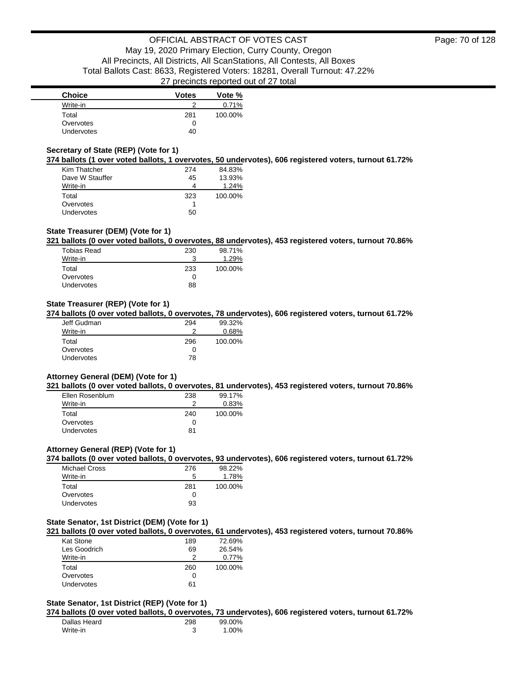| <b>Choice</b>     | <b>Votes</b> | Vote %  |
|-------------------|--------------|---------|
| Write-in          |              | 0.71%   |
| Total             | 281          | 100.00% |
| Overvotes         | 0            |         |
| <b>Undervotes</b> | 40           |         |

## **Secretary of State (REP) (Vote for 1)**

**374 ballots (1 over voted ballots, 1 overvotes, 50 undervotes), 606 registered voters, turnout 61.72%**

| Kim Thatcher      | 274 | 84.83%  |
|-------------------|-----|---------|
| Dave W Stauffer   | 45  | 13.93%  |
| Write-in          | 4   | 1.24%   |
| Total             | 323 | 100.00% |
| Overvotes         |     |         |
| <b>Undervotes</b> | 50  |         |

# **State Treasurer (DEM) (Vote for 1)**

**321 ballots (0 over voted ballots, 0 overvotes, 88 undervotes), 453 registered voters, turnout 70.86%**

| <b>Tobias Read</b> | 230 | 98.71%  |
|--------------------|-----|---------|
| Write-in           | 3   | 1.29%   |
| Total              | 233 | 100.00% |
| Overvotes          | 0   |         |
| Undervotes         | 88  |         |
|                    |     |         |

# **State Treasurer (REP) (Vote for 1)**

**374 ballots (0 over voted ballots, 0 overvotes, 78 undervotes), 606 registered voters, turnout 61.72%**

| Jeff Gudman | 294 | 99.32%  |
|-------------|-----|---------|
| Write-in    |     | 0.68%   |
| Total       | 296 | 100.00% |
| Overvotes   | 0   |         |
| Undervotes  | 78  |         |

#### **Attorney General (DEM) (Vote for 1)**

**321 ballots (0 over voted ballots, 0 overvotes, 81 undervotes), 453 registered voters, turnout 70.86%**

| Ellen Rosenblum   | 238 | 99.17%  |
|-------------------|-----|---------|
| Write-in          | າ   | 0.83%   |
| Total             | 240 | 100.00% |
| Overvotes         | O   |         |
| <b>Undervotes</b> | 81  |         |

#### **Attorney General (REP) (Vote for 1)**

**374 ballots (0 over voted ballots, 0 overvotes, 93 undervotes), 606 registered voters, turnout 61.72%**

| Michael Cross     | 276 | 98.22%  |
|-------------------|-----|---------|
| Write-in          | 5   | 1.78%   |
| Total             | 281 | 100.00% |
| Overvotes         | 0   |         |
| <b>Undervotes</b> | 93  |         |

#### **State Senator, 1st District (DEM) (Vote for 1)**

**321 ballots (0 over voted ballots, 0 overvotes, 61 undervotes), 453 registered voters, turnout 70.86%**

| Kat Stone    | 189 | 72.69%  |
|--------------|-----|---------|
| Les Goodrich | 69  | 26.54%  |
| Write-in     | ာ   | 0.77%   |
| Total        | 260 | 100.00% |
| Overvotes    | O   |         |
| Undervotes   | 61  |         |

### **State Senator, 1st District (REP) (Vote for 1)**

**374 ballots (0 over voted ballots, 0 overvotes, 73 undervotes), 606 registered voters, turnout 61.72%**

| Dallas Heard | 298 | 99.00% |
|--------------|-----|--------|
| Write-in     |     | 1.00%  |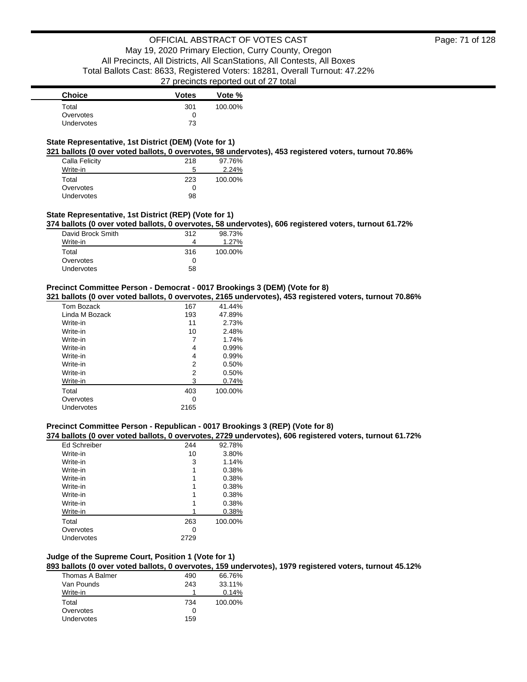| <b>Choice</b>     | <b>Votes</b> | Vote %  |
|-------------------|--------------|---------|
| Total             | 301          | 100.00% |
| Overvotes         |              |         |
| <b>Undervotes</b> | 73           |         |

### **State Representative, 1st District (DEM) (Vote for 1)**

**321 ballots (0 over voted ballots, 0 overvotes, 98 undervotes), 453 registered voters, turnout 70.86%**

| Calla Felicity | 218 | 97.76%  |
|----------------|-----|---------|
| Write-in       | 5   | 2.24%   |
| Total          | 223 | 100.00% |
| Overvotes      | 0   |         |
| Undervotes     | 98  |         |

# **State Representative, 1st District (REP) (Vote for 1)**

**374 ballots (0 over voted ballots, 0 overvotes, 58 undervotes), 606 registered voters, turnout 61.72%**

| 312 | 98.73%  |
|-----|---------|
|     | 1.27%   |
| 316 | 100.00% |
|     |         |
| 58  |         |
|     |         |

### **Precinct Committee Person - Democrat - 0017 Brookings 3 (DEM) (Vote for 8)**

#### **321 ballots (0 over voted ballots, 0 overvotes, 2165 undervotes), 453 registered voters, turnout 70.86%**

| Tom Bozack     | 167  | 41.44%  |
|----------------|------|---------|
| Linda M Bozack | 193  | 47.89%  |
| Write-in       | 11   | 2.73%   |
| Write-in       | 10   | 2.48%   |
| Write-in       |      | 1.74%   |
| Write-in       | 4    | 0.99%   |
| Write-in       | 4    | 0.99%   |
| Write-in       | 2    | 0.50%   |
| Write-in       | 2    | 0.50%   |
| Write-in       | 3    | 0.74%   |
| Total          | 403  | 100.00% |
| Overvotes      | 0    |         |
| Undervotes     | 2165 |         |

### **Precinct Committee Person - Republican - 0017 Brookings 3 (REP) (Vote for 8)**

#### **374 ballots (0 over voted ballots, 0 overvotes, 2729 undervotes), 606 registered voters, turnout 61.72%**

| <b>Ed Schreiber</b> | 244  | 92.78%  |
|---------------------|------|---------|
| Write-in            | 10   | 3.80%   |
| Write-in            | 3    | 1.14%   |
| Write-in            | 1    | 0.38%   |
| Write-in            |      | 0.38%   |
| Write-in            |      | 0.38%   |
| Write-in            |      | 0.38%   |
| Write-in            |      | 0.38%   |
| Write-in            |      | 0.38%   |
| Total               | 263  | 100.00% |
| Overvotes           | 0    |         |
| Undervotes          | 2729 |         |

### **Judge of the Supreme Court, Position 1 (Vote for 1)**

**893 ballots (0 over voted ballots, 0 overvotes, 159 undervotes), 1979 registered voters, turnout 45.12%**

| Thomas A Balmer   | 490 | 66.76%  |
|-------------------|-----|---------|
| Van Pounds        | 243 | 33.11%  |
| Write-in          |     | 0.14%   |
| Total             | 734 | 100.00% |
| Overvotes         |     |         |
| <b>Undervotes</b> | 159 |         |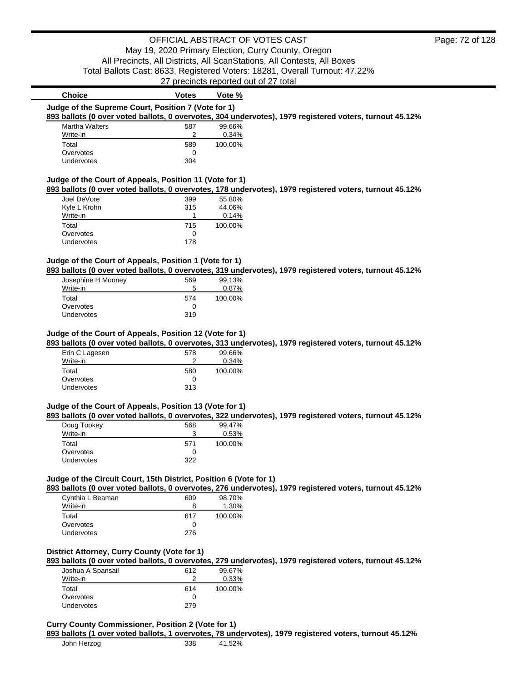27 precincts reported out of 27 total

| <b>Choice</b>                                                      | <b>Votes</b>    | Vote %                                                                                                  |
|--------------------------------------------------------------------|-----------------|---------------------------------------------------------------------------------------------------------|
| Judge of the Supreme Court, Position 7 (Vote for 1)                |                 |                                                                                                         |
|                                                                    |                 | 893 ballots (0 over voted ballots, 0 overvotes, 304 undervotes), 1979 registered voters, turnout 45.12% |
| <b>Martha Walters</b>                                              | 587             | 99.66%                                                                                                  |
| Write-in                                                           | $\overline{2}$  | 0.34%                                                                                                   |
| Total                                                              | 589             | 100.00%                                                                                                 |
| Overvotes                                                          | 0               |                                                                                                         |
| Undervotes                                                         | 304             |                                                                                                         |
| Judge of the Court of Appeals, Position 11 (Vote for 1)            |                 |                                                                                                         |
|                                                                    |                 | 893 ballots (0 over voted ballots, 0 overvotes, 178 undervotes), 1979 registered voters, turnout 45.12% |
| Joel DeVore                                                        | 399             | 55.80%                                                                                                  |
| Kyle L Krohn                                                       | 315             | 44.06%                                                                                                  |
| Write-in                                                           | 1               | 0.14%                                                                                                   |
| Total                                                              | 715             | 100.00%                                                                                                 |
| Overvotes                                                          | 0               |                                                                                                         |
| Undervotes                                                         | 178             |                                                                                                         |
|                                                                    |                 |                                                                                                         |
| Judge of the Court of Appeals, Position 1 (Vote for 1)             |                 | 893 ballots (0 over voted ballots, 0 overvotes, 319 undervotes), 1979 registered voters, turnout 45.12% |
|                                                                    |                 |                                                                                                         |
| Josephine H Mooney<br>Write-in                                     | 569<br>5        | 99.13%<br>0.87%                                                                                         |
|                                                                    |                 |                                                                                                         |
| Total                                                              | 574             | 100.00%                                                                                                 |
| Overvotes                                                          | $\Omega$<br>319 |                                                                                                         |
| Undervotes                                                         |                 |                                                                                                         |
| Judge of the Court of Appeals, Position 12 (Vote for 1)            |                 |                                                                                                         |
|                                                                    |                 | 893 ballots (0 over voted ballots, 0 overvotes, 313 undervotes), 1979 registered voters, turnout 45.12% |
| Erin C Lagesen                                                     | 578             | 99.66%                                                                                                  |
| Write-in                                                           | 2               | 0.34%                                                                                                   |
| Total                                                              | 580             | 100.00%                                                                                                 |
| Overvotes                                                          | 0               |                                                                                                         |
| Undervotes                                                         | 313             |                                                                                                         |
|                                                                    |                 |                                                                                                         |
| Judge of the Court of Appeals, Position 13 (Vote for 1)            |                 | 893 ballots (0 over voted ballots, 0 overvotes, 322 undervotes), 1979 registered voters, turnout 45.12% |
|                                                                    |                 |                                                                                                         |
| Doug Tookey<br>Write-in                                            | 568<br>3        | 99.47%<br>0.53%                                                                                         |
|                                                                    |                 |                                                                                                         |
| Total                                                              | 571             | 100.00%                                                                                                 |
| Overvotes                                                          | 0               |                                                                                                         |
| Undervotes                                                         | 322             |                                                                                                         |
| Judge of the Circuit Court, 15th District, Position 6 (Vote for 1) |                 |                                                                                                         |
|                                                                    |                 | 893 ballots (0 over voted ballots, 0 overvotes, 276 undervotes), 1979 registered voters, turnout 45.12% |
| Cynthia L Beaman                                                   | 609             | 98.70%                                                                                                  |

| Cynthia L Beaman | 609 | 98.70%  |
|------------------|-----|---------|
| Write-in         | 8   | 1.30%   |
| Total            | 617 | 100.00% |
| Overvotes        | Ω   |         |
| Undervotes       | 276 |         |

# **District Attorney, Curry County (Vote for 1)**

**893 ballots (0 over voted ballots, 0 overvotes, 279 undervotes), 1979 registered voters, turnout 45.12%**

| Joshua A Spansail | 612 | 99.67%  |
|-------------------|-----|---------|
| Write-in          |     | 0.33%   |
| Total             | 614 | 100.00% |
| Overvotes         |     |         |
| <b>Undervotes</b> | 279 |         |

### **Curry County Commissioner, Position 2 (Vote for 1)**

**893 ballots (1 over voted ballots, 1 overvotes, 78 undervotes), 1979 registered voters, turnout 45.12%**

| 338 | 41.52% |
|-----|--------|
|     |        |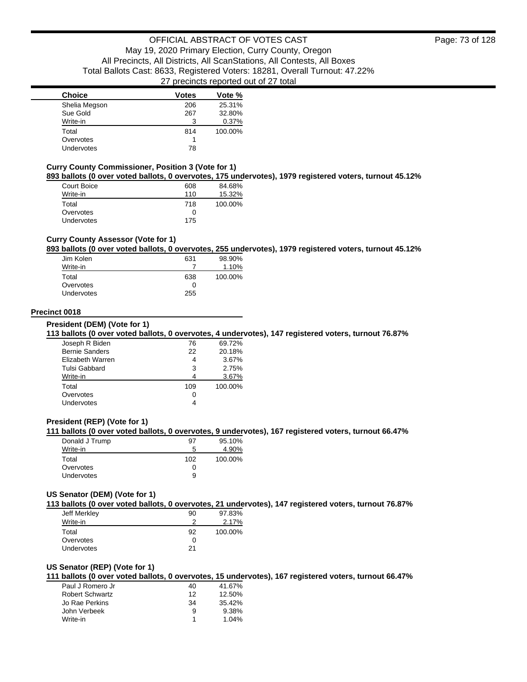| <b>Choice</b>     | Votes | Vote %  |
|-------------------|-------|---------|
| Shelia Megson     | 206   | 25.31%  |
| Sue Gold          | 267   | 32.80%  |
| Write-in          | 3     | 0.37%   |
| Total             | 814   | 100.00% |
| Overvotes         |       |         |
| <b>Undervotes</b> | 78    |         |

#### **Curry County Commissioner, Position 3 (Vote for 1)**

**893 ballots (0 over voted ballots, 0 overvotes, 175 undervotes), 1979 registered voters, turnout 45.12%**

| Court Boice       | 608 | 84.68%  |
|-------------------|-----|---------|
| Write-in          | 110 | 15.32%  |
| Total             | 718 | 100.00% |
| Overvotes         | 0   |         |
| <b>Undervotes</b> | 175 |         |

### **Curry County Assessor (Vote for 1)**

#### **893 ballots (0 over voted ballots, 0 overvotes, 255 undervotes), 1979 registered voters, turnout 45.12%**

| Jim Kolen  | 631 | 98.90%  |
|------------|-----|---------|
| Write-in   |     | 1.10%   |
| Total      | 638 | 100.00% |
| Overvotes  | 0   |         |
| Undervotes | 255 |         |

### **Precinct 0018**

**President (DEM) (Vote for 1)**

#### **113 ballots (0 over voted ballots, 0 overvotes, 4 undervotes), 147 registered voters, turnout 76.87%**

| Joseph R Biden        | 76  | 69.72%  |
|-----------------------|-----|---------|
| <b>Bernie Sanders</b> | 22  | 20.18%  |
| Elizabeth Warren      | 4   | 3.67%   |
| Tulsi Gabbard         | 3   | 2.75%   |
| Write-in              |     | 3.67%   |
| Total                 | 109 | 100.00% |
| Overvotes             |     |         |
| Undervotes            |     |         |
|                       |     |         |

### **President (REP) (Vote for 1)**

### **111 ballots (0 over voted ballots, 0 overvotes, 9 undervotes), 167 registered voters, turnout 66.47%**

| Donald J Trump    | 97           | 95.10%  |
|-------------------|--------------|---------|
| Write-in          | 5            | 4.90%   |
| Total             | 102          | 100.00% |
| Overvotes         | $\mathbf{I}$ |         |
| <b>Undervotes</b> | 9            |         |

#### **US Senator (DEM) (Vote for 1)**

**113 ballots (0 over voted ballots, 0 overvotes, 21 undervotes), 147 registered voters, turnout 76.87%**

| Jeff Merkley      | 90 | 97.83%  |
|-------------------|----|---------|
| Write-in          | っ  | 2.17%   |
| Total             | 92 | 100.00% |
| Overvotes         | 0  |         |
| <b>Undervotes</b> | 21 |         |

#### **US Senator (REP) (Vote for 1)**

**111 ballots (0 over voted ballots, 0 overvotes, 15 undervotes), 167 registered voters, turnout 66.47%**

| Paul J Romero Jr       | 40 | 41.67% |
|------------------------|----|--------|
| <b>Robert Schwartz</b> | 12 | 12.50% |
| Jo Rae Perkins         | 34 | 35.42% |
| John Verbeek           | 9  | 9.38%  |
| Write-in               |    | 1.04%  |
|                        |    |        |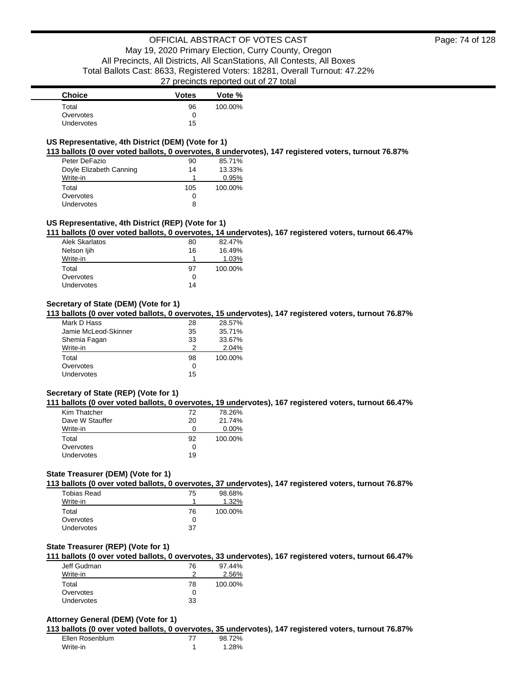| <b>Choice</b>     | <b>Votes</b> | Vote %  |
|-------------------|--------------|---------|
| Total             | 96           | 100.00% |
| Overvotes         |              |         |
| <b>Undervotes</b> | 15           |         |

### **US Representative, 4th District (DEM) (Vote for 1)**

**113 ballots (0 over voted ballots, 0 overvotes, 8 undervotes), 147 registered voters, turnout 76.87%**

| Peter DeFazio           | 90  | 85.71%  |
|-------------------------|-----|---------|
| Doyle Elizabeth Canning | 14  | 13.33%  |
| Write-in                |     | 0.95%   |
| Total                   | 105 | 100.00% |
| Overvotes               | 0   |         |
| Undervotes              | 8   |         |

### **US Representative, 4th District (REP) (Vote for 1)**

**111 ballots (0 over voted ballots, 0 overvotes, 14 undervotes), 167 registered voters, turnout 66.47%**

| Alek Skarlatos | 80 | 82.47%  |
|----------------|----|---------|
| Nelson ljih    | 16 | 16.49%  |
| Write-in       |    | 1.03%   |
| Total          | 97 | 100.00% |
| Overvotes      | 0  |         |
| Undervotes     | 14 |         |

### **Secretary of State (DEM) (Vote for 1)**

**113 ballots (0 over voted ballots, 0 overvotes, 15 undervotes), 147 registered voters, turnout 76.87%**

| Mark D Hass          | 28 | 28.57%  |
|----------------------|----|---------|
| Jamie McLeod-Skinner | 35 | 35.71%  |
| Shemia Fagan         | 33 | 33.67%  |
| Write-in             | 2  | 2.04%   |
| Total                | 98 | 100.00% |
| Overvotes            | 0  |         |
| <b>Undervotes</b>    | 15 |         |

### **Secretary of State (REP) (Vote for 1)**

**111 ballots (0 over voted ballots, 0 overvotes, 19 undervotes), 167 registered voters, turnout 66.47%**

| Kim Thatcher      | 72 | 78.26%   |
|-------------------|----|----------|
| Dave W Stauffer   | 20 | 21.74%   |
| Write-in          | O  | $0.00\%$ |
| Total             | 92 | 100.00%  |
| Overvotes         | ∩  |          |
| <b>Undervotes</b> | 19 |          |
|                   |    |          |

### **State Treasurer (DEM) (Vote for 1)**

**113 ballots (0 over voted ballots, 0 overvotes, 37 undervotes), 147 registered voters, turnout 76.87%**

| Tobias Read       | 75 | 98.68%  |
|-------------------|----|---------|
| Write-in          |    | 1.32%   |
| Total             | 76 | 100.00% |
| Overvotes         | O  |         |
| <b>Undervotes</b> | 37 |         |

#### **State Treasurer (REP) (Vote for 1)**

**111 ballots (0 over voted ballots, 0 overvotes, 33 undervotes), 167 registered voters, turnout 66.47%**

| Jeff Gudman | 76 | 97.44%  |
|-------------|----|---------|
| Write-in    |    | 2.56%   |
| Total       | 78 | 100.00% |
| Overvotes   |    |         |
| Undervotes  | 33 |         |

### **Attorney General (DEM) (Vote for 1)**

**113 ballots (0 over voted ballots, 0 overvotes, 35 undervotes), 147 registered voters, turnout 76.87%**

Ellen Rosenblum 77 98.72% Write-in 1 1.28%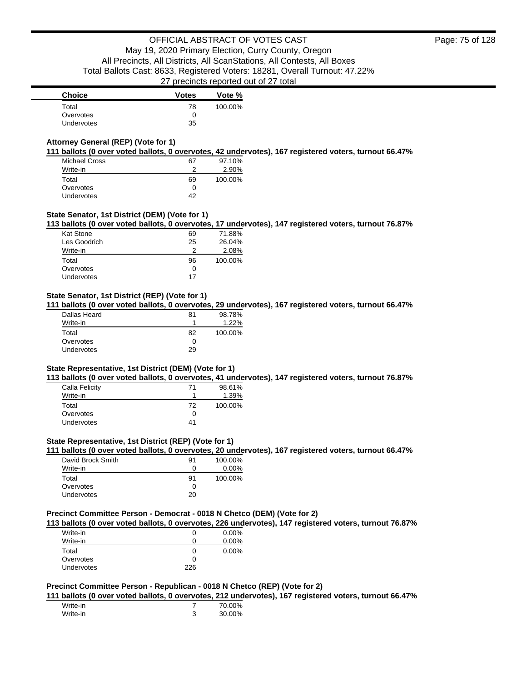| <b>Choice</b> | <b>Votes</b> | Vote %  |
|---------------|--------------|---------|
| Total         | 78           | 100.00% |
| Overvotes     |              |         |
| Undervotes    | 35           |         |

### **Attorney General (REP) (Vote for 1)**

**111 ballots (0 over voted ballots, 0 overvotes, 42 undervotes), 167 registered voters, turnout 66.47%**

| <b>Michael Cross</b> | 67 | 97.10%  |
|----------------------|----|---------|
| Write-in             |    | 2.90%   |
| Total                | 69 | 100.00% |
| Overvotes            | Ω  |         |
| <b>Undervotes</b>    | 42 |         |

### **State Senator, 1st District (DEM) (Vote for 1)**

**113 ballots (0 over voted ballots, 0 overvotes, 17 undervotes), 147 registered voters, turnout 76.87%**

| Kat Stone    | 69 | 71.88%  |
|--------------|----|---------|
| Les Goodrich | 25 | 26.04%  |
| Write-in     |    | 2.08%   |
| Total        | 96 | 100.00% |
| Overvotes    | O  |         |
| Undervotes   | 17 |         |
|              |    |         |

### **State Senator, 1st District (REP) (Vote for 1)**

**111 ballots (0 over voted ballots, 0 overvotes, 29 undervotes), 167 registered voters, turnout 66.47%**

| Dallas Heard | 81 | 98.78%   |
|--------------|----|----------|
| Write-in     |    | $1.22\%$ |
| Total        | 82 | 100.00%  |
| Overvotes    |    |          |
| Undervotes   | 29 |          |
|              |    |          |

#### **State Representative, 1st District (DEM) (Vote for 1)**

**113 ballots (0 over voted ballots, 0 overvotes, 41 undervotes), 147 registered voters, turnout 76.87%**

|    | 98.61%  |
|----|---------|
|    | 1.39%   |
| 72 | 100.00% |
| 0  |         |
| 41 |         |
|    |         |

### **State Representative, 1st District (REP) (Vote for 1)**

**111 ballots (0 over voted ballots, 0 overvotes, 20 undervotes), 167 registered voters, turnout 66.47%**

| David Brock Smith | 91 | 100.00%  |
|-------------------|----|----------|
| Write-in          | 0  | $0.00\%$ |
| Total             | 91 | 100.00%  |
| Overvotes         | O  |          |
| Undervotes        | 20 |          |

#### **Precinct Committee Person - Democrat - 0018 N Chetco (DEM) (Vote for 2)**

**113 ballots (0 over voted ballots, 0 overvotes, 226 undervotes), 147 registered voters, turnout 76.87%**

| $\mathbf{U}$ | $0.00\%$ |
|--------------|----------|
| $\mathbf{I}$ | 0.00%    |
| $\mathbf{I}$ | 0.00%    |
| $\mathbf{I}$ |          |
| 226          |          |
|              |          |

### **Precinct Committee Person - Republican - 0018 N Chetco (REP) (Vote for 2)**

**111 ballots (0 over voted ballots, 0 overvotes, 212 undervotes), 167 registered voters, turnout 66.47%**

| Write-in | 70.00% |
|----------|--------|
| Write-in | 30.00% |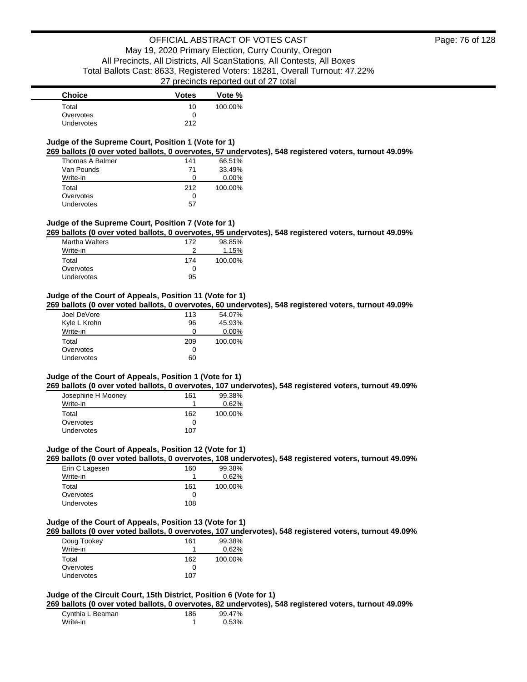### **Judge of the Supreme Court, Position 1 (Vote for 1)**

**269 ballots (0 over voted ballots, 0 overvotes, 57 undervotes), 548 registered voters, turnout 49.09%**

| Thomas A Balmer | 141 | 66.51%   |
|-----------------|-----|----------|
| Van Pounds      | 71  | 33.49%   |
| Write-in        | 0   | $0.00\%$ |
| Total           | 212 | 100.00%  |
| Overvotes       | O   |          |
| Undervotes      | 57  |          |

#### **Judge of the Supreme Court, Position 7 (Vote for 1)**

**269 ballots (0 over voted ballots, 0 overvotes, 95 undervotes), 548 registered voters, turnout 49.09%**

| <b>Martha Walters</b> | 172 | 98.85%  |
|-----------------------|-----|---------|
| Write-in              | ≘   | 1.15%   |
| Total                 | 174 | 100.00% |
| Overvotes             | O   |         |
| Undervotes            | 95  |         |

#### **Judge of the Court of Appeals, Position 11 (Vote for 1)**

**269 ballots (0 over voted ballots, 0 overvotes, 60 undervotes), 548 registered voters, turnout 49.09%**

| Joel DeVore       | 113 | 54.07%   |
|-------------------|-----|----------|
| Kyle L Krohn      | 96  | 45.93%   |
| Write-in          | 0   | $0.00\%$ |
| Total             | 209 | 100.00%  |
| Overvotes         | 0   |          |
| <b>Undervotes</b> | 60  |          |

#### **Judge of the Court of Appeals, Position 1 (Vote for 1)**

**269 ballots (0 over voted ballots, 0 overvotes, 107 undervotes), 548 registered voters, turnout 49.09%**

| Josephine H Mooney | 161 | 99.38%  |
|--------------------|-----|---------|
| Write-in           |     | 0.62%   |
| Total              | 162 | 100.00% |
| Overvotes          | O   |         |
| Undervotes         | 107 |         |

#### **Judge of the Court of Appeals, Position 12 (Vote for 1)**

**269 ballots (0 over voted ballots, 0 overvotes, 108 undervotes), 548 registered voters, turnout 49.09%**

| Erin C Lagesen | 160 | 99.38%  |
|----------------|-----|---------|
| Write-in       |     | 0.62%   |
| Total          | 161 | 100.00% |
| Overvotes      | O   |         |
| Undervotes     | 108 |         |

#### **Judge of the Court of Appeals, Position 13 (Vote for 1)**

**269 ballots (0 over voted ballots, 0 overvotes, 107 undervotes), 548 registered voters, turnout 49.09%**

| Doug Tookey       | 161 | 99.38%  |
|-------------------|-----|---------|
| Write-in          |     | 0.62%   |
| Total             | 162 | 100.00% |
| Overvotes         |     |         |
| <b>Undervotes</b> | 107 |         |

# **Judge of the Circuit Court, 15th District, Position 6 (Vote for 1)**

**269 ballots (0 over voted ballots, 0 overvotes, 82 undervotes), 548 registered voters, turnout 49.09%**

| Cynthia L Beaman | 186 | 99.47% |
|------------------|-----|--------|
| Write-in         |     | 0.53%  |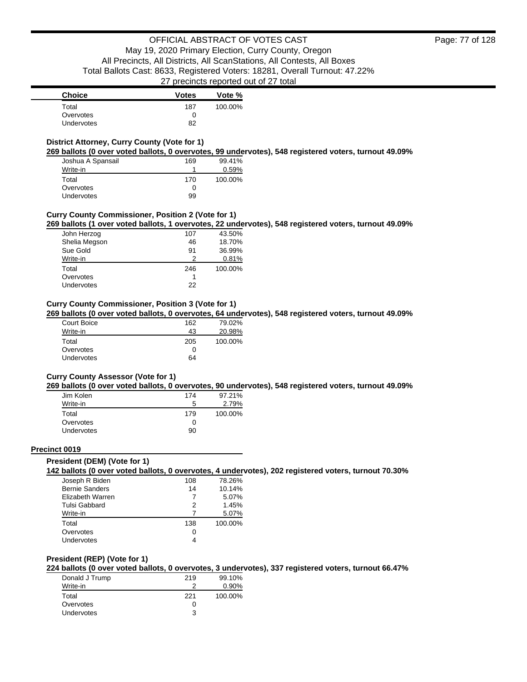| <b>Choice</b>     | <b>Votes</b> | Vote %  |
|-------------------|--------------|---------|
| Total             | 187          | 100.00% |
| Overvotes         |              |         |
| <b>Undervotes</b> | 82           |         |

### **District Attorney, Curry County (Vote for 1)**

**269 ballots (0 over voted ballots, 0 overvotes, 99 undervotes), 548 registered voters, turnout 49.09%**

| Joshua A Spansail | 169 | 99.41%  |
|-------------------|-----|---------|
| Write-in          |     | 0.59%   |
| Total             | 170 | 100.00% |
| Overvotes         | 0   |         |
| Undervotes        | 99  |         |

### **Curry County Commissioner, Position 2 (Vote for 1)**

**269 ballots (1 over voted ballots, 1 overvotes, 22 undervotes), 548 registered voters, turnout 49.09%**

| John Herzog   | 107 | 43.50%  |
|---------------|-----|---------|
| Shelia Megson | 46  | 18.70%  |
| Sue Gold      | 91  | 36.99%  |
| Write-in      | っ   | 0.81%   |
| Total         | 246 | 100.00% |
| Overvotes     |     |         |
| Undervotes    | 22  |         |

### **Curry County Commissioner, Position 3 (Vote for 1)**

**269 ballots (0 over voted ballots, 0 overvotes, 64 undervotes), 548 registered voters, turnout 49.09%**

| Court Boice | 162 | 79.02%  |
|-------------|-----|---------|
| Write-in    | 43  | 20.98%  |
| Total       | 205 | 100.00% |
| Overvotes   | 0   |         |
| Undervotes  | 64  |         |

#### **Curry County Assessor (Vote for 1)**

**269 ballots (0 over voted ballots, 0 overvotes, 90 undervotes), 548 registered voters, turnout 49.09%**

| Jim Kolen         | 174 | 97.21%  |
|-------------------|-----|---------|
| Write-in          | 5   | 2.79%   |
| Total             | 179 | 100.00% |
| Overvotes         | Ω   |         |
| <b>Undervotes</b> | 90  |         |

#### **Precinct 0019**

#### **President (DEM) (Vote for 1)**

**142 ballots (0 over voted ballots, 0 overvotes, 4 undervotes), 202 registered voters, turnout 70.30%**

| Joseph R Biden        | 108 | 78.26%  |
|-----------------------|-----|---------|
| <b>Bernie Sanders</b> | 14  | 10.14%  |
| Elizabeth Warren      | 7   | 5.07%   |
| Tulsi Gabbard         | 2   | 1.45%   |
| Write-in              |     | 5.07%   |
| Total                 | 138 | 100.00% |
| Overvotes             | 0   |         |
| Undervotes            |     |         |

### **President (REP) (Vote for 1)**

**224 ballots (0 over voted ballots, 0 overvotes, 3 undervotes), 337 registered voters, turnout 66.47%**

| 219 | 99.10%   |
|-----|----------|
|     | $0.90\%$ |
| 221 | 100.00%  |
|     |          |
| ર   |          |
|     |          |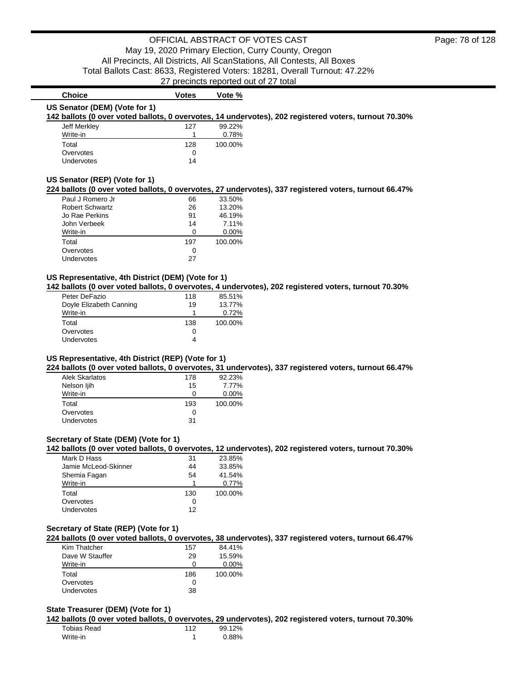### **Choice Votes Votes Vote** % **US Senator (DEM) (Vote for 1)**

**142 ballots (0 over voted ballots, 0 overvotes, 14 undervotes), 202 registered voters, turnout 70.30%**

| Jeff Merkley      | 127 | 99.22%  |
|-------------------|-----|---------|
| Write-in          |     | 0.78%   |
| Total             | 128 | 100.00% |
| Overvotes         | 0   |         |
| <b>Undervotes</b> | 14  |         |

#### **US Senator (REP) (Vote for 1)**

### **224 ballots (0 over voted ballots, 0 overvotes, 27 undervotes), 337 registered voters, turnout 66.47%**

| Paul J Romero Jr       | 66  | 33.50%   |
|------------------------|-----|----------|
| <b>Robert Schwartz</b> | 26  | 13.20%   |
| Jo Rae Perkins         | 91  | 46.19%   |
| John Verbeek           | 14  | 7.11%    |
| Write-in               | O   | $0.00\%$ |
| Total                  | 197 | 100.00%  |
| Overvotes              | Ω   |          |
| Undervotes             | 27  |          |

#### **US Representative, 4th District (DEM) (Vote for 1)**

**142 ballots (0 over voted ballots, 0 overvotes, 4 undervotes), 202 registered voters, turnout 70.30%**

| Peter DeFazio           | 118 | 85.51%  |
|-------------------------|-----|---------|
| Doyle Elizabeth Canning | 19  | 13.77%  |
| Write-in                |     | 0.72%   |
| Total                   | 138 | 100.00% |
| Overvotes               | 0   |         |
| Undervotes              | 4   |         |

### **US Representative, 4th District (REP) (Vote for 1)**

**224 ballots (0 over voted ballots, 0 overvotes, 31 undervotes), 337 registered voters, turnout 66.47%**

| Alek Skarlatos | 178 | 92.23%   |
|----------------|-----|----------|
| Nelson ljih    | 15  | 7.77%    |
| Write-in       | 0   | $0.00\%$ |
| Total          | 193 | 100.00%  |
| Overvotes      | 0   |          |
| Undervotes     | 31  |          |

### **Secretary of State (DEM) (Vote for 1)**

**142 ballots (0 over voted ballots, 0 overvotes, 12 undervotes), 202 registered voters, turnout 70.30%**

| 31  | 23.85%  |
|-----|---------|
| 44  | 33.85%  |
| 54  | 41.54%  |
|     | 0.77%   |
| 130 | 100.00% |
| 0   |         |
| 12  |         |
|     |         |

### **Secretary of State (REP) (Vote for 1)**

**224 ballots (0 over voted ballots, 0 overvotes, 38 undervotes), 337 registered voters, turnout 66.47%**

| Kim Thatcher    | 157          | 84.41%   |
|-----------------|--------------|----------|
| Dave W Stauffer | 29           | 15.59%   |
| Write-in        | O            | $0.00\%$ |
| Total           | 186          | 100.00%  |
| Overvotes       | $\mathbf{0}$ |          |
| Undervotes      | 38           |          |

#### **State Treasurer (DEM) (Vote for 1)**

**142 ballots (0 over voted ballots, 0 overvotes, 29 undervotes), 202 registered voters, turnout 70.30%**

| Tobias Read | 112 | 99.12% |
|-------------|-----|--------|
| Write-in    |     | 0.88%  |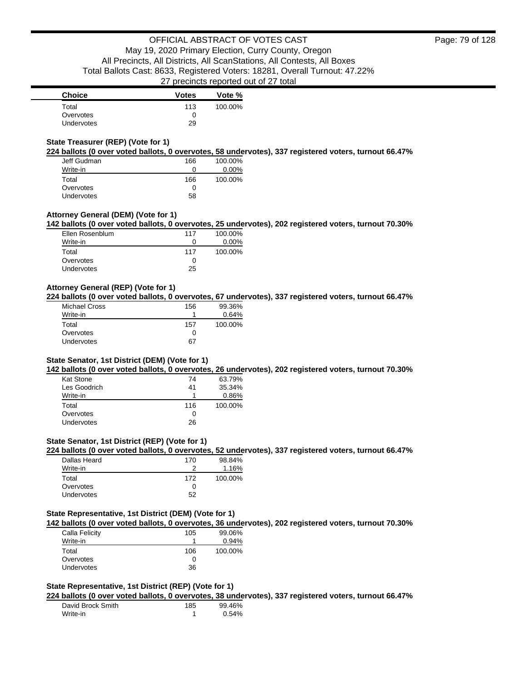| <b>Choice</b>     | <b>Votes</b> | Vote %  |
|-------------------|--------------|---------|
| Total             | 113          | 100.00% |
| Overvotes         | Ω            |         |
| <b>Undervotes</b> | 29           |         |

### **State Treasurer (REP) (Vote for 1)**

**224 ballots (0 over voted ballots, 0 overvotes, 58 undervotes), 337 registered voters, turnout 66.47%**

| Jeff Gudman       | 166 | 100.00%  |
|-------------------|-----|----------|
| Write-in          | 0   | $0.00\%$ |
| Total             | 166 | 100.00%  |
| Overvotes         | Ω   |          |
| <b>Undervotes</b> | 58  |          |

### **Attorney General (DEM) (Vote for 1)**

**142 ballots (0 over voted ballots, 0 overvotes, 25 undervotes), 202 registered voters, turnout 70.30%**

| Ellen Rosenblum   | 117          | 100.00% |
|-------------------|--------------|---------|
| Write-in          | $\mathbf{I}$ | 0.00%   |
| Total             | 117          | 100.00% |
| Overvotes         | $^{\circ}$   |         |
| <b>Undervotes</b> | 25           |         |

### **Attorney General (REP) (Vote for 1)**

**224 ballots (0 over voted ballots, 0 overvotes, 67 undervotes), 337 registered voters, turnout 66.47%**

| Michael Cross | 156 | 99.36%  |
|---------------|-----|---------|
| Write-in      |     | 0.64%   |
| Total         | 157 | 100.00% |
| Overvotes     | 0   |         |
| Undervotes    | 67  |         |

### **State Senator, 1st District (DEM) (Vote for 1)**

**142 ballots (0 over voted ballots, 0 overvotes, 26 undervotes), 202 registered voters, turnout 70.30%**

| Kat Stone    | 74  | 63.79%  |
|--------------|-----|---------|
| Les Goodrich | 41  | 35.34%  |
| Write-in     |     | 0.86%   |
| Total        | 116 | 100.00% |
| Overvotes    | O   |         |
| Undervotes   | 26  |         |

### **State Senator, 1st District (REP) (Vote for 1)**

**224 ballots (0 over voted ballots, 0 overvotes, 52 undervotes), 337 registered voters, turnout 66.47%**

| Dallas Heard      | 170 | 98.84%  |
|-------------------|-----|---------|
| Write-in          |     | 1.16%   |
| Total             | 172 | 100.00% |
| Overvotes         |     |         |
| <b>Undervotes</b> | 52  |         |

### **State Representative, 1st District (DEM) (Vote for 1)**

**142 ballots (0 over voted ballots, 0 overvotes, 36 undervotes), 202 registered voters, turnout 70.30%**

| 105 | 99.06%  |
|-----|---------|
|     | 0.94%   |
| 106 | 100.00% |
| 0   |         |
| 36  |         |
|     |         |

### **State Representative, 1st District (REP) (Vote for 1)**

**224 ballots (0 over voted ballots, 0 overvotes, 38 undervotes), 337 registered voters, turnout 66.47%**

| David Brock Smith | 185 | 99.46% |
|-------------------|-----|--------|
| Write-in          |     | 0.54%  |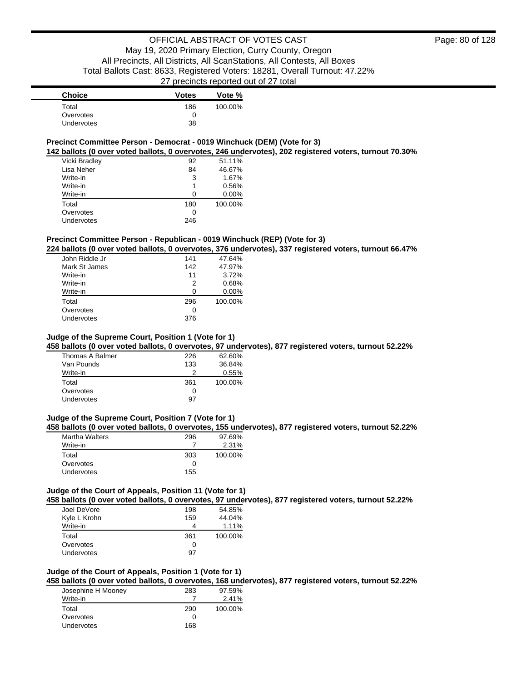| <b>Choice</b>     | <b>Votes</b> | Vote %  |
|-------------------|--------------|---------|
| Total             | 186          | 100.00% |
| Overvotes         | 0            |         |
| <b>Undervotes</b> | 38           |         |

### **Precinct Committee Person - Democrat - 0019 Winchuck (DEM) (Vote for 3)**

**142 ballots (0 over voted ballots, 0 overvotes, 246 undervotes), 202 registered voters, turnout 70.30%**

| Vicki Bradley | 92  | 51.11%   |
|---------------|-----|----------|
| Lisa Neher    | 84  | 46.67%   |
| Write-in      | 3   | 1.67%    |
| Write-in      |     | 0.56%    |
| Write-in      | O   | $0.00\%$ |
| Total         | 180 | 100.00%  |
| Overvotes     | 0   |          |
| Undervotes    | 246 |          |

### **Precinct Committee Person - Republican - 0019 Winchuck (REP) (Vote for 3)**

**224 ballots (0 over voted ballots, 0 overvotes, 376 undervotes), 337 registered voters, turnout 66.47%**

| John Riddle Jr | 141 | 47.64%   |
|----------------|-----|----------|
| Mark St James  | 142 | 47.97%   |
| Write-in       | 11  | 3.72%    |
| Write-in       | 2   | 0.68%    |
| Write-in       | ∩   | $0.00\%$ |
| Total          | 296 | 100.00%  |
| Overvotes      | 0   |          |
| Undervotes     | 376 |          |
|                |     |          |

### **Judge of the Supreme Court, Position 1 (Vote for 1)**

**458 ballots (0 over voted ballots, 0 overvotes, 97 undervotes), 877 registered voters, turnout 52.22%**

| Thomas A Balmer | 226 | 62.60%  |
|-----------------|-----|---------|
| Van Pounds      | 133 | 36.84%  |
| Write-in        |     | 0.55%   |
| Total           | 361 | 100.00% |
| Overvotes       | 0   |         |
| Undervotes      | 97  |         |

### **Judge of the Supreme Court, Position 7 (Vote for 1)**

**458 ballots (0 over voted ballots, 0 overvotes, 155 undervotes), 877 registered voters, turnout 52.22%**

| <b>Martha Walters</b> | 296 | 97.69%  |
|-----------------------|-----|---------|
| Write-in              |     | 2.31%   |
| Total                 | 303 | 100.00% |
| Overvotes             | 0   |         |
| Undervotes            | 155 |         |

# **Judge of the Court of Appeals, Position 11 (Vote for 1)**

**458 ballots (0 over voted ballots, 0 overvotes, 97 undervotes), 877 registered voters, turnout 52.22%**

| Joel DeVore  | 198          | 54.85%  |
|--------------|--------------|---------|
| Kyle L Krohn | 159          | 44.04%  |
| Write-in     |              | 1.11%   |
|              |              | 100.00% |
| Total        | 361          |         |
| Overvotes    | $\mathbf{0}$ |         |

#### **Judge of the Court of Appeals, Position 1 (Vote for 1)**

**458 ballots (0 over voted ballots, 0 overvotes, 168 undervotes), 877 registered voters, turnout 52.22%**

| Josephine H Mooney | 283 | 97.59%  |
|--------------------|-----|---------|
| Write-in           |     | 2.41%   |
| Total              | 290 | 100.00% |
| Overvotes          |     |         |
| Undervotes         | 168 |         |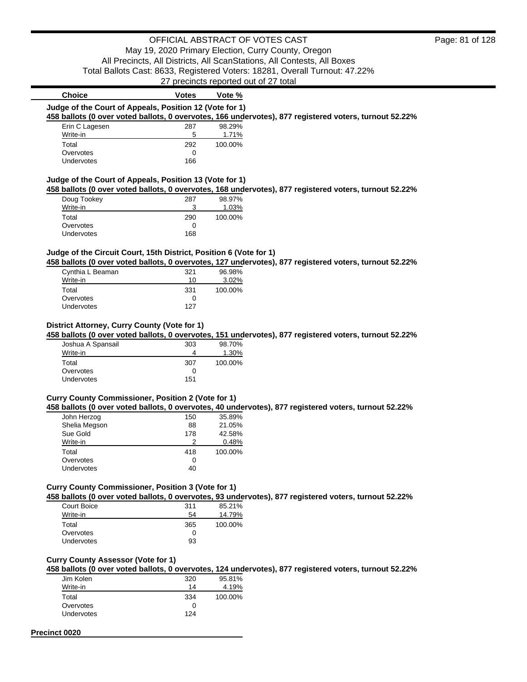# OFFICIAL ABSTRACT OF VOTES CAST May 19, 2020 Primary Election, Curry County, Oregon

All Precincts, All Districts, All ScanStations, All Contests, All Boxes

Total Ballots Cast: 8633, Registered Voters: 18281, Overall Turnout: 47.22%

27 precincts reported out of 27 total

| <b>Choice</b>                                                      | <b>Votes</b> | Vote %  |                                                                                                        |
|--------------------------------------------------------------------|--------------|---------|--------------------------------------------------------------------------------------------------------|
| Judge of the Court of Appeals, Position 12 (Vote for 1)            |              |         |                                                                                                        |
|                                                                    |              |         | 458 ballots (0 over voted ballots, 0 overvotes, 166 undervotes), 877 registered voters, turnout 52.22% |
| Erin C Lagesen                                                     | 287          | 98.29%  |                                                                                                        |
| Write-in                                                           | 5            | 1.71%   |                                                                                                        |
| Total                                                              | 292          | 100.00% |                                                                                                        |
| Overvotes                                                          | 0            |         |                                                                                                        |
| Undervotes                                                         | 166          |         |                                                                                                        |
|                                                                    |              |         |                                                                                                        |
| Judge of the Court of Appeals, Position 13 (Vote for 1)            |              |         |                                                                                                        |
|                                                                    |              |         | 458 ballots (0 over voted ballots, 0 overvotes, 168 undervotes), 877 registered voters, turnout 52.22% |
| Doug Tookey                                                        | 287          | 98.97%  |                                                                                                        |
| Write-in                                                           | 3            | 1.03%   |                                                                                                        |
| Total                                                              | 290          | 100.00% |                                                                                                        |
| Overvotes                                                          | 0            |         |                                                                                                        |
| Undervotes                                                         | 168          |         |                                                                                                        |
|                                                                    |              |         |                                                                                                        |
| Judge of the Circuit Court, 15th District, Position 6 (Vote for 1) |              |         |                                                                                                        |
|                                                                    |              |         | 458 ballots (0 over voted ballots, 0 overvotes, 127 undervotes), 877 registered voters, turnout 52.22% |
| Cynthia L Beaman                                                   | 321          | 96.98%  |                                                                                                        |
| Write-in                                                           | 10           | 3.02%   |                                                                                                        |
| Total                                                              | 331          | 100.00% |                                                                                                        |
| Overvotes                                                          | 0<br>127     |         |                                                                                                        |
| Undervotes                                                         |              |         |                                                                                                        |
|                                                                    |              |         |                                                                                                        |
| District Attorney, Curry County (Vote for 1)                       |              |         |                                                                                                        |
|                                                                    |              |         | 458 ballots (0 over voted ballots, 0 overvotes, 151 undervotes), 877 registered voters, turnout 52.22% |
| Joshua A Spansail                                                  | 303<br>4     | 98.70%  |                                                                                                        |
| Write-in                                                           |              | 1.30%   |                                                                                                        |
| Total<br>Overvotes                                                 | 307<br>0     | 100.00% |                                                                                                        |
| Undervotes                                                         | 151          |         |                                                                                                        |
|                                                                    |              |         |                                                                                                        |
| Curry County Commissioner, Position 2 (Vote for 1)                 |              |         |                                                                                                        |
|                                                                    |              |         | 458 ballots (0 over voted ballots, 0 overvotes, 40 undervotes), 877 registered voters, turnout 52.22%  |
| John Herzog                                                        | 150          | 35.89%  |                                                                                                        |
| Shelia Megson                                                      | 88           | 21.05%  |                                                                                                        |
| Sue Gold                                                           | 178          | 42.58%  |                                                                                                        |
| Write-in                                                           | 2            | 0.48%   |                                                                                                        |
| Total                                                              | 418          | 100.00% |                                                                                                        |
| Overvotes                                                          | 0            |         |                                                                                                        |
| Undervotes                                                         | 40           |         |                                                                                                        |
|                                                                    |              |         |                                                                                                        |
| <b>Curry County Commissioner, Position 3 (Vote for 1)</b>          |              |         |                                                                                                        |
|                                                                    |              |         | 458 ballots (0 over voted ballots, 0 overvotes, 93 undervotes), 877 registered voters, turnout 52.22%  |
| Court Boice                                                        | 311          | 85.21%  |                                                                                                        |
| Write-in                                                           | 54           | 14.79%  |                                                                                                        |
| Total                                                              | 365          | 100.00% |                                                                                                        |
| Overvotes                                                          | 0            |         |                                                                                                        |
| Undervotes                                                         | 93           |         |                                                                                                        |
|                                                                    |              |         |                                                                                                        |
| <b>Curry County Assessor (Vote for 1)</b>                          |              |         |                                                                                                        |
|                                                                    |              |         | 458 ballots (0 over voted ballots, 0 overvotes, 124 undervotes), 877 registered voters, turnout 52.22% |
| Jim Kolen                                                          | 320          | 95.81%  |                                                                                                        |
| Write-in                                                           | 14           | 4.19%   |                                                                                                        |
| Total                                                              | 334          | 100.00% |                                                                                                        |
| Overvotes                                                          | $\Omega$     |         |                                                                                                        |

**Precinct 0020**

Undervotes

Overvotes 0<br>Undervotes 124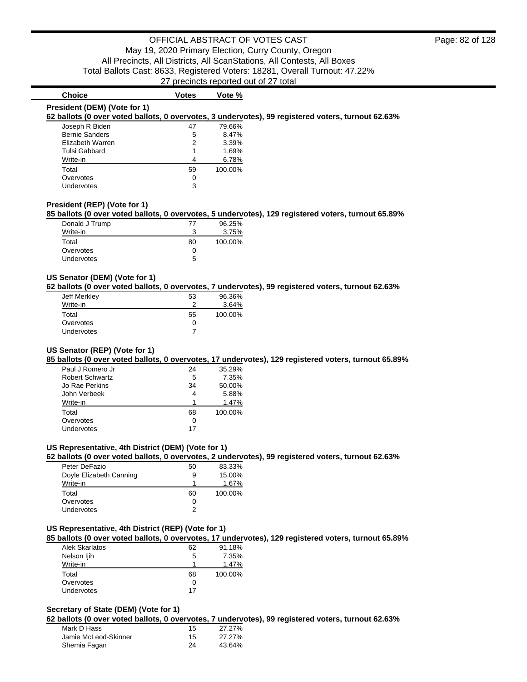# **President (DEM) (Vote for 1)**

### **Choice Votes Votes Vote** %

### **62 ballots (0 over voted ballots, 0 overvotes, 3 undervotes), 99 registered voters, turnout 62.63%**

| Joseph R Biden        | 47 | 79.66%  |
|-----------------------|----|---------|
| <b>Bernie Sanders</b> | 5  | 8.47%   |
| Elizabeth Warren      | 2  | 3.39%   |
| Tulsi Gabbard         | 1  | 1.69%   |
| Write-in              | 4  | 6.78%   |
| Total                 | 59 | 100.00% |
| Overvotes             | 0  |         |
| Undervotes            | 3  |         |

### **President (REP) (Vote for 1)**

#### **85 ballots (0 over voted ballots, 0 overvotes, 5 undervotes), 129 registered voters, turnout 65.89%**

| Donald J Trump    | 77           | 96.25%  |
|-------------------|--------------|---------|
| Write-in          | ?            | 3.75%   |
| Total             | 80           | 100.00% |
| Overvotes         | $\mathbf{0}$ |         |
| <b>Undervotes</b> | 5            |         |

### **US Senator (DEM) (Vote for 1)**

**62 ballots (0 over voted ballots, 0 overvotes, 7 undervotes), 99 registered voters, turnout 62.63%**

| Jeff Merkley | 53 | 96.36%  |
|--------------|----|---------|
| Write-in     |    | 3.64%   |
| Total        | 55 | 100.00% |
| Overvotes    |    |         |
| Undervotes   |    |         |

### **US Senator (REP) (Vote for 1)**

**85 ballots (0 over voted ballots, 0 overvotes, 17 undervotes), 129 registered voters, turnout 65.89%**

| Paul J Romero Jr       | 24 | 35.29%  |
|------------------------|----|---------|
| <b>Robert Schwartz</b> | 5  | 7.35%   |
| Jo Rae Perkins         | 34 | 50.00%  |
| John Verbeek           | 4  | 5.88%   |
| Write-in               |    | 1.47%   |
| Total                  | 68 | 100.00% |
| Overvotes              | ∩  |         |
| Undervotes             | 17 |         |

#### **US Representative, 4th District (DEM) (Vote for 1)**

**62 ballots (0 over voted ballots, 0 overvotes, 2 undervotes), 99 registered voters, turnout 62.63%**

| Peter DeFazio           | 50 | 83.33%  |
|-------------------------|----|---------|
| Doyle Elizabeth Canning | 9  | 15.00%  |
| Write-in                |    | 1.67%   |
| Total                   | 60 | 100.00% |
| Overvotes               | 0  |         |
| Undervotes              | 2  |         |

#### **US Representative, 4th District (REP) (Vote for 1)**

**85 ballots (0 over voted ballots, 0 overvotes, 17 undervotes), 129 registered voters, turnout 65.89%**

| <b>Alek Skarlatos</b> | 62 | 91.18%  |
|-----------------------|----|---------|
| Nelson ljih           | 5  | 7.35%   |
| Write-in              |    | 1.47%   |
| Total                 | 68 | 100.00% |
| Overvotes             | 0  |         |
| <b>Undervotes</b>     | 17 |         |

### **Secretary of State (DEM) (Vote for 1)**

**62 ballots (0 over voted ballots, 0 overvotes, 7 undervotes), 99 registered voters, turnout 62.63%**

| Mark D Hass          | 15 | 27.27% |
|----------------------|----|--------|
| Jamie McLeod-Skinner | 15 | 27.27% |
| Shemia Fagan         | 24 | 43.64% |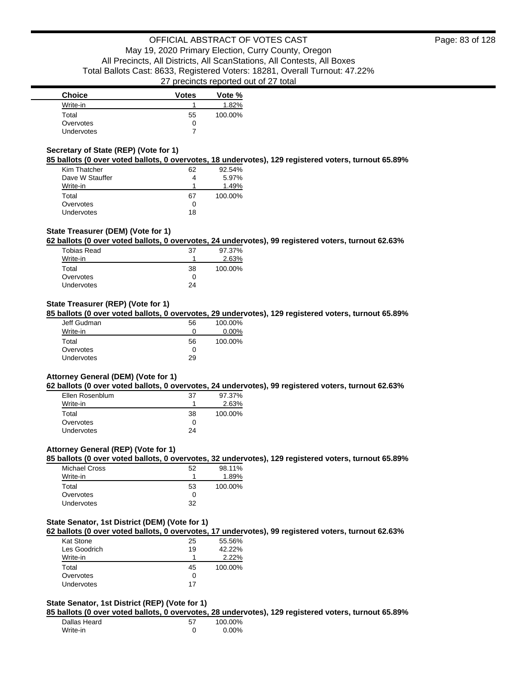| <b>Choice</b> | <b>Votes</b> | Vote %  |
|---------------|--------------|---------|
| Write-in      |              | 1.82%   |
| Total         | 55           | 100.00% |
| Overvotes     | 0            |         |
| Undervotes    |              |         |

### **Secretary of State (REP) (Vote for 1)**

**85 ballots (0 over voted ballots, 0 overvotes, 18 undervotes), 129 registered voters, turnout 65.89%**

| Kim Thatcher      | 62 | 92.54%  |
|-------------------|----|---------|
| Dave W Stauffer   | 4  | 5.97%   |
| Write-in          | 1  | 1.49%   |
| Total             | 67 | 100.00% |
| Overvotes         | ∩  |         |
| <b>Undervotes</b> | 18 |         |

### **State Treasurer (DEM) (Vote for 1)**

**62 ballots (0 over voted ballots, 0 overvotes, 24 undervotes), 99 registered voters, turnout 62.63%**

| <b>Tobias Read</b> | 37 | 97.37%  |
|--------------------|----|---------|
| Write-in           |    | 2.63%   |
| Total              | 38 | 100.00% |
| Overvotes          | O  |         |
| <b>Undervotes</b>  | 24 |         |
|                    |    |         |

### **State Treasurer (REP) (Vote for 1)**

**85 ballots (0 over voted ballots, 0 overvotes, 29 undervotes), 129 registered voters, turnout 65.89%**

| Jeff Gudman | 56 | 100.00%  |
|-------------|----|----------|
| Write-in    | 0  | $0.00\%$ |
| Total       | 56 | 100.00%  |
| Overvotes   | 0  |          |
| Undervotes  | 29 |          |

#### **Attorney General (DEM) (Vote for 1)**

**62 ballots (0 over voted ballots, 0 overvotes, 24 undervotes), 99 registered voters, turnout 62.63%**

| Ellen Rosenblum   | 37 | 97.37%  |
|-------------------|----|---------|
| Write-in          |    | 2.63%   |
| Total             | 38 | 100.00% |
| Overvotes         | 0  |         |
| <b>Undervotes</b> | 24 |         |

#### **Attorney General (REP) (Vote for 1)**

**85 ballots (0 over voted ballots, 0 overvotes, 32 undervotes), 129 registered voters, turnout 65.89%**

| <b>Michael Cross</b> | 52 | 98.11%  |
|----------------------|----|---------|
| Write-in             |    | 1.89%   |
| Total                | 53 | 100.00% |
| Overvotes            | ∩  |         |
| <b>Undervotes</b>    | 32 |         |

#### **State Senator, 1st District (DEM) (Vote for 1)**

**62 ballots (0 over voted ballots, 0 overvotes, 17 undervotes), 99 registered voters, turnout 62.63%**

| Kat Stone    | 25 | 55.56%  |
|--------------|----|---------|
| Les Goodrich | 19 | 42.22%  |
| Write-in     | 1  | 2.22%   |
| Total        | 45 | 100.00% |
| Overvotes    | O  |         |
| Undervotes   | 17 |         |

### **State Senator, 1st District (REP) (Vote for 1)**

**85 ballots (0 over voted ballots, 0 overvotes, 28 undervotes), 129 registered voters, turnout 65.89%**

| Dallas Heard | 57 | 100.00% |
|--------------|----|---------|
| Write-in     |    | 0.00%   |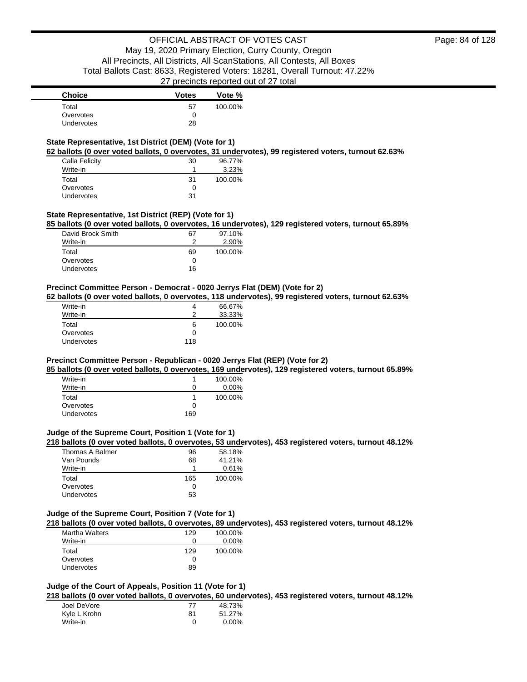### **State Representative, 1st District (DEM) (Vote for 1)**

**62 ballots (0 over voted ballots, 0 overvotes, 31 undervotes), 99 registered voters, turnout 62.63%**

| Calla Felicity    | 30 | 96.77%  |
|-------------------|----|---------|
| Write-in          |    | 3.23%   |
| Total             | 31 | 100.00% |
| Overvotes         | 0  |         |
| <b>Undervotes</b> | 31 |         |

### **State Representative, 1st District (REP) (Vote for 1)**

**85 ballots (0 over voted ballots, 0 overvotes, 16 undervotes), 129 registered voters, turnout 65.89%**

| David Brock Smith | 67 | 97.10%  |
|-------------------|----|---------|
| Write-in          |    | 2.90%   |
| Total             | 69 | 100.00% |
| Overvotes         |    |         |
| Undervotes        | 16 |         |

### **Precinct Committee Person - Democrat - 0020 Jerrys Flat (DEM) (Vote for 2)**

**62 ballots (0 over voted ballots, 0 overvotes, 118 undervotes), 99 registered voters, turnout 62.63%**

| Write-in   |     | 66.67%  |
|------------|-----|---------|
| Write-in   |     | 33.33%  |
| Total      | 6   | 100.00% |
| Overvotes  | 0   |         |
| Undervotes | 118 |         |

### **Precinct Committee Person - Republican - 0020 Jerrys Flat (REP) (Vote for 2)**

**85 ballots (0 over voted ballots, 0 overvotes, 169 undervotes), 129 registered voters, turnout 65.89%**

| Write-in          |     | 100.00%  |
|-------------------|-----|----------|
| Write-in          | 0   | $0.00\%$ |
| Total             |     | 100.00%  |
| Overvotes         | 0   |          |
| <b>Undervotes</b> | 169 |          |

### **Judge of the Supreme Court, Position 1 (Vote for 1)**

**218 ballots (0 over voted ballots, 0 overvotes, 53 undervotes), 453 registered voters, turnout 48.12%**

| Thomas A Balmer | 96  | 58.18%  |
|-----------------|-----|---------|
| Van Pounds      | 68  | 41.21%  |
| Write-in        |     | 0.61%   |
| Total           | 165 | 100.00% |
| Overvotes       |     |         |
| Undervotes      | 53  |         |

### **Judge of the Supreme Court, Position 7 (Vote for 1)**

**218 ballots (0 over voted ballots, 0 overvotes, 89 undervotes), 453 registered voters, turnout 48.12%**

| <b>Martha Walters</b> | 129 | 100.00%  |
|-----------------------|-----|----------|
| Write-in              |     | $0.00\%$ |
| Total                 | 129 | 100.00%  |
| Overvotes             | 0   |          |
| <b>Undervotes</b>     | 89  |          |

#### **Judge of the Court of Appeals, Position 11 (Vote for 1)**

**218 ballots (0 over voted ballots, 0 overvotes, 60 undervotes), 453 registered voters, turnout 48.12%**

| Joel DeVore  | 77 | 48.73% |
|--------------|----|--------|
| Kyle L Krohn | 81 | 51.27% |
| Write-in     | 0  | 0.00%  |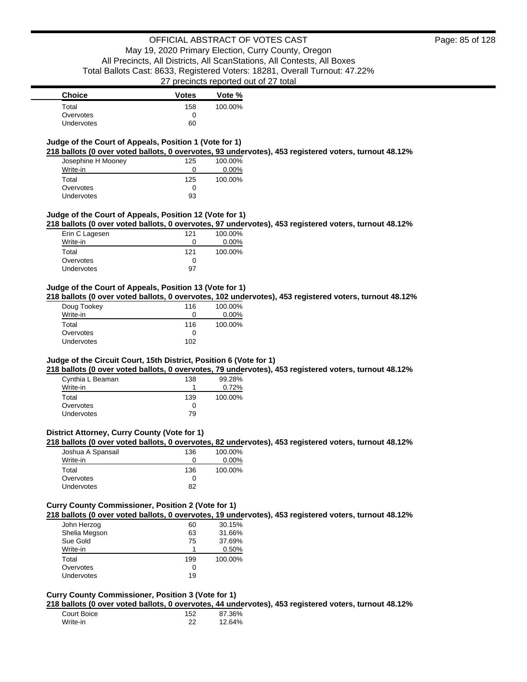### **Judge of the Court of Appeals, Position 1 (Vote for 1)**

**218 ballots (0 over voted ballots, 0 overvotes, 93 undervotes), 453 registered voters, turnout 48.12%**

| Josephine H Mooney | 125 | 100.00%  |
|--------------------|-----|----------|
| Write-in           | 0   | $0.00\%$ |
| Total              | 125 | 100.00%  |
| Overvotes          | 0   |          |
| Undervotes         | 93  |          |

### **Judge of the Court of Appeals, Position 12 (Vote for 1)**

**218 ballots (0 over voted ballots, 0 overvotes, 97 undervotes), 453 registered voters, turnout 48.12%**

| Erin C Lagesen    | 121          | 100.00% |
|-------------------|--------------|---------|
| Write-in          | $\mathbf{I}$ | 0.00%   |
| Total             | 121          | 100.00% |
| Overvotes         | 0            |         |
| <b>Undervotes</b> | 97           |         |

#### **Judge of the Court of Appeals, Position 13 (Vote for 1)**

**218 ballots (0 over voted ballots, 0 overvotes, 102 undervotes), 453 registered voters, turnout 48.12%**

| Doug Tookey | 116 | 100.00%  |
|-------------|-----|----------|
| Write-in    | 0   | $0.00\%$ |
| Total       | 116 | 100.00%  |
| Overvotes   | Ω   |          |
| Undervotes  | 102 |          |

### **Judge of the Circuit Court, 15th District, Position 6 (Vote for 1)**

**218 ballots (0 over voted ballots, 0 overvotes, 79 undervotes), 453 registered voters, turnout 48.12%**

| Cynthia L Beaman  | 138 | 99.28%  |
|-------------------|-----|---------|
| Write-in          |     | 0.72%   |
| Total             | 139 | 100.00% |
| Overvotes         | Ω   |         |
| <b>Undervotes</b> | 79  |         |

### **District Attorney, Curry County (Vote for 1)**

### **218 ballots (0 over voted ballots, 0 overvotes, 82 undervotes), 453 registered voters, turnout 48.12%**

| Joshua A Spansail | 136 | 100.00%  |
|-------------------|-----|----------|
| Write-in          | 0   | $0.00\%$ |
| Total             | 136 | 100.00%  |
| Overvotes         |     |          |
| <b>Undervotes</b> | 82  |          |

### **Curry County Commissioner, Position 2 (Vote for 1)**

**218 ballots (0 over voted ballots, 0 overvotes, 19 undervotes), 453 registered voters, turnout 48.12%**

| John Herzog       | 60  | 30.15%  |
|-------------------|-----|---------|
| Shelia Megson     | 63  | 31.66%  |
| Sue Gold          | 75  | 37.69%  |
| Write-in          | 1   | 0.50%   |
| Total             | 199 | 100.00% |
| Overvotes         | 0   |         |
| <b>Undervotes</b> | 19  |         |

### **Curry County Commissioner, Position 3 (Vote for 1)**

**218 ballots (0 over voted ballots, 0 overvotes, 44 undervotes), 453 registered voters, turnout 48.12%**

| Court Boice | 152 | 87.36% |
|-------------|-----|--------|
| Write-in    | 22  | 12.64% |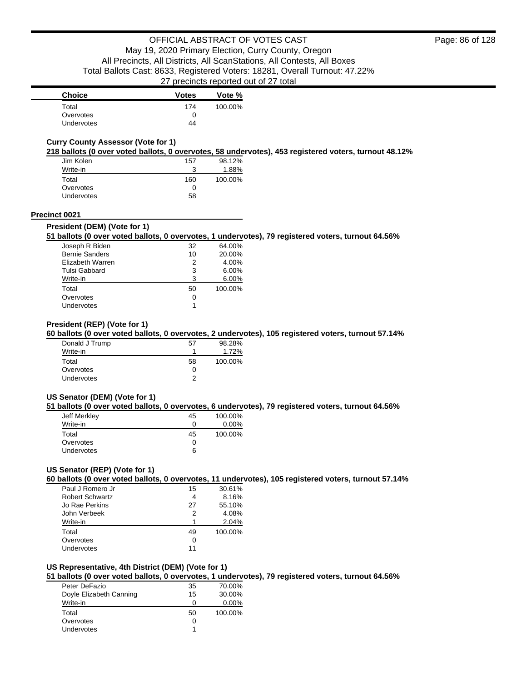| <b>Choice</b>     | <b>Votes</b> | Vote %  |
|-------------------|--------------|---------|
| Total             | 174          | 100.00% |
| Overvotes         |              |         |
| <b>Undervotes</b> | 44           |         |

### **Curry County Assessor (Vote for 1)**

**218 ballots (0 over voted ballots, 0 overvotes, 58 undervotes), 453 registered voters, turnout 48.12%**

| Jim Kolen  | 157 | 98.12%  |
|------------|-----|---------|
| Write-in   |     | 1.88%   |
| Total      | 160 | 100.00% |
| Overvotes  | O   |         |
| Undervotes | 58  |         |

#### **Precinct 0021**

#### **President (DEM) (Vote for 1)**

### **51 ballots (0 over voted ballots, 0 overvotes, 1 undervotes), 79 registered voters, turnout 64.56%**

| Joseph R Biden        | 32 | 64.00%  |
|-----------------------|----|---------|
| <b>Bernie Sanders</b> | 10 | 20.00%  |
| Elizabeth Warren      | 2  | 4.00%   |
| Tulsi Gabbard         | 3  | 6.00%   |
| Write-in              | 3  | 6.00%   |
| Total                 | 50 | 100.00% |
| Overvotes             | 0  |         |
| Undervotes            |    |         |

#### **President (REP) (Vote for 1)**

#### **60 ballots (0 over voted ballots, 0 overvotes, 2 undervotes), 105 registered voters, turnout 57.14%**

| Donald J Trump | 57           | 98.28%  |
|----------------|--------------|---------|
| Write-in       |              | 1.72%   |
| Total          | 58           | 100.00% |
| Overvotes      | $\mathbf{0}$ |         |
| Undervotes     |              |         |

#### **US Senator (DEM) (Vote for 1)**

#### **51 ballots (0 over voted ballots, 0 overvotes, 6 undervotes), 79 registered voters, turnout 64.56%**

| Jeff Merkley      | 45 | 100.00%  |
|-------------------|----|----------|
| Write-in          | O  | $0.00\%$ |
| Total             | 45 | 100.00%  |
| Overvotes         | 0  |          |
| <b>Undervotes</b> | 6  |          |

### **US Senator (REP) (Vote for 1)**

**60 ballots (0 over voted ballots, 0 overvotes, 11 undervotes), 105 registered voters, turnout 57.14%**

| Paul J Romero Jr       | 15 | 30.61%  |
|------------------------|----|---------|
| <b>Robert Schwartz</b> |    | 8.16%   |
| Jo Rae Perkins         | 27 | 55.10%  |
| John Verbeek           | 2  | 4.08%   |
| Write-in               |    | 2.04%   |
| Total                  | 49 | 100.00% |
| Overvotes              |    |         |
| Undervotes             | 11 |         |

#### **US Representative, 4th District (DEM) (Vote for 1)**

### **51 ballots (0 over voted ballots, 0 overvotes, 1 undervotes), 79 registered voters, turnout 64.56%**

| Peter DeFazio           | 35 | 70.00%   |
|-------------------------|----|----------|
| Doyle Elizabeth Canning | 15 | 30.00%   |
| Write-in                | 0  | $0.00\%$ |
| Total                   | 50 | 100.00%  |
| Overvotes               | 0  |          |
| <b>Undervotes</b>       |    |          |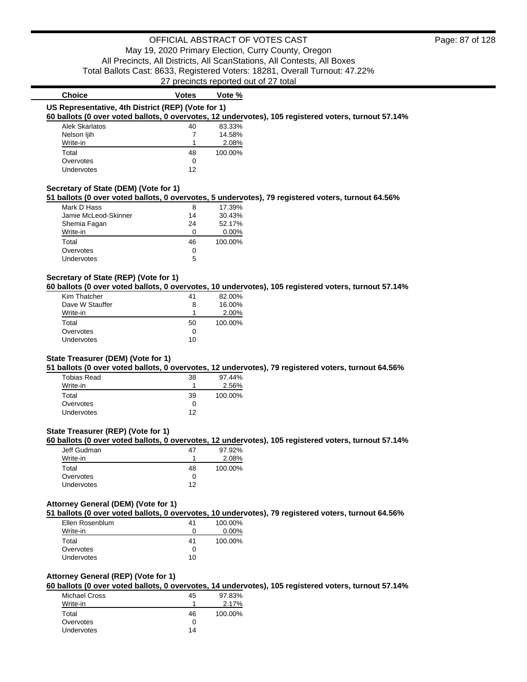| US Representative, 4th District (REP) (Vote for 1)<br>60 ballots (0 over voted ballots, 0 overvotes, 12 undervotes), 105 registered voters, turnout 57.14%<br>83.33% |
|----------------------------------------------------------------------------------------------------------------------------------------------------------------------|
|                                                                                                                                                                      |
|                                                                                                                                                                      |
|                                                                                                                                                                      |
| 14.58%                                                                                                                                                               |
| 2.08%                                                                                                                                                                |
| 100.00%                                                                                                                                                              |
|                                                                                                                                                                      |
|                                                                                                                                                                      |
|                                                                                                                                                                      |

### **Secretary of State (DEM) (Vote for 1)**

**51 ballots (0 over voted ballots, 0 overvotes, 5 undervotes), 79 registered voters, turnout 64.56%**

| Mark D Hass          | 8  | 17.39%   |
|----------------------|----|----------|
| Jamie McLeod-Skinner | 14 | 30.43%   |
| Shemia Fagan         | 24 | 52.17%   |
| Write-in             | Ω  | $0.00\%$ |
| Total                | 46 | 100.00%  |
| Overvotes            | ∩  |          |
| Undervotes           | 5  |          |

### **Secretary of State (REP) (Vote for 1)**

**60 ballots (0 over voted ballots, 0 overvotes, 10 undervotes), 105 registered voters, turnout 57.14%**

| Kim Thatcher    | 41 | 82.00%  |
|-----------------|----|---------|
| Dave W Stauffer | 8  | 16.00%  |
| Write-in        |    | 2.00%   |
| Total           | 50 | 100.00% |
| Overvotes       | 0  |         |
| Undervotes      | 10 |         |

### **State Treasurer (DEM) (Vote for 1)**

**51 ballots (0 over voted ballots, 0 overvotes, 12 undervotes), 79 registered voters, turnout 64.56%**

| Tobias Read       | 38 | 97.44%  |
|-------------------|----|---------|
| Write-in          |    | 2.56%   |
| Total             | 39 | 100.00% |
| Overvotes         | Ω  |         |
| <b>Undervotes</b> | ィっ |         |

### **State Treasurer (REP) (Vote for 1)**

**60 ballots (0 over voted ballots, 0 overvotes, 12 undervotes), 105 registered voters, turnout 57.14%**

| Jeff Gudman       | 4/ | 97.92%  |
|-------------------|----|---------|
| Write-in          |    | 2.08%   |
| Total             | 48 | 100.00% |
| Overvotes         |    |         |
| <b>Undervotes</b> | 12 |         |

#### **Attorney General (DEM) (Vote for 1)**

**51 ballots (0 over voted ballots, 0 overvotes, 10 undervotes), 79 registered voters, turnout 64.56%**

| Ellen Rosenblum   | 41 | 100.00%  |
|-------------------|----|----------|
| Write-in          | 0  | $0.00\%$ |
| Total             | 41 | 100.00%  |
| Overvotes         | O  |          |
| <b>Undervotes</b> | 10 |          |

### **Attorney General (REP) (Vote for 1)**

**60 ballots (0 over voted ballots, 0 overvotes, 14 undervotes), 105 registered voters, turnout 57.14%**

| Michael Cross | 45 | 97.83%  |
|---------------|----|---------|
| Write-in      |    | 2.17%   |
| Total         | 46 | 100.00% |
| Overvotes     | ∩  |         |
| Undervotes    | 14 |         |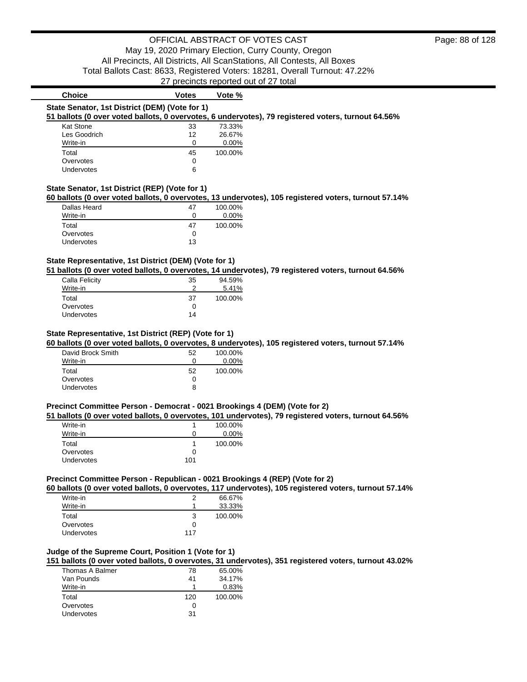#### **State Senator, 1st District (DEM) (Vote for 1) 51 ballots (0 over voted ballots, 0 overvotes, 6 undervotes), 79 registered voters, turnout 64.56%**

|                   | DUITOLS TO OVOI VOLGU DUITOLS, O OVOI VOLGS, O UITUGI V |    |          |
|-------------------|---------------------------------------------------------|----|----------|
| <b>Kat Stone</b>  |                                                         | 33 | 73.33%   |
| Les Goodrich      |                                                         | 12 | 26.67%   |
| Write-in          |                                                         | Ω  | $0.00\%$ |
| Total             |                                                         | 45 | 100.00%  |
| Overvotes         |                                                         | 0  |          |
| <b>Undervotes</b> |                                                         | 6  |          |

**Choice Votes Votes Vote %** 

### **State Senator, 1st District (REP) (Vote for 1)**

#### **60 ballots (0 over voted ballots, 0 overvotes, 13 undervotes), 105 registered voters, turnout 57.14%**

| Dallas Heard      | 47 | 100.00%  |
|-------------------|----|----------|
| Write-in          |    | $0.00\%$ |
| Total             | 47 | 100.00%  |
| Overvotes         |    |          |
| <b>Undervotes</b> | 13 |          |

### **State Representative, 1st District (DEM) (Vote for 1)**

**51 ballots (0 over voted ballots, 0 overvotes, 14 undervotes), 79 registered voters, turnout 64.56%**

| Calla Felicity    | 35           | 94.59%  |
|-------------------|--------------|---------|
| Write-in          |              | 5.41%   |
| Total             | 37           | 100.00% |
| Overvotes         | $\mathbf{0}$ |         |
| <b>Undervotes</b> | 14           |         |

### **State Representative, 1st District (REP) (Vote for 1)**

**60 ballots (0 over voted ballots, 0 overvotes, 8 undervotes), 105 registered voters, turnout 57.14%**

| David Brock Smith | 52 | 100.00%  |
|-------------------|----|----------|
| Write-in          | Ω  | $0.00\%$ |
| Total             | 52 | 100.00%  |
| Overvotes         | O  |          |
| Undervotes        | 8  |          |

#### **Precinct Committee Person - Democrat - 0021 Brookings 4 (DEM) (Vote for 2)**

#### **51 ballots (0 over voted ballots, 0 overvotes, 101 undervotes), 79 registered voters, turnout 64.56%**

| Write-in   |     | 100.00%  |
|------------|-----|----------|
| Write-in   | 0   | $0.00\%$ |
| Total      |     | 100.00%  |
| Overvotes  |     |          |
| Undervotes | 101 |          |

### **Precinct Committee Person - Republican - 0021 Brookings 4 (REP) (Vote for 2)**

**60 ballots (0 over voted ballots, 0 overvotes, 117 undervotes), 105 registered voters, turnout 57.14%**

| Write-in          | 2   | 66.67%  |
|-------------------|-----|---------|
| Write-in          |     | 33.33%  |
| Total             | 3   | 100.00% |
| Overvotes         | 0   |         |
| <b>Undervotes</b> | 117 |         |

### **Judge of the Supreme Court, Position 1 (Vote for 1)**

**151 ballots (0 over voted ballots, 0 overvotes, 31 undervotes), 351 registered voters, turnout 43.02%**

| Thomas A Balmer | 78  | 65.00%  |
|-----------------|-----|---------|
| Van Pounds      | 41  | 34.17%  |
| Write-in        |     | 0.83%   |
| Total           | 120 | 100.00% |
| Overvotes       |     |         |
| Undervotes      | 31  |         |
|                 |     |         |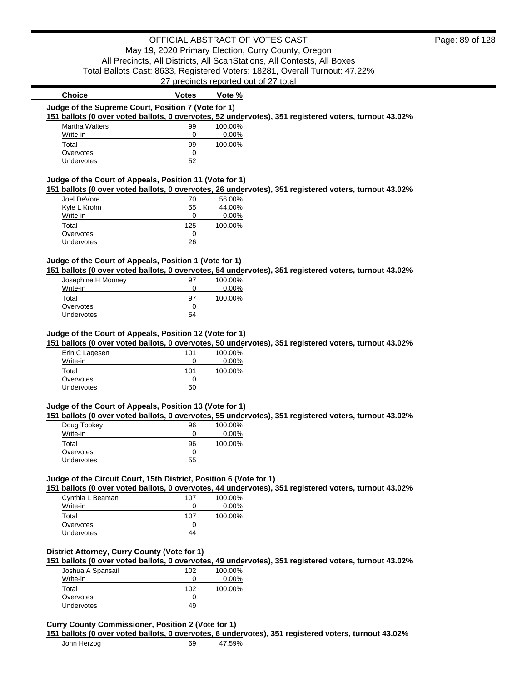|                                                                              | zi predindis reported out or zi total |                  |                                                                                                       |
|------------------------------------------------------------------------------|---------------------------------------|------------------|-------------------------------------------------------------------------------------------------------|
| <b>Choice</b>                                                                | <b>Votes</b>                          | Vote %           |                                                                                                       |
| Judge of the Supreme Court, Position 7 (Vote for 1)                          |                                       |                  | 151 ballots (0 over voted ballots, 0 overvotes, 52 undervotes), 351 registered voters, turnout 43.02% |
| <b>Martha Walters</b>                                                        | 99                                    | 100.00%          |                                                                                                       |
| Write-in                                                                     | 0                                     | 0.00%            |                                                                                                       |
| Total                                                                        | 99                                    | 100.00%          |                                                                                                       |
| Overvotes                                                                    | 0                                     |                  |                                                                                                       |
| Undervotes                                                                   | 52                                    |                  |                                                                                                       |
| Judge of the Court of Appeals, Position 11 (Vote for 1)                      |                                       |                  | 151 ballots (0 over voted ballots, 0 overvotes, 26 undervotes), 351 registered voters, turnout 43.02% |
| Joel DeVore                                                                  | 70                                    | 56.00%           |                                                                                                       |
| Kyle L Krohn                                                                 | 55<br>0                               | 44.00%           |                                                                                                       |
| Write-in                                                                     |                                       | 0.00%            |                                                                                                       |
| Total                                                                        | 125                                   | 100.00%          |                                                                                                       |
| Overvotes                                                                    | 0                                     |                  |                                                                                                       |
| Undervotes                                                                   | 26                                    |                  |                                                                                                       |
| Judge of the Court of Appeals, Position 1 (Vote for 1)<br>Josephine H Mooney | 97                                    | 100.00%          | 151 ballots (0 over voted ballots, 0 overvotes, 54 undervotes), 351 registered voters, turnout 43.02% |
| Write-in                                                                     | 0                                     | 0.00%            |                                                                                                       |
| Total                                                                        | 97                                    | 100.00%          |                                                                                                       |
| Overvotes                                                                    | 0                                     |                  |                                                                                                       |
| Undervotes                                                                   | 54                                    |                  |                                                                                                       |
| Judge of the Court of Appeals, Position 12 (Vote for 1)<br>Erin C Lagesen    | 101                                   | 100.00%          | 151 ballots (0 over voted ballots, 0 overvotes, 50 undervotes), 351 registered voters, turnout 43.02% |
| Write-in                                                                     | 0                                     | 0.00%            |                                                                                                       |
| Total                                                                        | 101                                   | 100.00%          |                                                                                                       |
| Overvotes                                                                    | 0                                     |                  |                                                                                                       |
| Undervotes                                                                   | 50                                    |                  |                                                                                                       |
| Judge of the Court of Appeals, Position 13 (Vote for 1)<br>Doug Tookey       | 96                                    | 100.00%          | 151 ballots (0 over voted ballots, 0 overvotes, 55 undervotes), 351 registered voters, turnout 43.02% |
| Write-in                                                                     | 0                                     | 0.00%            |                                                                                                       |
| Total                                                                        | 96                                    | 100.00%          |                                                                                                       |
| Overvotes                                                                    | 0                                     |                  |                                                                                                       |
| Undervotes                                                                   | 55                                    |                  |                                                                                                       |
| Judge of the Circuit Court, 15th District, Position 6 (Vote for 1)           |                                       |                  | 151 ballots (0 over voted ballots, 0 overvotes, 44 undervotes), 351 registered voters, turnout 43.02% |
| Cynthia L Beaman<br>Write-in                                                 | 107<br>0                              | 100.00%<br>0.00% |                                                                                                       |
| Total                                                                        | 107                                   | 100.00%          |                                                                                                       |
| Overvotes                                                                    | 0                                     |                  |                                                                                                       |
| <b>Undervotes</b>                                                            | 44                                    |                  |                                                                                                       |
| District Attorney, Curry County (Vote for 1)                                 |                                       |                  | 151 ballots (0 over voted ballots, 0 overvotes, 49 undervotes), 351 registered voters, turnout 43.02% |
| Joshua A Spansail                                                            | 102                                   | 100.00%          |                                                                                                       |
| $Mrito_in$                                                                   | $\cap$                                | n nnos           |                                                                                                       |

| <b>JUJING</b> A UpditJan | UL  | 1 V V J V V |
|--------------------------|-----|-------------|
| Write-in                 |     | $0.00\%$    |
| Total                    | 102 | 100.00%     |
| Overvotes                |     |             |
| <b>Undervotes</b>        | 49  |             |
|                          |     |             |

**Curry County Commissioner, Position 2 (Vote for 1)**

**151 ballots (0 over voted ballots, 0 overvotes, 6 undervotes), 351 registered voters, turnout 43.02%**

| John Herzog | 69 | 47.59% |
|-------------|----|--------|
|-------------|----|--------|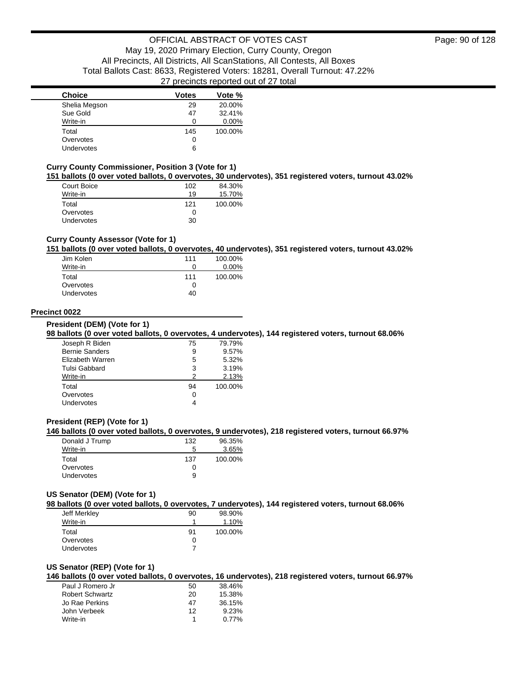| <b>Choice</b> | Votes | Vote %   |
|---------------|-------|----------|
| Shelia Megson | 29    | 20.00%   |
| Sue Gold      | 47    | 32.41%   |
| Write-in      |       | $0.00\%$ |
| Total         | 145   | 100.00%  |
| Overvotes     | 0     |          |
| Undervotes    | 6     |          |

#### **Curry County Commissioner, Position 3 (Vote for 1)**

**151 ballots (0 over voted ballots, 0 overvotes, 30 undervotes), 351 registered voters, turnout 43.02%**

| Court Boice       | 102 | 84.30%  |
|-------------------|-----|---------|
| Write-in          | 19  | 15.70%  |
| Total             | 121 | 100.00% |
| Overvotes         | 0   |         |
| <b>Undervotes</b> | 30  |         |

### **Curry County Assessor (Vote for 1)**

#### **151 ballots (0 over voted ballots, 0 overvotes, 40 undervotes), 351 registered voters, turnout 43.02%**

| Jim Kolen         | 111 | 100.00%  |
|-------------------|-----|----------|
| Write-in          | Ω   | $0.00\%$ |
| Total             | 111 | 100.00%  |
| Overvotes         | Ω   |          |
| <b>Undervotes</b> | 40  |          |

### **Precinct 0022**

**President (DEM) (Vote for 1)**

#### **98 ballots (0 over voted ballots, 0 overvotes, 4 undervotes), 144 registered voters, turnout 68.06%**

| Joseph R Biden        | 75 | 79.79%  |
|-----------------------|----|---------|
| <b>Bernie Sanders</b> | 9  | 9.57%   |
| Elizabeth Warren      | 5  | 5.32%   |
| Tulsi Gabbard         | 3  | 3.19%   |
| Write-in              | 2  | 2.13%   |
| Total                 | 94 | 100.00% |
| Overvotes             | 0  |         |
| Undervotes            |    |         |
|                       |    |         |

### **President (REP) (Vote for 1)**

### **146 ballots (0 over voted ballots, 0 overvotes, 9 undervotes), 218 registered voters, turnout 66.97%**

| Donald J Trump    | 132          | 96.35%  |
|-------------------|--------------|---------|
| Write-in          | 5            | 3.65%   |
| Total             | 137          | 100.00% |
| Overvotes         | $\mathbf{I}$ |         |
| <b>Undervotes</b> | 9            |         |

#### **US Senator (DEM) (Vote for 1)**

**98 ballots (0 over voted ballots, 0 overvotes, 7 undervotes), 144 registered voters, turnout 68.06%**

| Jeff Merkley      | 90 | 98.90%  |
|-------------------|----|---------|
| Write-in          |    | 1.10%   |
| Total             | 91 | 100.00% |
| Overvotes         | 0  |         |
| <b>Undervotes</b> |    |         |

#### **US Senator (REP) (Vote for 1)**

**146 ballots (0 over voted ballots, 0 overvotes, 16 undervotes), 218 registered voters, turnout 66.97%**

| Paul J Romero Jr       | 50 | 38.46% |
|------------------------|----|--------|
| <b>Robert Schwartz</b> | 20 | 15.38% |
| Jo Rae Perkins         | 47 | 36.15% |
| John Verbeek           | 12 | 9.23%  |
| Write-in               |    | 0.77%  |
|                        |    |        |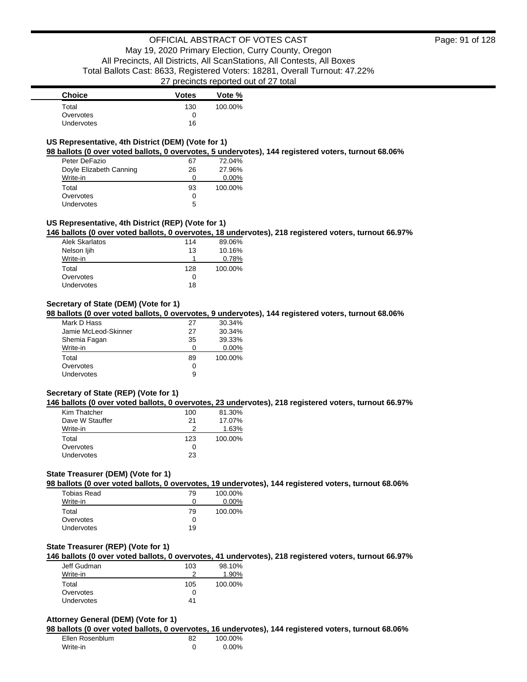| <b>Choice</b>     | <b>Votes</b> | Vote %  |
|-------------------|--------------|---------|
| Total             | 130          | 100.00% |
| Overvotes         |              |         |
| <b>Undervotes</b> | 16           |         |

### **US Representative, 4th District (DEM) (Vote for 1)**

**98 ballots (0 over voted ballots, 0 overvotes, 5 undervotes), 144 registered voters, turnout 68.06%**

| Peter DeFazio           | 67 | 72.04%   |
|-------------------------|----|----------|
| Doyle Elizabeth Canning | 26 | 27.96%   |
| Write-in                | 0  | $0.00\%$ |
| Total                   | 93 | 100.00%  |
| Overvotes               | 0  |          |
| Undervotes              | 5  |          |

### **US Representative, 4th District (REP) (Vote for 1)**

**146 ballots (0 over voted ballots, 0 overvotes, 18 undervotes), 218 registered voters, turnout 66.97%**

| Alek Skarlatos | 114 | 89.06%  |
|----------------|-----|---------|
| Nelson ljih    | 13  | 10.16%  |
| Write-in       |     | 0.78%   |
| Total          | 128 | 100.00% |
| Overvotes      | O   |         |
| Undervotes     | 18  |         |

### **Secretary of State (DEM) (Vote for 1)**

**98 ballots (0 over voted ballots, 0 overvotes, 9 undervotes), 144 registered voters, turnout 68.06%**

| Mark D Hass          | 27 | 30.34%   |
|----------------------|----|----------|
| Jamie McLeod-Skinner | 27 | 30.34%   |
| Shemia Fagan         | 35 | 39.33%   |
| Write-in             | ი  | $0.00\%$ |
| Total                | 89 | 100.00%  |
| Overvotes            | 0  |          |
| <b>Undervotes</b>    | 9  |          |

### **Secretary of State (REP) (Vote for 1)**

**146 ballots (0 over voted ballots, 0 overvotes, 23 undervotes), 218 registered voters, turnout 66.97%**

| Kim Thatcher      | 100 | 81.30%  |
|-------------------|-----|---------|
| Dave W Stauffer   | 21  | 17.07%  |
| Write-in          | 2   | 1.63%   |
| Total             | 123 | 100.00% |
| Overvotes         | O   |         |
| <b>Undervotes</b> | 23  |         |

### **State Treasurer (DEM) (Vote for 1)**

**98 ballots (0 over voted ballots, 0 overvotes, 19 undervotes), 144 registered voters, turnout 68.06%**

| Tobias Read       | 79 | 100.00%  |
|-------------------|----|----------|
| Write-in          | Ω  | $0.00\%$ |
| Total             | 79 | 100.00%  |
| Overvotes         | 0  |          |
| <b>Undervotes</b> | 19 |          |

#### **State Treasurer (REP) (Vote for 1)**

**146 ballots (0 over voted ballots, 0 overvotes, 41 undervotes), 218 registered voters, turnout 66.97%**

| Jeff Gudman       | 103 | 98.10%  |
|-------------------|-----|---------|
| Write-in          |     | 1.90%   |
| Total             | 105 | 100.00% |
| Overvotes         |     |         |
| <b>Undervotes</b> | 41  |         |

### **Attorney General (DEM) (Vote for 1)**

**98 ballots (0 over voted ballots, 0 overvotes, 16 undervotes), 144 registered voters, turnout 68.06%**

| Ellen Rosenblum | 82 | 100.00% |
|-----------------|----|---------|
| Write-in        |    | 0.00%   |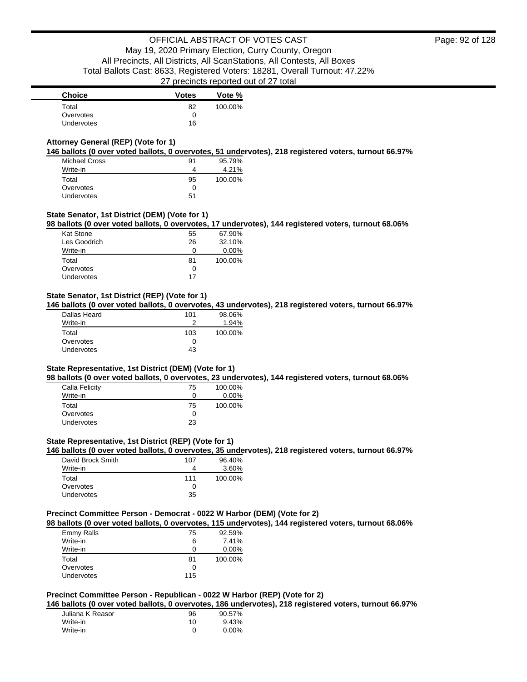| <b>Choice</b>     | <b>Votes</b> | Vote %  |
|-------------------|--------------|---------|
| Total             | 82           | 100.00% |
| Overvotes         |              |         |
| <b>Undervotes</b> | 16           |         |

### **Attorney General (REP) (Vote for 1)**

**146 ballots (0 over voted ballots, 0 overvotes, 51 undervotes), 218 registered voters, turnout 66.97%**

| <b>Michael Cross</b> | 91 | 95.79%  |
|----------------------|----|---------|
| Write-in             | 4  | 4.21%   |
| Total                | 95 | 100.00% |
| Overvotes            | O  |         |
| Undervotes           | 51 |         |

### **State Senator, 1st District (DEM) (Vote for 1)**

**98 ballots (0 over voted ballots, 0 overvotes, 17 undervotes), 144 registered voters, turnout 68.06%**

| Kat Stone    | 55           | 67.90%  |
|--------------|--------------|---------|
| Les Goodrich | 26           | 32.10%  |
| Write-in     | $\mathbf{I}$ | 0.00%   |
| Total        | 81           | 100.00% |
| Overvotes    | O            |         |
| Undervotes   | 17           |         |
|              |              |         |

### **State Senator, 1st District (REP) (Vote for 1)**

**146 ballots (0 over voted ballots, 0 overvotes, 43 undervotes), 218 registered voters, turnout 66.97%**

| Dallas Heard | 101 | 98.06%  |
|--------------|-----|---------|
| Write-in     |     | 1.94%   |
| Total        | 103 | 100.00% |
| Overvotes    |     |         |
| Undervotes   | 43  |         |
|              |     |         |

#### **State Representative, 1st District (DEM) (Vote for 1)**

**98 ballots (0 over voted ballots, 0 overvotes, 23 undervotes), 144 registered voters, turnout 68.06%**

| Calla Felicity    | 75 | 100.00%  |
|-------------------|----|----------|
| Write-in          | 0  | $0.00\%$ |
| Total             | 75 | 100.00%  |
| Overvotes         | O  |          |
| <b>Undervotes</b> | 23 |          |

### **State Representative, 1st District (REP) (Vote for 1)**

**146 ballots (0 over voted ballots, 0 overvotes, 35 undervotes), 218 registered voters, turnout 66.97%**

| David Brock Smith | 107 | 96.40%  |
|-------------------|-----|---------|
| Write-in          |     | 3.60%   |
| Total             | 111 | 100.00% |
| Overvotes         | ∩   |         |
| <b>Undervotes</b> | 35  |         |

### **Precinct Committee Person - Democrat - 0022 W Harbor (DEM) (Vote for 2)**

**98 ballots (0 over voted ballots, 0 overvotes, 115 undervotes), 144 registered voters, turnout 68.06%**

| Emmy Ralls        | 75  | 92.59%  |
|-------------------|-----|---------|
| Write-in          | 6   | 7.41%   |
| Write-in          | Ω   | 0.00%   |
| Total             | 81  | 100.00% |
| Overvotes         | 0   |         |
| <b>Undervotes</b> | 115 |         |

### **Precinct Committee Person - Republican - 0022 W Harbor (REP) (Vote for 2)**

**146 ballots (0 over voted ballots, 0 overvotes, 186 undervotes), 218 registered voters, turnout 66.97%**

| Juliana K Reasor | 96 | 90.57% |
|------------------|----|--------|
| Write-in         | 10 | 9.43%  |
| Write-in         |    | 0.00%  |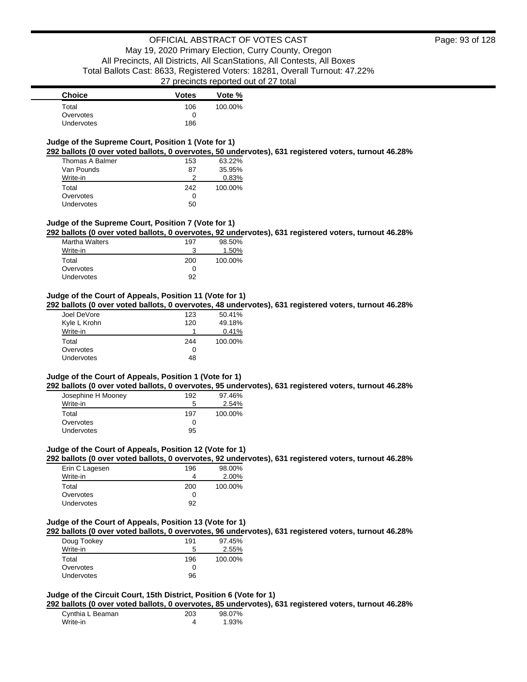| <b>Choice</b>     | <b>Votes</b> | Vote %  |
|-------------------|--------------|---------|
| Total             | 106          | 100.00% |
| Overvotes         | $\mathbf{I}$ |         |
| <b>Undervotes</b> | 186          |         |

### **Judge of the Supreme Court, Position 1 (Vote for 1)**

**292 ballots (0 over voted ballots, 0 overvotes, 50 undervotes), 631 registered voters, turnout 46.28%**

| Thomas A Balmer   | 153 | 63.22%  |
|-------------------|-----|---------|
| Van Pounds        | 87  | 35.95%  |
| Write-in          |     | 0.83%   |
| Total             | 242 | 100.00% |
| Overvotes         | Ω   |         |
| <b>Undervotes</b> | 50  |         |

#### **Judge of the Supreme Court, Position 7 (Vote for 1)**

**292 ballots (0 over voted ballots, 0 overvotes, 92 undervotes), 631 registered voters, turnout 46.28%**

| <b>Martha Walters</b> | 197 | 98.50%  |
|-----------------------|-----|---------|
| Write-in              | 3   | 1.50%   |
| Total                 | 200 | 100.00% |
| Overvotes             | Ω   |         |
| Undervotes            | 92  |         |

#### **Judge of the Court of Appeals, Position 11 (Vote for 1)**

**292 ballots (0 over voted ballots, 0 overvotes, 48 undervotes), 631 registered voters, turnout 46.28%**

| Joel DeVore  | 123 | 50.41%  |
|--------------|-----|---------|
| Kyle L Krohn | 120 | 49.18%  |
| Write-in     |     | 0.41%   |
| Total        | 244 | 100.00% |
|              |     |         |
| Overvotes    | Ω   |         |

#### **Judge of the Court of Appeals, Position 1 (Vote for 1)**

**292 ballots (0 over voted ballots, 0 overvotes, 95 undervotes), 631 registered voters, turnout 46.28%**

| Josephine H Mooney | 192 | 97.46%  |
|--------------------|-----|---------|
| Write-in           | 5   | 2.54%   |
| Total              | 197 | 100.00% |
| Overvotes          | Ω   |         |
| Undervotes         | 95  |         |

#### **Judge of the Court of Appeals, Position 12 (Vote for 1)**

**292 ballots (0 over voted ballots, 0 overvotes, 92 undervotes), 631 registered voters, turnout 46.28%**

| Erin C Lagesen | 196 | 98.00%  |
|----------------|-----|---------|
| Write-in       | 4   | 2.00%   |
| Total          | 200 | 100.00% |
| Overvotes      | Ω   |         |
| Undervotes     | 92  |         |

#### **Judge of the Court of Appeals, Position 13 (Vote for 1)**

**292 ballots (0 over voted ballots, 0 overvotes, 96 undervotes), 631 registered voters, turnout 46.28%**

| Doug Tookey       | 191 | 97.45%  |
|-------------------|-----|---------|
| Write-in          | 5   | 2.55%   |
| Total             | 196 | 100.00% |
| Overvotes         |     |         |
| <b>Undervotes</b> | 96  |         |

### **Judge of the Circuit Court, 15th District, Position 6 (Vote for 1)**

**292 ballots (0 over voted ballots, 0 overvotes, 85 undervotes), 631 registered voters, turnout 46.28%**

| Cynthia L Beaman | 203 | 98.07% |
|------------------|-----|--------|
| Write-in         |     | 1.93%  |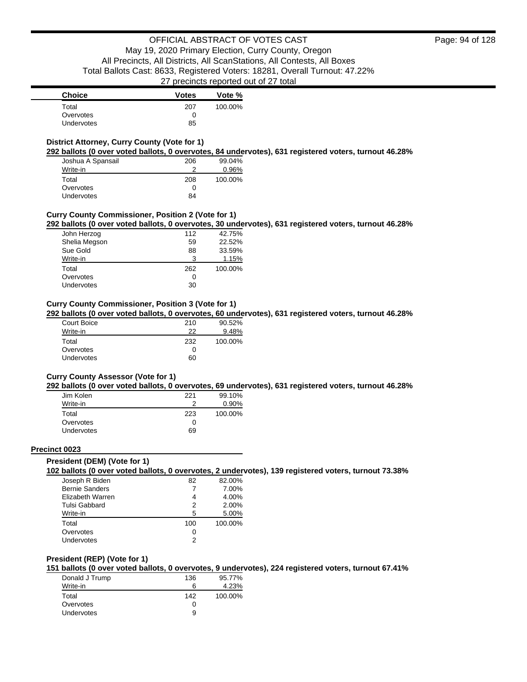| <b>Choice</b>     | <b>Votes</b> | Vote %  |
|-------------------|--------------|---------|
| Total             | 207          | 100.00% |
| Overvotes         |              |         |
| <b>Undervotes</b> | 85           |         |

### **District Attorney, Curry County (Vote for 1)**

**292 ballots (0 over voted ballots, 0 overvotes, 84 undervotes), 631 registered voters, turnout 46.28%**

| Joshua A Spansail | 206 | 99.04%  |
|-------------------|-----|---------|
| Write-in          | າ   | 0.96%   |
| Total             | 208 | 100.00% |
| Overvotes         | 0   |         |
| <b>Undervotes</b> | 84  |         |

### **Curry County Commissioner, Position 2 (Vote for 1)**

**292 ballots (0 over voted ballots, 0 overvotes, 30 undervotes), 631 registered voters, turnout 46.28%**

| John Herzog   | 112 | 42.75%  |
|---------------|-----|---------|
| Shelia Megson | 59  | 22.52%  |
| Sue Gold      | 88  | 33.59%  |
| Write-in      | 3   | 1.15%   |
| Total         | 262 | 100.00% |
| Overvotes     | Ω   |         |
| Undervotes    | 30  |         |

### **Curry County Commissioner, Position 3 (Vote for 1)**

**292 ballots (0 over voted ballots, 0 overvotes, 60 undervotes), 631 registered voters, turnout 46.28%**

| Court Boice | 210 | 90.52%  |
|-------------|-----|---------|
| Write-in    | 22  | 9.48%   |
| Total       | 232 | 100.00% |
| Overvotes   | 0   |         |
| Undervotes  | 60  |         |

#### **Curry County Assessor (Vote for 1)**

**292 ballots (0 over voted ballots, 0 overvotes, 69 undervotes), 631 registered voters, turnout 46.28%**

| Jim Kolen         | 221 | 99.10%   |
|-------------------|-----|----------|
| Write-in          |     | $0.90\%$ |
| Total             | 223 | 100.00%  |
| Overvotes         | Ω   |          |
| <b>Undervotes</b> | 69  |          |

#### **Precinct 0023**

#### **President (DEM) (Vote for 1)**

**102 ballots (0 over voted ballots, 0 overvotes, 2 undervotes), 139 registered voters, turnout 73.38%**

| Joseph R Biden        | 82  | 82.00%  |
|-----------------------|-----|---------|
| <b>Bernie Sanders</b> |     | 7.00%   |
| Elizabeth Warren      | 4   | 4.00%   |
| Tulsi Gabbard         | 2   | 2.00%   |
| Write-in              | 5   | 5.00%   |
| Total                 | 100 | 100.00% |
| Overvotes             | 0   |         |
| Undervotes            | っ   |         |

### **President (REP) (Vote for 1)**

**151 ballots (0 over voted ballots, 0 overvotes, 9 undervotes), 224 registered voters, turnout 67.41%**

| Donald J Trump | 136 | 95.77%  |
|----------------|-----|---------|
| Write-in       | 6   | 4.23%   |
| Total          | 142 | 100.00% |
| Overvotes      |     |         |
| Undervotes     | 9   |         |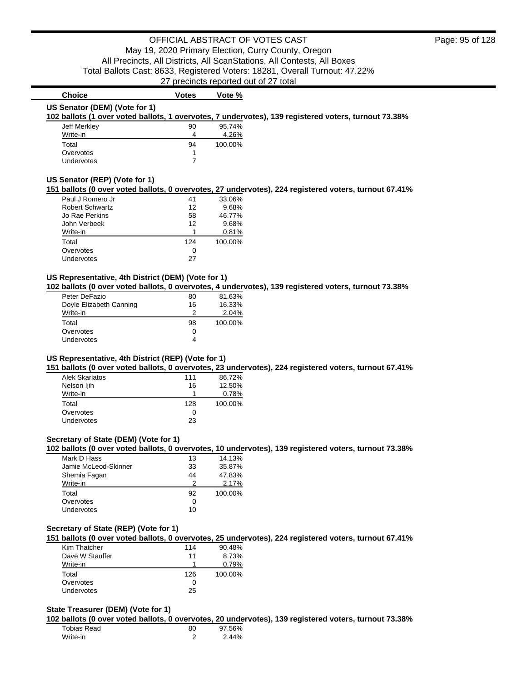**102 ballots (1 over voted ballots, 1 overvotes, 7 undervotes), 139 registered voters, turnout 73.38%**

### Write-in 4 4.26% Total 94 100.00% Overvotes and the state of the state of the state of the state of the state of the state of the state of the state of the state of the state of the state of the state of the state of the state of the state of the state of Undervotes 7 **US Senator (REP) (Vote for 1) 151 ballots (0 over voted ballots, 0 overvotes, 27 undervotes), 224 registered voters, turnout 67.41%** Paul J Romero Jr 41 33.06% Robert Schwartz Jo Rae Perkins 58 58 46.77% John Verbeek 12 9.68% Write-in 20.81% Total 124 100.00% Overvotes 0 Undervotes 27

**Choice Votes Vote %** 

Jeff Merkley 20 95.74%

**US Senator (DEM) (Vote for 1)**

#### **US Representative, 4th District (DEM) (Vote for 1)**

**102 ballots (0 over voted ballots, 0 overvotes, 4 undervotes), 139 registered voters, turnout 73.38%**

| 80 | 81.63%  |
|----|---------|
| 16 | 16.33%  |
| 2  | 2.04%   |
| 98 | 100.00% |
| 0  |         |
| 4  |         |
|    |         |

### **US Representative, 4th District (REP) (Vote for 1)**

**151 ballots (0 over voted ballots, 0 overvotes, 23 undervotes), 224 registered voters, turnout 67.41%**

| Alek Skarlatos    | 111 | 86.72%  |
|-------------------|-----|---------|
| Nelson ljih       | 16  | 12.50%  |
| Write-in          |     | 0.78%   |
| Total             | 128 | 100.00% |
| Overvotes         | ∩   |         |
| <b>Undervotes</b> | 23  |         |

### **Secretary of State (DEM) (Vote for 1)**

**102 ballots (0 over voted ballots, 0 overvotes, 10 undervotes), 139 registered voters, turnout 73.38%**

| Mark D Hass          | 13 | 14.13%  |
|----------------------|----|---------|
| Jamie McLeod-Skinner | 33 | 35.87%  |
| Shemia Fagan         | 44 | 47.83%  |
| Write-in             | 2  | 2.17%   |
| Total                | 92 | 100.00% |
| Overvotes            | 0  |         |
| <b>Undervotes</b>    | 10 |         |
|                      |    |         |

### **Secretary of State (REP) (Vote for 1)**

**151 ballots (0 over voted ballots, 0 overvotes, 25 undervotes), 224 registered voters, turnout 67.41%**

| Kim Thatcher    | 114 | 90.48%  |
|-----------------|-----|---------|
| Dave W Stauffer | 11  | 8.73%   |
| Write-in        |     | 0.79%   |
| Total           | 126 | 100.00% |
| Overvotes       |     |         |
| Undervotes      | 25  |         |

### **State Treasurer (DEM) (Vote for 1)**

**102 ballots (0 over voted ballots, 0 overvotes, 20 undervotes), 139 registered voters, turnout 73.38%**

| Tobias Read | 80 | 97.56% |
|-------------|----|--------|
| Write-in    |    | 2.44%  |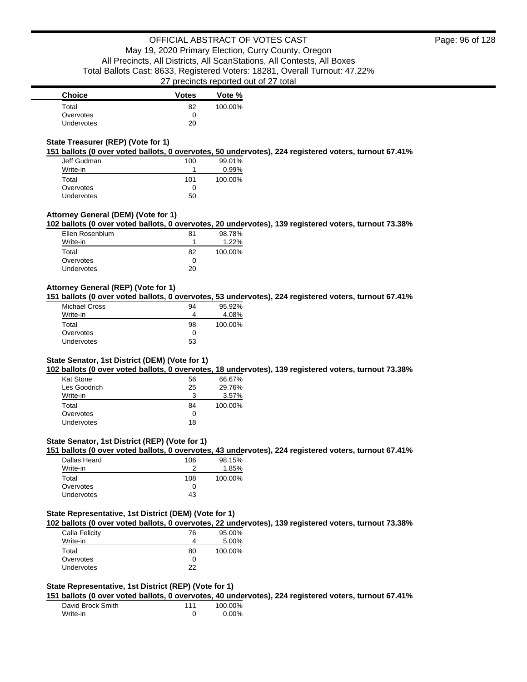### **State Treasurer (REP) (Vote for 1)**

**151 ballots (0 over voted ballots, 0 overvotes, 50 undervotes), 224 registered voters, turnout 67.41%**

| Jeff Gudman | 100 | 99.01%  |
|-------------|-----|---------|
| Write-in    |     | 0.99%   |
| Total       | 101 | 100.00% |
| Overvotes   | Ω   |         |
| Undervotes  | 50  |         |

### **Attorney General (DEM) (Vote for 1)**

**102 ballots (0 over voted ballots, 0 overvotes, 20 undervotes), 139 registered voters, turnout 73.38%**

| Ellen Rosenblum | 81           | 98.78%  |
|-----------------|--------------|---------|
| Write-in        |              | 1.22%   |
| Total           | 82           | 100.00% |
| Overvotes       | $\mathbf{I}$ |         |
| Undervotes      | 20           |         |

### **Attorney General (REP) (Vote for 1)**

**151 ballots (0 over voted ballots, 0 overvotes, 53 undervotes), 224 registered voters, turnout 67.41%**

| Michael Cross | 94 | 95.92%  |
|---------------|----|---------|
| Write-in      | 4  | 4.08%   |
| Total         | 98 | 100.00% |
| Overvotes     | Ω  |         |
| Undervotes    | 53 |         |

### **State Senator, 1st District (DEM) (Vote for 1)**

**102 ballots (0 over voted ballots, 0 overvotes, 18 undervotes), 139 registered voters, turnout 73.38%**

| <b>Kat Stone</b> | 56 | 66.67%  |
|------------------|----|---------|
| Les Goodrich     | 25 | 29.76%  |
| Write-in         | 3  | 3.57%   |
| Total            | 84 | 100.00% |
| Overvotes        | 0  |         |
| Undervotes       | 18 |         |

### **State Senator, 1st District (REP) (Vote for 1)**

**151 ballots (0 over voted ballots, 0 overvotes, 43 undervotes), 224 registered voters, turnout 67.41%**

| Dallas Heard      | 106 | 98.15%  |
|-------------------|-----|---------|
| Write-in          |     | 1.85%   |
| Total             | 108 | 100.00% |
| Overvotes         |     |         |
| <b>Undervotes</b> | 43  |         |

### **State Representative, 1st District (DEM) (Vote for 1)**

**102 ballots (0 over voted ballots, 0 overvotes, 22 undervotes), 139 registered voters, turnout 73.38%**

| Calla Felicity    | 76 | 95.00%  |
|-------------------|----|---------|
| Write-in          |    | 5.00%   |
| Total             | 80 | 100.00% |
| Overvotes         | 0  |         |
| <b>Undervotes</b> | 22 |         |

#### **State Representative, 1st District (REP) (Vote for 1)**

**151 ballots (0 over voted ballots, 0 overvotes, 40 undervotes), 224 registered voters, turnout 67.41%**

| David Brock Smith | 111 | 100.00% |
|-------------------|-----|---------|
| Write-in          |     | 0.00%   |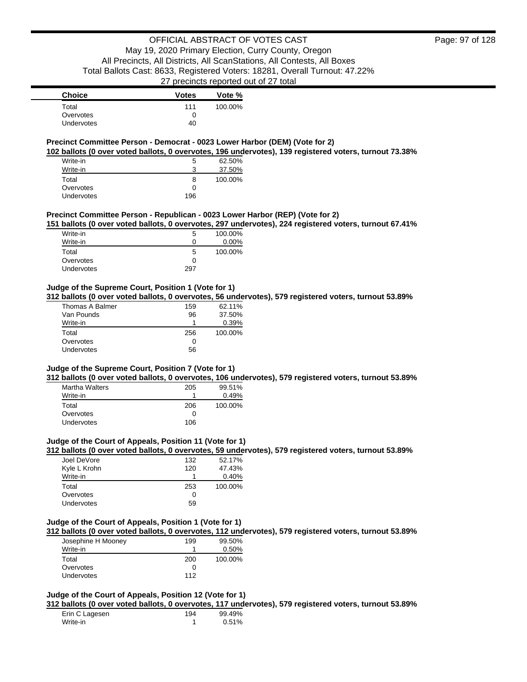| <b>Choice</b> | <b>Votes</b> | Vote %  |
|---------------|--------------|---------|
| Total         | 111          | 100.00% |
| Overvotes     |              |         |
| Undervotes    | 40           |         |

### **Precinct Committee Person - Democrat - 0023 Lower Harbor (DEM) (Vote for 2)**

**102 ballots (0 over voted ballots, 0 overvotes, 196 undervotes), 139 registered voters, turnout 73.38%**

| Write-in   | 5   | 62.50%  |
|------------|-----|---------|
| Write-in   | 3   | 37.50%  |
| Total      | 8   | 100.00% |
| Overvotes  | ∩   |         |
| Undervotes | 196 |         |

#### **Precinct Committee Person - Republican - 0023 Lower Harbor (REP) (Vote for 2)**

**151 ballots (0 over voted ballots, 0 overvotes, 297 undervotes), 224 registered voters, turnout 67.41%**

| Write-in          | 5            | 100.00% |
|-------------------|--------------|---------|
| Write-in          | $\mathbf{0}$ | 0.00%   |
| Total             | 5            | 100.00% |
| Overvotes         | $\mathbf{0}$ |         |
| <b>Undervotes</b> | 297          |         |

### **Judge of the Supreme Court, Position 1 (Vote for 1)**

**312 ballots (0 over voted ballots, 0 overvotes, 56 undervotes), 579 registered voters, turnout 53.89%**

| Thomas A Balmer | 159 | 62.11%  |
|-----------------|-----|---------|
| Van Pounds      | 96  | 37.50%  |
| Write-in        |     | 0.39%   |
| Total           | 256 | 100.00% |
| Overvotes       | 0   |         |
| Undervotes      | 56  |         |
|                 |     |         |

### **Judge of the Supreme Court, Position 7 (Vote for 1)**

**312 ballots (0 over voted ballots, 0 overvotes, 106 undervotes), 579 registered voters, turnout 53.89%**

| <b>Martha Walters</b> | 205          | 99.51%  |
|-----------------------|--------------|---------|
| Write-in              |              | 0.49%   |
| Total                 | 206          | 100.00% |
| Overvotes             | $\mathbf{0}$ |         |
| Undervotes            | 106          |         |

### **Judge of the Court of Appeals, Position 11 (Vote for 1)**

**312 ballots (0 over voted ballots, 0 overvotes, 59 undervotes), 579 registered voters, turnout 53.89%**

| Joel DeVore       | 132 | 52.17%  |
|-------------------|-----|---------|
| Kyle L Krohn      | 120 | 47.43%  |
| Write-in          |     | 0.40%   |
| Total             | 253 | 100.00% |
| Overvotes         | 0   |         |
| <b>Undervotes</b> | 59  |         |

#### **Judge of the Court of Appeals, Position 1 (Vote for 1)**

**312 ballots (0 over voted ballots, 0 overvotes, 112 undervotes), 579 registered voters, turnout 53.89%**

| Josephine H Mooney | 199 | 99.50%   |
|--------------------|-----|----------|
| Write-in           |     | $0.50\%$ |
| Total              | 200 | 100.00%  |
| Overvotes          |     |          |
| Undervotes         | 112 |          |

### **Judge of the Court of Appeals, Position 12 (Vote for 1)**

**312 ballots (0 over voted ballots, 0 overvotes, 117 undervotes), 579 registered voters, turnout 53.89%**

| Erin C Lagesen | 194 | 99.49% |
|----------------|-----|--------|
| Write-in       |     | 0.51%  |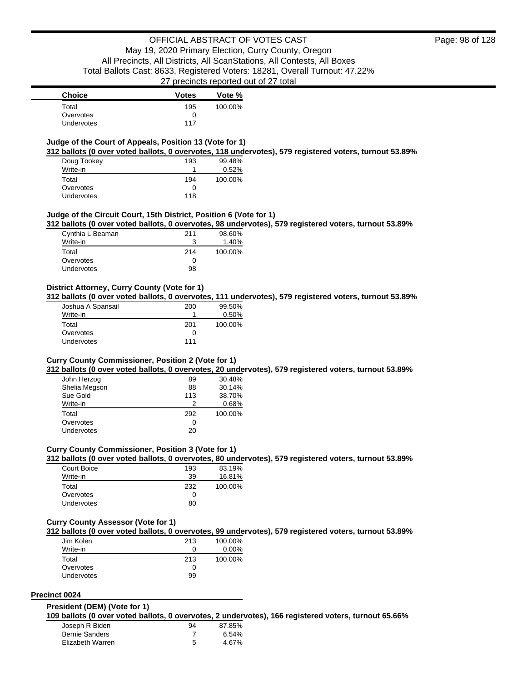### **Judge of the Court of Appeals, Position 13 (Vote for 1)**

**312 ballots (0 over voted ballots, 0 overvotes, 118 undervotes), 579 registered voters, turnout 53.89%**

| Doug Tookey       | 193 | 99.48%  |
|-------------------|-----|---------|
| Write-in          |     | 0.52%   |
| Total             | 194 | 100.00% |
| Overvotes         | 0   |         |
| <b>Undervotes</b> | 118 |         |

#### **Judge of the Circuit Court, 15th District, Position 6 (Vote for 1)**

**312 ballots (0 over voted ballots, 0 overvotes, 98 undervotes), 579 registered voters, turnout 53.89%**

| Cynthia L Beaman | 211          | 98.60%  |
|------------------|--------------|---------|
| Write-in         |              | 1.40%   |
| Total            | 214          | 100.00% |
| Overvotes        | $\mathbf{I}$ |         |
| Undervotes       | 98           |         |

### **District Attorney, Curry County (Vote for 1)**

**312 ballots (0 over voted ballots, 0 overvotes, 111 undervotes), 579 registered voters, turnout 53.89%**

| Joshua A Spansail | 200 | 99.50%  |
|-------------------|-----|---------|
| Write-in          |     | 0.50%   |
| Total             | 201 | 100.00% |
| Overvotes         | O   |         |
| Undervotes        | 111 |         |

#### **Curry County Commissioner, Position 2 (Vote for 1)**

**312 ballots (0 over voted ballots, 0 overvotes, 20 undervotes), 579 registered voters, turnout 53.89%**

| John Herzog   | 89  | 30.48%  |
|---------------|-----|---------|
| Shelia Megson | 88  | 30.14%  |
| Sue Gold      | 113 | 38.70%  |
| Write-in      | 2   | 0.68%   |
| Total         | 292 | 100.00% |
| Overvotes     | 0   |         |
| Undervotes    | 20  |         |

#### **Curry County Commissioner, Position 3 (Vote for 1)**

**312 ballots (0 over voted ballots, 0 overvotes, 80 undervotes), 579 registered voters, turnout 53.89%**

| Court Boice       | 193 | 83.19%  |
|-------------------|-----|---------|
| Write-in          | 39  | 16.81%  |
| Total             | 232 | 100.00% |
| Overvotes         | Ω   |         |
| <b>Undervotes</b> | 80  |         |

#### **Curry County Assessor (Vote for 1)**

**312 ballots (0 over voted ballots, 0 overvotes, 99 undervotes), 579 registered voters, turnout 53.89%**

| Jim Kolen         | 213 | 100.00%  |
|-------------------|-----|----------|
| Write-in          | 0   | $0.00\%$ |
| Total             | 213 | 100.00%  |
| Overvotes         | 0   |          |
| <b>Undervotes</b> | 99  |          |

### **Precinct 0024**

#### **President (DEM) (Vote for 1)**

**109 ballots (0 over voted ballots, 0 overvotes, 2 undervotes), 166 registered voters, turnout 65.66%**

| Joseph R Biden        | 94 | 87.85%   |
|-----------------------|----|----------|
| <b>Bernie Sanders</b> |    | $6.54\%$ |
| Elizabeth Warren      | 5  | 4.67%    |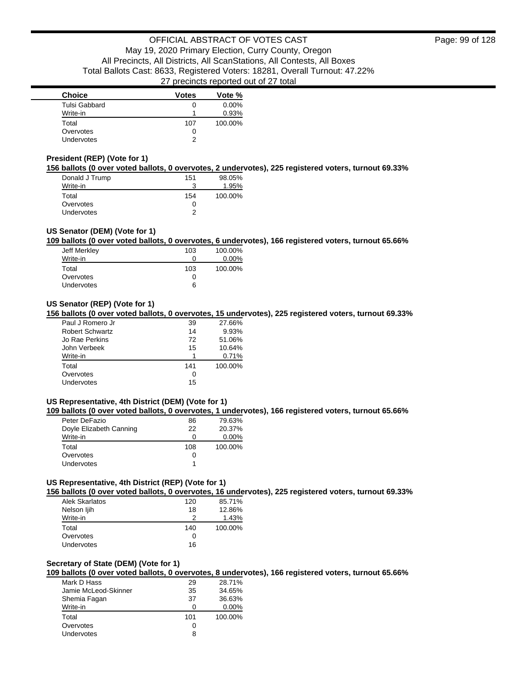| <b>Choice</b>     | <b>Votes</b> | Vote %   |
|-------------------|--------------|----------|
| Tulsi Gabbard     | 0            | $0.00\%$ |
| Write-in          |              | 0.93%    |
| Total             | 107          | 100.00%  |
| Overvotes         | 0            |          |
| <b>Undervotes</b> | っ            |          |

### **President (REP) (Vote for 1)**

**156 ballots (0 over voted ballots, 0 overvotes, 2 undervotes), 225 registered voters, turnout 69.33%**

| Donald J Trump    | 151 | 98.05%  |
|-------------------|-----|---------|
| Write-in          | 3   | 1.95%   |
| Total             | 154 | 100.00% |
| Overvotes         | 0   |         |
| <b>Undervotes</b> | າ   |         |

### **US Senator (DEM) (Vote for 1)**

**109 ballots (0 over voted ballots, 0 overvotes, 6 undervotes), 166 registered voters, turnout 65.66%**

| Jeff Merkley | 103 | 100.00%  |
|--------------|-----|----------|
| Write-in     | O   | $0.00\%$ |
| Total        | 103 | 100.00%  |
| Overvotes    | O   |          |
| Undervotes   | 6   |          |
|              |     |          |

### **US Senator (REP) (Vote for 1)**

**156 ballots (0 over voted ballots, 0 overvotes, 15 undervotes), 225 registered voters, turnout 69.33%**

| Paul J Romero Jr       | 39  | 27.66%  |
|------------------------|-----|---------|
| <b>Robert Schwartz</b> | 14  | 9.93%   |
| Jo Rae Perkins         | 72  | 51.06%  |
| John Verbeek           | 15  | 10.64%  |
| Write-in               | 1   | 0.71%   |
| Total                  | 141 | 100.00% |
| Overvotes              | 0   |         |
| Undervotes             | 15  |         |

### **US Representative, 4th District (DEM) (Vote for 1)**

**109 ballots (0 over voted ballots, 0 overvotes, 1 undervotes), 166 registered voters, turnout 65.66%**

| Peter DeFazio           | 86  | 79.63%   |
|-------------------------|-----|----------|
| Doyle Elizabeth Canning | 22  | 20.37%   |
| Write-in                | 0   | $0.00\%$ |
| Total                   | 108 | 100.00%  |
| Overvotes               | 0   |          |
| <b>Undervotes</b>       |     |          |

### **US Representative, 4th District (REP) (Vote for 1)**

**156 ballots (0 over voted ballots, 0 overvotes, 16 undervotes), 225 registered voters, turnout 69.33%**

| Alek Skarlatos | 120 | 85.71%  |
|----------------|-----|---------|
| Nelson ljih    | 18  | 12.86%  |
| Write-in       | ာ   | 1.43%   |
| Total          | 140 | 100.00% |
| Overvotes      | 0   |         |
| Undervotes     | 16  |         |

#### **Secretary of State (DEM) (Vote for 1)**

**109 ballots (0 over voted ballots, 0 overvotes, 8 undervotes), 166 registered voters, turnout 65.66%**

| 29  | 28.71%   |
|-----|----------|
| 35  | 34.65%   |
| 37  | 36.63%   |
| 0   | $0.00\%$ |
| 101 | 100.00%  |
| 0   |          |
| 8   |          |
|     |          |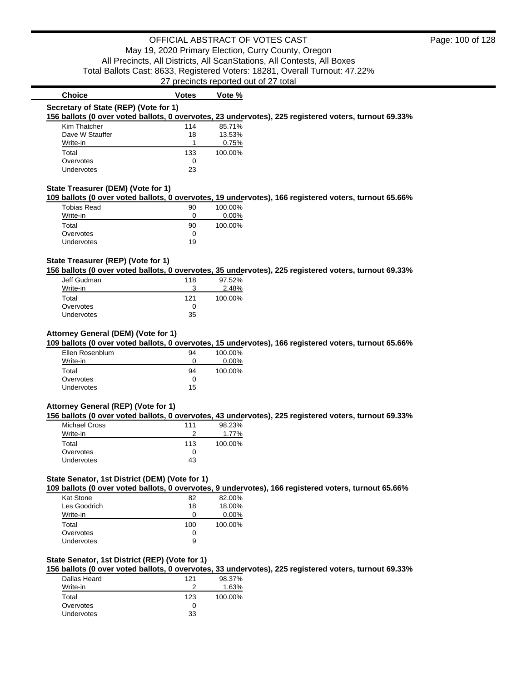| <b>Choice</b>                                                                                         | <b>Votes</b> | Vote %   |                                                                                                       |  |
|-------------------------------------------------------------------------------------------------------|--------------|----------|-------------------------------------------------------------------------------------------------------|--|
| Secretary of State (REP) (Vote for 1)                                                                 |              |          |                                                                                                       |  |
| 156 ballots (0 over voted ballots, 0 overvotes, 23 undervotes), 225 registered voters, turnout 69.33% |              |          |                                                                                                       |  |
| Kim Thatcher                                                                                          | 114          | 85.71%   |                                                                                                       |  |
| Dave W Stauffer                                                                                       | 18           | 13.53%   |                                                                                                       |  |
| Write-in                                                                                              |              | 0.75%    |                                                                                                       |  |
| Total                                                                                                 | 133          | 100.00%  |                                                                                                       |  |
| Overvotes                                                                                             | 0            |          |                                                                                                       |  |
| Undervotes                                                                                            | 23           |          |                                                                                                       |  |
|                                                                                                       |              |          |                                                                                                       |  |
| State Treasurer (DEM) (Vote for 1)                                                                    |              |          | 109 ballots (0 over voted ballots, 0 overvotes, 19 undervotes), 166 registered voters, turnout 65.66% |  |
| Tobias Read                                                                                           | 90           | 100.00%  |                                                                                                       |  |
| Write-in                                                                                              | 0            | $0.00\%$ |                                                                                                       |  |

| Write-in          |    | $0.00\%$ |
|-------------------|----|----------|
| Total             | 90 | 100.00%  |
| Overvotes         |    |          |
| <b>Undervotes</b> | 19 |          |
|                   |    |          |

### **State Treasurer (REP) (Vote for 1)**

**156 ballots (0 over voted ballots, 0 overvotes, 35 undervotes), 225 registered voters, turnout 69.33%**

| Jeff Gudman       | 118 | 97.52%  |
|-------------------|-----|---------|
| Write-in          |     | 2.48%   |
| Total             | 121 | 100.00% |
| Overvotes         |     |         |
| <b>Undervotes</b> | 35  |         |

### **Attorney General (DEM) (Vote for 1)**

**109 ballots (0 over voted ballots, 0 overvotes, 15 undervotes), 166 registered voters, turnout 65.66%**

| Ellen Rosenblum | 94 | 100.00%  |
|-----------------|----|----------|
| Write-in        | ი  | $0.00\%$ |
| Total           | 94 | 100.00%  |
| Overvotes       | 0  |          |
| Undervotes      | 15 |          |

#### **Attorney General (REP) (Vote for 1)**

**156 ballots (0 over voted ballots, 0 overvotes, 43 undervotes), 225 registered voters, turnout 69.33%**

| 111          | 98.23%   |
|--------------|----------|
|              | $1.77\%$ |
| 113          | 100.00%  |
| $\mathbf{I}$ |          |
| 43           |          |
|              |          |

#### **State Senator, 1st District (DEM) (Vote for 1)**

**109 ballots (0 over voted ballots, 0 overvotes, 9 undervotes), 166 registered voters, turnout 65.66%**

| Kat Stone    | 82  | 82.00%   |
|--------------|-----|----------|
| Les Goodrich | 18  | 18.00%   |
| Write-in     | 0   | $0.00\%$ |
|              |     |          |
| Total        | 100 | 100.00%  |
| Overvotes    | 0   |          |

### **State Senator, 1st District (REP) (Vote for 1)**

**156 ballots (0 over voted ballots, 0 overvotes, 33 undervotes), 225 registered voters, turnout 69.33%**

| Dallas Heard | 121 | 98.37%  |
|--------------|-----|---------|
| Write-in     | ≘   | 1.63%   |
| Total        | 123 | 100.00% |
| Overvotes    | 0   |         |
| Undervotes   | 33  |         |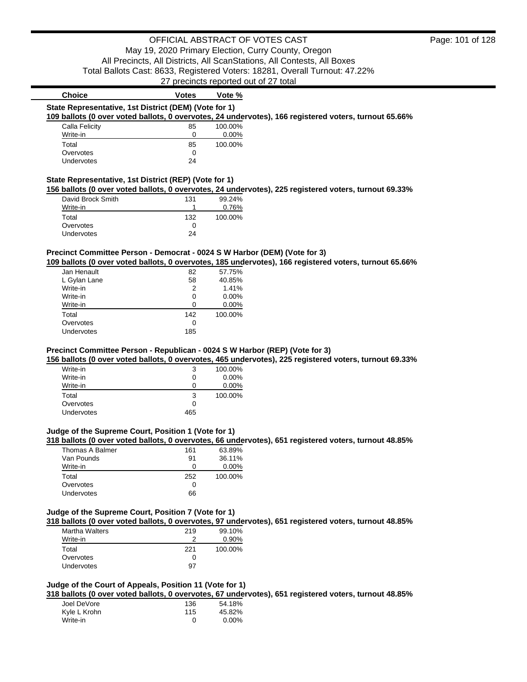| <b>Choice</b>                                         | <b>Votes</b>  | Vote %                                                                                                                                                                                                           |
|-------------------------------------------------------|---------------|------------------------------------------------------------------------------------------------------------------------------------------------------------------------------------------------------------------|
| State Representative, 1st District (DEM) (Vote for 1) |               |                                                                                                                                                                                                                  |
|                                                       |               | 109 ballots (0 over voted ballots, 0 overvotes, 24 undervotes), 166 registered voters, turnout 65.66%                                                                                                            |
| Calla Felicity                                        | 85            | 100.00%                                                                                                                                                                                                          |
| Write-in                                              | 0             | 0.00%                                                                                                                                                                                                            |
| Total                                                 | 85            | 100.00%                                                                                                                                                                                                          |
| Overvotes                                             | $\Omega$      |                                                                                                                                                                                                                  |
| Undervotes                                            | 24            |                                                                                                                                                                                                                  |
| State Representative, 1st District (REP) (Vote for 1) |               |                                                                                                                                                                                                                  |
|                                                       |               | 156 ballots (0 over voted ballots, 0 overvotes, 24 undervotes), 225 registered voters, turnout 69.33%                                                                                                            |
| David Brock Smith                                     | 131           | 99.24%                                                                                                                                                                                                           |
| Write-in                                              | 1             | 0.76%                                                                                                                                                                                                            |
| Total                                                 | 132           | 100.00%                                                                                                                                                                                                          |
| Overvotes                                             | $\Omega$      |                                                                                                                                                                                                                  |
| Undervotes                                            | 24            |                                                                                                                                                                                                                  |
| Jan Henault<br>L Gylan Lane<br>Write-in               | 82<br>58<br>2 | Precinct Committee Person - Democrat - 0024 S W Harbor (DEM) (Vote for 3)<br>109 ballots (0 over voted ballots, 0 overvotes, 185 undervotes), 166 registered voters, turnout 65.66%<br>57.75%<br>40.85%<br>1.41% |
| Write-in                                              | 0             | $0.00\%$                                                                                                                                                                                                         |
| Write-in                                              | 0             | 0.00%                                                                                                                                                                                                            |
| Total                                                 | 142           | 100.00%                                                                                                                                                                                                          |
| Overvotes                                             | 0             |                                                                                                                                                                                                                  |
| <b>Undervotes</b>                                     | 185           |                                                                                                                                                                                                                  |
|                                                       |               | Precinct Committee Person - Republican - 0024 S W Harbor (REP) (Vote for 3)                                                                                                                                      |
|                                                       |               | 156 ballots (0 over voted ballots, 0 overvotes, 465 undervotes), 225 registered voters, turnout 69.33%                                                                                                           |
| Write-in                                              | 3             | 100.00%                                                                                                                                                                                                          |
|                                                       |               |                                                                                                                                                                                                                  |
| Write-in<br>$1.81 - 1.71 - 1.7$                       | 0             | 0.00%<br>0.0001                                                                                                                                                                                                  |

| Write-in   | 3   | 100.00% |
|------------|-----|---------|
| Write-in   | O   | 0.00%   |
| Write-in   | 0   | 0.00%   |
| Total      | 3   | 100.00% |
| Overvotes  | 0   |         |
| Undervotes | 465 |         |

# **Judge of the Supreme Court, Position 1 (Vote for 1)**

**318 ballots (0 over voted ballots, 0 overvotes, 66 undervotes), 651 registered voters, turnout 48.85%**

| Thomas A Balmer | 161 | 63.89%   |
|-----------------|-----|----------|
| Van Pounds      | 91  | 36.11%   |
| Write-in        | Ω   | $0.00\%$ |
| Total           | 252 | 100.00%  |
| Overvotes       | Ω   |          |
| Undervotes      | 66  |          |

# **Judge of the Supreme Court, Position 7 (Vote for 1)**

**318 ballots (0 over voted ballots, 0 overvotes, 97 undervotes), 651 registered voters, turnout 48.85%**

| <b>Martha Walters</b> | 219          | 99.10%  |
|-----------------------|--------------|---------|
| Write-in              |              | 0.90%   |
| Total                 | 221          | 100.00% |
| Overvotes             | $\mathbf{0}$ |         |
| Undervotes            | 97           |         |
|                       |              |         |

### **Judge of the Court of Appeals, Position 11 (Vote for 1)**

**318 ballots (0 over voted ballots, 0 overvotes, 67 undervotes), 651 registered voters, turnout 48.85%**

| Joel DeVore  | 136 | 54.18%   |
|--------------|-----|----------|
| Kyle L Krohn | 115 | 45.82%   |
| Write-in     |     | $0.00\%$ |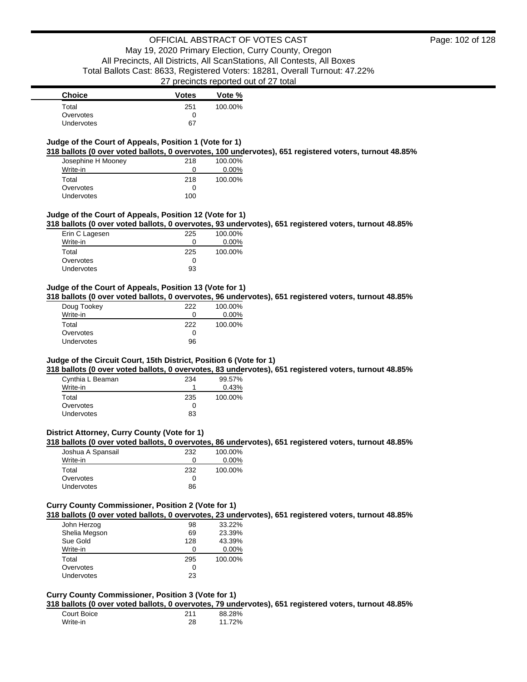### **Judge of the Court of Appeals, Position 1 (Vote for 1)**

**318 ballots (0 over voted ballots, 0 overvotes, 100 undervotes), 651 registered voters, turnout 48.85%**

| Josephine H Mooney | 218 | 100.00%  |
|--------------------|-----|----------|
| Write-in           | O   | $0.00\%$ |
| Total              | 218 | 100.00%  |
| Overvotes          | 0   |          |
| <b>Undervotes</b>  | 100 |          |

### **Judge of the Court of Appeals, Position 12 (Vote for 1)**

**318 ballots (0 over voted ballots, 0 overvotes, 93 undervotes), 651 registered voters, turnout 48.85%**

| Erin C Lagesen    | 225 | 100.00% |
|-------------------|-----|---------|
| Write-in          | 0   | 0.00%   |
| Total             | 225 | 100.00% |
| Overvotes         | 0   |         |
| <b>Undervotes</b> | 93  |         |

### **Judge of the Court of Appeals, Position 13 (Vote for 1)**

**318 ballots (0 over voted ballots, 0 overvotes, 96 undervotes), 651 registered voters, turnout 48.85%**

| Doug Tookey | 222 | 100.00%  |
|-------------|-----|----------|
| Write-in    | 0   | $0.00\%$ |
| Total       | 222 | 100.00%  |
| Overvotes   | Ω   |          |
| Undervotes  | 96  |          |

### **Judge of the Circuit Court, 15th District, Position 6 (Vote for 1)**

**318 ballots (0 over voted ballots, 0 overvotes, 83 undervotes), 651 registered voters, turnout 48.85%**

| Cynthia L Beaman  | 234          | 99.57%  |
|-------------------|--------------|---------|
| Write-in          |              | 0.43%   |
| Total             | 235          | 100.00% |
| Overvotes         | $\mathbf{0}$ |         |
| <b>Undervotes</b> | 83           |         |

### **District Attorney, Curry County (Vote for 1)**

**318 ballots (0 over voted ballots, 0 overvotes, 86 undervotes), 651 registered voters, turnout 48.85%**

| Joshua A Spansail | 232 | 100.00%  |
|-------------------|-----|----------|
| Write-in          |     | $0.00\%$ |
| Total             | 232 | 100.00%  |
| Overvotes         |     |          |
| <b>Undervotes</b> | 86  |          |

### **Curry County Commissioner, Position 2 (Vote for 1)**

**318 ballots (0 over voted ballots, 0 overvotes, 23 undervotes), 651 registered voters, turnout 48.85%**

| John Herzog       | 98  | 33.22%   |
|-------------------|-----|----------|
| Shelia Megson     | 69  | 23.39%   |
| Sue Gold          | 128 | 43.39%   |
| Write-in          | O   | $0.00\%$ |
| Total             | 295 | 100.00%  |
| Overvotes         | 0   |          |
| <b>Undervotes</b> | 23  |          |

### **Curry County Commissioner, Position 3 (Vote for 1)**

**318 ballots (0 over voted ballots, 0 overvotes, 79 undervotes), 651 registered voters, turnout 48.85%**

| Court Boice | 211 | 88.28% |
|-------------|-----|--------|
| Write-in    | 28  | 11.72% |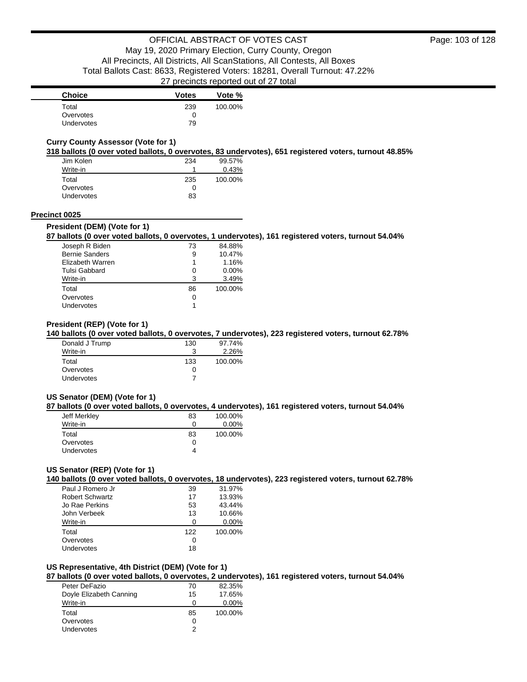| <b>Choice</b>     | <b>Votes</b> | Vote %  |
|-------------------|--------------|---------|
| Total             | 239          | 100.00% |
| Overvotes         |              |         |
| <b>Undervotes</b> | 79           |         |

### **Curry County Assessor (Vote for 1)**

**318 ballots (0 over voted ballots, 0 overvotes, 83 undervotes), 651 registered voters, turnout 48.85%**

| Jim Kolen         | 234 | 99.57%  |
|-------------------|-----|---------|
| Write-in          |     | 0.43%   |
| Total             | 235 | 100.00% |
| Overvotes         | O   |         |
| <b>Undervotes</b> | 83  |         |

#### **Precinct 0025**

#### **President (DEM) (Vote for 1)**

### **87 ballots (0 over voted ballots, 0 overvotes, 1 undervotes), 161 registered voters, turnout 54.04%**

| Joseph R Biden        | 73 | 84.88%   |
|-----------------------|----|----------|
| <b>Bernie Sanders</b> | 9  | 10.47%   |
| Elizabeth Warren      | 1  | 1.16%    |
| Tulsi Gabbard         | 0  | $0.00\%$ |
| Write-in              | 3  | 3.49%    |
| Total                 | 86 | 100.00%  |
| Overvotes             | 0  |          |
| Undervotes            |    |          |

### **President (REP) (Vote for 1)**

**140 ballots (0 over voted ballots, 0 overvotes, 7 undervotes), 223 registered voters, turnout 62.78%**

| Donald J Trump | 130          | 97.74%  |
|----------------|--------------|---------|
| Write-in       |              | 2.26%   |
| Total          | 133          | 100.00% |
| Overvotes      | $\mathbf{I}$ |         |
| Undervotes     |              |         |

### **US Senator (DEM) (Vote for 1)**

**87 ballots (0 over voted ballots, 0 overvotes, 4 undervotes), 161 registered voters, turnout 54.04%**

| Jeff Merkley      | 83 | 100.00%  |
|-------------------|----|----------|
| Write-in          | Ω  | $0.00\%$ |
| Total             | 83 | 100.00%  |
| Overvotes         | Ω  |          |
| <b>Undervotes</b> | 4  |          |

### **US Senator (REP) (Vote for 1)**

**140 ballots (0 over voted ballots, 0 overvotes, 18 undervotes), 223 registered voters, turnout 62.78%**

| Paul J Romero Jr       | 39  | 31.97%   |
|------------------------|-----|----------|
| <b>Robert Schwartz</b> | 17  | 13.93%   |
| Jo Rae Perkins         | 53  | 43.44%   |
| John Verbeek           | 13  | 10.66%   |
| Write-in               | ∩   | $0.00\%$ |
| Total                  | 122 | 100.00%  |
| Overvotes              | 0   |          |
| Undervotes             | 18  |          |

#### **US Representative, 4th District (DEM) (Vote for 1)**

**87 ballots (0 over voted ballots, 0 overvotes, 2 undervotes), 161 registered voters, turnout 54.04%**

| Peter DeFazio           | 70 | 82.35%   |
|-------------------------|----|----------|
| Doyle Elizabeth Canning | 15 | 17.65%   |
| Write-in                | 0  | $0.00\%$ |
| Total                   | 85 | 100.00%  |
| Overvotes               | 0  |          |
| Undervotes              | 2  |          |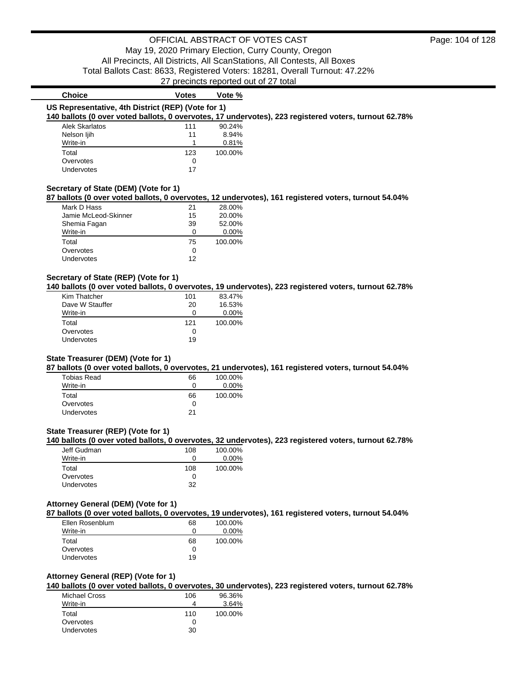# 27 precincts reported out of 27 total

| <b>Choice</b>                                      | <b>Votes</b> | Vote %  |                                                                                                       |
|----------------------------------------------------|--------------|---------|-------------------------------------------------------------------------------------------------------|
| US Representative, 4th District (REP) (Vote for 1) |              |         |                                                                                                       |
|                                                    |              |         | 140 ballots (0 over voted ballots, 0 overvotes, 17 undervotes), 223 registered voters, turnout 62.78% |
| Alek Skarlatos                                     | 111          | 90.24%  |                                                                                                       |
| Nelson liih                                        | 11           | 8.94%   |                                                                                                       |
| Write-in                                           |              | 0.81%   |                                                                                                       |
| Total                                              | 123          | 100.00% |                                                                                                       |
| Overvotes                                          | 0            |         |                                                                                                       |
| Undervotes                                         |              |         |                                                                                                       |

### **Secretary of State (DEM) (Vote for 1)**

Undervotes

**87 ballots (0 over voted ballots, 0 overvotes, 12 undervotes), 161 registered voters, turnout 54.04%**

| Mark D Hass          | 21 | 28.00%   |
|----------------------|----|----------|
| Jamie McLeod-Skinner | 15 | 20.00%   |
| Shemia Fagan         | 39 | 52.00%   |
| Write-in             | ŋ  | $0.00\%$ |
| Total                | 75 | 100.00%  |
| Overvotes            | 0  |          |
| <b>Undervotes</b>    | 12 |          |

### **Secretary of State (REP) (Vote for 1)**

**140 ballots (0 over voted ballots, 0 overvotes, 19 undervotes), 223 registered voters, turnout 62.78%**

| Kim Thatcher    | 101 | 83.47%   |
|-----------------|-----|----------|
| Dave W Stauffer | 20  | 16.53%   |
| Write-in        | O   | $0.00\%$ |
| Total           | 121 | 100.00%  |
| Overvotes       | 0   |          |
| Undervotes      | 19  |          |

### **State Treasurer (DEM) (Vote for 1)**

**87 ballots (0 over voted ballots, 0 overvotes, 21 undervotes), 161 registered voters, turnout 54.04%**

| Tobias Read       | 66 | 100.00%  |
|-------------------|----|----------|
| Write-in          | 0  | $0.00\%$ |
| Total             | 66 | 100.00%  |
| Overvotes         | 0  |          |
| <b>Undervotes</b> | 21 |          |

### **State Treasurer (REP) (Vote for 1)**

**140 ballots (0 over voted ballots, 0 overvotes, 32 undervotes), 223 registered voters, turnout 62.78%**

| Jeff Gudman       | 108 | 100.00%  |
|-------------------|-----|----------|
| Write-in          |     | $0.00\%$ |
| Total             | 108 | 100.00%  |
| Overvotes         |     |          |
| <b>Undervotes</b> | 32  |          |

#### **Attorney General (DEM) (Vote for 1)**

**87 ballots (0 over voted ballots, 0 overvotes, 19 undervotes), 161 registered voters, turnout 54.04%**

| Ellen Rosenblum   | 68 | 100.00%  |
|-------------------|----|----------|
| Write-in          | 0  | $0.00\%$ |
| Total             | 68 | 100.00%  |
| Overvotes         | O  |          |
| <b>Undervotes</b> | 19 |          |

#### **Attorney General (REP) (Vote for 1)**

**140 ballots (0 over voted ballots, 0 overvotes, 30 undervotes), 223 registered voters, turnout 62.78%**

| Michael Cross | 106 | 96.36%  |
|---------------|-----|---------|
| Write-in      |     | 3.64%   |
| Total         | 110 | 100.00% |
| Overvotes     | 0   |         |
| Undervotes    | 30  |         |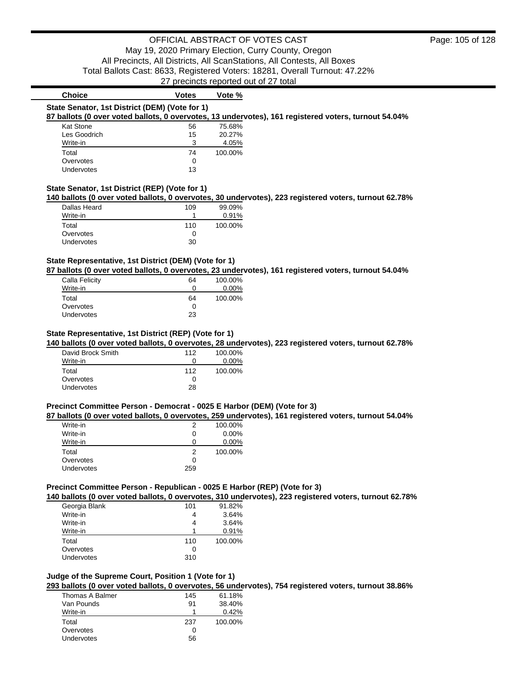| <b>Choice</b>                                                                                         | <b>Votes</b> | Vote %  |  |  |
|-------------------------------------------------------------------------------------------------------|--------------|---------|--|--|
| State Senator, 1st District (DEM) (Vote for 1)                                                        |              |         |  |  |
| 87 ballots (0 over voted ballots, 0 overvotes, 13 undervotes), 161 registered voters, turnout 54.04%  |              |         |  |  |
| Kat Stone                                                                                             | 56           | 75.68%  |  |  |
| Les Goodrich                                                                                          | 15           | 20.27%  |  |  |
| Write-in                                                                                              | 3            | 4.05%   |  |  |
| Total                                                                                                 | 74           | 100.00% |  |  |
| Overvotes                                                                                             | 0            |         |  |  |
| Undervotes                                                                                            | 13           |         |  |  |
| State Senator, 1st District (REP) (Vote for 1)                                                        |              |         |  |  |
| 140 ballots (0 over voted ballots, 0 overvotes, 30 undervotes), 223 registered voters, turnout 62.78% |              |         |  |  |
| Dallas Heard                                                                                          | 109          | 99.09%  |  |  |
| $\cdots$                                                                                              |              |         |  |  |

| Write-in   |     | 0.91%   |
|------------|-----|---------|
| Total      | 110 | 100.00% |
| Overvotes  | 0   |         |
| Undervotes | 30  |         |

### **State Representative, 1st District (DEM) (Vote for 1)**

**87 ballots (0 over voted ballots, 0 overvotes, 23 undervotes), 161 registered voters, turnout 54.04%**

| Calla Felicity | 64 | 100.00%  |
|----------------|----|----------|
| Write-in       |    | $0.00\%$ |
| Total          | 64 | 100.00%  |
| Overvotes      |    |          |
| Undervotes     | 23 |          |

### **State Representative, 1st District (REP) (Vote for 1)**

**140 ballots (0 over voted ballots, 0 overvotes, 28 undervotes), 223 registered voters, turnout 62.78%**

| David Brock Smith | 112 | 100.00%  |
|-------------------|-----|----------|
| Write-in          | 0   | $0.00\%$ |
| Total             | 112 | 100.00%  |
| Overvotes         | 0   |          |
| Undervotes        | 28  |          |

#### **Precinct Committee Person - Democrat - 0025 E Harbor (DEM) (Vote for 3)**

**87 ballots (0 over voted ballots, 0 overvotes, 259 undervotes), 161 registered voters, turnout 54.04%**

| 100.00% |
|---------|
| 0.00%   |
| 0.00%   |
| 100.00% |
|         |
|         |
|         |

### **Precinct Committee Person - Republican - 0025 E Harbor (REP) (Vote for 3)**

**140 ballots (0 over voted ballots, 0 overvotes, 310 undervotes), 223 registered voters, turnout 62.78%**

| Georgia Blank     | 101          | 91.82%  |
|-------------------|--------------|---------|
| Write-in          |              | 3.64%   |
| Write-in          |              | 3.64%   |
| Write-in          |              | 0.91%   |
| Total             | 110          | 100.00% |
| Overvotes         | $\mathbf{C}$ |         |
| <b>Undervotes</b> | 310          |         |

### **Judge of the Supreme Court, Position 1 (Vote for 1)**

**293 ballots (0 over voted ballots, 0 overvotes, 56 undervotes), 754 registered voters, turnout 38.86%**

| Thomas A Balmer   | 145 | 61.18%  |
|-------------------|-----|---------|
| Van Pounds        | 91  | 38.40%  |
| Write-in          |     | 0.42%   |
| Total             | 237 | 100.00% |
| Overvotes         | O   |         |
| <b>Undervotes</b> | 56  |         |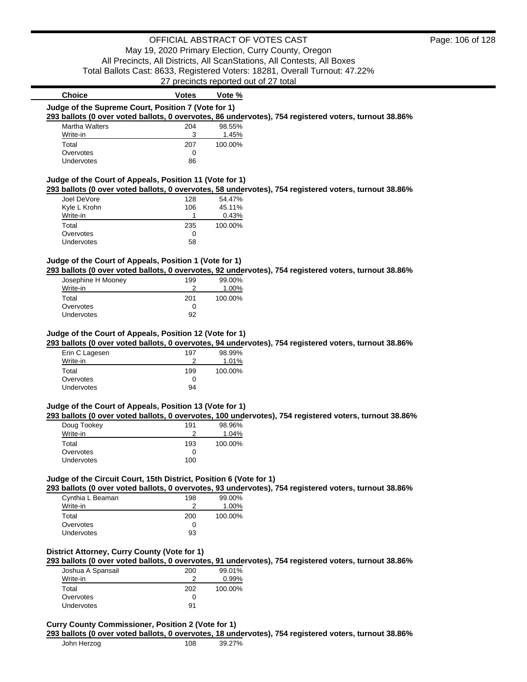| <b>Choice</b>                                                      | <b>Votes</b> | Vote %          |                                                                                                        |
|--------------------------------------------------------------------|--------------|-----------------|--------------------------------------------------------------------------------------------------------|
| Judge of the Supreme Court, Position 7 (Vote for 1)                |              |                 |                                                                                                        |
|                                                                    |              |                 | 293 ballots (0 over voted ballots, 0 overvotes, 86 undervotes), 754 registered voters, turnout 38.86%  |
| <b>Martha Walters</b>                                              | 204          | 98.55%          |                                                                                                        |
| Write-in                                                           | 3            | 1.45%           |                                                                                                        |
| Total                                                              | 207          | 100.00%         |                                                                                                        |
| Overvotes<br>Undervotes                                            | 0<br>86      |                 |                                                                                                        |
|                                                                    |              |                 |                                                                                                        |
| Judge of the Court of Appeals, Position 11 (Vote for 1)            |              |                 |                                                                                                        |
|                                                                    |              |                 | 293 ballots (0 over voted ballots, 0 overvotes, 58 undervotes), 754 registered voters, turnout 38.86%  |
| Joel DeVore                                                        | 128          | 54.47%          |                                                                                                        |
| Kyle L Krohn                                                       | 106          | 45.11%          |                                                                                                        |
| Write-in                                                           | 1            | 0.43%           |                                                                                                        |
| Total                                                              | 235          | 100.00%         |                                                                                                        |
| Overvotes<br>Undervotes                                            | 0<br>58      |                 |                                                                                                        |
|                                                                    |              |                 |                                                                                                        |
| Judge of the Court of Appeals, Position 1 (Vote for 1)             |              |                 |                                                                                                        |
|                                                                    |              |                 | 293 ballots (0 over voted ballots, 0 overvotes, 92 undervotes), 754 registered voters, turnout 38.86%  |
| Josephine H Mooney                                                 | 199          | 99.00%          |                                                                                                        |
| Write-in                                                           | 2            | 1.00%           |                                                                                                        |
| Total                                                              | 201          | 100.00%         |                                                                                                        |
| Overvotes                                                          | 0            |                 |                                                                                                        |
| Undervotes                                                         | 92           |                 |                                                                                                        |
|                                                                    |              |                 |                                                                                                        |
| Judge of the Court of Appeals, Position 12 (Vote for 1)            |              |                 |                                                                                                        |
|                                                                    |              |                 | 293 ballots (0 over voted ballots, 0 overvotes, 94 undervotes), 754 registered voters, turnout 38.86%  |
| Erin C Lagesen<br>Write-in                                         | 197<br>2     | 98.99%<br>1.01% |                                                                                                        |
| Total                                                              | 199          | 100.00%         |                                                                                                        |
| Overvotes                                                          | 0            |                 |                                                                                                        |
| Undervotes                                                         | 94           |                 |                                                                                                        |
|                                                                    |              |                 |                                                                                                        |
| Judge of the Court of Appeals, Position 13 (Vote for 1)            |              |                 |                                                                                                        |
|                                                                    |              |                 | 293 ballots (0 over voted ballots, 0 overvotes, 100 undervotes), 754 registered voters, turnout 38.86% |
| Doug Tookey                                                        | 191          | 98.96%          |                                                                                                        |
| Write-in                                                           | 2            | 1.04%           |                                                                                                        |
| Total                                                              | 193          | 100.00%         |                                                                                                        |
| Overvotes                                                          | 0            |                 |                                                                                                        |
| Undervotes                                                         | 100          |                 |                                                                                                        |
| Judge of the Circuit Court, 15th District, Position 6 (Vote for 1) |              |                 |                                                                                                        |
|                                                                    |              |                 | 293 ballots (0 over voted ballots, 0 overvotes, 93 undervotes), 754 registered voters, turnout 38.86%  |
| Cynthia L Beaman                                                   | 198          | 99.00%          |                                                                                                        |
| Write-in                                                           | 2            | 1.00%           |                                                                                                        |
| Total                                                              | 200          | 100.00%         |                                                                                                        |
| Overvotes                                                          | 0            |                 |                                                                                                        |
| Undervotes                                                         | 93           |                 |                                                                                                        |
|                                                                    |              |                 |                                                                                                        |
| District Attorney, Curry County (Vote for 1)                       |              |                 |                                                                                                        |
|                                                                    |              |                 | 293 ballots (0 over voted ballots, 0 overvotes, 91 undervotes), 754 registered voters, turnout 38.86%  |
| Joshua A Spansail                                                  | 200          | 99.01%          |                                                                                                        |
| Write-in                                                           | 2            | 0.99%           |                                                                                                        |
| Total                                                              | 202          | 100.00%         |                                                                                                        |
| Overvotes<br>Undervotes                                            | 0<br>91      |                 |                                                                                                        |
|                                                                    |              |                 |                                                                                                        |
|                                                                    |              |                 |                                                                                                        |

### **Curry County Commissioner, Position 2 (Vote for 1)**

**293 ballots (0 over voted ballots, 0 overvotes, 18 undervotes), 754 registered voters, turnout 38.86%**

| John Herzog<br>108 | 39.27% |  |
|--------------------|--------|--|
|--------------------|--------|--|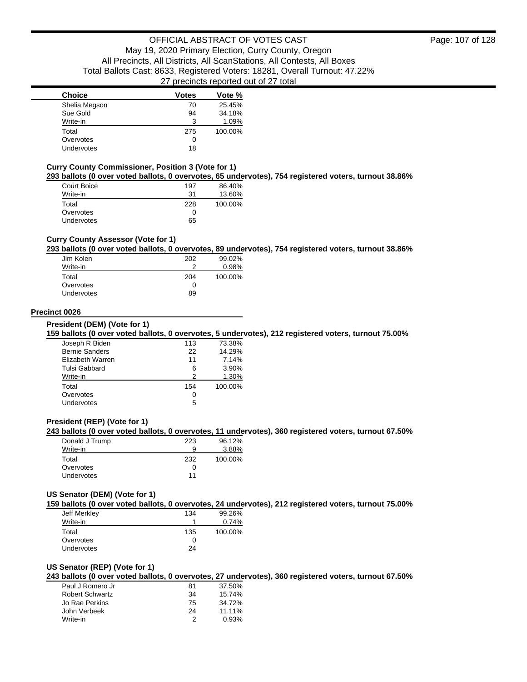| <b>Choice</b> | Votes | Vote %  |
|---------------|-------|---------|
| Shelia Megson | 70    | 25.45%  |
| Sue Gold      | 94    | 34.18%  |
| Write-in      | 3     | 1.09%   |
| Total         | 275   | 100.00% |
| Overvotes     | 0     |         |
| Undervotes    | 18    |         |

#### **Curry County Commissioner, Position 3 (Vote for 1)**

**293 ballots (0 over voted ballots, 0 overvotes, 65 undervotes), 754 registered voters, turnout 38.86%**

| Court Boice       | 197 | 86.40%  |
|-------------------|-----|---------|
| Write-in          | 31  | 13.60%  |
| Total             | 228 | 100.00% |
| Overvotes         | 0   |         |
| <b>Undervotes</b> | 65  |         |

### **Curry County Assessor (Vote for 1)**

**293 ballots (0 over voted ballots, 0 overvotes, 89 undervotes), 754 registered voters, turnout 38.86%**

| Jim Kolen  | 202 | 99.02%  |
|------------|-----|---------|
| Write-in   | າ   | 0.98%   |
| Total      | 204 | 100.00% |
| Overvotes  | Ω   |         |
| Undervotes | 89  |         |

### **Precinct 0026**

**President (DEM) (Vote for 1)**

**159 ballots (0 over voted ballots, 0 overvotes, 5 undervotes), 212 registered voters, turnout 75.00%**

| Joseph R Biden        | 113 | 73.38%  |
|-----------------------|-----|---------|
| <b>Bernie Sanders</b> | 22  | 14.29%  |
| Elizabeth Warren      | 11  | 7.14%   |
| Tulsi Gabbard         | 6   | 3.90%   |
| Write-in              | 2   | 1.30%   |
| Total                 | 154 | 100.00% |
| Overvotes             | 0   |         |
| Undervotes            | 5   |         |
|                       |     |         |

### **President (REP) (Vote for 1)**

### **243 ballots (0 over voted ballots, 0 overvotes, 11 undervotes), 360 registered voters, turnout 67.50%**

| Donald J Trump | 223 | 96.12%  |
|----------------|-----|---------|
| Write-in       | 9   | 3.88%   |
| Total          | 232 | 100.00% |
| Overvotes      | 0   |         |
| Undervotes     | 11  |         |

#### **US Senator (DEM) (Vote for 1)**

**159 ballots (0 over voted ballots, 0 overvotes, 24 undervotes), 212 registered voters, turnout 75.00%**

| Jeff Merkley      | 134 | 99.26%  |
|-------------------|-----|---------|
| Write-in          |     | 0.74%   |
| Total             | 135 | 100.00% |
| Overvotes         | 0   |         |
| <b>Undervotes</b> | 24  |         |

#### **US Senator (REP) (Vote for 1)**

**243 ballots (0 over voted ballots, 0 overvotes, 27 undervotes), 360 registered voters, turnout 67.50%**

| Paul J Romero Jr       | 81 | 37.50% |
|------------------------|----|--------|
| <b>Robert Schwartz</b> | 34 | 15.74% |
| Jo Rae Perkins         | 75 | 34.72% |
| John Verbeek           | 24 | 11.11% |
| Write-in               | 2  | 0.93%  |
|                        |    |        |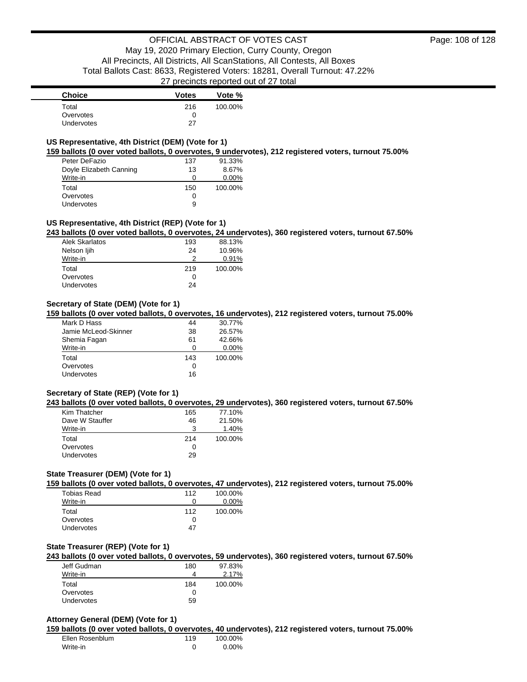| <b>Choice</b>     | <b>Votes</b> | Vote %  |
|-------------------|--------------|---------|
| Total             | 216          | 100.00% |
| Overvotes         |              |         |
| <b>Undervotes</b> | 27           |         |

### **US Representative, 4th District (DEM) (Vote for 1)**

**159 ballots (0 over voted ballots, 0 overvotes, 9 undervotes), 212 registered voters, turnout 75.00%**

| Peter DeFazio           | 137 | 91.33%   |
|-------------------------|-----|----------|
| Doyle Elizabeth Canning | 13  | 8.67%    |
| Write-in                | Ω   | $0.00\%$ |
| Total                   | 150 | 100.00%  |
| Overvotes               | Ω   |          |
| Undervotes              | 9   |          |

### **US Representative, 4th District (REP) (Vote for 1)**

**243 ballots (0 over voted ballots, 0 overvotes, 24 undervotes), 360 registered voters, turnout 67.50%**

| Alek Skarlatos    | 193 | 88.13%  |
|-------------------|-----|---------|
| Nelson ljih       | 24  | 10.96%  |
| Write-in          | 2   | 0.91%   |
| Total             | 219 | 100.00% |
| Overvotes         | 0   |         |
| <b>Undervotes</b> | 24  |         |

### **Secretary of State (DEM) (Vote for 1)**

**159 ballots (0 over voted ballots, 0 overvotes, 16 undervotes), 212 registered voters, turnout 75.00%**

| Mark D Hass          | 44  | 30.77%   |
|----------------------|-----|----------|
| Jamie McLeod-Skinner | 38  | 26.57%   |
| Shemia Fagan         | 61  | 42.66%   |
| Write-in             | Ω   | $0.00\%$ |
| Total                | 143 | 100.00%  |
| Overvotes            | 0   |          |
| <b>Undervotes</b>    | 16  |          |

### **Secretary of State (REP) (Vote for 1)**

**243 ballots (0 over voted ballots, 0 overvotes, 29 undervotes), 360 registered voters, turnout 67.50%**

| 165 | 77.10%  |
|-----|---------|
| 46  | 21.50%  |
| 3   | 1.40%   |
| 214 | 100.00% |
|     |         |
| 29  |         |
|     |         |

### **State Treasurer (DEM) (Vote for 1)**

**159 ballots (0 over voted ballots, 0 overvotes, 47 undervotes), 212 registered voters, turnout 75.00%**

| Tobias Read       | 112 | 100.00%  |
|-------------------|-----|----------|
| Write-in          | O   | $0.00\%$ |
| Total             | 112 | 100.00%  |
| Overvotes         | 0   |          |
| <b>Undervotes</b> | 47  |          |

#### **State Treasurer (REP) (Vote for 1)**

**243 ballots (0 over voted ballots, 0 overvotes, 59 undervotes), 360 registered voters, turnout 67.50%**

| Jeff Gudman | 180 | 97.83%  |
|-------------|-----|---------|
| Write-in    |     | 2.17%   |
| Total       | 184 | 100.00% |
| Overvotes   | 0   |         |
| Undervotes  | 59  |         |

### **Attorney General (DEM) (Vote for 1)**

**159 ballots (0 over voted ballots, 0 overvotes, 40 undervotes), 212 registered voters, turnout 75.00%**

Ellen Rosenblum 119 100.00% Write-in 0 0.00%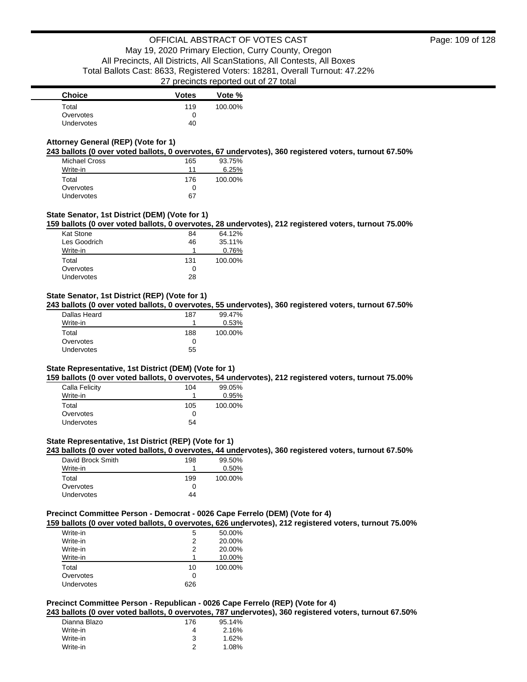# **Attorney General (REP) (Vote for 1)**

**243 ballots (0 over voted ballots, 0 overvotes, 67 undervotes), 360 registered voters, turnout 67.50%**

| <b>Michael Cross</b> | 165 | 93.75%  |
|----------------------|-----|---------|
| Write-in             | 11  | 6.25%   |
| Total                | 176 | 100.00% |
| Overvotes            | 0   |         |
| <b>Undervotes</b>    | 67  |         |

## **State Senator, 1st District (DEM) (Vote for 1)**

**159 ballots (0 over voted ballots, 0 overvotes, 28 undervotes), 212 registered voters, turnout 75.00%**

| <b>Kat Stone</b> | 84  | 64.12%  |
|------------------|-----|---------|
| Les Goodrich     | 46  | 35.11%  |
| Write-in         |     | 0.76%   |
| Total            | 131 | 100.00% |
| Overvotes        | O   |         |
| Undervotes       | 28  |         |
|                  |     |         |

## **State Senator, 1st District (REP) (Vote for 1)**

**243 ballots (0 over voted ballots, 0 overvotes, 55 undervotes), 360 registered voters, turnout 67.50%**

| Dallas Heard | 187 | 99.47%  |
|--------------|-----|---------|
| Write-in     |     | 0.53%   |
| Total        | 188 | 100.00% |
| Overvotes    | 0   |         |
| Undervotes   | 55  |         |

### **State Representative, 1st District (DEM) (Vote for 1)**

**159 ballots (0 over voted ballots, 0 overvotes, 54 undervotes), 212 registered voters, turnout 75.00%**

| 104 | 99.05%  |
|-----|---------|
|     | 0.95%   |
| 105 | 100.00% |
| 0   |         |
| 54  |         |
|     |         |

## **State Representative, 1st District (REP) (Vote for 1)**

**243 ballots (0 over voted ballots, 0 overvotes, 44 undervotes), 360 registered voters, turnout 67.50%**

| David Brock Smith | 198 | 99.50%  |
|-------------------|-----|---------|
| Write-in          |     | 0.50%   |
| Total             | 199 | 100.00% |
| Overvotes         | O   |         |
| Undervotes        | 44  |         |

## **Precinct Committee Person - Democrat - 0026 Cape Ferrelo (DEM) (Vote for 4)**

**159 ballots (0 over voted ballots, 0 overvotes, 626 undervotes), 212 registered voters, turnout 75.00%**

| Write-in   | 5   | 50.00%  |
|------------|-----|---------|
| Write-in   | 2   | 20.00%  |
| Write-in   | 2   | 20.00%  |
| Write-in   |     | 10.00%  |
| Total      | 10  | 100.00% |
| Overvotes  | 0   |         |
| Undervotes | 626 |         |

## **Precinct Committee Person - Republican - 0026 Cape Ferrelo (REP) (Vote for 4)**

**243 ballots (0 over voted ballots, 0 overvotes, 787 undervotes), 360 registered voters, turnout 67.50%**

| Dianna Blazo | 176 | 95.14% |
|--------------|-----|--------|
| Write-in     |     | 2.16%  |
| Write-in     | 3   | 1.62%  |
| Write-in     |     | 1.08%  |
|              |     |        |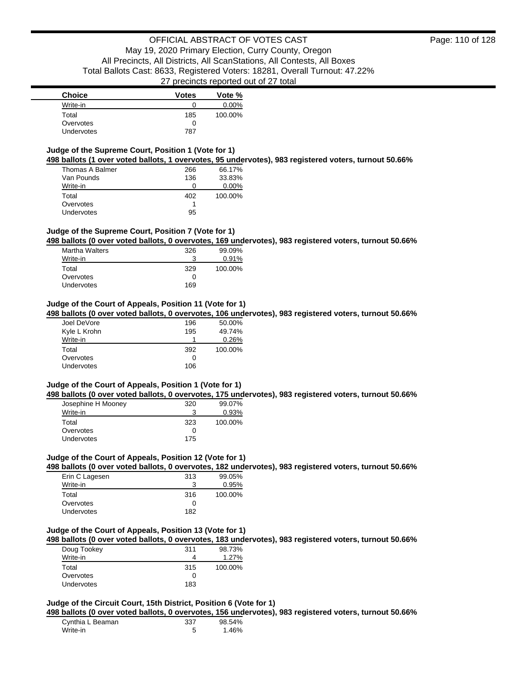| <b>Choice</b> | <b>Votes</b> | Vote %   |
|---------------|--------------|----------|
| Write-in      |              | $0.00\%$ |
| Total         | 185          | 100.00%  |
| Overvotes     | 0            |          |
| Undervotes    | 787          |          |

### **Judge of the Supreme Court, Position 1 (Vote for 1) 498 ballots (1 over voted ballots, 1 overvotes, 95 undervotes), 983 registered voters, turnout 50.66%**

| .               |     |          |
|-----------------|-----|----------|
| Thomas A Balmer | 266 | 66.17%   |
| Van Pounds      | 136 | 33.83%   |
| Write-in        | O   | $0.00\%$ |
| Total           | 402 | 100.00%  |
| Overvotes       |     |          |
| Undervotes      | 95  |          |

# **Judge of the Supreme Court, Position 7 (Vote for 1)**

**498 ballots (0 over voted ballots, 0 overvotes, 169 undervotes), 983 registered voters, turnout 50.66%**

| <b>Martha Walters</b> | 326 | 99.09%  |
|-----------------------|-----|---------|
| Write-in              | 3   | 0.91%   |
| Total                 | 329 | 100.00% |
| Overvotes             | 0   |         |
| Undervotes            | 169 |         |

## **Judge of the Court of Appeals, Position 11 (Vote for 1)**

**498 ballots (0 over voted ballots, 0 overvotes, 106 undervotes), 983 registered voters, turnout 50.66%**

| Joel DeVore  | 196 | 50.00%  |
|--------------|-----|---------|
| Kyle L Krohn | 195 | 49.74%  |
| Write-in     |     | 0.26%   |
|              |     |         |
| Total        | 392 | 100.00% |
| Overvotes    | Ω   |         |

## **Judge of the Court of Appeals, Position 1 (Vote for 1)**

**498 ballots (0 over voted ballots, 0 overvotes, 175 undervotes), 983 registered voters, turnout 50.66%**

| Josephine H Mooney | 320      | 99.07%  |
|--------------------|----------|---------|
| Write-in           | ว        | 0.93%   |
| Total              | 323      | 100.00% |
| Overvotes          | $\left($ |         |
| Undervotes         | 175      |         |

## **Judge of the Court of Appeals, Position 12 (Vote for 1)**

**498 ballots (0 over voted ballots, 0 overvotes, 182 undervotes), 983 registered voters, turnout 50.66%**

| Erin C Lagesen    | 313 | 99.05%  |
|-------------------|-----|---------|
| Write-in          | 3   | 0.95%   |
| Total             | 316 | 100.00% |
| Overvotes         | Ω   |         |
| <b>Undervotes</b> | 182 |         |

## **Judge of the Court of Appeals, Position 13 (Vote for 1)**

**498 ballots (0 over voted ballots, 0 overvotes, 183 undervotes), 983 registered voters, turnout 50.66%**

| Doug Tookey | 311 | 98.73%  |
|-------------|-----|---------|
| Write-in    |     | 1.27%   |
| Total       | 315 | 100.00% |
| Overvotes   | 0   |         |
| Undervotes  | 183 |         |

### **Judge of the Circuit Court, 15th District, Position 6 (Vote for 1)**

**498 ballots (0 over voted ballots, 0 overvotes, 156 undervotes), 983 registered voters, turnout 50.66%**

| Cynthia L Beaman | 337 | 98.54% |
|------------------|-----|--------|
| Write-in         |     | 1.46%  |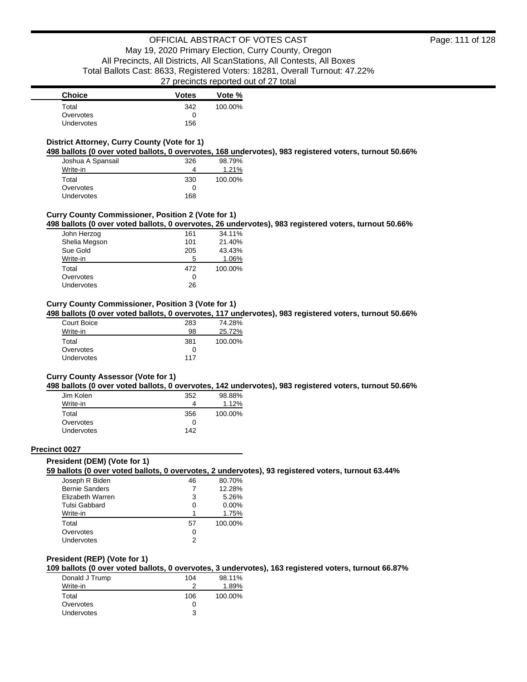| <b>Choice</b>     | <b>Votes</b> | Vote %  |
|-------------------|--------------|---------|
| Total             | 342          | 100.00% |
| Overvotes         |              |         |
| <b>Undervotes</b> | 156          |         |

## **District Attorney, Curry County (Vote for 1)**

**498 ballots (0 over voted ballots, 0 overvotes, 168 undervotes), 983 registered voters, turnout 50.66%**

| Joshua A Spansail | 326 | 98.79%  |
|-------------------|-----|---------|
| Write-in          |     | 1.21%   |
| Total             | 330 | 100.00% |
| Overvotes         | 0   |         |
| Undervotes        | 168 |         |

## **Curry County Commissioner, Position 2 (Vote for 1)**

**498 ballots (0 over voted ballots, 0 overvotes, 26 undervotes), 983 registered voters, turnout 50.66%**

| John Herzog   | 161 | 34.11%  |
|---------------|-----|---------|
| Shelia Megson | 101 | 21.40%  |
| Sue Gold      | 205 | 43.43%  |
| Write-in      | 5   | 1.06%   |
| Total         | 472 | 100.00% |
| Overvotes     | 0   |         |
| Undervotes    | 26  |         |

# **Curry County Commissioner, Position 3 (Vote for 1)**

**498 ballots (0 over voted ballots, 0 overvotes, 117 undervotes), 983 registered voters, turnout 50.66%**

| Court Boice       | 283 | 74.28%  |
|-------------------|-----|---------|
| Write-in          | 98  | 25.72%  |
| Total             | 381 | 100.00% |
| Overvotes         | O   |         |
| <b>Undervotes</b> | 117 |         |

### **Curry County Assessor (Vote for 1)**

**498 ballots (0 over voted ballots, 0 overvotes, 142 undervotes), 983 registered voters, turnout 50.66%**

| Jim Kolen         | 352 | 98.88%  |
|-------------------|-----|---------|
| Write-in          | 4   | 1.12%   |
| Total             | 356 | 100.00% |
| Overvotes         | Ω   |         |
| <b>Undervotes</b> | 142 |         |

### **Precinct 0027**

### **President (DEM) (Vote for 1)**

**59 ballots (0 over voted ballots, 0 overvotes, 2 undervotes), 93 registered voters, turnout 63.44%**

| Joseph R Biden        | 46 | 80.70%   |
|-----------------------|----|----------|
| <b>Bernie Sanders</b> |    | 12.28%   |
| Elizabeth Warren      | 3  | 5.26%    |
| Tulsi Gabbard         | 0  | $0.00\%$ |
| Write-in              | 1  | 1.75%    |
| Total                 | 57 | 100.00%  |
| Overvotes             | 0  |          |
| Undervotes            | っ  |          |

### **President (REP) (Vote for 1)**

**109 ballots (0 over voted ballots, 0 overvotes, 3 undervotes), 163 registered voters, turnout 66.87%**

| 104 | 98.11%  |
|-----|---------|
|     | 1.89%   |
| 106 | 100.00% |
|     |         |
| ર   |         |
|     |         |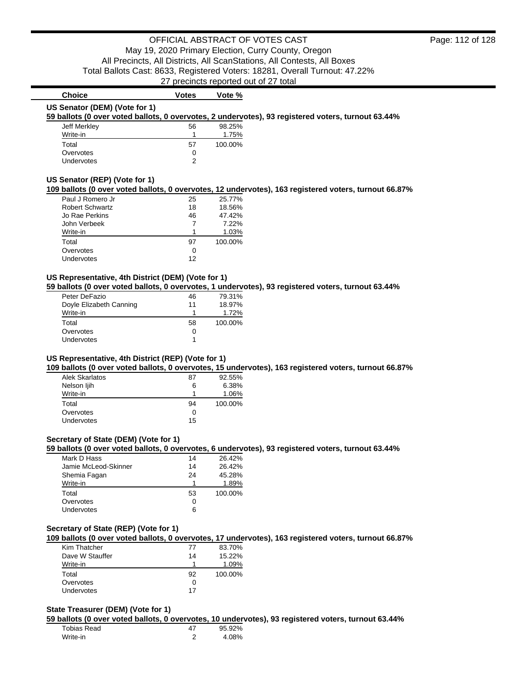# **Choice Votes Votes Vote** % **US Senator (DEM) (Vote for 1)**

**59 ballots (0 over voted ballots, 0 overvotes, 2 undervotes), 93 registered voters, turnout 63.44%**

| Jeff Merkley      | 56 | 98.25%  |
|-------------------|----|---------|
| Write-in          |    | 1.75%   |
| Total             | 57 | 100.00% |
| Overvotes         | 0  |         |
| <b>Undervotes</b> | າ  |         |

### **US Senator (REP) (Vote for 1)**

### **109 ballots (0 over voted ballots, 0 overvotes, 12 undervotes), 163 registered voters, turnout 66.87%**

| Paul J Romero Jr       | 25 | 25.77%  |
|------------------------|----|---------|
| <b>Robert Schwartz</b> | 18 | 18.56%  |
| Jo Rae Perkins         | 46 | 47.42%  |
| John Verbeek           |    | 7.22%   |
| Write-in               |    | 1.03%   |
| Total                  | 97 | 100.00% |
| Overvotes              | Ω  |         |
| Undervotes             | 12 |         |

### **US Representative, 4th District (DEM) (Vote for 1)**

**59 ballots (0 over voted ballots, 0 overvotes, 1 undervotes), 93 registered voters, turnout 63.44%**

| Peter DeFazio           | 46 | 79.31%  |
|-------------------------|----|---------|
| Doyle Elizabeth Canning | 11 | 18.97%  |
| Write-in                |    | 1.72%   |
| Total                   | 58 | 100.00% |
| Overvotes               | 0  |         |
| Undervotes              |    |         |

## **US Representative, 4th District (REP) (Vote for 1)**

**109 ballots (0 over voted ballots, 0 overvotes, 15 undervotes), 163 registered voters, turnout 66.87%**

| Alek Skarlatos | 87 | 92.55%  |
|----------------|----|---------|
| Nelson ljih    | 6  | 6.38%   |
| Write-in       | ٩  | 1.06%   |
| Total          | 94 | 100.00% |
| Overvotes      | 0  |         |
| Undervotes     | 15 |         |

## **Secretary of State (DEM) (Vote for 1)**

**59 ballots (0 over voted ballots, 0 overvotes, 6 undervotes), 93 registered voters, turnout 63.44%**

| Mark D Hass          | 14 | 26.42%  |
|----------------------|----|---------|
| Jamie McLeod-Skinner | 14 | 26.42%  |
| Shemia Fagan         | 24 | 45.28%  |
| Write-in             | 1  | 1.89%   |
| Total                | 53 | 100.00% |
| Overvotes            | 0  |         |
| Undervotes           | 6  |         |

### **Secretary of State (REP) (Vote for 1)**

**109 ballots (0 over voted ballots, 0 overvotes, 17 undervotes), 163 registered voters, turnout 66.87%**

| Kim Thatcher    | 77 | 83.70%  |
|-----------------|----|---------|
| Dave W Stauffer | 14 | 15.22%  |
| Write-in        |    | 1.09%   |
| Total           | 92 | 100.00% |
| Overvotes       |    |         |
| Undervotes      | 17 |         |

### **State Treasurer (DEM) (Vote for 1)**

**59 ballots (0 over voted ballots, 0 overvotes, 10 undervotes), 93 registered voters, turnout 63.44%**

| Tobias Read |   | 95.92% |
|-------------|---|--------|
| Write-in    | ◠ | 4.08%  |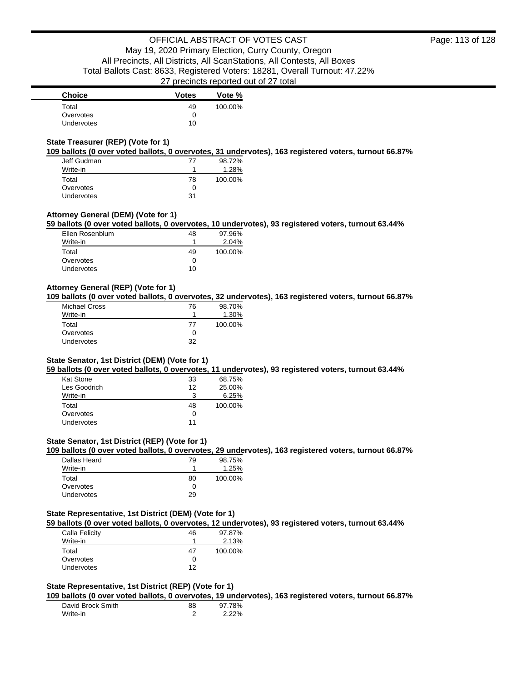| <b>Choice</b> | <b>Votes</b> | Vote %  |
|---------------|--------------|---------|
| Total         | 49           | 100.00% |
| Overvotes     |              |         |
| Undervotes    | 10           |         |

## **State Treasurer (REP) (Vote for 1)**

**109 ballots (0 over voted ballots, 0 overvotes, 31 undervotes), 163 registered voters, turnout 66.87%**

| Jeff Gudman       | 77 | 98.72%  |
|-------------------|----|---------|
| Write-in          |    | 1.28%   |
| Total             | 78 | 100.00% |
| Overvotes         | ŋ  |         |
| <b>Undervotes</b> | 31 |         |

## **Attorney General (DEM) (Vote for 1)**

**59 ballots (0 over voted ballots, 0 overvotes, 10 undervotes), 93 registered voters, turnout 63.44%**

| Ellen Rosenblum | 48           | 97.96%  |
|-----------------|--------------|---------|
| Write-in        |              | 2.04%   |
| Total           | 49           | 100.00% |
| Overvotes       | $\mathbf{0}$ |         |
| Undervotes      | 10           |         |

## **Attorney General (REP) (Vote for 1)**

**109 ballots (0 over voted ballots, 0 overvotes, 32 undervotes), 163 registered voters, turnout 66.87%**

| Michael Cross | 76 | 98.70%  |
|---------------|----|---------|
| Write-in      |    | 1.30%   |
| Total         | 77 | 100.00% |
| Overvotes     | O  |         |
| Undervotes    | 32 |         |

### **State Senator, 1st District (DEM) (Vote for 1)**

**59 ballots (0 over voted ballots, 0 overvotes, 11 undervotes), 93 registered voters, turnout 63.44%**

| Kat Stone    | 33 | 68.75%  |
|--------------|----|---------|
| Les Goodrich | 12 | 25.00%  |
| Write-in     | 3  | 6.25%   |
| Total        | 48 | 100.00% |
| Overvotes    | 0  |         |
| Undervotes   | 11 |         |

## **State Senator, 1st District (REP) (Vote for 1)**

**109 ballots (0 over voted ballots, 0 overvotes, 29 undervotes), 163 registered voters, turnout 66.87%**

| Dallas Heard      | 79 | 98.75%  |
|-------------------|----|---------|
| Write-in          |    | 1.25%   |
| Total             | 80 | 100.00% |
| Overvotes         |    |         |
| <b>Undervotes</b> | 29 |         |

## **State Representative, 1st District (DEM) (Vote for 1)**

**59 ballots (0 over voted ballots, 0 overvotes, 12 undervotes), 93 registered voters, turnout 63.44%**

| 97.87%  |
|---------|
| 2.13%   |
| 100.00% |
|         |
|         |
|         |

### **State Representative, 1st District (REP) (Vote for 1)**

**109 ballots (0 over voted ballots, 0 overvotes, 19 undervotes), 163 registered voters, turnout 66.87%**

| David Brock Smith | 88 | 97.78%   |
|-------------------|----|----------|
| Write-in          |    | $2.22\%$ |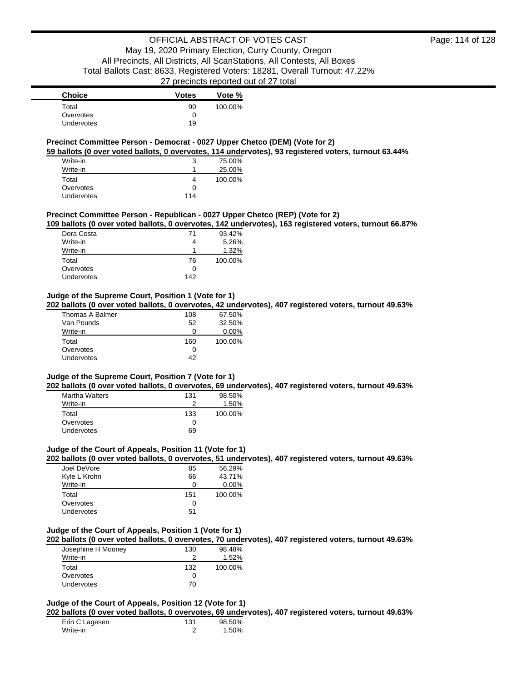| <b>Choice</b>     | <b>Votes</b> | Vote %  |
|-------------------|--------------|---------|
| Total             | 90           | 100.00% |
| Overvotes         |              |         |
| <b>Undervotes</b> | 19           |         |

# **Precinct Committee Person - Democrat - 0027 Upper Chetco (DEM) (Vote for 2)**

**59 ballots (0 over voted ballots, 0 overvotes, 114 undervotes), 93 registered voters, turnout 63.44%**

| Write-in   | 3   | 75.00%  |
|------------|-----|---------|
| Write-in   |     | 25.00%  |
| Total      |     | 100.00% |
| Overvotes  | O   |         |
| Undervotes | 114 |         |

## **Precinct Committee Person - Republican - 0027 Upper Chetco (REP) (Vote for 2)**

**109 ballots (0 over voted ballots, 0 overvotes, 142 undervotes), 163 registered voters, turnout 66.87%**

| Dora Costa        | 71           | 93.42%  |
|-------------------|--------------|---------|
| Write-in          |              | 5.26%   |
| Write-in          |              | 1.32%   |
| Total             | 76           | 100.00% |
| Overvotes         | $\mathbf{I}$ |         |
| <b>Undervotes</b> | 142          |         |

## **Judge of the Supreme Court, Position 1 (Vote for 1)**

**202 ballots (0 over voted ballots, 0 overvotes, 42 undervotes), 407 registered voters, turnout 49.63%**

| Thomas A Balmer   | 108 | 67.50%   |
|-------------------|-----|----------|
| Van Pounds        | 52  | 32.50%   |
| Write-in          | O   | $0.00\%$ |
| Total             | 160 | 100.00%  |
| Overvotes         | Ω   |          |
| <b>Undervotes</b> | 42  |          |

### **Judge of the Supreme Court, Position 7 (Vote for 1)**

**202 ballots (0 over voted ballots, 0 overvotes, 69 undervotes), 407 registered voters, turnout 49.63%**

| <b>Martha Walters</b> | 131 | 98.50%  |
|-----------------------|-----|---------|
| Write-in              | ≘   | 1.50%   |
| Total                 | 133 | 100.00% |
| Overvotes             | Ω   |         |
| <b>Undervotes</b>     | 69  |         |

### **Judge of the Court of Appeals, Position 11 (Vote for 1)**

**202 ballots (0 over voted ballots, 0 overvotes, 51 undervotes), 407 registered voters, turnout 49.63%**

| Joel DeVore  | 85  | 56.29%   |
|--------------|-----|----------|
| Kyle L Krohn | 66  | 43.71%   |
| Write-in     | ი   | $0.00\%$ |
| Total        | 151 | 100.00%  |
| Overvotes    | O   |          |
| Undervotes   | 51  |          |

## **Judge of the Court of Appeals, Position 1 (Vote for 1)**

**202 ballots (0 over voted ballots, 0 overvotes, 70 undervotes), 407 registered voters, turnout 49.63%**

| Josephine H Mooney | 130 | 98.48%  |
|--------------------|-----|---------|
| Write-in           |     | 1.52%   |
| Total              | 132 | 100.00% |
| Overvotes          | 0   |         |
| <b>Undervotes</b>  | 70  |         |

### **Judge of the Court of Appeals, Position 12 (Vote for 1)**

**202 ballots (0 over voted ballots, 0 overvotes, 69 undervotes), 407 registered voters, turnout 49.63%**

| Erin C Lagesen | 131 | 98.50% |
|----------------|-----|--------|
| Write-in       |     | 1.50%  |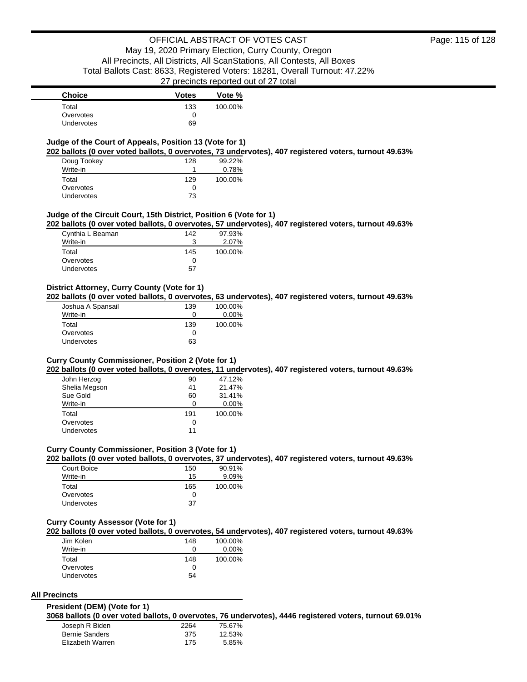## **Judge of the Court of Appeals, Position 13 (Vote for 1)**

**202 ballots (0 over voted ballots, 0 overvotes, 73 undervotes), 407 registered voters, turnout 49.63%**

| Doug Tookey       | 128 | 99.22%  |
|-------------------|-----|---------|
| Write-in          |     | 0.78%   |
| Total             | 129 | 100.00% |
| Overvotes         | 0   |         |
| <b>Undervotes</b> | 73  |         |

### **Judge of the Circuit Court, 15th District, Position 6 (Vote for 1)**

**202 ballots (0 over voted ballots, 0 overvotes, 57 undervotes), 407 registered voters, turnout 49.63%**

| Cynthia L Beaman | 142          | 97.93%  |
|------------------|--------------|---------|
| Write-in         |              | 2.07%   |
| Total            | 145          | 100.00% |
| Overvotes        | $\mathbf{I}$ |         |
| Undervotes       | 57           |         |

## **District Attorney, Curry County (Vote for 1)**

**202 ballots (0 over voted ballots, 0 overvotes, 63 undervotes), 407 registered voters, turnout 49.63%**

| Joshua A Spansail | 139 | 100.00%  |
|-------------------|-----|----------|
| Write-in          | 0   | $0.00\%$ |
| Total             | 139 | 100.00%  |
| Overvotes         | 0   |          |
| Undervotes        | 63  |          |

### **Curry County Commissioner, Position 2 (Vote for 1)**

**202 ballots (0 over voted ballots, 0 overvotes, 11 undervotes), 407 registered voters, turnout 49.63%**

| John Herzog   | 90  | 47.12%   |
|---------------|-----|----------|
| Shelia Megson | 41  | 21.47%   |
| Sue Gold      | 60  | 31.41%   |
| Write-in      | 0   | $0.00\%$ |
| Total         | 191 | 100.00%  |
| Overvotes     | O   |          |
| Undervotes    | 11  |          |

### **Curry County Commissioner, Position 3 (Vote for 1)**

**202 ballots (0 over voted ballots, 0 overvotes, 37 undervotes), 407 registered voters, turnout 49.63%**

| Court Boice       | 150 | 90.91%  |
|-------------------|-----|---------|
| Write-in          | 15  | 9.09%   |
| Total             | 165 | 100.00% |
| Overvotes         | Ω   |         |
| <b>Undervotes</b> | 37  |         |

#### **Curry County Assessor (Vote for 1)**

**202 ballots (0 over voted ballots, 0 overvotes, 54 undervotes), 407 registered voters, turnout 49.63%**

| Jim Kolen         | 148 | 100.00%  |
|-------------------|-----|----------|
| Write-in          | 0   | $0.00\%$ |
| Total             | 148 | 100.00%  |
| Overvotes         | 0   |          |
| <b>Undervotes</b> | 54  |          |

#### **All Precincts**

#### **President (DEM) (Vote for 1)**

**3068 ballots (0 over voted ballots, 0 overvotes, 76 undervotes), 4446 registered voters, turnout 69.01%**

| Joseph R Biden        | 2264 | 75.67% |
|-----------------------|------|--------|
| <b>Bernie Sanders</b> | 375  | 12.53% |
| Elizabeth Warren      | 175  | 5.85%  |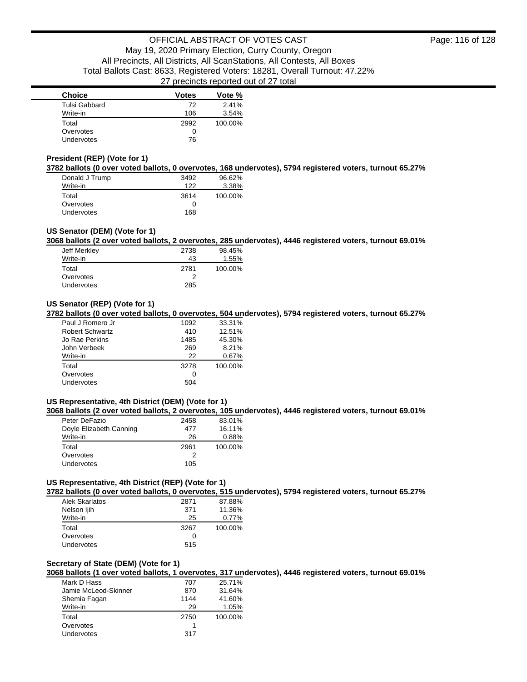| <b>Choice</b>     | <b>Votes</b> | Vote %  |
|-------------------|--------------|---------|
| Tulsi Gabbard     | 72           | 2.41%   |
| Write-in          | 106          | 3.54%   |
| Total             | 2992         | 100.00% |
| Overvotes         | 0            |         |
| <b>Undervotes</b> | 76           |         |

## **President (REP) (Vote for 1)**

**3782 ballots (0 over voted ballots, 0 overvotes, 168 undervotes), 5794 registered voters, turnout 65.27%**

| Donald J Trump    | 3492 | 96.62%  |
|-------------------|------|---------|
| Write-in          | 122  | 3.38%   |
| Total             | 3614 | 100.00% |
| Overvotes         | 0    |         |
| <b>Undervotes</b> | 168  |         |

## **US Senator (DEM) (Vote for 1)**

**3068 ballots (2 over voted ballots, 2 overvotes, 285 undervotes), 4446 registered voters, turnout 69.01%**

| Jeff Merkley | 2738 | 98.45%  |
|--------------|------|---------|
| Write-in     | 43   | 1.55%   |
| Total        | 2781 | 100.00% |
| Overvotes    |      |         |
| Undervotes   | 285  |         |

## **US Senator (REP) (Vote for 1)**

**3782 ballots (0 over voted ballots, 0 overvotes, 504 undervotes), 5794 registered voters, turnout 65.27%**

| Paul J Romero Jr       | 1092 | 33.31%  |
|------------------------|------|---------|
| <b>Robert Schwartz</b> | 410  | 12.51%  |
| Jo Rae Perkins         | 1485 | 45.30%  |
| John Verbeek           | 269  | 8.21%   |
| Write-in               | 22   | 0.67%   |
| Total                  | 3278 | 100.00% |
| Overvotes              | Ω    |         |
| Undervotes             | 504  |         |

# **US Representative, 4th District (DEM) (Vote for 1)**

**3068 ballots (2 over voted ballots, 2 overvotes, 105 undervotes), 4446 registered voters, turnout 69.01%**

| Peter DeFazio           | 2458 | 83.01%  |
|-------------------------|------|---------|
| Doyle Elizabeth Canning | 477  | 16.11%  |
| Write-in                | 26   | 0.88%   |
| Total                   | 2961 | 100.00% |
| Overvotes               | 2    |         |
| Undervotes              | 105  |         |

# **US Representative, 4th District (REP) (Vote for 1)**

**3782 ballots (0 over voted ballots, 0 overvotes, 515 undervotes), 5794 registered voters, turnout 65.27%**

| Alek Skarlatos | 2871 | 87.88%  |
|----------------|------|---------|
| Nelson ljih    | 371  | 11.36%  |
| Write-in       | 25   | 0.77%   |
| Total          | 3267 | 100.00% |
| Overvotes      | Ω    |         |
| Undervotes     | 515  |         |

### **Secretary of State (DEM) (Vote for 1)**

**3068 ballots (1 over voted ballots, 1 overvotes, 317 undervotes), 4446 registered voters, turnout 69.01%**

| Mark D Hass          | 707  | 25.71%  |
|----------------------|------|---------|
| Jamie McLeod-Skinner | 870  | 31.64%  |
| Shemia Fagan         | 1144 | 41.60%  |
| Write-in             | 29   | 1.05%   |
| Total                | 2750 | 100.00% |
| Overvotes            |      |         |
| <b>Undervotes</b>    | 317  |         |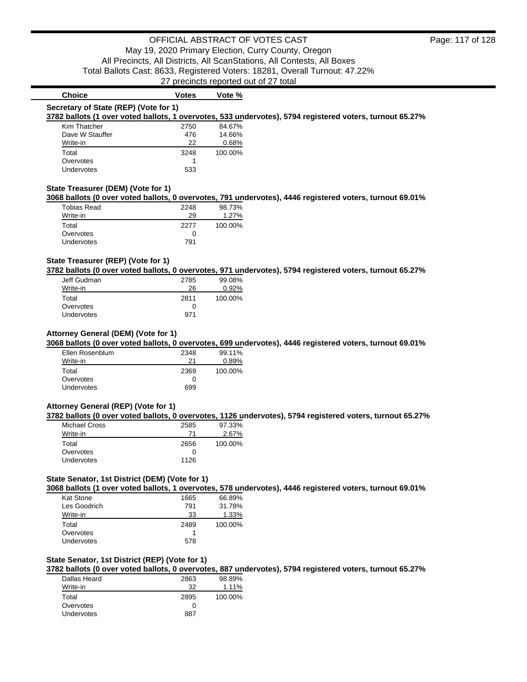| <b>Votes</b> | Vote %                                                                      |                                                                                                          |
|--------------|-----------------------------------------------------------------------------|----------------------------------------------------------------------------------------------------------|
|              |                                                                             |                                                                                                          |
|              |                                                                             | 3782 ballots (1 over voted ballots, 1 overvotes, 533 undervotes), 5794 registered voters, turnout 65.27% |
| 2750         | 84.67%                                                                      |                                                                                                          |
| 476          | 14.66%                                                                      |                                                                                                          |
| 22           | 0.68%                                                                       |                                                                                                          |
| 3248         | 100.00%                                                                     |                                                                                                          |
|              |                                                                             |                                                                                                          |
| 533          |                                                                             |                                                                                                          |
|              |                                                                             | 3068 ballots (0 over voted ballots, 0 overvotes, 791 undervotes), 4446 registered voters, turnout 69.01% |
| 2248         | 98.73%                                                                      |                                                                                                          |
| 29           | 1.27%                                                                       |                                                                                                          |
| 2277         | 100.00%                                                                     |                                                                                                          |
|              | Secretary of State (REP) (Vote for 1)<br>State Treasurer (DEM) (Vote for 1) |                                                                                                          |

## **State Treasurer (REP) (Vote for 1)**

Overvotes 0 Undervotes 791

**3782 ballots (0 over voted ballots, 0 overvotes, 971 undervotes), 5794 registered voters, turnout 65.27%**

| Jeff Gudman       | 2785 | 99.08%  |
|-------------------|------|---------|
| Write-in          | 26   | 0.92%   |
| Total             | 2811 | 100.00% |
| Overvotes         |      |         |
| <b>Undervotes</b> | 971  |         |

## **Attorney General (DEM) (Vote for 1)**

**3068 ballots (0 over voted ballots, 0 overvotes, 699 undervotes), 4446 registered voters, turnout 69.01%**

| Ellen Rosenblum | 2348 | 99.11%  |
|-----------------|------|---------|
| Write-in        | 21   | 0.89%   |
| Total           | 2369 | 100.00% |
| Overvotes       | 0    |         |
| Undervotes      | 699  |         |

### **Attorney General (REP) (Vote for 1)**

**3782 ballots (0 over voted ballots, 0 overvotes, 1126 undervotes), 5794 registered voters, turnout 65.27%**

| Michael Cross | 2585         | 97.33%  |
|---------------|--------------|---------|
| Write-in      | 71           | 2.67%   |
| Total         | 2656         | 100.00% |
| Overvotes     | $\mathbf{I}$ |         |
| Undervotes    | 1126         |         |

### **State Senator, 1st District (DEM) (Vote for 1)**

**3068 ballots (1 over voted ballots, 1 overvotes, 578 undervotes), 4446 registered voters, turnout 69.01%**

| Kat Stone    | 1665 | 66.89%  |
|--------------|------|---------|
| Les Goodrich | 791  | 31.78%  |
| Write-in     | 33   | 1.33%   |
| Total        | 2489 | 100.00% |
| Overvotes    |      |         |
|              |      |         |

### **State Senator, 1st District (REP) (Vote for 1)**

**3782 ballots (0 over voted ballots, 0 overvotes, 887 undervotes), 5794 registered voters, turnout 65.27%**

| Dallas Heard      | 2863 | 98.89%  |
|-------------------|------|---------|
| Write-in          | 32   | 1.11%   |
| Total             | 2895 | 100.00% |
| Overvotes         | Ω    |         |
| <b>Undervotes</b> | 887  |         |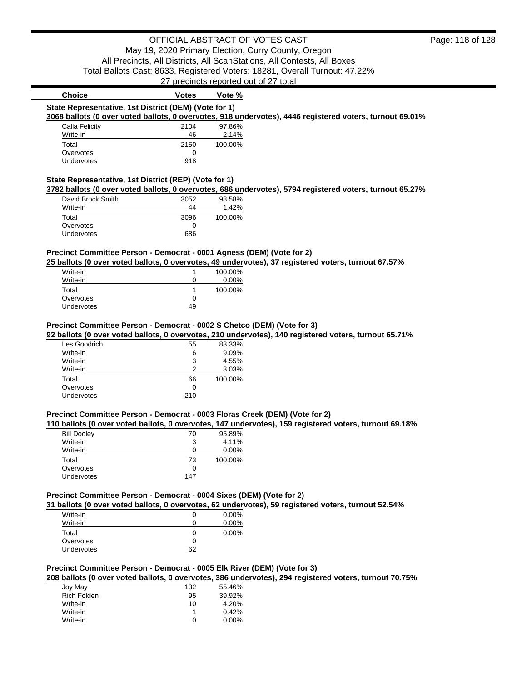# 27 precincts reported out of 27 total **Choice Votes Votes Vote % State Representative, 1st District (DEM) (Vote for 1) 3068 ballots (0 over voted ballots, 0 overvotes, 918 undervotes), 4446 registered voters, turnout 69.01%** Calla Felicity 2104 97.86% Write-in 2.14% Total 2150 100.00% Overvotes and the contract of the contract of the contract of the contract of the contract of the contract of the contract of the contract of the contract of the contract of the contract of the contract of the contract of Undervotes 918 **State Representative, 1st District (REP) (Vote for 1) 3782 ballots (0 over voted ballots, 0 overvotes, 686 undervotes), 5794 registered voters, turnout 65.27%** David Brock Smith 3052 98.58% Write-in 44 Total 3096 100.00% Overvotes and the contract of the contract of the contract of the contract of the contract of the contract of the contract of the contract of the contract of the contract of the contract of the contract of the contract of Undervotes 686 **Precinct Committee Person - Democrat - 0001 Agness (DEM) (Vote for 2) 25 ballots (0 over voted ballots, 0 overvotes, 49 undervotes), 37 registered voters, turnout 67.57%** Write-in 1 100.00% Write-in 0 0.00% Total 100.00% Overvotes 0 Undervotes 49 **Precinct Committee Person - Democrat - 0002 S Chetco (DEM) (Vote for 3) 92 ballots (0 over voted ballots, 0 overvotes, 210 undervotes), 140 registered voters, turnout 65.71%** Les Goodrich 65 83.33% Write-in 6 9.09%

| Write-in   | 6   | 9.09%   |
|------------|-----|---------|
| Write-in   | 3   | 4.55%   |
| Write-in   | 2   | 3.03%   |
| Total      | 66  | 100.00% |
| Overvotes  | 0   |         |
| Undervotes | 210 |         |

# **Precinct Committee Person - Democrat - 0003 Floras Creek (DEM) (Vote for 2)**

# **110 ballots (0 over voted ballots, 0 overvotes, 147 undervotes), 159 registered voters, turnout 69.18%**

| <b>Bill Dooley</b> | 70  | 95.89%   |
|--------------------|-----|----------|
| Write-in           | 3   | 4.11%    |
| Write-in           | n   | $0.00\%$ |
| Total              | 73  | 100.00%  |
| Overvotes          | 0   |          |
| Undervotes         | 147 |          |
|                    |     |          |

# **Precinct Committee Person - Democrat - 0004 Sixes (DEM) (Vote for 2)**

**31 ballots (0 over voted ballots, 0 overvotes, 62 undervotes), 59 registered voters, turnout 52.54%**

| Write-in   |    | $0.00\%$ |
|------------|----|----------|
| Write-in   |    | $0.00\%$ |
| Total      | O  | $0.00\%$ |
| Overvotes  | 0  |          |
| Undervotes | 62 |          |
|            |    |          |

# **Precinct Committee Person - Democrat - 0005 Elk River (DEM) (Vote for 3)**

**208 ballots (0 over voted ballots, 0 overvotes, 386 undervotes), 294 registered voters, turnout 70.75%**

| Joy May            | 132 | 55.46% |
|--------------------|-----|--------|
| <b>Rich Folden</b> | 95  | 39.92% |
| Write-in           | 10  | 4.20%  |
| Write-in           |     | 0.42%  |
| Write-in           | O   | 0.00%  |
|                    |     |        |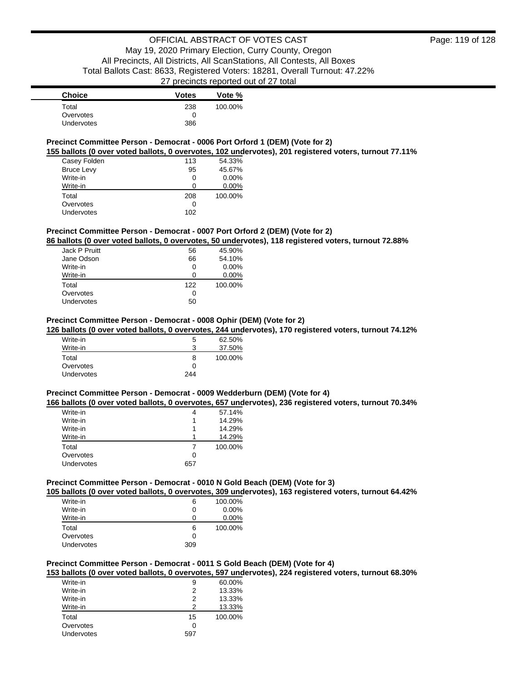| <b>Choice</b>     | <b>Votes</b> | Vote %  |
|-------------------|--------------|---------|
| Total             | 238          | 100.00% |
| Overvotes         |              |         |
| <b>Undervotes</b> | 386          |         |

## **Precinct Committee Person - Democrat - 0006 Port Orford 1 (DEM) (Vote for 2)**

**155 ballots (0 over voted ballots, 0 overvotes, 102 undervotes), 201 registered voters, turnout 77.11%**

| Casey Folden      | 113 | 54.33%   |
|-------------------|-----|----------|
| <b>Bruce Levy</b> | 95  | 45.67%   |
| Write-in          | 0   | $0.00\%$ |
| Write-in          |     | $0.00\%$ |
| Total             | 208 | 100.00%  |
| Overvotes         | Ω   |          |
| Undervotes        | 102 |          |

## **Precinct Committee Person - Democrat - 0007 Port Orford 2 (DEM) (Vote for 2)**

**86 ballots (0 over voted ballots, 0 overvotes, 50 undervotes), 118 registered voters, turnout 72.88%**

| Jack P Pruitt | 56  | 45.90%   |
|---------------|-----|----------|
| Jane Odson    | 66  | 54.10%   |
| Write-in      | 0   | $0.00\%$ |
| Write-in      | ∩   | $0.00\%$ |
| Total         | 122 | 100.00%  |
| Overvotes     | 0   |          |
| Undervotes    | 50  |          |

### **Precinct Committee Person - Democrat - 0008 Ophir (DEM) (Vote for 2)**

**126 ballots (0 over voted ballots, 0 overvotes, 244 undervotes), 170 registered voters, turnout 74.12%**

| Write-in          | 5   | 62.50%  |
|-------------------|-----|---------|
| Write-in          | 3   | 37.50%  |
| Total             | 8   | 100.00% |
| Overvotes         | Ω   |         |
| <b>Undervotes</b> | 244 |         |

### **Precinct Committee Person - Democrat - 0009 Wedderburn (DEM) (Vote for 4)**

**166 ballots (0 over voted ballots, 0 overvotes, 657 undervotes), 236 registered voters, turnout 70.34%**

| Write-in   | 4   | 57.14%  |
|------------|-----|---------|
| Write-in   |     | 14.29%  |
| Write-in   |     | 14.29%  |
| Write-in   |     | 14.29%  |
| Total      |     | 100.00% |
| Overvotes  | Ω   |         |
| Undervotes | 657 |         |
|            |     |         |

## **Precinct Committee Person - Democrat - 0010 N Gold Beach (DEM) (Vote for 3)**

**105 ballots (0 over voted ballots, 0 overvotes, 309 undervotes), 163 registered voters, turnout 64.42%**

| Write-in   | 6   | 100.00%  |
|------------|-----|----------|
| Write-in   | 0   | $0.00\%$ |
| Write-in   |     | $0.00\%$ |
| Total      | 6   | 100.00%  |
| Overvotes  | 0   |          |
| Undervotes | 309 |          |

## **Precinct Committee Person - Democrat - 0011 S Gold Beach (DEM) (Vote for 4)**

**153 ballots (0 over voted ballots, 0 overvotes, 597 undervotes), 224 registered voters, turnout 68.30%**

| Write-in   | 9   | 60.00%  |
|------------|-----|---------|
| Write-in   | 2   | 13.33%  |
| Write-in   | 2   | 13.33%  |
| Write-in   | 2   | 13.33%  |
| Total      | 15  | 100.00% |
| Overvotes  | 0   |         |
| Undervotes | 597 |         |
|            |     |         |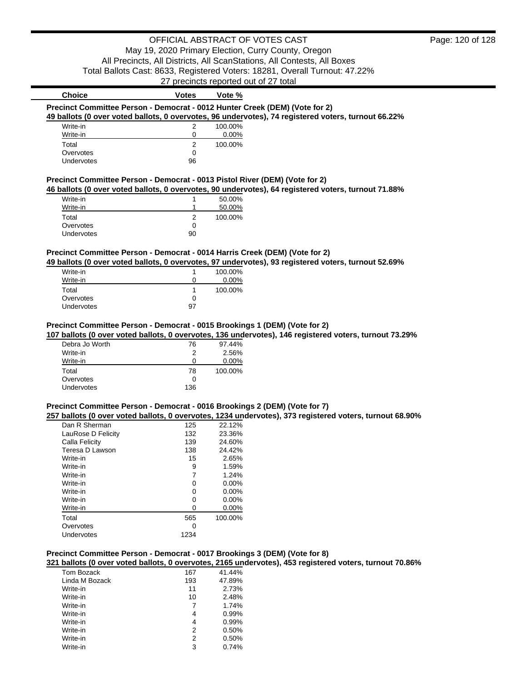# OFFICIAL ABSTRACT OF VOTES CAST May 19, 2020 Primary Election, Curry County, Oregon All Precincts, All Districts, All ScanStations, All Contests, All Boxes

Total Ballots Cast: 8633, Registered Voters: 18281, Overall Turnout: 47.22%

27 precincts reported out of 27 total

| <b>Choice</b>                                                                               | <b>Votes</b>   | Vote %                   |                                                                                                         |
|---------------------------------------------------------------------------------------------|----------------|--------------------------|---------------------------------------------------------------------------------------------------------|
| Precinct Committee Person - Democrat - 0012 Hunter Creek (DEM) (Vote for 2)                 |                |                          |                                                                                                         |
|                                                                                             |                |                          | 49 ballots (0 over voted ballots, 0 overvotes, 96 undervotes), 74 registered voters, turnout 66.22%     |
| Write-in                                                                                    | 2              | 100.00%                  |                                                                                                         |
| Write-in                                                                                    | 0              | 0.00%                    |                                                                                                         |
| Total                                                                                       | $\overline{2}$ | 100.00%                  |                                                                                                         |
| Overvotes                                                                                   | 0              |                          |                                                                                                         |
| Undervotes                                                                                  | 96             |                          |                                                                                                         |
|                                                                                             |                |                          |                                                                                                         |
| Precinct Committee Person - Democrat - 0013 Pistol River (DEM) (Vote for 2)                 |                |                          |                                                                                                         |
|                                                                                             |                |                          | 46 ballots (0 over voted ballots, 0 overvotes, 90 undervotes), 64 registered voters, turnout 71.88%     |
| Write-in                                                                                    | 1              | 50.00%                   |                                                                                                         |
| Write-in                                                                                    | 1              | 50.00%                   |                                                                                                         |
| Total                                                                                       | $\overline{2}$ | 100.00%                  |                                                                                                         |
| Overvotes                                                                                   | 0              |                          |                                                                                                         |
| Undervotes                                                                                  | 90             |                          |                                                                                                         |
| Precinct Committee Person - Democrat - 0014 Harris Creek (DEM) (Vote for 2)<br>Write-in     | 1              | 100.00%                  | 49 ballots (0 over voted ballots, 0 overvotes, 97 undervotes), 93 registered voters, turnout 52.69%     |
| Write-in                                                                                    | 0              | 0.00%                    |                                                                                                         |
| Total                                                                                       | 1              | 100.00%                  |                                                                                                         |
| Overvotes                                                                                   | 0              |                          |                                                                                                         |
| Undervotes                                                                                  | 97             |                          |                                                                                                         |
| Debra Jo Worth<br>Write-in<br>Write-in                                                      | 76<br>2<br>0   | 97.44%<br>2.56%<br>0.00% |                                                                                                         |
| Total                                                                                       | 78             | 100.00%                  |                                                                                                         |
| Overvotes                                                                                   | 0              |                          |                                                                                                         |
| Undervotes                                                                                  | 136            |                          |                                                                                                         |
| Precinct Committee Person - Democrat - 0016 Brookings 2 (DEM) (Vote for 7)<br>Dan R Sherman | 125            | 22.12%                   | 257 ballots (0 over voted ballots, 0 overvotes, 1234 undervotes), 373 registered voters, turnout 68.90% |
| LauRose D Felicity                                                                          | 132            | 23.36%                   |                                                                                                         |
| Calla Felicity                                                                              | 139            | 24.60%                   |                                                                                                         |
| Teresa D Lawson                                                                             | 138            | 24.42%                   |                                                                                                         |
| Write-in                                                                                    | 15             | 2.65%                    |                                                                                                         |
| Write-in                                                                                    | 9              | 1.59%                    |                                                                                                         |
| Write-in                                                                                    | 7              | 1.24%                    |                                                                                                         |
| Write-in                                                                                    | 0              | 0.00%                    |                                                                                                         |
| Write-in                                                                                    | 0              | 0.00%                    |                                                                                                         |
| Write-in                                                                                    | 0              | 0.00%                    |                                                                                                         |
| Write-in                                                                                    | 0              | 0.00%                    |                                                                                                         |
| Total                                                                                       | 565            | 100.00%                  |                                                                                                         |
| Overvotes                                                                                   | 0              |                          |                                                                                                         |
| Undervotes                                                                                  | 1234           |                          |                                                                                                         |
|                                                                                             |                |                          |                                                                                                         |
| Precinct Committee Person - Democrat - 0017 Brookings 3 (DEM) (Vote for 8)                  |                |                          | 321 ballots (0 over voted ballots, 0 overvotes, 2165 undervotes), 453 registered voters, turnout 70.86% |
| Tom Bozack                                                                                  | 167            | 41.44%                   |                                                                                                         |
| Linda M Bozack                                                                              | 193            | 47.89%                   |                                                                                                         |
| Write-in                                                                                    | 11             | 2.73%                    |                                                                                                         |
| Write-in                                                                                    | 10             | 2.48%                    |                                                                                                         |
| Write-in                                                                                    | $\overline{7}$ | 1.74%                    |                                                                                                         |
| Write-in                                                                                    | 4              | 0.99%                    |                                                                                                         |

Write-in 4 0.99%<br>Write-in 4 0.99% Write-in 4 0.99% Write-in 4 0.99%

Write-in 2 0.50%<br>Write-in 2 0.74% 3 0.74%

Write-in 2<br>Write-in 2<br>Write-in 3

Write-in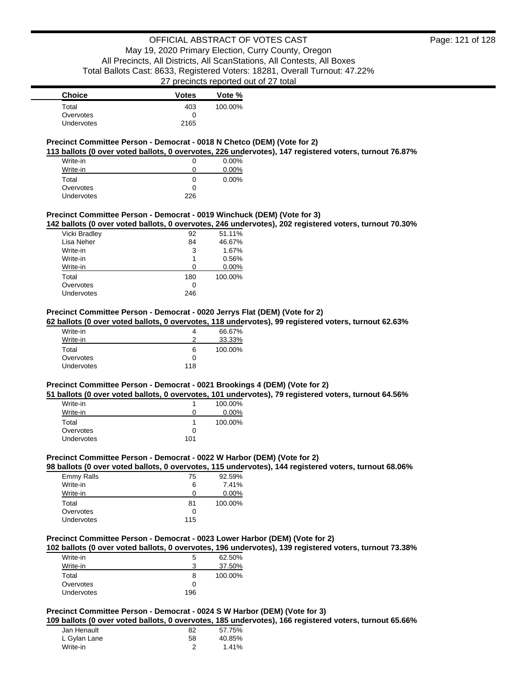| <b>Choice</b>     | <b>Votes</b> | Vote %  |
|-------------------|--------------|---------|
| Total             | 403          | 100.00% |
| Overvotes         |              |         |
| <b>Undervotes</b> | 2165         |         |

## **Precinct Committee Person - Democrat - 0018 N Chetco (DEM) (Vote for 2)**

**113 ballots (0 over voted ballots, 0 overvotes, 226 undervotes), 147 registered voters, turnout 76.87%**

| Write-in   |     | 0.00% |
|------------|-----|-------|
| Write-in   |     | 0.00% |
| Total      | 0   | 0.00% |
| Overvotes  |     |       |
| Undervotes | 226 |       |

### **Precinct Committee Person - Democrat - 0019 Winchuck (DEM) (Vote for 3)**

**142 ballots (0 over voted ballots, 0 overvotes, 246 undervotes), 202 registered voters, turnout 70.30%**

| Vicki Bradley | 92  | 51.11%  |
|---------------|-----|---------|
| Lisa Neher    | 84  | 46.67%  |
| Write-in      | 3   | 1.67%   |
| Write-in      |     | 0.56%   |
| Write-in      | O   | 0.00%   |
| Total         | 180 | 100.00% |
| Overvotes     | O   |         |
| Undervotes    | 246 |         |
|               |     |         |

### **Precinct Committee Person - Democrat - 0020 Jerrys Flat (DEM) (Vote for 2)**

**62 ballots (0 over voted ballots, 0 overvotes, 118 undervotes), 99 registered voters, turnout 62.63%**

| Write-in   | 4   | 66.67%  |
|------------|-----|---------|
| Write-in   | າ   | 33.33%  |
| Total      | 6   | 100.00% |
| Overvotes  | 0   |         |
| Undervotes | 118 |         |

### **Precinct Committee Person - Democrat - 0021 Brookings 4 (DEM) (Vote for 2)**

**51 ballots (0 over voted ballots, 0 overvotes, 101 undervotes), 79 registered voters, turnout 64.56%** Write-in 1 100.00%<br>
Write-in 1 100.00% Write-in 0 Total 1 100.00%<br>Overvotes 0 0 **Overvotes** 

## **Precinct Committee Person - Democrat - 0022 W Harbor (DEM) (Vote for 2)**

#### **98 ballots (0 over voted ballots, 0 overvotes, 115 undervotes), 144 registered voters, turnout 68.06%**

| 75           | 92.59%   |
|--------------|----------|
| 6            | 7.41%    |
| 0            | $0.00\%$ |
| 81           | 100.00%  |
| $\mathbf{I}$ |          |
| 115          |          |
|              |          |

Undervotes 101

### **Precinct Committee Person - Democrat - 0023 Lower Harbor (DEM) (Vote for 2)**

**102 ballots (0 over voted ballots, 0 overvotes, 196 undervotes), 139 registered voters, turnout 73.38%**

| Write-in          | 5   | 62.50%  |
|-------------------|-----|---------|
| Write-in          |     | 37.50%  |
| Total             | 8   | 100.00% |
| Overvotes         |     |         |
| <b>Undervotes</b> | 196 |         |

# **Precinct Committee Person - Democrat - 0024 S W Harbor (DEM) (Vote for 3)**

**109 ballots (0 over voted ballots, 0 overvotes, 185 undervotes), 166 registered voters, turnout 65.66%**

| Jan Henault  | 82 | 57.75% |
|--------------|----|--------|
| L Gylan Lane | 58 | 40.85% |
| Write-in     |    | 1.41%  |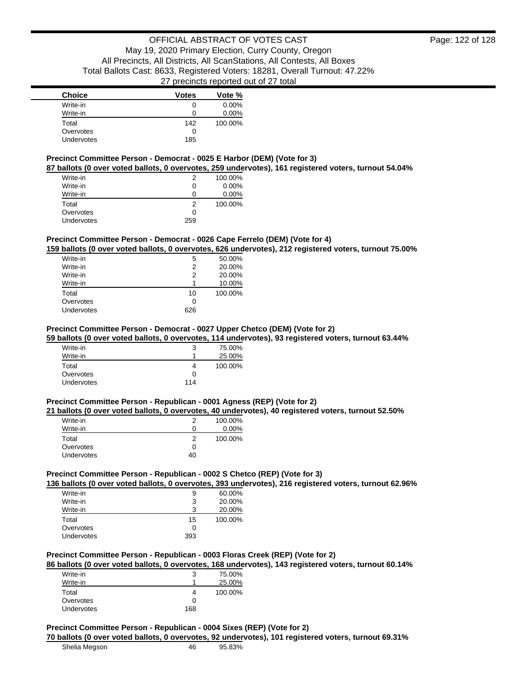| <b>Choice</b> | <b>Votes</b> | Vote %   |
|---------------|--------------|----------|
| Write-in      | 0            | $0.00\%$ |
| Write-in      | Ω            | $0.00\%$ |
| Total         | 142          | 100.00%  |
| Overvotes     | 0            |          |
| Undervotes    | 185          |          |

## **Precinct Committee Person - Democrat - 0025 E Harbor (DEM) (Vote for 3)**

**87 ballots (0 over voted ballots, 0 overvotes, 259 undervotes), 161 registered voters, turnout 54.04%**

| Write-in          | 2   | 100.00%  |
|-------------------|-----|----------|
| Write-in          | 0   | $0.00\%$ |
| Write-in          | 0   | $0.00\%$ |
| Total             | 2   | 100.00%  |
| Overvotes         | 0   |          |
| <b>Undervotes</b> | 259 |          |

## **Precinct Committee Person - Democrat - 0026 Cape Ferrelo (DEM) (Vote for 4)**

**159 ballots (0 over voted ballots, 0 overvotes, 626 undervotes), 212 registered voters, turnout 75.00%**

| Write-in   | 5   | 50.00%  |
|------------|-----|---------|
| Write-in   | 2   | 20.00%  |
| Write-in   | 2   | 20.00%  |
| Write-in   |     | 10.00%  |
| Total      | 10  | 100.00% |
| Overvotes  | ∩   |         |
| Undervotes | 626 |         |

# **Precinct Committee Person - Democrat - 0027 Upper Chetco (DEM) (Vote for 2)**

**59 ballots (0 over voted ballots, 0 overvotes, 114 undervotes), 93 registered voters, turnout 63.44%**

| Write-in   | З   | 75.00%  |
|------------|-----|---------|
| Write-in   |     | 25.00%  |
| Total      |     | 100.00% |
| Overvotes  | 0   |         |
| Undervotes | 114 |         |

### **Precinct Committee Person - Republican - 0001 Agness (REP) (Vote for 2)**

**21 ballots (0 over voted ballots, 0 overvotes, 40 undervotes), 40 registered voters, turnout 52.50%**

| Write-in   |    | 100.00%  |
|------------|----|----------|
| Write-in   | O  | $0.00\%$ |
| Total      | 2  | 100.00%  |
| Overvotes  | 0  |          |
| Undervotes | 40 |          |

## **Precinct Committee Person - Republican - 0002 S Chetco (REP) (Vote for 3)**

**136 ballots (0 over voted ballots, 0 overvotes, 393 undervotes), 216 registered voters, turnout 62.96%**

| Write-in          | 9   | 60.00%  |
|-------------------|-----|---------|
| Write-in          | 3   | 20.00%  |
| Write-in          | 3   | 20.00%  |
| Total             | 15  | 100.00% |
| Overvotes         | 0   |         |
| <b>Undervotes</b> | 393 |         |

## **Precinct Committee Person - Republican - 0003 Floras Creek (REP) (Vote for 2)**

## **86 ballots (0 over voted ballots, 0 overvotes, 168 undervotes), 143 registered voters, turnout 60.14%**

| Write-in          |     | 75.00%  |
|-------------------|-----|---------|
| Write-in          |     | 25.00%  |
| Total             |     | 100.00% |
| Overvotes         |     |         |
| <b>Undervotes</b> | 168 |         |

### **Precinct Committee Person - Republican - 0004 Sixes (REP) (Vote for 2)**

| 70 ballots (0 over voted ballots, 0 overvotes, 92 undervotes), 101 registered voters, turnout 69.31% |    |        |  |
|------------------------------------------------------------------------------------------------------|----|--------|--|
| Shelia Megson                                                                                        | 46 | 95.83% |  |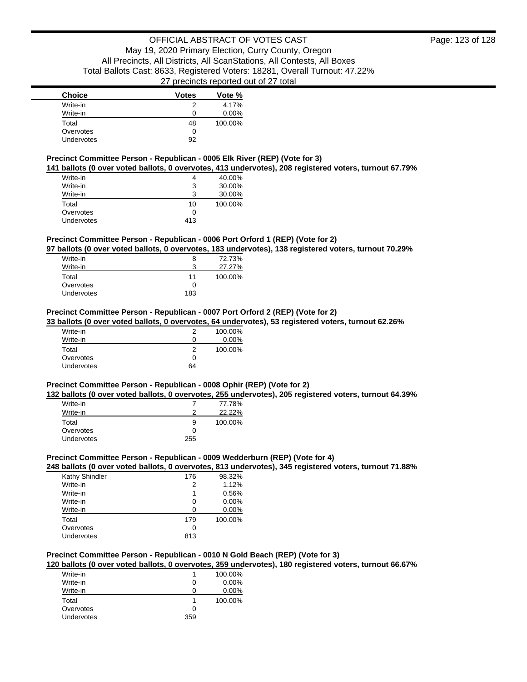| <b>Choice</b> | <b>Votes</b> | Vote %   |
|---------------|--------------|----------|
| Write-in      | 2            | 4.17%    |
| Write-in      | 0            | $0.00\%$ |
| Total         | 48           | 100.00%  |
| Overvotes     | 0            |          |
| Undervotes    | 92           |          |

### **Precinct Committee Person - Republican - 0005 Elk River (REP) (Vote for 3)**

**141 ballots (0 over voted ballots, 0 overvotes, 413 undervotes), 208 registered voters, turnout 67.79%**

| Write-in          | 4   | 40.00%  |
|-------------------|-----|---------|
| Write-in          | 3   | 30.00%  |
| Write-in          | 3   | 30.00%  |
| Total             | 10  | 100.00% |
| Overvotes         | 0   |         |
| <b>Undervotes</b> | 413 |         |

### **Precinct Committee Person - Republican - 0006 Port Orford 1 (REP) (Vote for 2)**

**97 ballots (0 over voted ballots, 0 overvotes, 183 undervotes), 138 registered voters, turnout 70.29%**

| 72.73%  |
|---------|
| 27.27%  |
| 100.00% |
|         |
|         |
|         |

### **Precinct Committee Person - Republican - 0007 Port Orford 2 (REP) (Vote for 2)**

**33 ballots (0 over voted ballots, 0 overvotes, 64 undervotes), 53 registered voters, turnout 62.26%**

| Write-in   | 2  | 100.00%  |
|------------|----|----------|
| Write-in   | 0  | $0.00\%$ |
| Total      | 2  | 100.00%  |
| Overvotes  | 0  |          |
| Undervotes | 64 |          |

### **Precinct Committee Person - Republican - 0008 Ophir (REP) (Vote for 2)**

**132 ballots (0 over voted ballots, 0 overvotes, 255 undervotes), 205 registered voters, turnout 64.39%** Write-in 7 77.78%<br>Write-in 2 22.22%  $22.22\%$ Total 9 100.00%<br>Overvotes 0 0 **Overvotes** 

### **Precinct Committee Person - Republican - 0009 Wedderburn (REP) (Vote for 4)**

### **248 ballots (0 over voted ballots, 0 overvotes, 813 undervotes), 345 registered voters, turnout 71.88%**

| Kathy Shindler | 176 | 98.32%   |
|----------------|-----|----------|
| Write-in       | 2   | 1.12%    |
| Write-in       |     | 0.56%    |
| Write-in       | Ω   | $0.00\%$ |
| Write-in       |     | 0.00%    |
| Total          | 179 | 100.00%  |
| Overvotes      | Ω   |          |
| Undervotes     | 813 |          |

Undervotes 255

## **Precinct Committee Person - Republican - 0010 N Gold Beach (REP) (Vote for 3)**

**120 ballots (0 over voted ballots, 0 overvotes, 359 undervotes), 180 registered voters, turnout 66.67%**

| Write-in   |     | 100.00% |
|------------|-----|---------|
| Write-in   | O   | 0.00%   |
| Write-in   | 0   | 0.00%   |
| Total      |     | 100.00% |
| Overvotes  | 0   |         |
| Undervotes | 359 |         |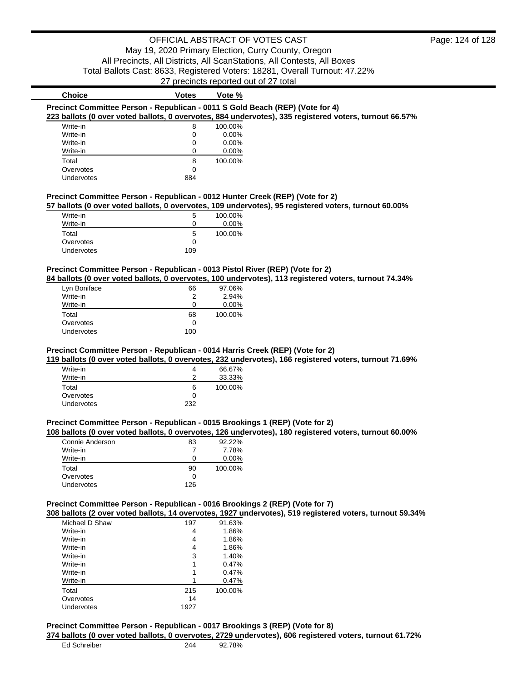| <b>Choice</b>        | <b>Votes</b> | Vote %           |                                                                                                          |
|----------------------|--------------|------------------|----------------------------------------------------------------------------------------------------------|
|                      |              |                  | Precinct Committee Person - Republican - 0011 S Gold Beach (REP) (Vote for 4)                            |
|                      |              |                  | 223 ballots (0 over voted ballots, 0 overvotes, 884 undervotes), 335 registered voters, turnout 66.57%   |
| Write-in             | 8            | 100.00%          |                                                                                                          |
| Write-in             | 0            | 0.00%            |                                                                                                          |
| Write-in             | 0            | 0.00%            |                                                                                                          |
| Write-in             | 0            | 0.00%            |                                                                                                          |
| Total                | 8            | 100.00%          |                                                                                                          |
| Overvotes            | 0            |                  |                                                                                                          |
| Undervotes           | 884          |                  |                                                                                                          |
|                      |              |                  | Precinct Committee Person - Republican - 0012 Hunter Creek (REP) (Vote for 2)                            |
|                      |              |                  | 57 ballots (0 over voted ballots, 0 overvotes, 109 undervotes), 95 registered voters, turnout 60.00%     |
| Write-in             | 5            | 100.00%          |                                                                                                          |
| Write-in             | 0            | 0.00%            |                                                                                                          |
| Total                | 5            | 100.00%          |                                                                                                          |
| Overvotes            | 0            |                  |                                                                                                          |
| Undervotes           | 109          |                  |                                                                                                          |
|                      |              |                  | Precinct Committee Person - Republican - 0013 Pistol River (REP) (Vote for 2)                            |
|                      |              |                  | 84 ballots (0 over voted ballots, 0 overvotes, 100 undervotes), 113 registered voters, turnout 74.34%    |
| Lyn Boniface         | 66           | 97.06%           |                                                                                                          |
| Write-in             | 2            | 2.94%            |                                                                                                          |
| Write-in             | 0            | 0.00%            |                                                                                                          |
| Total                | 68           | 100.00%          |                                                                                                          |
| Overvotes            | 0            |                  |                                                                                                          |
| Undervotes           | 100          |                  |                                                                                                          |
| Write-in<br>Write-in | 4<br>2       | 66.67%<br>33.33% |                                                                                                          |
| Total                | 6            | 100.00%          |                                                                                                          |
| Overvotes            | 0            |                  |                                                                                                          |
| Undervotes           | 232          |                  |                                                                                                          |
|                      |              |                  | Precinct Committee Person - Republican - 0015 Brookings 1 (REP) (Vote for 2)                             |
|                      |              |                  | 108 ballots (0 over voted ballots, 0 overvotes, 126 undervotes), 180 registered voters, turnout 60.00%   |
| Connie Anderson      | 83           | 92.22%           |                                                                                                          |
| Write-in             | 7            | 7.78%            |                                                                                                          |
| Write-in             | 0            | 0.00%            |                                                                                                          |
| Total                | 90           | 100.00%          |                                                                                                          |
| Overvotes            | 0            |                  |                                                                                                          |
| Undervotes           | 126          |                  |                                                                                                          |
|                      |              |                  | Precinct Committee Person - Republican - 0016 Brookings 2 (REP) (Vote for 7)                             |
|                      |              |                  | 308 ballots (2 over voted ballots, 14 overvotes, 1927 undervotes), 519 registered voters, turnout 59.34% |
| Michael D Shaw       | 197          | 91.63%           |                                                                                                          |
| Write-in             | 4            | 1.86%            |                                                                                                          |
| Write-in             | 4            | 1.86%            |                                                                                                          |
| Write-in             | 4            | 1.86%            |                                                                                                          |
| Write-in             | 3            | 1.40%            |                                                                                                          |
| Write-in             | 1            | 0.47%            |                                                                                                          |
| Write-in             | 1            | 0.47%            |                                                                                                          |
| Write-in             | 1            | 0.47%            |                                                                                                          |
| Total                | 215          | 100.00%          |                                                                                                          |
| Overvotes            | 14           |                  |                                                                                                          |
| Undervotes           | 1927         |                  |                                                                                                          |

# **Precinct Committee Person - Republican - 0017 Brookings 3 (REP) (Vote for 8)**

**374 ballots (0 over voted ballots, 0 overvotes, 2729 undervotes), 606 registered voters, turnout 61.72%**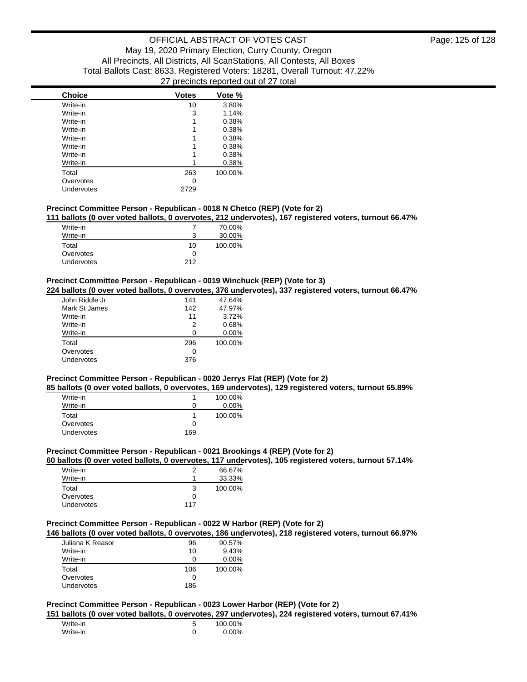| <b>Choice</b> | <b>Votes</b> | Vote %  |
|---------------|--------------|---------|
| Write-in      | 10           | 3.80%   |
| Write-in      | 3            | 1.14%   |
| Write-in      | 1            | 0.38%   |
| Write-in      | 1            | 0.38%   |
| Write-in      | 1            | 0.38%   |
| Write-in      | 1            | 0.38%   |
| Write-in      | 1            | 0.38%   |
| Write-in      |              | 0.38%   |
| Total         | 263          | 100.00% |
| Overvotes     | 0            |         |
| Undervotes    | 2729         |         |

## **Precinct Committee Person - Republican - 0018 N Chetco (REP) (Vote for 2)**

**111 ballots (0 over voted ballots, 0 overvotes, 212 undervotes), 167 registered voters, turnout 66.47%**

| Write-in   |              | 70.00%  |
|------------|--------------|---------|
| Write-in   |              | 30.00%  |
| Total      | 10           | 100.00% |
| Overvotes  | $\mathbf{I}$ |         |
| Undervotes | 212          |         |

### **Precinct Committee Person - Republican - 0019 Winchuck (REP) (Vote for 3)**

**224 ballots (0 over voted ballots, 0 overvotes, 376 undervotes), 337 registered voters, turnout 66.47%**

| John Riddle Jr | 141 | 47.64%   |
|----------------|-----|----------|
| Mark St James  | 142 | 47.97%   |
| Write-in       | 11  | 3.72%    |
| Write-in       | 2   | 0.68%    |
| Write-in       | ŋ   | $0.00\%$ |
| Total          | 296 | 100.00%  |
| Overvotes      | ი   |          |
| Undervotes     | 376 |          |

# **Precinct Committee Person - Republican - 0020 Jerrys Flat (REP) (Vote for 2)**

**85 ballots (0 over voted ballots, 0 overvotes, 169 undervotes), 129 registered voters, turnout 65.89%**

| Write-in          |     | 100.00%  |
|-------------------|-----|----------|
| Write-in          |     | $0.00\%$ |
| Total             |     | 100.00%  |
| Overvotes         |     |          |
| <b>Undervotes</b> | 169 |          |

### **Precinct Committee Person - Republican - 0021 Brookings 4 (REP) (Vote for 2)**

**60 ballots (0 over voted ballots, 0 overvotes, 117 undervotes), 105 registered voters, turnout 57.14%**

| Write-in          |     | 66.67%  |
|-------------------|-----|---------|
| Write-in          |     | 33.33%  |
| Total             | 3   | 100.00% |
| Overvotes         | Ω   |         |
| <b>Undervotes</b> | 117 |         |

## **Precinct Committee Person - Republican - 0022 W Harbor (REP) (Vote for 2)**

**146 ballots (0 over voted ballots, 0 overvotes, 186 undervotes), 218 registered voters, turnout 66.97%**

| Juliana K Reasor | 96  | 90.57%   |
|------------------|-----|----------|
| Write-in         | 10  | 9.43%    |
| Write-in         | 0   | $0.00\%$ |
| Total            | 106 | 100.00%  |
| Overvotes        | Ω   |          |
| Undervotes       | 186 |          |

## **Precinct Committee Person - Republican - 0023 Lower Harbor (REP) (Vote for 2)**

**151 ballots (0 over voted ballots, 0 overvotes, 297 undervotes), 224 registered voters, turnout 67.41%**

| Write-in | 100.00% |
|----------|---------|
| Write-in | 0.00%   |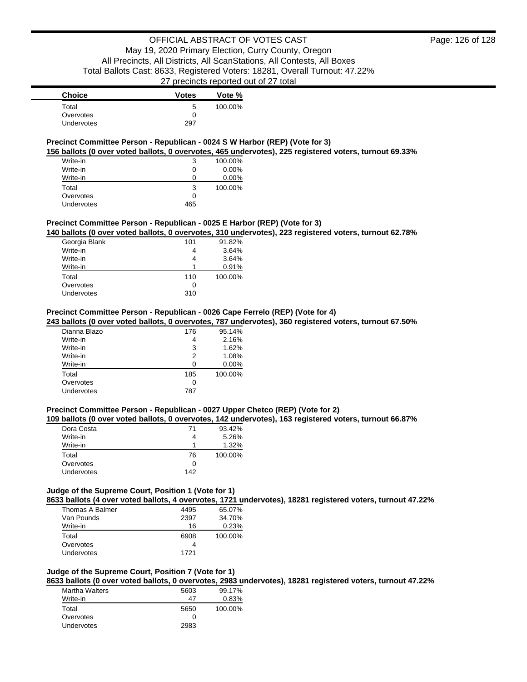## **Precinct Committee Person - Republican - 0024 S W Harbor (REP) (Vote for 3)**

**156 ballots (0 over voted ballots, 0 overvotes, 465 undervotes), 225 registered voters, turnout 69.33%**

| Write-in          | 3   | 100.00%  |
|-------------------|-----|----------|
| Write-in          | 0   | $0.00\%$ |
| Write-in          | 0   | $0.00\%$ |
| Total             | 3   | 100.00%  |
| Overvotes         | 0   |          |
| <b>Undervotes</b> | 465 |          |

### **Precinct Committee Person - Republican - 0025 E Harbor (REP) (Vote for 3)**

**140 ballots (0 over voted ballots, 0 overvotes, 310 undervotes), 223 registered voters, turnout 62.78%**

| Georgia Blank     | 101          | 91.82%  |
|-------------------|--------------|---------|
| Write-in          |              | 3.64%   |
| Write-in          |              | 3.64%   |
| Write-in          |              | 0.91%   |
| Total             | 110          | 100.00% |
| Overvotes         | $\mathbf{I}$ |         |
| <b>Undervotes</b> | 310          |         |
|                   |              |         |

### **Precinct Committee Person - Republican - 0026 Cape Ferrelo (REP) (Vote for 4)**

**243 ballots (0 over voted ballots, 0 overvotes, 787 undervotes), 360 registered voters, turnout 67.50%**

| Dianna Blazo | 176 | 95.14%   |
|--------------|-----|----------|
| Write-in     | 4   | 2.16%    |
| Write-in     | 3   | 1.62%    |
| Write-in     | 2   | 1.08%    |
| Write-in     | ∩   | $0.00\%$ |
| Total        | 185 | 100.00%  |
| Overvotes    | 0   |          |
| Undervotes   | 787 |          |

### **Precinct Committee Person - Republican - 0027 Upper Chetco (REP) (Vote for 2)**

### **109 ballots (0 over voted ballots, 0 overvotes, 142 undervotes), 163 registered voters, turnout 66.87%**

| Dora Costa | 71  | 93.42%  |
|------------|-----|---------|
| Write-in   | 4   | 5.26%   |
| Write-in   | 1   | 1.32%   |
| Total      | 76  | 100.00% |
| Overvotes  | 0   |         |
| Undervotes | 142 |         |

# **Judge of the Supreme Court, Position 1 (Vote for 1)**

**8633 ballots (4 over voted ballots, 4 overvotes, 1721 undervotes), 18281 registered voters, turnout 47.22%**

| Thomas A Balmer | 4495 | 65.07%  |
|-----------------|------|---------|
| Van Pounds      | 2397 | 34.70%  |
| Write-in        | 16   | 0.23%   |
| Total           | 6908 | 100.00% |
| Overvotes       |      |         |
| Undervotes      | 1721 |         |

### **Judge of the Supreme Court, Position 7 (Vote for 1)**

**8633 ballots (0 over voted ballots, 0 overvotes, 2983 undervotes), 18281 registered voters, turnout 47.22%**

| Martha Walters | 5603         | 99.17%  |
|----------------|--------------|---------|
| Write-in       | 47           | 0.83%   |
| Total          | 5650         | 100.00% |
| Overvotes      | $\mathbf{I}$ |         |
| Undervotes     | 2983         |         |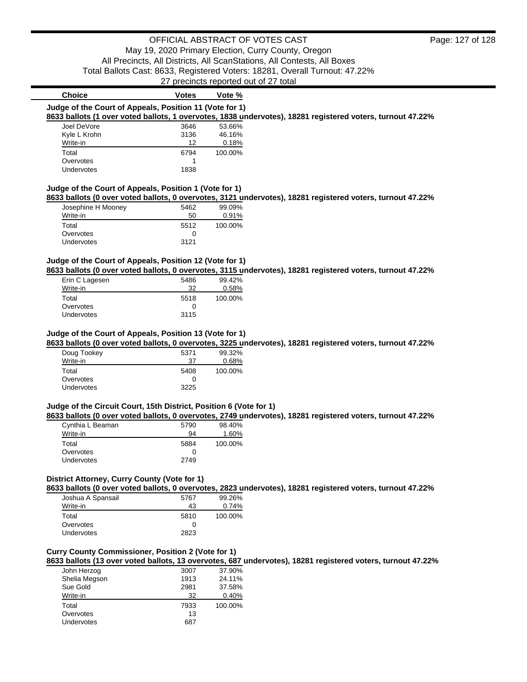|                                                                              | $\sim$ , producted reported out of $\sim$ total |         |                                                                                                            |
|------------------------------------------------------------------------------|-------------------------------------------------|---------|------------------------------------------------------------------------------------------------------------|
| <b>Choice</b>                                                                | Votes                                           | Vote %  |                                                                                                            |
| Judge of the Court of Appeals, Position 11 (Vote for 1)                      |                                                 |         |                                                                                                            |
|                                                                              |                                                 |         | 8633 ballots (1 over voted ballots, 1 overvotes, 1838 undervotes), 18281 registered voters, turnout 47.22% |
| Joel DeVore                                                                  | 3646                                            | 53.66%  |                                                                                                            |
| Kyle L Krohn                                                                 | 3136                                            | 46.16%  |                                                                                                            |
| Write-in                                                                     | 12                                              | 0.18%   |                                                                                                            |
| Total                                                                        | 6794                                            | 100.00% |                                                                                                            |
| Overvotes                                                                    |                                                 |         |                                                                                                            |
| <b>Undervotes</b>                                                            | 1838                                            |         |                                                                                                            |
| Judge of the Court of Appeals, Position 1 (Vote for 1)<br>Josephine H Mooney | 5462                                            | 99.09%  | 8633 ballots (0 over voted ballots, 0 overvotes, 3121 undervotes), 18281 registered voters, turnout 47.22% |
| Write-in                                                                     | 50                                              | 0.91%   |                                                                                                            |
| Total                                                                        | 5512                                            | 100.00% |                                                                                                            |
| Overvotes                                                                    | 0                                               |         |                                                                                                            |
| Undervotes                                                                   | 3121                                            |         |                                                                                                            |

# **Judge of the Court of Appeals, Position 12 (Vote for 1)**

**8633 ballots (0 over voted ballots, 0 overvotes, 3115 undervotes), 18281 registered voters, turnout 47.22%**

| Erin C Lagesen    | 5486         | 99.42%   |
|-------------------|--------------|----------|
| Write-in          | 32           | $0.58\%$ |
| Total             | 5518         | 100.00%  |
| Overvotes         | $\mathbf{I}$ |          |
| <b>Undervotes</b> | 3115         |          |

### **Judge of the Court of Appeals, Position 13 (Vote for 1)**

**8633 ballots (0 over voted ballots, 0 overvotes, 3225 undervotes), 18281 registered voters, turnout 47.22%**

| Doug Tookey       | 5371 | 99.32%  |
|-------------------|------|---------|
| Write-in          | 37   | 0.68%   |
| Total             | 5408 | 100.00% |
| Overvotes         | O    |         |
| <b>Undervotes</b> | 3225 |         |

### **Judge of the Circuit Court, 15th District, Position 6 (Vote for 1)**

**8633 ballots (0 over voted ballots, 0 overvotes, 2749 undervotes), 18281 registered voters, turnout 47.22%**

| Cynthia L Beaman | 5790 | 98.40%  |
|------------------|------|---------|
| Write-in         | 94   | 1.60%   |
| Total            | 5884 | 100.00% |
| Overvotes        | O    |         |
| Undervotes       | 2749 |         |

### **District Attorney, Curry County (Vote for 1)**

**8633 ballots (0 over voted ballots, 0 overvotes, 2823 undervotes), 18281 registered voters, turnout 47.22%**

| Joshua A Spansail | 5767 | 99.26%  |
|-------------------|------|---------|
| Write-in          | 43   | 0.74%   |
| Total             | 5810 | 100.00% |
| Overvotes         |      |         |
| Undervotes        | 2823 |         |

# **Curry County Commissioner, Position 2 (Vote for 1)**

**8633 ballots (13 over voted ballots, 13 overvotes, 687 undervotes), 18281 registered voters, turnout 47.22%**

| 3007 | 37.90%  |
|------|---------|
| 1913 | 24.11%  |
| 2981 | 37.58%  |
| 32   | 0.40%   |
| 7933 | 100.00% |
| 13   |         |
| 687  |         |
|      |         |